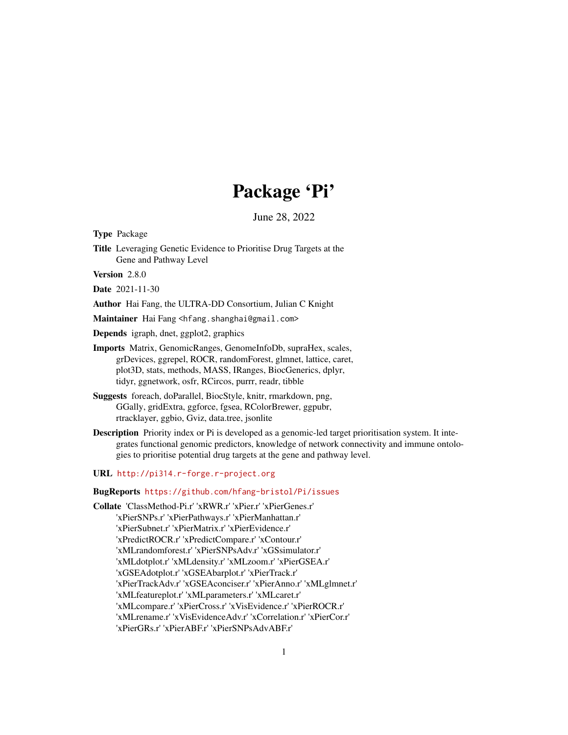# Package 'Pi'

June 28, 2022

Type Package

Title Leveraging Genetic Evidence to Prioritise Drug Targets at the Gene and Pathway Level

Version 2.8.0

Date 2021-11-30

Author Hai Fang, the ULTRA-DD Consortium, Julian C Knight

Maintainer Hai Fang <hfang.shanghai@gmail.com>

Depends igraph, dnet, ggplot2, graphics

- Imports Matrix, GenomicRanges, GenomeInfoDb, supraHex, scales, grDevices, ggrepel, ROCR, randomForest, glmnet, lattice, caret, plot3D, stats, methods, MASS, IRanges, BiocGenerics, dplyr, tidyr, ggnetwork, osfr, RCircos, purrr, readr, tibble
- Suggests foreach, doParallel, BiocStyle, knitr, rmarkdown, png, GGally, gridExtra, ggforce, fgsea, RColorBrewer, ggpubr, rtracklayer, ggbio, Gviz, data.tree, jsonlite
- Description Priority index or Pi is developed as a genomic-led target prioritisation system. It integrates functional genomic predictors, knowledge of network connectivity and immune ontologies to prioritise potential drug targets at the gene and pathway level.
- URL <http://pi314.r-forge.r-project.org>

#### BugReports <https://github.com/hfang-bristol/Pi/issues>

Collate 'ClassMethod-Pi.r' 'xRWR.r' 'xPier.r' 'xPierGenes.r' 'xPierSNPs.r' 'xPierPathways.r' 'xPierManhattan.r' 'xPierSubnet.r' 'xPierMatrix.r' 'xPierEvidence.r' 'xPredictROCR.r' 'xPredictCompare.r' 'xContour.r' 'xMLrandomforest.r' 'xPierSNPsAdv.r' 'xGSsimulator.r' 'xMLdotplot.r' 'xMLdensity.r' 'xMLzoom.r' 'xPierGSEA.r' 'xGSEAdotplot.r' 'xGSEAbarplot.r' 'xPierTrack.r' 'xPierTrackAdv.r' 'xGSEAconciser.r' 'xPierAnno.r' 'xMLglmnet.r' 'xMLfeatureplot.r' 'xMLparameters.r' 'xMLcaret.r' 'xMLcompare.r' 'xPierCross.r' 'xVisEvidence.r' 'xPierROCR.r' 'xMLrename.r' 'xVisEvidenceAdv.r' 'xCorrelation.r' 'xPierCor.r' 'xPierGRs.r' 'xPierABF.r' 'xPierSNPsAdvABF.r'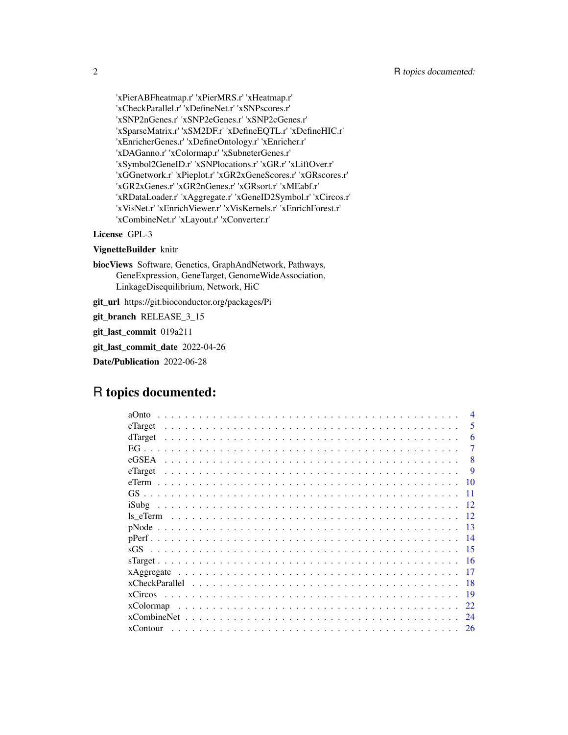'xPierABFheatmap.r' 'xPierMRS.r' 'xHeatmap.r' 'xCheckParallel.r' 'xDefineNet.r' 'xSNPscores.r' 'xSNP2nGenes.r' 'xSNP2eGenes.r' 'xSNP2cGenes.r' 'xSparseMatrix.r' 'xSM2DF.r' 'xDefineEQTL.r' 'xDefineHIC.r' 'xEnricherGenes.r' 'xDefineOntology.r' 'xEnricher.r' 'xDAGanno.r' 'xColormap.r' 'xSubneterGenes.r' 'xSymbol2GeneID.r' 'xSNPlocations.r' 'xGR.r' 'xLiftOver.r' 'xGGnetwork.r' 'xPieplot.r' 'xGR2xGeneScores.r' 'xGRscores.r' 'xGR2xGenes.r' 'xGR2nGenes.r' 'xGRsort.r' 'xMEabf.r' 'xRDataLoader.r' 'xAggregate.r' 'xGeneID2Symbol.r' 'xCircos.r' 'xVisNet.r' 'xEnrichViewer.r' 'xVisKernels.r' 'xEnrichForest.r' 'xCombineNet.r' 'xLayout.r' 'xConverter.r'

#### License GPL-3

#### VignetteBuilder knitr

biocViews Software, Genetics, GraphAndNetwork, Pathways, GeneExpression, GeneTarget, GenomeWideAssociation, LinkageDisequilibrium, Network, HiC

git\_url https://git.bioconductor.org/packages/Pi

git\_branch RELEASE\_3\_15

git\_last\_commit 019a211

git\_last\_commit\_date 2022-04-26

Date/Publication 2022-06-28

# R topics documented:

| aOnto             |          |
|-------------------|----------|
| cTarget           | 5        |
| dTarget           | 6        |
|                   |          |
| eGSEA             | 8        |
| eTarget           | <b>9</b> |
| 10                |          |
|                   |          |
| iSubg<br>12       |          |
| ls eTerm          |          |
| 13                |          |
| 14                |          |
| 15                |          |
| 16                |          |
| xAggregate<br>17  |          |
| 18                |          |
| xCircos<br>19     |          |
| xColormap<br>22   |          |
| xCombineNet<br>24 |          |
| xContour<br>26    |          |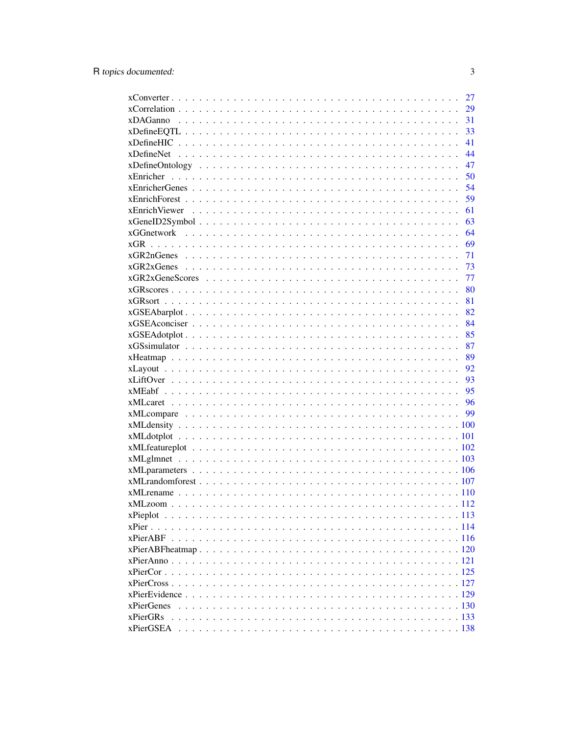|            | 27 |
|------------|----|
|            | 29 |
|            | 31 |
|            | 33 |
|            | 41 |
|            | 44 |
|            | 47 |
|            | 50 |
|            | 54 |
|            | 59 |
|            | 61 |
|            | 63 |
|            | 64 |
|            | 69 |
|            | 71 |
|            | 73 |
|            | 77 |
|            | 80 |
|            | 81 |
|            | 82 |
|            | 84 |
|            | 85 |
|            | 87 |
|            | 89 |
|            | 92 |
|            | 93 |
|            | 95 |
|            | 96 |
|            | 99 |
|            |    |
|            |    |
|            |    |
|            |    |
|            |    |
|            |    |
|            |    |
|            |    |
| xPieplot   |    |
|            |    |
|            |    |
|            |    |
|            |    |
|            |    |
|            |    |
|            |    |
| xPierGenes |    |
| xPierGRs   |    |
|            |    |
|            |    |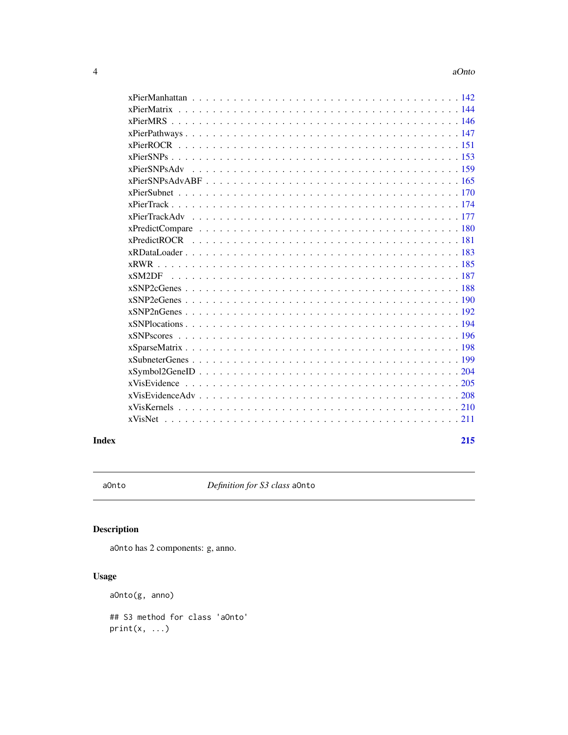<span id="page-3-0"></span>

| $xPierSNPsAdvABF$ |
|-------------------|
|                   |
|                   |
|                   |
|                   |
|                   |
|                   |
|                   |
|                   |
|                   |
|                   |
|                   |
|                   |
|                   |
|                   |
|                   |
|                   |
|                   |
|                   |
|                   |
| <b>xVisNet</b>    |
|                   |

#### **Index** [215](#page-214-0)

aOnto *Definition for S3 class* aOnto

# Description

aOnto has 2 components: g, anno.

# Usage

aOnto(g, anno)

## S3 method for class 'aOnto'  $print(x, \ldots)$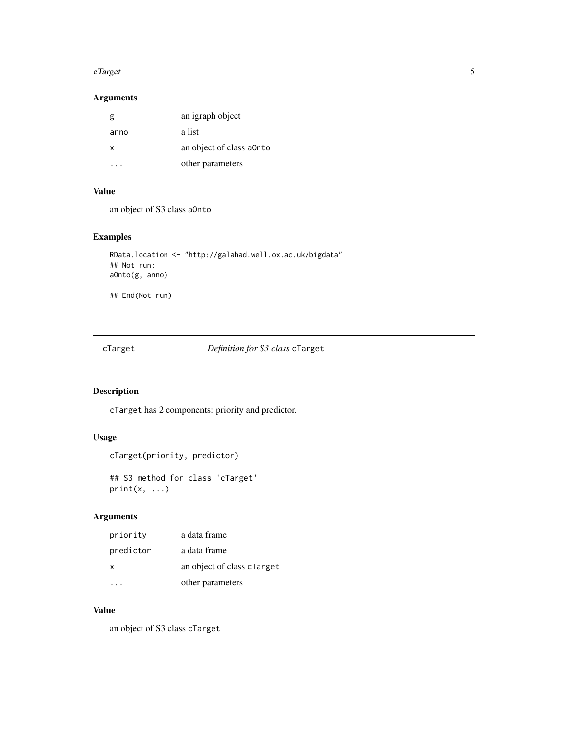#### <span id="page-4-0"></span>cTarget 5

# Arguments

| g    | an igraph object         |
|------|--------------------------|
| anno | a list                   |
| x    | an object of class a0nto |
|      | other parameters         |

#### Value

an object of S3 class aOnto

# Examples

```
RData.location <- "http://galahad.well.ox.ac.uk/bigdata"
## Not run:
aOnto(g, anno)
```
## End(Not run)

cTarget *Definition for S3 class* cTarget

# Description

cTarget has 2 components: priority and predictor.

# Usage

```
cTarget(priority, predictor)
```
## S3 method for class 'cTarget'  $print(x, \ldots)$ 

# Arguments

| priority     | a data frame               |
|--------------|----------------------------|
| predictor    | a data frame               |
| $\mathsf{x}$ | an object of class clarget |
|              | other parameters           |

#### Value

an object of S3 class cTarget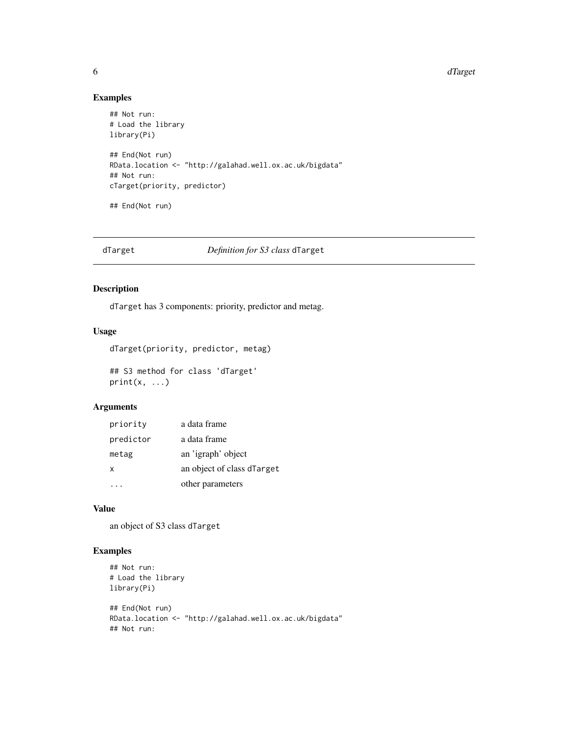#### <span id="page-5-0"></span>6 dTarget and the contract of the contract of the contract of the contract of the contract of the contract of the contract of the contract of the contract of the contract of the contract of the contract of the contract of

#### Examples

```
## Not run:
# Load the library
library(Pi)
## End(Not run)
RData.location <- "http://galahad.well.ox.ac.uk/bigdata"
## Not run:
cTarget(priority, predictor)
## End(Not run)
```
# dTarget *Definition for S3 class* dTarget

# Description

dTarget has 3 components: priority, predictor and metag.

# Usage

```
dTarget(priority, predictor, metag)
## S3 method for class 'dTarget'
```
 $print(x, \ldots)$ 

# Arguments

| priority  | a data frame               |
|-----------|----------------------------|
| predictor | a data frame               |
| metag     | an 'igraph' object         |
| x         | an object of class dTarget |
|           | other parameters           |

# Value

an object of S3 class dTarget

# Examples

```
## Not run:
# Load the library
library(Pi)
```

```
## End(Not run)
RData.location <- "http://galahad.well.ox.ac.uk/bigdata"
## Not run:
```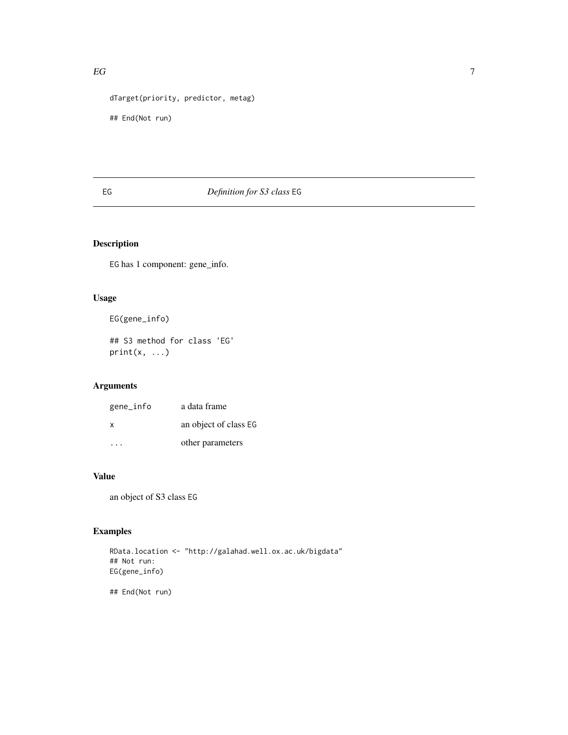```
dTarget(priority, predictor, metag)
```
## End(Not run)

# EG *Definition for S3 class* EG

# Description

EG has 1 component: gene\_info.

# Usage

EG(gene\_info)

## S3 method for class 'EG'  $print(x, \ldots)$ 

# Arguments

| gene_info | a data frame          |
|-----------|-----------------------|
| X         | an object of class EG |
| .         | other parameters      |

# Value

an object of S3 class EG

# Examples

RData.location <- "http://galahad.well.ox.ac.uk/bigdata" ## Not run: EG(gene\_info)

## End(Not run)

<span id="page-6-0"></span> $EG$  7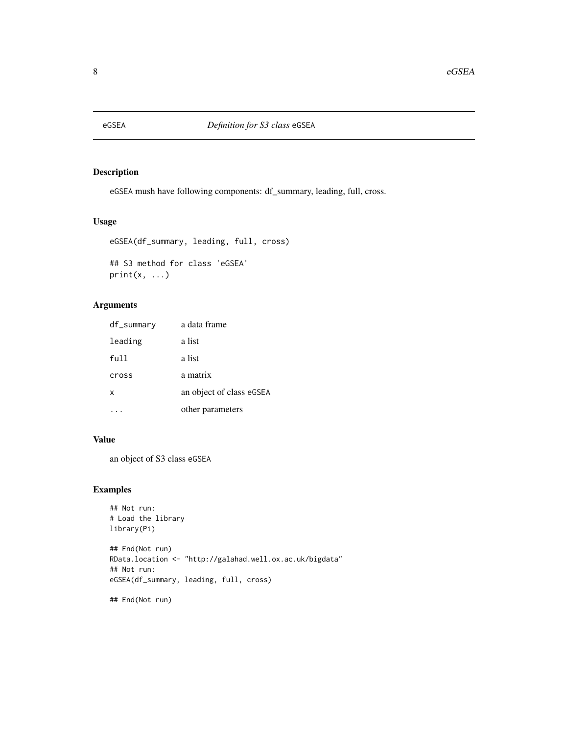<span id="page-7-0"></span>

eGSEA mush have following components: df\_summary, leading, full, cross.

#### Usage

```
eGSEA(df_summary, leading, full, cross)
```
## S3 method for class 'eGSEA'  $print(x, \ldots)$ 

# Arguments

| df_summary | a data frame             |
|------------|--------------------------|
| leading    | a list                   |
| ful 1      | a list                   |
| cross      | a matrix                 |
| x          | an object of class eGSEA |
|            | other parameters         |

# Value

an object of S3 class eGSEA

# Examples

```
## Not run:
# Load the library
library(Pi)
```
## End(Not run) RData.location <- "http://galahad.well.ox.ac.uk/bigdata" ## Not run: eGSEA(df\_summary, leading, full, cross)

## End(Not run)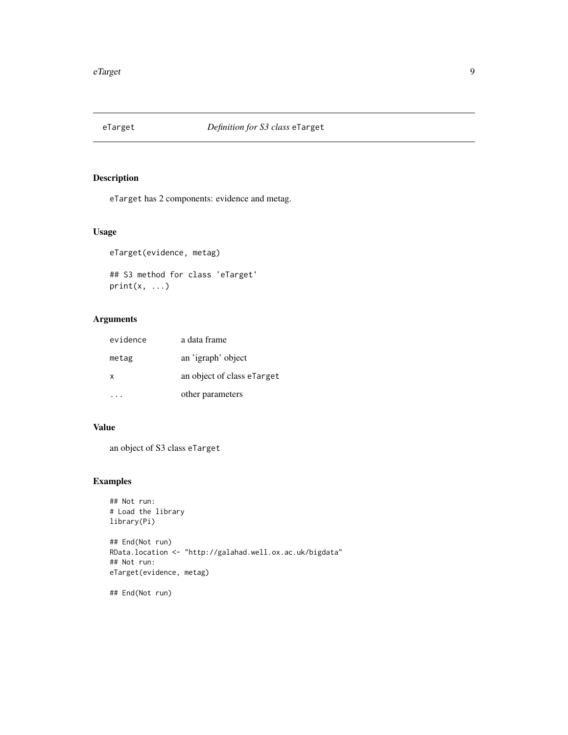<span id="page-8-0"></span>

eTarget has 2 components: evidence and metag.

#### Usage

```
eTarget(evidence, metag)
```
## S3 method for class 'eTarget'  $print(x, \ldots)$ 

# Arguments

| evidence | a data frame               |
|----------|----------------------------|
| metag    | an 'igraph' object         |
| X        | an object of class eTarget |
|          | other parameters           |

# Value

an object of S3 class eTarget

# Examples

```
## Not run:
# Load the library
library(Pi)
```
## End(Not run) RData.location <- "http://galahad.well.ox.ac.uk/bigdata" ## Not run: eTarget(evidence, metag)

## End(Not run)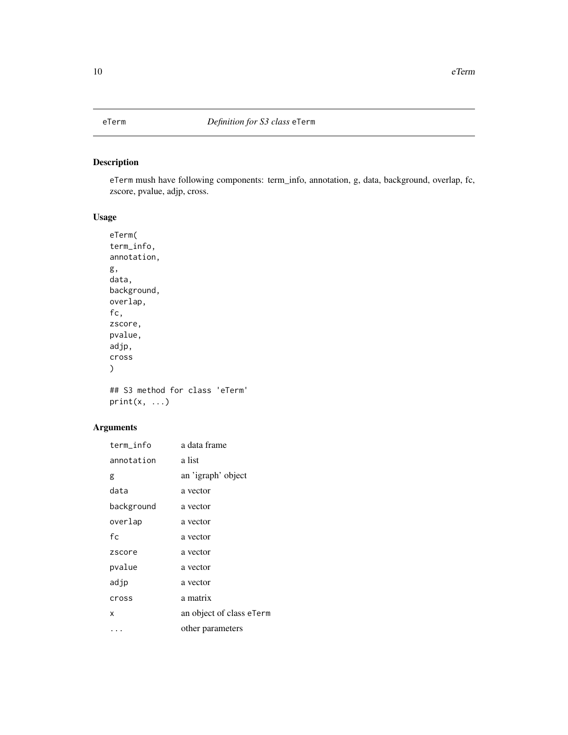<span id="page-9-0"></span>

eTerm mush have following components: term\_info, annotation, g, data, background, overlap, fc, zscore, pvalue, adjp, cross.

# Usage

```
eTerm(
term_info,
annotation,
g,
data,
background,
overlap,
fc,
zscore,
pvalue,
adjp,
cross
\mathcal{L}## S3 method for class 'eTerm'
```
 $print(x, \ldots)$ 

| term_info  | a data frame             |
|------------|--------------------------|
| annotation | a list                   |
| g          | an 'igraph' object       |
| data       | a vector                 |
| background | a vector                 |
| overlap    | a vector                 |
| fc         | a vector                 |
| zscore     | a vector                 |
| pvalue     | a vector                 |
| adjp       | a vector                 |
| cross      | a matrix                 |
| X          | an object of class eTerm |
| .          | other parameters         |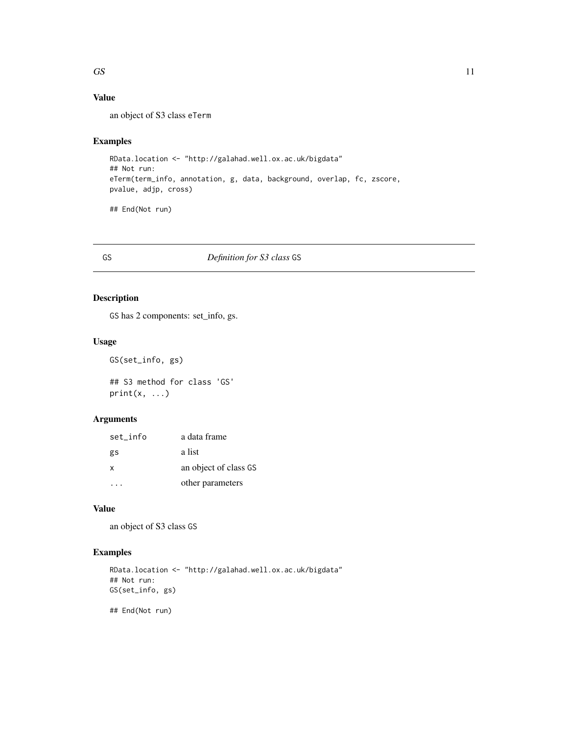# <span id="page-10-0"></span>Value

an object of S3 class eTerm

# Examples

RData.location <- "http://galahad.well.ox.ac.uk/bigdata" ## Not run: eTerm(term\_info, annotation, g, data, background, overlap, fc, zscore, pvalue, adjp, cross)

## End(Not run)

# GS *Definition for S3 class* GS

# Description

GS has 2 components: set\_info, gs.

# Usage

```
GS(set_info, gs)
```
## S3 method for class 'GS'  $print(x, \ldots)$ 

# Arguments

| set info     | a data frame          |
|--------------|-----------------------|
| gs           | a list                |
| $\mathsf{x}$ | an object of class GS |
|              | other parameters      |

# Value

an object of S3 class GS

#### Examples

```
RData.location <- "http://galahad.well.ox.ac.uk/bigdata"
## Not run:
GS(set_info, gs)
```
## End(Not run)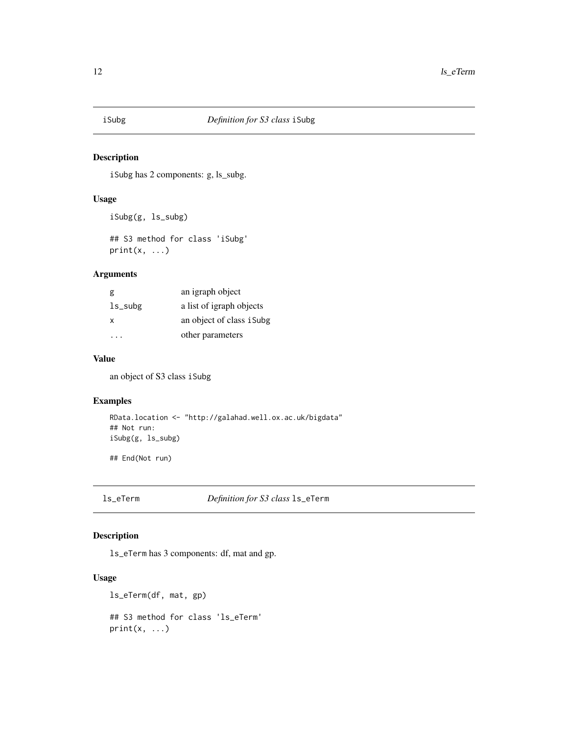<span id="page-11-0"></span>

iSubg has 2 components: g, ls\_subg.

### Usage

iSubg(g, ls\_subg)

## S3 method for class 'iSubg'  $print(x, \ldots)$ 

#### Arguments

| g          | an igraph object          |
|------------|---------------------------|
| $ls\_subg$ | a list of igraph objects  |
| X          | an object of class i Subg |
|            | other parameters          |

# Value

an object of S3 class iSubg

#### Examples

```
RData.location <- "http://galahad.well.ox.ac.uk/bigdata"
## Not run:
iSubg(g, ls_subg)
```
## End(Not run)

ls\_eTerm *Definition for S3 class* ls\_eTerm

# Description

ls\_eTerm has 3 components: df, mat and gp.

#### Usage

```
ls_eTerm(df, mat, gp)
## S3 method for class 'ls_eTerm'
print(x, \ldots)
```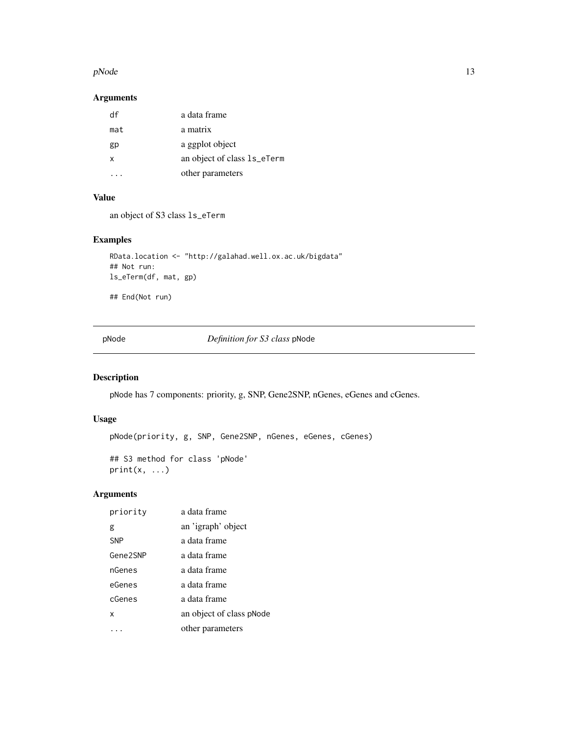#### <span id="page-12-0"></span> $pNode$  13

# Arguments

| df  | a data frame                |
|-----|-----------------------------|
| mat | a matrix                    |
| gp  | a ggplot object             |
| x   | an object of class 1s_eTerm |
|     | other parameters            |

#### Value

an object of S3 class ls\_eTerm

# Examples

```
RData.location <- "http://galahad.well.ox.ac.uk/bigdata"
## Not run:
ls_eTerm(df, mat, gp)
```
## End(Not run)

pNode *Definition for S3 class* pNode

# Description

pNode has 7 components: priority, g, SNP, Gene2SNP, nGenes, eGenes and cGenes.

# Usage

pNode(priority, g, SNP, Gene2SNP, nGenes, eGenes, cGenes)

## S3 method for class 'pNode'  $print(x, \ldots)$ 

| priority   | a data frame             |
|------------|--------------------------|
| g          | an 'igraph' object       |
| <b>SNP</b> | a data frame             |
| Gene2SNP   | a data frame             |
| nGenes     | a data frame             |
| eGenes     | a data frame             |
| cGenes     | a data frame             |
| x          | an object of class pNode |
|            | other parameters         |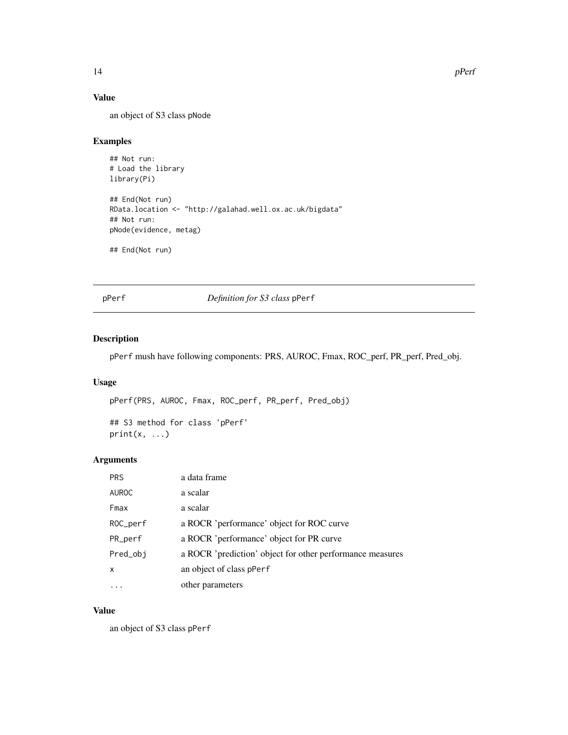# Value

an object of S3 class pNode

# Examples

```
## Not run:
# Load the library
library(Pi)
## End(Not run)
RData.location <- "http://galahad.well.ox.ac.uk/bigdata"
## Not run:
pNode(evidence, metag)
## End(Not run)
```
pPerf *Definition for S3 class* pPerf

# Description

pPerf mush have following components: PRS, AUROC, Fmax, ROC\_perf, PR\_perf, Pred\_obj.

# Usage

pPerf(PRS, AUROC, Fmax, ROC\_perf, PR\_perf, Pred\_obj) ## S3 method for class 'pPerf'

 $print(x, \ldots)$ 

#### Arguments

| <b>PRS</b>   | a data frame                                              |
|--------------|-----------------------------------------------------------|
| <b>AUROC</b> | a scalar                                                  |
| Fmax         | a scalar                                                  |
| ROC_perf     | a ROCR 'performance' object for ROC curve                 |
| $PR\_perf$   | a ROCR 'performance' object for PR curve                  |
| Pred_obj     | a ROCR 'prediction' object for other performance measures |
| X            | an object of class pPerf                                  |
|              | other parameters                                          |

#### Value

an object of S3 class pPerf

<span id="page-13-0"></span>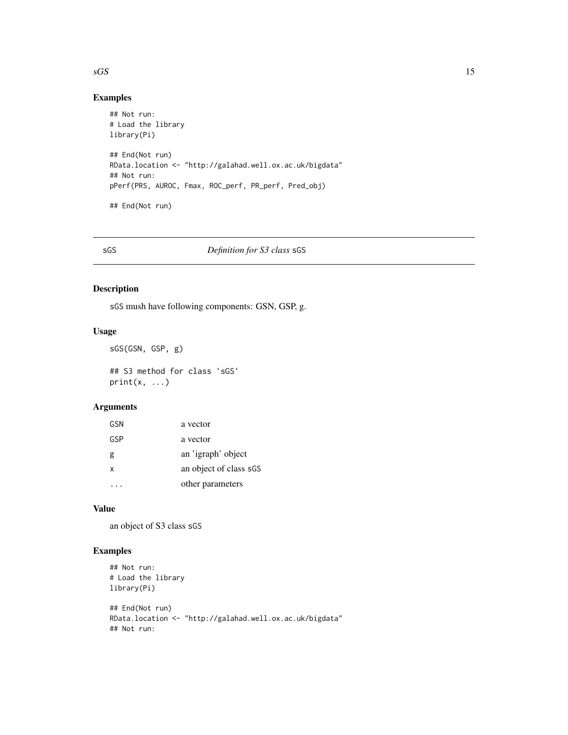# Examples

```
## Not run:
# Load the library
library(Pi)
## End(Not run)
RData.location <- "http://galahad.well.ox.ac.uk/bigdata"
## Not run:
pPerf(PRS, AUROC, Fmax, ROC_perf, PR_perf, Pred_obj)
## End(Not run)
```
# sGS *Definition for S3 class* sGS

# Description

sGS mush have following components: GSN, GSP, g.

# Usage

```
sGS(GSN, GSP, g)
## S3 method for class 'sGS'
print(x, \ldots)
```
# Arguments

| GSN | a vector               |
|-----|------------------------|
| GSP | a vector               |
| g   | an 'igraph' object     |
| x   | an object of class sGS |
|     | other parameters       |

### Value

an object of S3 class sGS

# Examples

```
## Not run:
# Load the library
library(Pi)
```

```
## End(Not run)
RData.location <- "http://galahad.well.ox.ac.uk/bigdata"
## Not run:
```
<span id="page-14-0"></span> $\sqrt{SS}$  15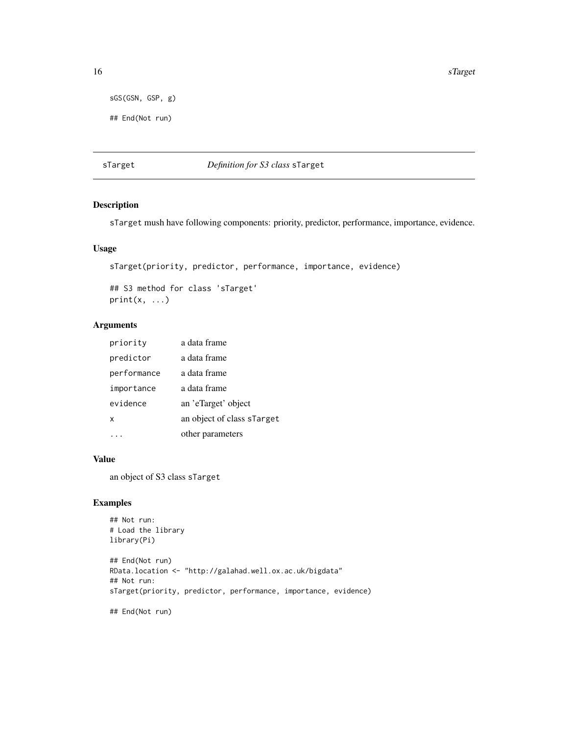16 strategies and the strategies of the strategies of the strategies of the strategies of the strategies of the strategies of the strategies of the strategies of the strategies of the strategies of the strategies of the st

```
sGS(GSN, GSP, g)
```
## End(Not run)

# sTarget *Definition for S3 class* sTarget

# Description

sTarget mush have following components: priority, predictor, performance, importance, evidence.

# Usage

```
sTarget(priority, predictor, performance, importance, evidence)
```
## S3 method for class 'sTarget'  $print(x, \ldots)$ 

# Arguments

| priority    | a data frame               |
|-------------|----------------------------|
| predictor   | a data frame               |
| performance | a data frame               |
| importance  | a data frame               |
| evidence    | an 'eTarget' object        |
| x           | an object of class sTarget |
|             | other parameters           |

# Value

an object of S3 class sTarget

# Examples

```
## Not run:
# Load the library
library(Pi)
## End(Not run)
RData.location <- "http://galahad.well.ox.ac.uk/bigdata"
## Not run:
sTarget(priority, predictor, performance, importance, evidence)
## End(Not run)
```
<span id="page-15-0"></span>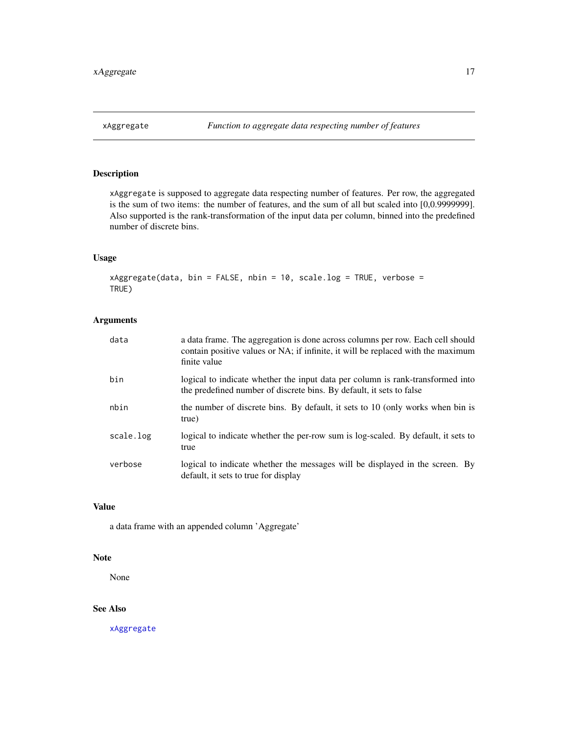<span id="page-16-1"></span><span id="page-16-0"></span>

xAggregate is supposed to aggregate data respecting number of features. Per row, the aggregated is the sum of two items: the number of features, and the sum of all but scaled into [0,0.9999999]. Also supported is the rank-transformation of the input data per column, binned into the predefined number of discrete bins.

# Usage

 $x$ Aggregate(data, bin = FALSE, nbin = 10, scale.log = TRUE, verbose = TRUE)

# Arguments

| data      | a data frame. The aggregation is done across columns per row. Each cell should<br>contain positive values or NA; if infinite, it will be replaced with the maximum<br>finite value |
|-----------|------------------------------------------------------------------------------------------------------------------------------------------------------------------------------------|
| bin       | logical to indicate whether the input data per column is rank-transformed into<br>the predefined number of discrete bins. By default, it sets to false                             |
| nbin      | the number of discrete bins. By default, it sets to 10 (only works when bin is<br>true)                                                                                            |
| scale.log | logical to indicate whether the per-row sum is log-scaled. By default, it sets to<br>true                                                                                          |
| verbose   | logical to indicate whether the messages will be displayed in the screen. By<br>default, it sets to true for display                                                               |

#### Value

a data frame with an appended column 'Aggregate'

#### Note

None

# See Also

[xAggregate](#page-16-1)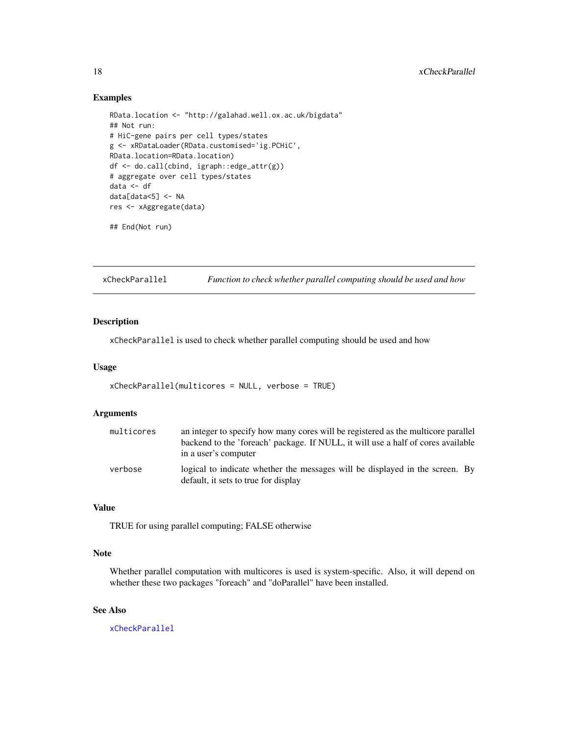#### Examples

```
RData.location <- "http://galahad.well.ox.ac.uk/bigdata"
## Not run:
# HiC-gene pairs per cell types/states
g <- xRDataLoader(RData.customised='ig.PCHiC',
RData.location=RData.location)
df <- do.call(cbind, igraph::edge_attr(g))
# aggregate over cell types/states
data <- df
data[data<5] <- NA
res <- xAggregate(data)
## End(Not run)
```
<span id="page-17-1"></span>xCheckParallel *Function to check whether parallel computing should be used and how*

# Description

xCheckParallel is used to check whether parallel computing should be used and how

#### Usage

```
xCheckParallel(multicores = NULL, verbose = TRUE)
```
# Arguments

| multicores | an integer to specify how many cores will be registered as the multicore parallel<br>backend to the 'foreach' package. If NULL, it will use a half of cores available |
|------------|-----------------------------------------------------------------------------------------------------------------------------------------------------------------------|
| verbose    | in a user's computer<br>logical to indicate whether the messages will be displayed in the screen. By                                                                  |
|            | default, it sets to true for display                                                                                                                                  |

#### Value

TRUE for using parallel computing; FALSE otherwise

#### Note

Whether parallel computation with multicores is used is system-specific. Also, it will depend on whether these two packages "foreach" and "doParallel" have been installed.

#### See Also

[xCheckParallel](#page-17-1)

<span id="page-17-0"></span>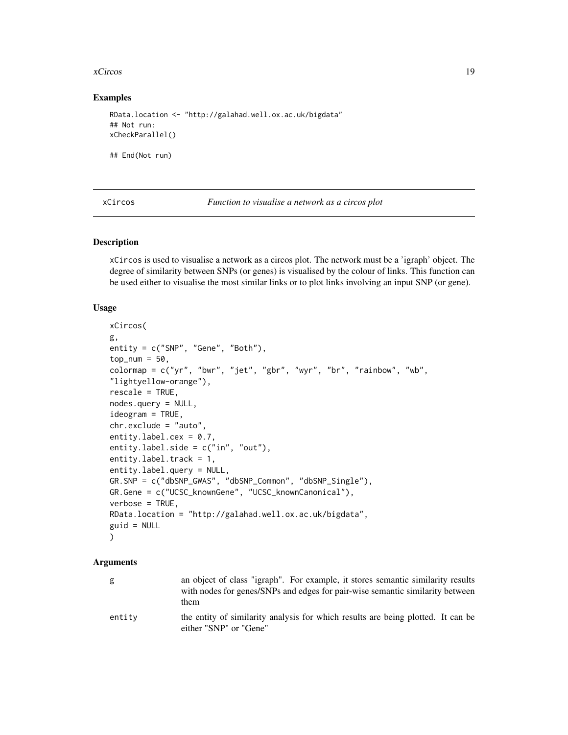#### <span id="page-18-0"></span>xCircos to the set of the set of the set of the set of the set of the set of the set of the set of the set of the set of the set of the set of the set of the set of the set of the set of the set of the set of the set of th

#### Examples

```
RData.location <- "http://galahad.well.ox.ac.uk/bigdata"
## Not run:
xCheckParallel()
```
## End(Not run)

| xCircos |  |
|---------|--|
|---------|--|

Function to visualise a network as a circos plot

#### Description

xCircos is used to visualise a network as a circos plot. The network must be a 'igraph' object. The degree of similarity between SNPs (or genes) is visualised by the colour of links. This function can be used either to visualise the most similar links or to plot links involving an input SNP (or gene).

#### Usage

```
xCircos(
g,
entity = c("SNP", "Gene", "Both"),
top\_num = 50,
colormap = c("yr", "bwr", "jet", "gbr", "wyr", "br", "rainbow", "wb",
"lightyellow-orange"),
rescale = TRUE,
nodes.query = NULL,
ideogram = TRUE,
chr.exclude = "auto",
entity.label.cex = 0.7,
entity.label.side = c("in", "out"),entity.label.track = 1,
entity.label.query = NULL,
GR.SNP = c("dbSNP_GWAS", "dbSNP_Common", "dbSNP_Single"),
GR.Gene = c("UCSC_knownGene", "UCSC_knownCanonical"),
verbose = TRUE,
RData.location = "http://galahad.well.ox.ac.uk/bigdata",
guid = NULL\mathcal{L}
```

| g      | an object of class "igraph". For example, it stores semantic similarity results<br>with nodes for genes/SNPs and edges for pair-wise semantic similarity between<br>them |
|--------|--------------------------------------------------------------------------------------------------------------------------------------------------------------------------|
| entitv | the entity of similarity analysis for which results are being plotted. It can be<br>either "SNP" or "Gene"                                                               |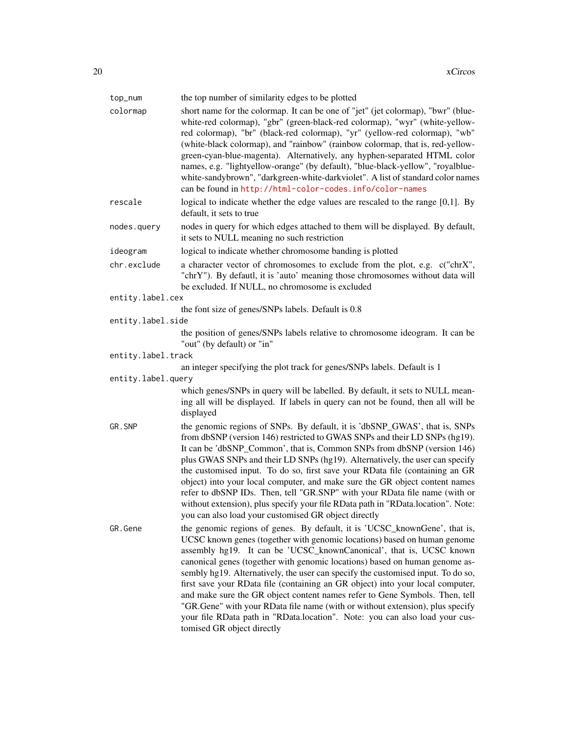| top_num            | the top number of similarity edges to be plotted                                                                                                                                                                                                                                                                                                                                                                                                                                                                                                                                                                                                                                                                                                                |
|--------------------|-----------------------------------------------------------------------------------------------------------------------------------------------------------------------------------------------------------------------------------------------------------------------------------------------------------------------------------------------------------------------------------------------------------------------------------------------------------------------------------------------------------------------------------------------------------------------------------------------------------------------------------------------------------------------------------------------------------------------------------------------------------------|
| colormap           | short name for the colormap. It can be one of "jet" (jet colormap), "bwr" (blue-<br>white-red colormap), "gbr" (green-black-red colormap), "wyr" (white-yellow-<br>red colormap), "br" (black-red colormap), "yr" (yellow-red colormap), "wb"<br>(white-black colormap), and "rainbow" (rainbow colormap, that is, red-yellow-<br>green-cyan-blue-magenta). Alternatively, any hyphen-separated HTML color<br>names, e.g. "lightyellow-orange" (by default), "blue-black-yellow", "royalblue-<br>white-sandybrown", "darkgreen-white-darkviolet". A list of standard color names<br>can be found in http://html-color-codes.info/color-names                                                                                                                    |
| rescale            | logical to indicate whether the edge values are rescaled to the range $[0,1]$ . By<br>default, it sets to true                                                                                                                                                                                                                                                                                                                                                                                                                                                                                                                                                                                                                                                  |
| nodes.query        | nodes in query for which edges attached to them will be displayed. By default,<br>it sets to NULL meaning no such restriction                                                                                                                                                                                                                                                                                                                                                                                                                                                                                                                                                                                                                                   |
| ideogram           | logical to indicate whether chromosome banding is plotted                                                                                                                                                                                                                                                                                                                                                                                                                                                                                                                                                                                                                                                                                                       |
| chr.exclude        | a character vector of chromosomes to exclude from the plot, e.g. c("chrX",<br>"chrY"). By defautl, it is 'auto' meaning those chromosomes without data will<br>be excluded. If NULL, no chromosome is excluded                                                                                                                                                                                                                                                                                                                                                                                                                                                                                                                                                  |
| entity.label.cex   |                                                                                                                                                                                                                                                                                                                                                                                                                                                                                                                                                                                                                                                                                                                                                                 |
|                    | the font size of genes/SNPs labels. Default is 0.8                                                                                                                                                                                                                                                                                                                                                                                                                                                                                                                                                                                                                                                                                                              |
| entity.label.side  |                                                                                                                                                                                                                                                                                                                                                                                                                                                                                                                                                                                                                                                                                                                                                                 |
|                    | the position of genes/SNPs labels relative to chromosome ideogram. It can be<br>"out" (by default) or "in"                                                                                                                                                                                                                                                                                                                                                                                                                                                                                                                                                                                                                                                      |
| entity.label.track |                                                                                                                                                                                                                                                                                                                                                                                                                                                                                                                                                                                                                                                                                                                                                                 |
|                    | an integer specifying the plot track for genes/SNPs labels. Default is 1                                                                                                                                                                                                                                                                                                                                                                                                                                                                                                                                                                                                                                                                                        |
| entity.label.query |                                                                                                                                                                                                                                                                                                                                                                                                                                                                                                                                                                                                                                                                                                                                                                 |
|                    | which genes/SNPs in query will be labelled. By default, it sets to NULL mean-<br>ing all will be displayed. If labels in query can not be found, then all will be<br>displayed                                                                                                                                                                                                                                                                                                                                                                                                                                                                                                                                                                                  |
| GR.SNP             | the genomic regions of SNPs. By default, it is 'dbSNP_GWAS', that is, SNPs<br>from dbSNP (version 146) restricted to GWAS SNPs and their LD SNPs (hg19).<br>It can be 'dbSNP_Common', that is, Common SNPs from dbSNP (version 146)<br>plus GWAS SNPs and their LD SNPs (hg19). Alternatively, the user can specify<br>the customised input. To do so, first save your RData file (containing an GR<br>object) into your local computer, and make sure the GR object content names<br>refer to dbSNP IDs. Then, tell "GR.SNP" with your RData file name (with or<br>without extension), plus specify your file RData path in "RData.location". Note:<br>you can also load your customised GR object directly                                                    |
| GR.Gene            | the genomic regions of genes. By default, it is 'UCSC_knownGene', that is,<br>UCSC known genes (together with genomic locations) based on human genome<br>assembly hg19. It can be 'UCSC_knownCanonical', that is, UCSC known<br>canonical genes (together with genomic locations) based on human genome as-<br>sembly hg19. Alternatively, the user can specify the customised input. To do so,<br>first save your RData file (containing an GR object) into your local computer,<br>and make sure the GR object content names refer to Gene Symbols. Then, tell<br>"GR.Gene" with your RData file name (with or without extension), plus specify<br>your file RData path in "RData.location". Note: you can also load your cus-<br>tomised GR object directly |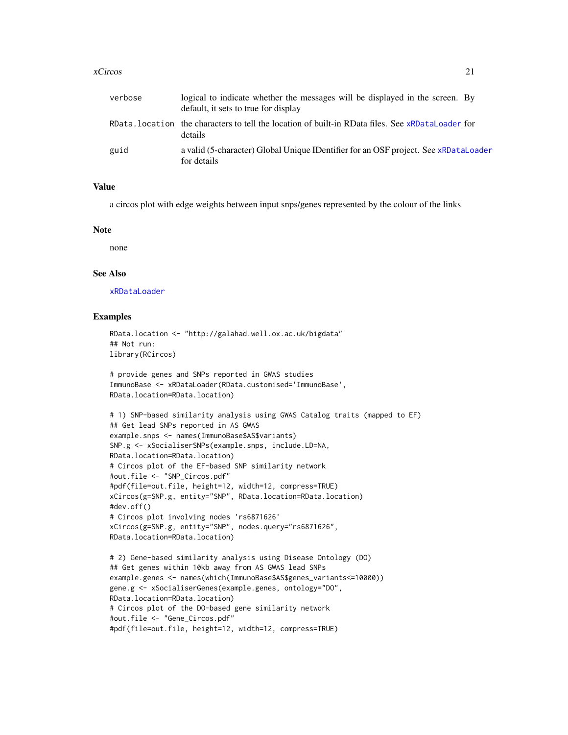#### xCircos 21

| verbose | logical to indicate whether the messages will be displayed in the screen. By<br>default, it sets to true for display |
|---------|----------------------------------------------------------------------------------------------------------------------|
|         | RData. location the characters to tell the location of built-in RData files. See xRDataLoader for<br>details         |
| guid    | a valid (5-character) Global Unique IDentifier for an OSF project. See xRDataLoader<br>for details                   |

# Value

a circos plot with edge weights between input snps/genes represented by the colour of the links

#### Note

none

#### See Also

[xRDataLoader](#page-182-1)

#### Examples

```
RData.location <- "http://galahad.well.ox.ac.uk/bigdata"
## Not run:
library(RCircos)
```

```
# provide genes and SNPs reported in GWAS studies
ImmunoBase <- xRDataLoader(RData.customised='ImmunoBase',
RData.location=RData.location)
```

```
# 1) SNP-based similarity analysis using GWAS Catalog traits (mapped to EF)
## Get lead SNPs reported in AS GWAS
example.snps <- names(ImmunoBase$AS$variants)
SNP.g <- xSocialiserSNPs(example.snps, include.LD=NA,
RData.location=RData.location)
# Circos plot of the EF-based SNP similarity network
#out.file <- "SNP_Circos.pdf"
#pdf(file=out.file, height=12, width=12, compress=TRUE)
xCircos(g=SNP.g, entity="SNP", RData.location=RData.location)
#dev.off()
# Circos plot involving nodes 'rs6871626'
xCircos(g=SNP.g, entity="SNP", nodes.query="rs6871626",
RData.location=RData.location)
# 2) Gene-based similarity analysis using Disease Ontology (DO)
```

```
## Get genes within 10kb away from AS GWAS lead SNPs
example.genes <- names(which(ImmunoBase$AS$genes_variants<=10000))
gene.g <- xSocialiserGenes(example.genes, ontology="DO",
RData.location=RData.location)
# Circos plot of the DO-based gene similarity network
#out.file <- "Gene_Circos.pdf"
#pdf(file=out.file, height=12, width=12, compress=TRUE)
```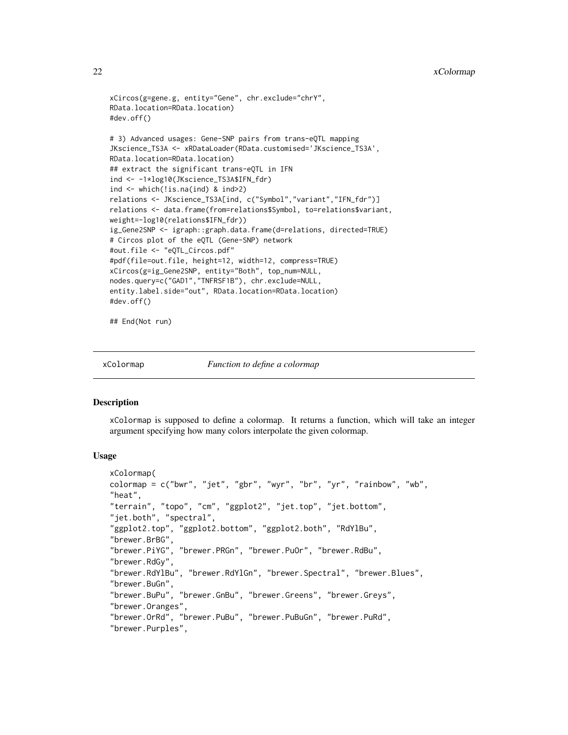```
xCircos(g=gene.g, entity="Gene", chr.exclude="chrY",
RData.location=RData.location)
#dev.off()
# 3) Advanced usages: Gene-SNP pairs from trans-eQTL mapping
JKscience_TS3A <- xRDataLoader(RData.customised='JKscience_TS3A',
RData.location=RData.location)
## extract the significant trans-eQTL in IFN
ind <- -1*log10(JKscience_TS3A$IFN_fdr)
ind <- which(!is.na(ind) & ind>2)
relations <- JKscience_TS3A[ind, c("Symbol","variant","IFN_fdr")]
relations <- data.frame(from=relations$Symbol, to=relations$variant,
weight=-log10(relations$IFN_fdr))
ig_Gene2SNP <- igraph::graph.data.frame(d=relations, directed=TRUE)
# Circos plot of the eQTL (Gene-SNP) network
#out.file <- "eQTL_Circos.pdf"
#pdf(file=out.file, height=12, width=12, compress=TRUE)
xCircos(g=ig_Gene2SNP, entity="Both", top_num=NULL,
nodes.query=c("GAD1","TNFRSF1B"), chr.exclude=NULL,
entity.label.side="out", RData.location=RData.location)
#dev.off()
```
## End(Not run)

<span id="page-21-1"></span>

xColormap *Function to define a colormap*

#### **Description**

xColormap is supposed to define a colormap. It returns a function, which will take an integer argument specifying how many colors interpolate the given colormap.

#### Usage

```
xColormap(
colormap = c("bwr", "jet", "gbr", "wyr", "br", "yr", "rainbow", "wb",
"heat",
"terrain", "topo", "cm", "ggplot2", "jet.top", "jet.bottom",
"jet.both", "spectral",
"ggplot2.top", "ggplot2.bottom", "ggplot2.both", "RdYlBu",
"brewer.BrBG",
"brewer.PiYG", "brewer.PRGn", "brewer.PuOr", "brewer.RdBu",
"brewer.RdGy",
"brewer.RdYlBu", "brewer.RdYlGn", "brewer.Spectral", "brewer.Blues",
"brewer.BuGn",
"brewer.BuPu", "brewer.GnBu", "brewer.Greens", "brewer.Greys",
"brewer.Oranges",
"brewer.OrRd", "brewer.PuBu", "brewer.PuBuGn", "brewer.PuRd",
"brewer.Purples",
```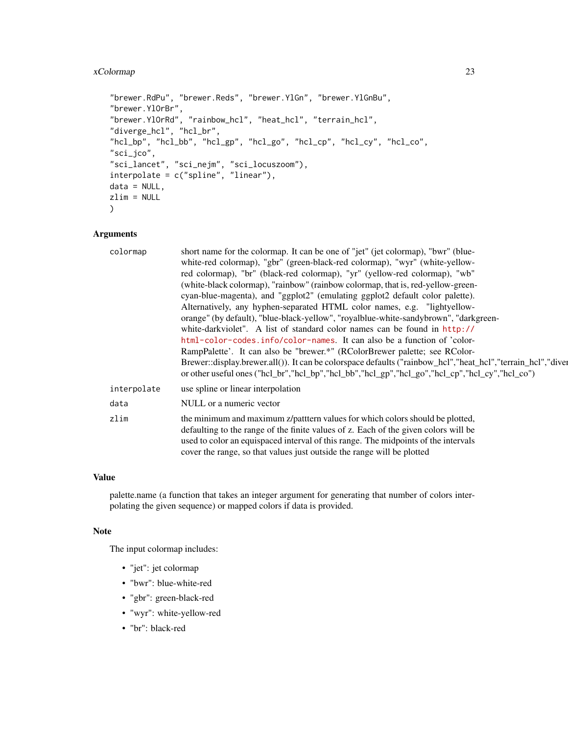# xColormap 23

```
"brewer.RdPu", "brewer.Reds", "brewer.YlGn", "brewer.YlGnBu",
"brewer.YlOrBr",
"brewer.YlOrRd", "rainbow_hcl", "heat_hcl", "terrain_hcl",
"diverge_hcl", "hcl_br",
"hcl_bp", "hcl_bb", "hcl_gp", "hcl_go", "hcl_cp", "hcl_cy", "hcl_co",
"sci_jco",
"sci_lancet", "sci_nejm", "sci_locuszoom"),
interpolate = c("spline", "linear"),
data = NULL,zlim = NULL
\mathcal{L}
```
# Arguments

| colormap    | short name for the colormap. It can be one of "jet" (jet colormap), "bwr" (blue-                            |
|-------------|-------------------------------------------------------------------------------------------------------------|
|             | white-red colormap), "gbr" (green-black-red colormap), "wyr" (white-yellow-                                 |
|             | red colormap), "br" (black-red colormap), "yr" (yellow-red colormap), "wb"                                  |
|             | (white-black colormap), "rainbow" (rainbow colormap, that is, red-yellow-green-                             |
|             | cyan-blue-magenta), and "ggplot2" (emulating ggplot2 default color palette).                                |
|             | Alternatively, any hyphen-separated HTML color names, e.g. "lightyellow-                                    |
|             | orange" (by default), "blue-black-yellow", "royalblue-white-sandybrown", "darkgreen-                        |
|             | white-darkviolet". A list of standard color names can be found in http://                                   |
|             | html-color-codes.info/color-names. It can also be a function of 'color-                                     |
|             | RampPalette'. It can also be "brewer.*" (RColorBrewer palette; see RColor-                                  |
|             | Brewer::display.brewer.all()). It can be colorspace defaults ("rainbow_hcl","heat_hcl","terrain_hcl","diver |
|             | or other useful ones ("hcl_br","hcl_bp","hcl_bb","hcl_gp","hcl_go","hcl_cp","hcl_cy","hcl_co")              |
| interpolate | use spline or linear interpolation                                                                          |
| data        | NULL or a numeric vector                                                                                    |
| zlim        | the minimum and maximum z/patttern values for which colors should be plotted,                               |
|             | defaulting to the range of the finite values of z. Each of the given colors will be                         |
|             | used to color an equispaced interval of this range. The midpoints of the intervals                          |
|             | cover the range, so that values just outside the range will be plotted                                      |
|             |                                                                                                             |

#### Value

palette.name (a function that takes an integer argument for generating that number of colors interpolating the given sequence) or mapped colors if data is provided.

#### Note

The input colormap includes:

- "jet": jet colormap
- "bwr": blue-white-red
- "gbr": green-black-red
- "wyr": white-yellow-red
- "br": black-red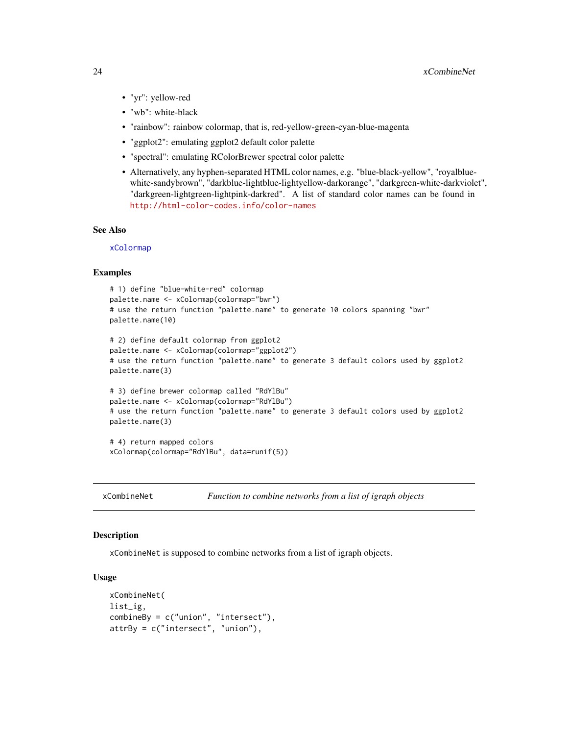- <span id="page-23-0"></span>• "yr": yellow-red
- "wb": white-black
- "rainbow": rainbow colormap, that is, red-yellow-green-cyan-blue-magenta
- "ggplot2": emulating ggplot2 default color palette
- "spectral": emulating RColorBrewer spectral color palette
- Alternatively, any hyphen-separated HTML color names, e.g. "blue-black-yellow", "royalbluewhite-sandybrown", "darkblue-lightblue-lightyellow-darkorange", "darkgreen-white-darkviolet", "darkgreen-lightgreen-lightpink-darkred". A list of standard color names can be found in <http://html-color-codes.info/color-names>

#### See Also

[xColormap](#page-21-1)

#### Examples

```
# 1) define "blue-white-red" colormap
palette.name <- xColormap(colormap="bwr")
# use the return function "palette.name" to generate 10 colors spanning "bwr"
palette.name(10)
```

```
# 2) define default colormap from ggplot2
palette.name <- xColormap(colormap="ggplot2")
# use the return function "palette.name" to generate 3 default colors used by ggplot2
palette.name(3)
```

```
# 3) define brewer colormap called "RdYlBu"
palette.name <- xColormap(colormap="RdYlBu")
# use the return function "palette.name" to generate 3 default colors used by ggplot2
palette.name(3)
```

```
# 4) return mapped colors
xColormap(colormap="RdYlBu", data=runif(5))
```

```
xCombineNet Function to combine networks from a list of igraph objects
```
#### Description

xCombineNet is supposed to combine networks from a list of igraph objects.

#### Usage

```
xCombineNet(
list_ig,
combineBy = c("union", "intersect"),
attrBy = c("intersect", "union"),
```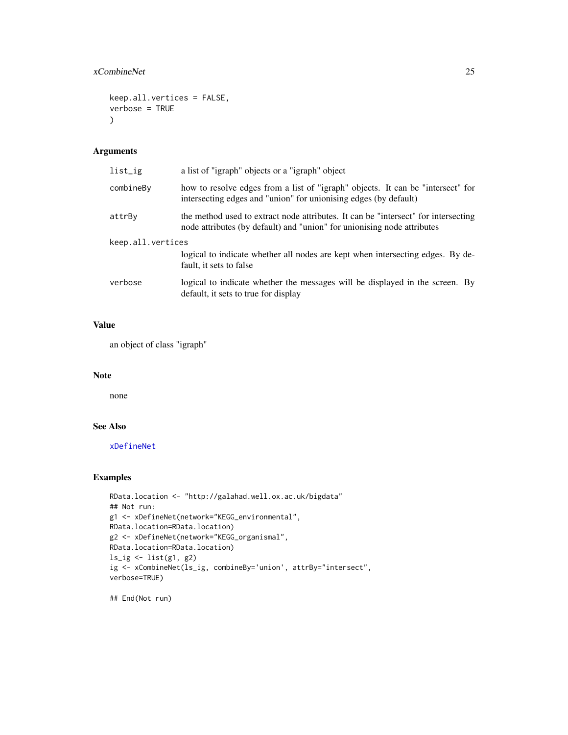#### xCombineNet 25

```
keep.all.vertices = FALSE,
verbose = TRUE
\mathcal{L}
```
#### Arguments

| list_ig           | a list of "igraph" objects or a "igraph" object                                                                                                               |
|-------------------|---------------------------------------------------------------------------------------------------------------------------------------------------------------|
| combineBy         | how to resolve edges from a list of "igraph" objects. It can be "intersect" for<br>intersecting edges and "union" for unionising edges (by default)           |
| attrBy            | the method used to extract node attributes. It can be "intersect" for intersecting<br>node attributes (by default) and "union" for unionising node attributes |
| keep.all.vertices |                                                                                                                                                               |
|                   | logical to indicate whether all nodes are kept when intersecting edges. By de-<br>fault, it sets to false                                                     |
| verbose           | logical to indicate whether the messages will be displayed in the screen. By<br>default, it sets to true for display                                          |

# Value

an object of class "igraph"

#### Note

none

# See Also

[xDefineNet](#page-43-1)

# Examples

```
RData.location <- "http://galahad.well.ox.ac.uk/bigdata"
## Not run:
g1 <- xDefineNet(network="KEGG_environmental",
RData.location=RData.location)
g2 <- xDefineNet(network="KEGG_organismal",
RData.location=RData.location)
ls_ig \leftarrow list(g1, g2)ig <- xCombineNet(ls_ig, combineBy='union', attrBy="intersect",
verbose=TRUE)
```
## End(Not run)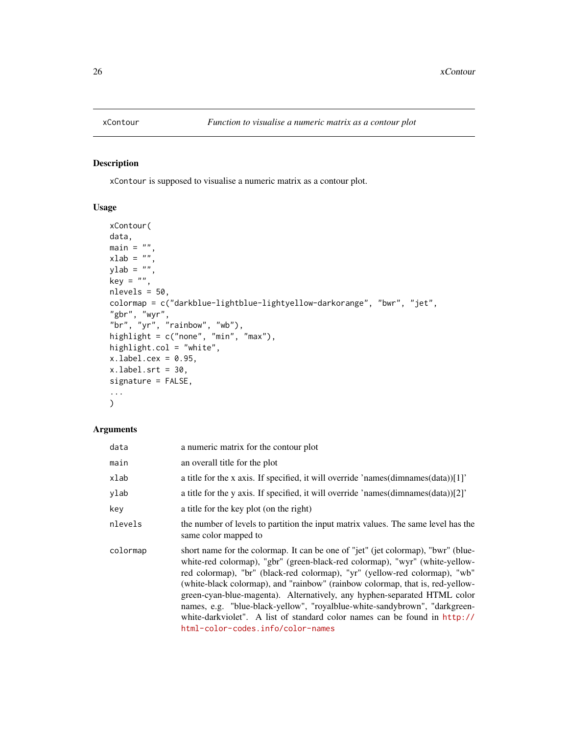<span id="page-25-1"></span><span id="page-25-0"></span>

xContour is supposed to visualise a numeric matrix as a contour plot.

#### Usage

```
xContour(
data,
main = "",xlab = ",
ylab = "",
key = ",
nlevels = 50,
colormap = c("darkblue-lightblue-lightyellow-darkorange", "bwr", "jet",
"gbr", "wyr",
"br", "yr", "rainbow", "wb"),
highlight = c("none", "min", "max"),
highlight.col = "white",
x.label.cex = 0.95,
xulabel.srt = 30,
signature = FALSE,
...
)
```

| data     | a numeric matrix for the contour plot                                                                                                                                                                                                                                                                                                                                                                                                                                                                                                                                                                      |
|----------|------------------------------------------------------------------------------------------------------------------------------------------------------------------------------------------------------------------------------------------------------------------------------------------------------------------------------------------------------------------------------------------------------------------------------------------------------------------------------------------------------------------------------------------------------------------------------------------------------------|
| main     | an overall title for the plot                                                                                                                                                                                                                                                                                                                                                                                                                                                                                                                                                                              |
| xlab     | a title for the x axis. If specified, it will override 'names(dimnames(data))[1]'                                                                                                                                                                                                                                                                                                                                                                                                                                                                                                                          |
| ylab     | a title for the y axis. If specified, it will override 'names(dimnames(data))[2]'                                                                                                                                                                                                                                                                                                                                                                                                                                                                                                                          |
| key      | a title for the key plot (on the right)                                                                                                                                                                                                                                                                                                                                                                                                                                                                                                                                                                    |
| nlevels  | the number of levels to partition the input matrix values. The same level has the<br>same color mapped to                                                                                                                                                                                                                                                                                                                                                                                                                                                                                                  |
| colormap | short name for the colormap. It can be one of "jet" (jet colormap), "bwr" (blue-<br>white-red colormap), "gbr" (green-black-red colormap), "wyr" (white-yellow-<br>red colormap), "br" (black-red colormap), "yr" (yellow-red colormap), "wb"<br>(white-black colormap), and "rainbow" (rainbow colormap, that is, red-yellow-<br>green-cyan-blue-magenta). Alternatively, any hyphen-separated HTML color<br>names, e.g. "blue-black-yellow", "royalblue-white-sandybrown", "darkgreen-<br>white-darkviolet". A list of standard color names can be found in http://<br>html-color-codes.info/color-names |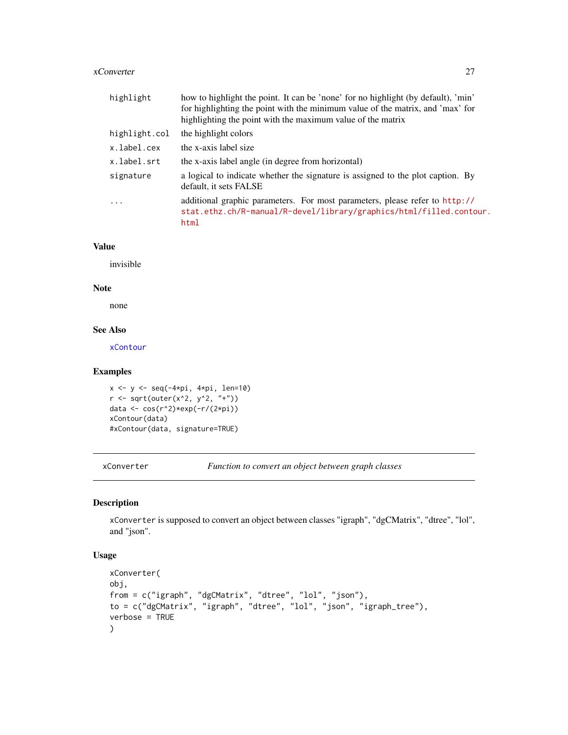#### <span id="page-26-0"></span>xConverter 27

| highlight     | how to highlight the point. It can be 'none' for no highlight (by default), 'min'<br>for highlighting the point with the minimum value of the matrix, and 'max' for<br>highlighting the point with the maximum value of the matrix |
|---------------|------------------------------------------------------------------------------------------------------------------------------------------------------------------------------------------------------------------------------------|
| highlight.col | the highlight colors                                                                                                                                                                                                               |
| x.label.cex   | the x-axis label size                                                                                                                                                                                                              |
| x.label.srt   | the x-axis label angle (in degree from horizontal)                                                                                                                                                                                 |
| signature     | a logical to indicate whether the signature is assigned to the plot caption. By<br>default, it sets FALSE                                                                                                                          |
| $\ddots$      | additional graphic parameters. For most parameters, please refer to http://<br>stat.ethz.ch/R-manual/R-devel/library/graphics/html/filled.contour.<br>html                                                                         |

#### Value

invisible

#### Note

none

# See Also

[xContour](#page-25-1)

# Examples

```
x <- y <- seq(-4*pi, 4*pi, len=10)
r <- sqrt(outer(x^2, y^2, "+"))
data <- cos(r^2)*exp(-r/(2*pi))
xContour(data)
#xContour(data, signature=TRUE)
```
xConverter *Function to convert an object between graph classes*

# Description

xConverter is supposed to convert an object between classes "igraph", "dgCMatrix", "dtree", "lol", and "json".

#### Usage

```
xConverter(
obj,
from = c("igraph", "dgCMatrix", "dtree", "lol", "json"),
to = c("dgCMatrix", "igraph", "dtree", "lol", "json", "igraph_tree"),
verbose = TRUE
\mathcal{L}
```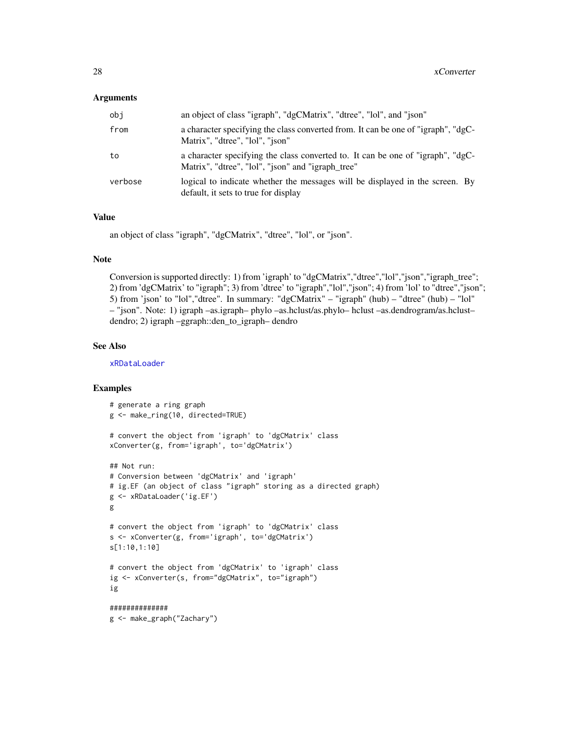#### Arguments

| obi     | an object of class "igraph", "dgCMatrix", "dtree", "lol", and "json"                                                                 |
|---------|--------------------------------------------------------------------------------------------------------------------------------------|
| from    | a character specifying the class converted from. It can be one of "igraph", "dgC-<br>Matrix", "dtree", "lol", "ison"                 |
| to      | a character specifying the class converted to. It can be one of "igraph", "dgC-<br>Matrix", "dtree", "lol", "json" and "igraph_tree" |
| verbose | logical to indicate whether the messages will be displayed in the screen. By<br>default, it sets to true for display                 |

#### Value

an object of class "igraph", "dgCMatrix", "dtree", "lol", or "json".

#### Note

Conversion is supported directly: 1) from 'igraph' to "dgCMatrix","dtree","lol","json","igraph\_tree"; 2) from 'dgCMatrix' to "igraph"; 3) from 'dtree' to "igraph","lol","json"; 4) from 'lol' to "dtree","json"; 5) from 'json' to "lol","dtree". In summary: "dgCMatrix" – "igraph" (hub) – "dtree" (hub) – "lol" – "json". Note: 1) igraph –as.igraph– phylo –as.hclust/as.phylo– hclust –as.dendrogram/as.hclust– dendro; 2) igraph –ggraph::den\_to\_igraph– dendro

#### See Also

[xRDataLoader](#page-182-1)

# Examples

```
# generate a ring graph
g <- make_ring(10, directed=TRUE)
# convert the object from 'igraph' to 'dgCMatrix' class
xConverter(g, from='igraph', to='dgCMatrix')
## Not run:
# Conversion between 'dgCMatrix' and 'igraph'
# ig.EF (an object of class "igraph" storing as a directed graph)
g <- xRDataLoader('ig.EF')
g
# convert the object from 'igraph' to 'dgCMatrix' class
s <- xConverter(g, from='igraph', to='dgCMatrix')
s[1:10,1:10]
# convert the object from 'dgCMatrix' to 'igraph' class
ig <- xConverter(s, from="dgCMatrix", to="igraph")
ig
##############
g <- make_graph("Zachary")
```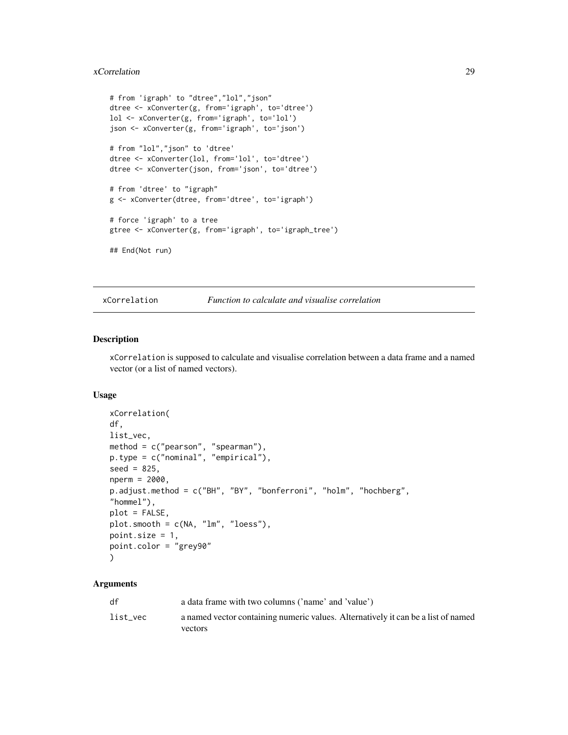#### <span id="page-28-0"></span>xCorrelation 29

```
# from 'igraph' to "dtree","lol","json"
dtree <- xConverter(g, from='igraph', to='dtree')
lol <- xConverter(g, from='igraph', to='lol')
json <- xConverter(g, from='igraph', to='json')
# from "lol","json" to 'dtree'
dtree <- xConverter(lol, from='lol', to='dtree')
dtree <- xConverter(json, from='json', to='dtree')
# from 'dtree' to "igraph"
g <- xConverter(dtree, from='dtree', to='igraph')
# force 'igraph' to a tree
gtree <- xConverter(g, from='igraph', to='igraph_tree')
## End(Not run)
```
<span id="page-28-1"></span>xCorrelation *Function to calculate and visualise correlation*

#### Description

xCorrelation is supposed to calculate and visualise correlation between a data frame and a named vector (or a list of named vectors).

#### Usage

```
xCorrelation(
df,
list_vec,
method = c("pearson", "spearman"),
p.type = c("nominal", "empirical"),
seed = 825,
nperm = 2000,
p.adjust.method = c("BH", "BY", "bonferroni", "holm", "hochberg",
"hommel"),
plot = FALSE,
plot.smooth = c(NA, "lm", "loess"),point.size = 1,
point.color = "grey90"
)
```

| df       | a data frame with two columns ('name' and 'value')                                |
|----------|-----------------------------------------------------------------------------------|
| list vec | a named vector containing numeric values. Alternatively it can be a list of named |
|          | vectors                                                                           |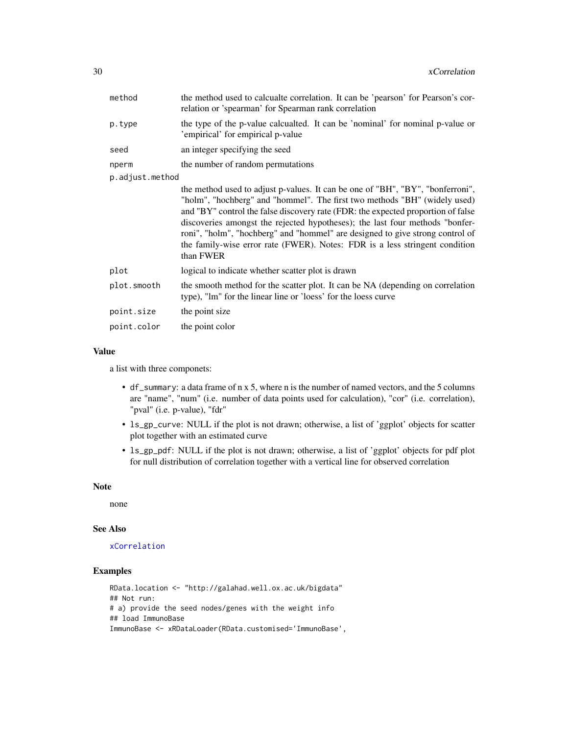| method          | the method used to calcualte correlation. It can be 'pearson' for Pearson's cor-<br>relation or 'spearman' for Spearman rank correlation                                                                                                                                                                                                                                                                                                                                                                     |
|-----------------|--------------------------------------------------------------------------------------------------------------------------------------------------------------------------------------------------------------------------------------------------------------------------------------------------------------------------------------------------------------------------------------------------------------------------------------------------------------------------------------------------------------|
| p.type          | the type of the p-value calcualted. It can be 'nominal' for nominal p-value or<br>'empirical' for empirical p-value                                                                                                                                                                                                                                                                                                                                                                                          |
| seed            | an integer specifying the seed                                                                                                                                                                                                                                                                                                                                                                                                                                                                               |
| nperm           | the number of random permutations                                                                                                                                                                                                                                                                                                                                                                                                                                                                            |
| p.adjust.method |                                                                                                                                                                                                                                                                                                                                                                                                                                                                                                              |
|                 | the method used to adjust p-values. It can be one of "BH", "BY", "bonferroni",<br>"holm", "hochberg" and "hommel". The first two methods "BH" (widely used)<br>and "BY" control the false discovery rate (FDR: the expected proportion of false<br>discoveries amongst the rejected hypotheses); the last four methods "bonfer-<br>roni", "holm", "hochberg" and "hommel" are designed to give strong control of<br>the family-wise error rate (FWER). Notes: FDR is a less stringent condition<br>than FWER |
| plot            | logical to indicate whether scatter plot is drawn                                                                                                                                                                                                                                                                                                                                                                                                                                                            |
| plot.smooth     | the smooth method for the scatter plot. It can be NA (depending on correlation<br>type), "lm" for the linear line or 'loess' for the loess curve                                                                                                                                                                                                                                                                                                                                                             |
| point.size      | the point size                                                                                                                                                                                                                                                                                                                                                                                                                                                                                               |
| point.color     | the point color                                                                                                                                                                                                                                                                                                                                                                                                                                                                                              |

#### Value

a list with three componets:

- df\_summary: a data frame of n x 5, where n is the number of named vectors, and the 5 columns are "name", "num" (i.e. number of data points used for calculation), "cor" (i.e. correlation), "pval" (i.e. p-value), "fdr"
- ls\_gp\_curve: NULL if the plot is not drawn; otherwise, a list of 'ggplot' objects for scatter plot together with an estimated curve
- ls\_gp\_pdf: NULL if the plot is not drawn; otherwise, a list of 'ggplot' objects for pdf plot for null distribution of correlation together with a vertical line for observed correlation

#### Note

none

#### See Also

#### [xCorrelation](#page-28-1)

# Examples

```
RData.location <- "http://galahad.well.ox.ac.uk/bigdata"
## Not run:
# a) provide the seed nodes/genes with the weight info
## load ImmunoBase
ImmunoBase <- xRDataLoader(RData.customised='ImmunoBase',
```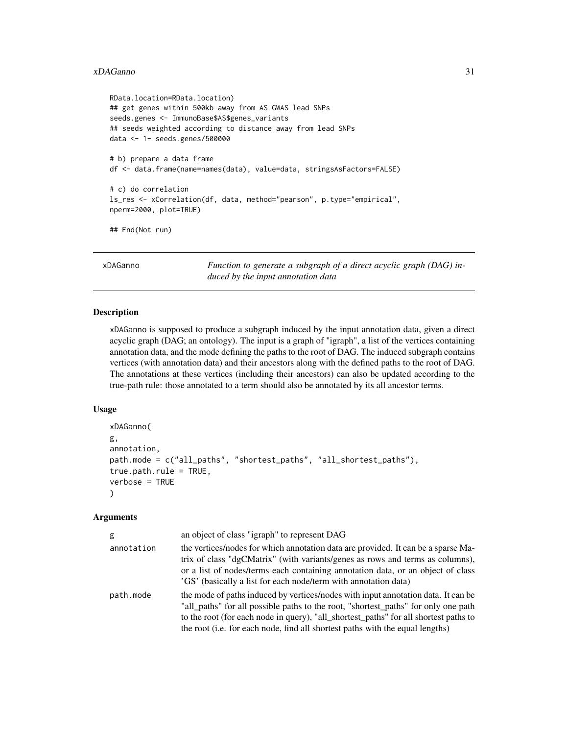#### <span id="page-30-0"></span>xDAGanno 31

```
RData.location=RData.location)
## get genes within 500kb away from AS GWAS lead SNPs
seeds.genes <- ImmunoBase$AS$genes_variants
## seeds weighted according to distance away from lead SNPs
data <- 1- seeds.genes/500000
# b) prepare a data frame
df <- data.frame(name=names(data), value=data, stringsAsFactors=FALSE)
# c) do correlation
ls_res <- xCorrelation(df, data, method="pearson", p.type="empirical",
nperm=2000, plot=TRUE)
## End(Not run)
```
<span id="page-30-1"></span>xDAGanno *Function to generate a subgraph of a direct acyclic graph (DAG) induced by the input annotation data*

#### Description

xDAGanno is supposed to produce a subgraph induced by the input annotation data, given a direct acyclic graph (DAG; an ontology). The input is a graph of "igraph", a list of the vertices containing annotation data, and the mode defining the paths to the root of DAG. The induced subgraph contains vertices (with annotation data) and their ancestors along with the defined paths to the root of DAG. The annotations at these vertices (including their ancestors) can also be updated according to the true-path rule: those annotated to a term should also be annotated by its all ancestor terms.

#### Usage

```
xDAGanno(
g,
annotation,
path.mode = c("all_paths", "shortest_paths", "all_shortest_paths"),
true.path.rule = TRUE,
verbose = TRUE
\lambda
```

| g          | an object of class "igraph" to represent DAG                                                                                                                                                                                                                                                                                                     |
|------------|--------------------------------------------------------------------------------------------------------------------------------------------------------------------------------------------------------------------------------------------------------------------------------------------------------------------------------------------------|
| annotation | the vertices/nodes for which annotation data are provided. It can be a sparse Ma-<br>trix of class "dgCMatrix" (with variants/genes as rows and terms as columns),<br>or a list of nodes/terms each containing annotation data, or an object of class<br>'GS' (basically a list for each node/term with annotation data)                         |
| path.mode  | the mode of paths induced by vertices/nodes with input annotation data. It can be<br>"all_paths" for all possible paths to the root, "shortest_paths" for only one path<br>to the root (for each node in query), "all_shortest_paths" for all shortest paths to<br>the root (i.e. for each node, find all shortest paths with the equal lengths) |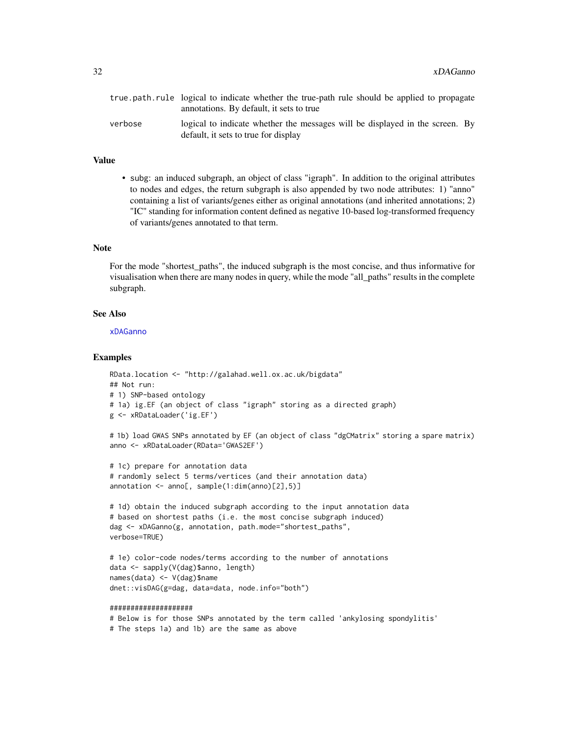|         | true path rule logical to indicate whether the true-path rule should be applied to propagate<br>annotations. By default, it sets to true |
|---------|------------------------------------------------------------------------------------------------------------------------------------------|
| verbose | logical to indicate whether the messages will be displayed in the screen. By<br>default, it sets to true for display                     |

# Value

• subg: an induced subgraph, an object of class "igraph". In addition to the original attributes to nodes and edges, the return subgraph is also appended by two node attributes: 1) "anno" containing a list of variants/genes either as original annotations (and inherited annotations; 2) "IC" standing for information content defined as negative 10-based log-transformed frequency of variants/genes annotated to that term.

#### **Note**

For the mode "shortest\_paths", the induced subgraph is the most concise, and thus informative for visualisation when there are many nodes in query, while the mode "all\_paths" results in the complete subgraph.

#### See Also

#### [xDAGanno](#page-30-1)

#### Examples

```
RData.location <- "http://galahad.well.ox.ac.uk/bigdata"
## Not run:
# 1) SNP-based ontology
# 1a) ig.EF (an object of class "igraph" storing as a directed graph)
g <- xRDataLoader('ig.EF')
# 1b) load GWAS SNPs annotated by EF (an object of class "dgCMatrix" storing a spare matrix)
anno <- xRDataLoader(RData='GWAS2EF')
# 1c) prepare for annotation data
# randomly select 5 terms/vertices (and their annotation data)
annotation <- anno[, sample(1:dim(anno)[2],5)]
# 1d) obtain the induced subgraph according to the input annotation data
# based on shortest paths (i.e. the most concise subgraph induced)
dag <- xDAGanno(g, annotation, path.mode="shortest_paths",
verbose=TRUE)
# 1e) color-code nodes/terms according to the number of annotations
data <- sapply(V(dag)$anno, length)
names(data) <- V(dag)$name
dnet::visDAG(g=dag, data=data, node.info="both")
####################
```

```
# Below is for those SNPs annotated by the term called 'ankylosing spondylitis'
# The steps 1a) and 1b) are the same as above
```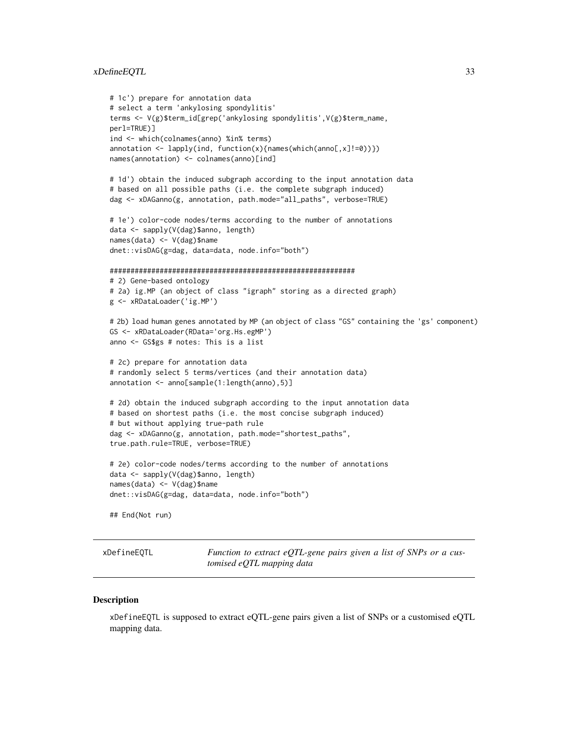#### <span id="page-32-0"></span>xDefineEQTL 33

```
# 1c') prepare for annotation data
# select a term 'ankylosing spondylitis'
terms <- V(g)$term_id[grep('ankylosing spondylitis',V(g)$term_name,
perl=TRUE)]
ind <- which(colnames(anno) %in% terms)
annotation <- lapply(ind, function(x){names(which(anno[,x]!=0))})
names(annotation) <- colnames(anno)[ind]
# 1d') obtain the induced subgraph according to the input annotation data
# based on all possible paths (i.e. the complete subgraph induced)
dag <- xDAGanno(g, annotation, path.mode="all_paths", verbose=TRUE)
# 1e') color-code nodes/terms according to the number of annotations
data <- sapply(V(dag)$anno, length)
names(data) <- V(dag)$name
dnet::visDAG(g=dag, data=data, node.info="both")
###########################################################
# 2) Gene-based ontology
# 2a) ig.MP (an object of class "igraph" storing as a directed graph)
g <- xRDataLoader('ig.MP')
# 2b) load human genes annotated by MP (an object of class "GS" containing the 'gs' component)
GS <- xRDataLoader(RData='org.Hs.egMP')
anno <- GS$gs # notes: This is a list
# 2c) prepare for annotation data
# randomly select 5 terms/vertices (and their annotation data)
annotation <- anno[sample(1:length(anno),5)]
# 2d) obtain the induced subgraph according to the input annotation data
# based on shortest paths (i.e. the most concise subgraph induced)
# but without applying true-path rule
dag <- xDAGanno(g, annotation, path.mode="shortest_paths",
true.path.rule=TRUE, verbose=TRUE)
# 2e) color-code nodes/terms according to the number of annotations
data <- sapply(V(dag)$anno, length)
names(data) <- V(dag)$name
dnet::visDAG(g=dag, data=data, node.info="both")
## End(Not run)
```
xDefineEQTL *Function to extract eQTL-gene pairs given a list of SNPs or a customised eQTL mapping data*

#### **Description**

xDefineEQTL is supposed to extract eQTL-gene pairs given a list of SNPs or a customised eQTL mapping data.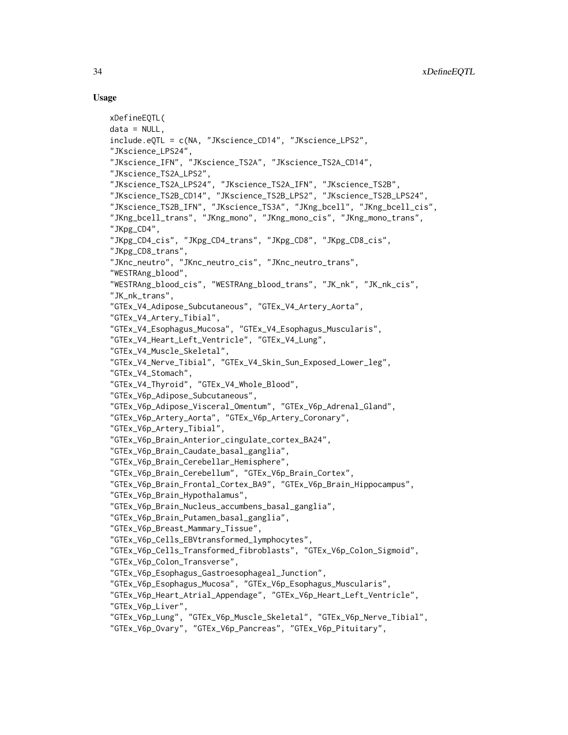#### Usage

```
xDefineEQTL(
data = NULL,include.eQTL = c(NA, "JKscience_CD14", "JKscience_LPS2",
"JKscience_LPS24",
"JKscience_IFN", "JKscience_TS2A", "JKscience_TS2A_CD14",
"JKscience_TS2A_LPS2",
"JKscience_TS2A_LPS24", "JKscience_TS2A_IFN", "JKscience_TS2B",
"JKscience_TS2B_CD14", "JKscience_TS2B_LPS2", "JKscience_TS2B_LPS24",
"JKscience_TS2B_IFN", "JKscience_TS3A", "JKng_bcell", "JKng_bcell_cis",
"JKng_bcell_trans", "JKng_mono", "JKng_mono_cis", "JKng_mono_trans",
"JKpg_CD4",
"JKpg_CD4_cis", "JKpg_CD4_trans", "JKpg_CD8", "JKpg_CD8_cis",
"JKpg_CD8_trans",
"JKnc_neutro", "JKnc_neutro_cis", "JKnc_neutro_trans",
"WESTRAng_blood",
"WESTRAng_blood_cis", "WESTRAng_blood_trans", "JK_nk", "JK_nk_cis",
"JK_nk_trans",
"GTEx_V4_Adipose_Subcutaneous", "GTEx_V4_Artery_Aorta",
"GTEx_V4_Artery_Tibial",
"GTEx_V4_Esophagus_Mucosa", "GTEx_V4_Esophagus_Muscularis",
"GTEx_V4_Heart_Left_Ventricle", "GTEx_V4_Lung",
"GTEx_V4_Muscle_Skeletal",
"GTEx_V4_Nerve_Tibial", "GTEx_V4_Skin_Sun_Exposed_Lower_leg",
"GTEx_V4_Stomach",
"GTEx_V4_Thyroid", "GTEx_V4_Whole_Blood",
"GTEx_V6p_Adipose_Subcutaneous",
"GTEx_V6p_Adipose_Visceral_Omentum", "GTEx_V6p_Adrenal_Gland",
"GTEx_V6p_Artery_Aorta", "GTEx_V6p_Artery_Coronary",
"GTEx_V6p_Artery_Tibial",
"GTEx_V6p_Brain_Anterior_cingulate_cortex_BA24",
"GTEx_V6p_Brain_Caudate_basal_ganglia",
"GTEx_V6p_Brain_Cerebellar_Hemisphere",
"GTEx_V6p_Brain_Cerebellum", "GTEx_V6p_Brain_Cortex",
"GTEx_V6p_Brain_Frontal_Cortex_BA9", "GTEx_V6p_Brain_Hippocampus",
"GTEx_V6p_Brain_Hypothalamus",
"GTEx_V6p_Brain_Nucleus_accumbens_basal_ganglia",
"GTEx_V6p_Brain_Putamen_basal_ganglia",
"GTEx_V6p_Breast_Mammary_Tissue",
"GTEx_V6p_Cells_EBVtransformed_lymphocytes",
"GTEx_V6p_Cells_Transformed_fibroblasts", "GTEx_V6p_Colon_Sigmoid",
"GTEx_V6p_Colon_Transverse",
"GTEx_V6p_Esophagus_Gastroesophageal_Junction",
"GTEx_V6p_Esophagus_Mucosa", "GTEx_V6p_Esophagus_Muscularis",
"GTEx_V6p_Heart_Atrial_Appendage", "GTEx_V6p_Heart_Left_Ventricle",
"GTEx_V6p_Liver",
"GTEx_V6p_Lung", "GTEx_V6p_Muscle_Skeletal", "GTEx_V6p_Nerve_Tibial",
"GTEx_V6p_Ovary", "GTEx_V6p_Pancreas", "GTEx_V6p_Pituitary",
```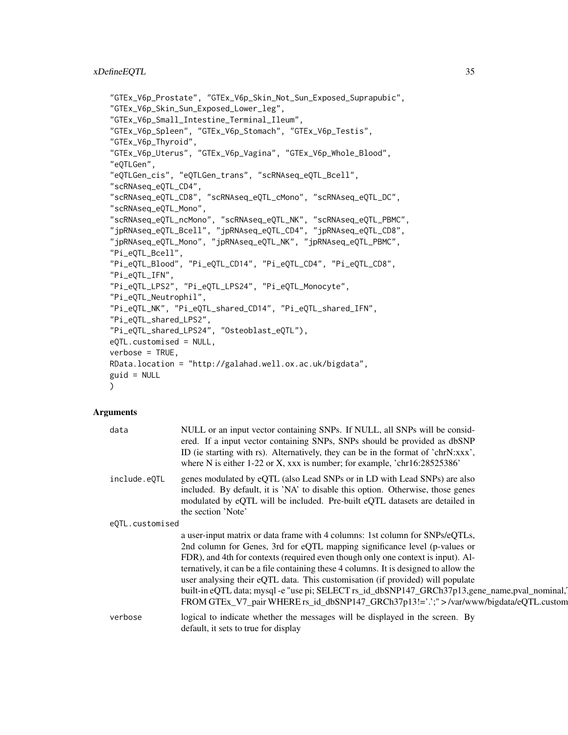```
"GTEx_V6p_Prostate", "GTEx_V6p_Skin_Not_Sun_Exposed_Suprapubic",
"GTEx_V6p_Skin_Sun_Exposed_Lower_leg",
"GTEx_V6p_Small_Intestine_Terminal_Ileum",
"GTEx_V6p_Spleen", "GTEx_V6p_Stomach", "GTEx_V6p_Testis",
"GTEx_V6p_Thyroid",
"GTEx_V6p_Uterus", "GTEx_V6p_Vagina", "GTEx_V6p_Whole_Blood",
"eQTLGen",
"eQTLGen_cis", "eQTLGen_trans", "scRNAseq_eQTL_Bcell",
"scRNAseq_eQTL_CD4",
"scRNAseq_eQTL_CD8", "scRNAseq_eQTL_cMono", "scRNAseq_eQTL_DC",
"scRNAseq_eQTL_Mono",
"scRNAseq_eQTL_ncMono", "scRNAseq_eQTL_NK", "scRNAseq_eQTL_PBMC",
"jpRNAseq_eQTL_Bcell", "jpRNAseq_eQTL_CD4", "jpRNAseq_eQTL_CD8",
"jpRNAseq_eQTL_Mono", "jpRNAseq_eQTL_NK", "jpRNAseq_eQTL_PBMC",
"Pi_eQTL_Bcell",
"Pi_eQTL_Blood", "Pi_eQTL_CD14", "Pi_eQTL_CD4", "Pi_eQTL_CD8",
"Pi_eQTL_IFN",
"Pi_eQTL_LPS2", "Pi_eQTL_LPS24", "Pi_eQTL_Monocyte",
"Pi_eQTL_Neutrophil",
"Pi_eQTL_NK", "Pi_eQTL_shared_CD14", "Pi_eQTL_shared_IFN",
"Pi_eQTL_shared_LPS2",
"Pi_eQTL_shared_LPS24", "Osteoblast_eQTL"),
eQTL.customised = NULL,
verbose = TRUE,
RData.location = "http://galahad.well.ox.ac.uk/bigdata",
guid = NULL)
```

| data            | NULL or an input vector containing SNPs. If NULL, all SNPs will be consid-<br>ered. If a input vector containing SNPs, SNPs should be provided as dbSNP<br>ID (ie starting with rs). Alternatively, they can be in the format of 'chrN:xxx',<br>where N is either 1-22 or X, xxx is number; for example, 'chr16:28525386'                                                                                                                                                                                                                                                                                           |
|-----------------|---------------------------------------------------------------------------------------------------------------------------------------------------------------------------------------------------------------------------------------------------------------------------------------------------------------------------------------------------------------------------------------------------------------------------------------------------------------------------------------------------------------------------------------------------------------------------------------------------------------------|
| include.eOTL    | genes modulated by eQTL (also Lead SNPs or in LD with Lead SNPs) are also<br>included. By default, it is 'NA' to disable this option. Otherwise, those genes<br>modulated by eQTL will be included. Pre-built eQTL datasets are detailed in<br>the section 'Note'                                                                                                                                                                                                                                                                                                                                                   |
| eQTL.customised |                                                                                                                                                                                                                                                                                                                                                                                                                                                                                                                                                                                                                     |
|                 | a user-input matrix or data frame with 4 columns: 1st column for SNPs/eQTLs,<br>2nd column for Genes, 3rd for eQTL mapping significance level (p-values or<br>FDR), and 4th for contexts (required even though only one context is input). Al-<br>ternatively, it can be a file containing these 4 columns. It is designed to allow the<br>user analysing their eQTL data. This customisation (if provided) will populate<br>built-in eQTL data; mysql -e "use pi; SELECT rs_id_dbSNP147_GRCh37p13,gene_name,pval_nominal,<br>FROM GTEx_V7_pair WHERE rs_id_dbSNP147_GRCh37p13!=''.;" >/var/www/bigdata/eQTL.custom |
| verbose         | logical to indicate whether the messages will be displayed in the screen. By<br>default, it sets to true for display                                                                                                                                                                                                                                                                                                                                                                                                                                                                                                |
|                 |                                                                                                                                                                                                                                                                                                                                                                                                                                                                                                                                                                                                                     |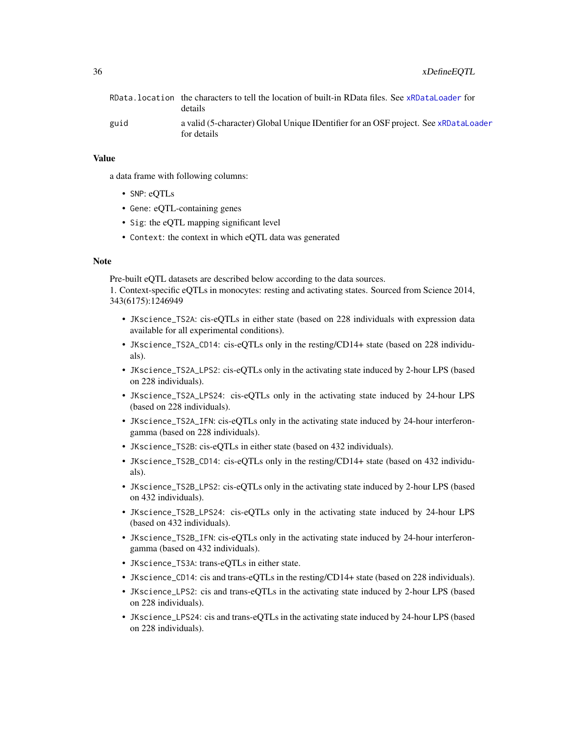|      | RData.location the characters to tell the location of built-in RData files. See xRDataLoader for<br>details |
|------|-------------------------------------------------------------------------------------------------------------|
| guid | a valid (5-character) Global Unique IDentifier for an OSF project. See xRDataLoader<br>for details          |

#### Value

a data frame with following columns:

- SNP: eQTLs
- Gene: eQTL-containing genes
- Sig: the eQTL mapping significant level
- Context: the context in which eQTL data was generated

#### Note

Pre-built eQTL datasets are described below according to the data sources.

1. Context-specific eQTLs in monocytes: resting and activating states. Sourced from Science 2014, 343(6175):1246949

- JKscience\_TS2A: cis-eQTLs in either state (based on 228 individuals with expression data available for all experimental conditions).
- JKscience\_TS2A\_CD14: cis-eQTLs only in the resting/CD14+ state (based on 228 individuals).
- JKscience\_TS2A\_LPS2: cis-eQTLs only in the activating state induced by 2-hour LPS (based on 228 individuals).
- JKscience\_TS2A\_LPS24: cis-eQTLs only in the activating state induced by 24-hour LPS (based on 228 individuals).
- JKscience\_TS2A\_IFN: cis-eQTLs only in the activating state induced by 24-hour interferongamma (based on 228 individuals).
- JKscience\_TS2B: cis-eQTLs in either state (based on 432 individuals).
- JKscience\_TS2B\_CD14: cis-eQTLs only in the resting/CD14+ state (based on 432 individuals).
- JKscience\_TS2B\_LPS2: cis-eQTLs only in the activating state induced by 2-hour LPS (based on 432 individuals).
- JKscience\_TS2B\_LPS24: cis-eQTLs only in the activating state induced by 24-hour LPS (based on 432 individuals).
- JKscience\_TS2B\_IFN: cis-eQTLs only in the activating state induced by 24-hour interferongamma (based on 432 individuals).
- JKscience\_TS3A: trans-eQTLs in either state.
- JKscience\_CD14: cis and trans-eQTLs in the resting/CD14+ state (based on 228 individuals).
- JKscience\_LPS2: cis and trans-eQTLs in the activating state induced by 2-hour LPS (based on 228 individuals).
- JKscience\_LPS24: cis and trans-eQTLs in the activating state induced by 24-hour LPS (based on 228 individuals).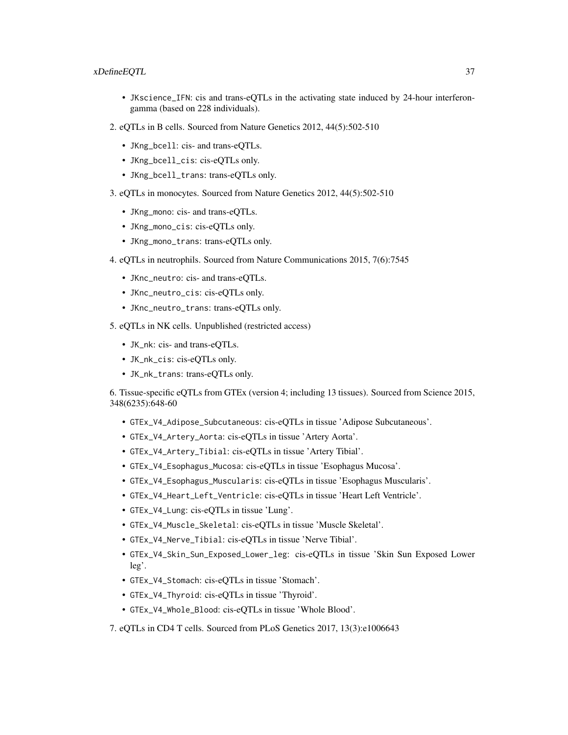## xDefineEQTL 37

- JKscience\_IFN: cis and trans-eQTLs in the activating state induced by 24-hour interferongamma (based on 228 individuals).
- 2. eQTLs in B cells. Sourced from Nature Genetics 2012, 44(5):502-510
	- JKng\_bcell: cis- and trans-eQTLs.
	- JKng\_bcell\_cis: cis-eQTLs only.
	- JKng\_bcell\_trans: trans-eQTLs only.
- 3. eQTLs in monocytes. Sourced from Nature Genetics 2012, 44(5):502-510
	- JKng\_mono: cis- and trans-eQTLs.
	- JKng\_mono\_cis: cis-eQTLs only.
	- JKng\_mono\_trans: trans-eQTLs only.
- 4. eQTLs in neutrophils. Sourced from Nature Communications 2015, 7(6):7545
	- JKnc\_neutro: cis- and trans-eQTLs.
	- JKnc\_neutro\_cis: cis-eQTLs only.
	- JKnc\_neutro\_trans: trans-eQTLs only.
- 5. eQTLs in NK cells. Unpublished (restricted access)
	- JK\_nk: cis- and trans-eQTLs.
	- JK\_nk\_cis: cis-eQTLs only.
	- JK\_nk\_trans: trans-eQTLs only.

6. Tissue-specific eQTLs from GTEx (version 4; including 13 tissues). Sourced from Science 2015, 348(6235):648-60

- GTEx\_V4\_Adipose\_Subcutaneous: cis-eQTLs in tissue 'Adipose Subcutaneous'.
- GTEx\_V4\_Artery\_Aorta: cis-eQTLs in tissue 'Artery Aorta'.
- GTEx\_V4\_Artery\_Tibial: cis-eQTLs in tissue 'Artery Tibial'.
- GTEx\_V4\_Esophagus\_Mucosa: cis-eQTLs in tissue 'Esophagus Mucosa'.
- GTEx\_V4\_Esophagus\_Muscularis: cis-eQTLs in tissue 'Esophagus Muscularis'.
- GTEx\_V4\_Heart\_Left\_Ventricle: cis-eQTLs in tissue 'Heart Left Ventricle'.
- GTEx\_V4\_Lung: cis-eQTLs in tissue 'Lung'.
- GTEx\_V4\_Muscle\_Skeletal: cis-eQTLs in tissue 'Muscle Skeletal'.
- GTEx\_V4\_Nerve\_Tibial: cis-eQTLs in tissue 'Nerve Tibial'.
- GTEx\_V4\_Skin\_Sun\_Exposed\_Lower\_leg: cis-eQTLs in tissue 'Skin Sun Exposed Lower leg'.
- GTEx\_V4\_Stomach: cis-eQTLs in tissue 'Stomach'.
- GTEx\_V4\_Thyroid: cis-eQTLs in tissue 'Thyroid'.
- GTEx\_V4\_Whole\_Blood: cis-eQTLs in tissue 'Whole Blood'.
- 7. eQTLs in CD4 T cells. Sourced from PLoS Genetics 2017, 13(3):e1006643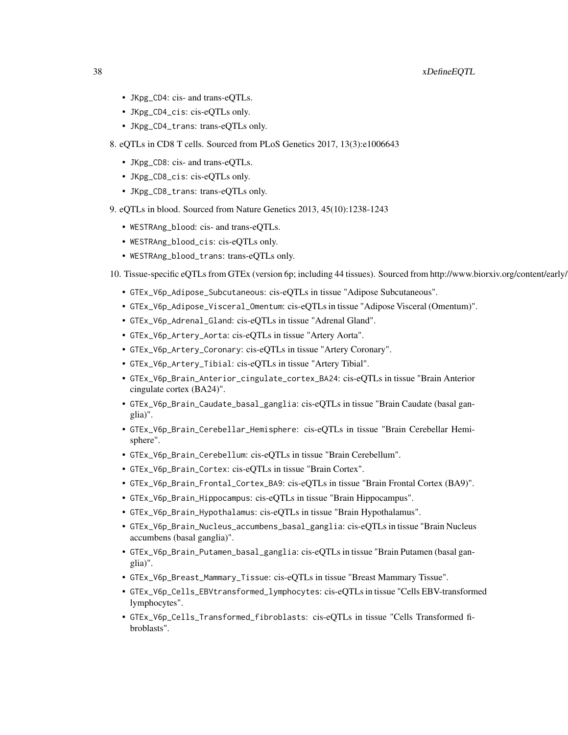## 38 xDefineEQTL

- JKpg\_CD4: cis- and trans-eQTLs.
- JKpg\_CD4\_cis: cis-eQTLs only.
- JKpg\_CD4\_trans: trans-eQTLs only.
- 8. eQTLs in CD8 T cells. Sourced from PLoS Genetics 2017, 13(3):e1006643
	- JKpg\_CD8: cis- and trans-eQTLs.
	- JKpg\_CD8\_cis: cis-eQTLs only.
	- JKpg\_CD8\_trans: trans-eQTLs only.
- 9. eQTLs in blood. Sourced from Nature Genetics 2013, 45(10):1238-1243
	- WESTRAng\_blood: cis- and trans-eQTLs.
	- WESTRAng\_blood\_cis: cis-eQTLs only.
	- WESTRAng\_blood\_trans: trans-eQTLs only.
- 10. Tissue-specific eQTLs from GTEx (version 6p; including 44 tissues). Sourced from http://www.biorxiv.org/content/early/
	- GTEx\_V6p\_Adipose\_Subcutaneous: cis-eQTLs in tissue "Adipose Subcutaneous".
	- GTEx\_V6p\_Adipose\_Visceral\_Omentum: cis-eQTLs in tissue "Adipose Visceral (Omentum)".
	- GTEx\_V6p\_Adrenal\_Gland: cis-eQTLs in tissue "Adrenal Gland".
	- GTEx\_V6p\_Artery\_Aorta: cis-eQTLs in tissue "Artery Aorta".
	- GTEx\_V6p\_Artery\_Coronary: cis-eQTLs in tissue "Artery Coronary".
	- GTEx\_V6p\_Artery\_Tibial: cis-eQTLs in tissue "Artery Tibial".
	- GTEx\_V6p\_Brain\_Anterior\_cingulate\_cortex\_BA24: cis-eQTLs in tissue "Brain Anterior cingulate cortex (BA24)".
	- GTEx\_V6p\_Brain\_Caudate\_basal\_ganglia: cis-eQTLs in tissue "Brain Caudate (basal ganglia)".
	- GTEx\_V6p\_Brain\_Cerebellar\_Hemisphere: cis-eQTLs in tissue "Brain Cerebellar Hemisphere".
	- GTEx\_V6p\_Brain\_Cerebellum: cis-eQTLs in tissue "Brain Cerebellum".
	- GTEx\_V6p\_Brain\_Cortex: cis-eQTLs in tissue "Brain Cortex".
	- GTEx\_V6p\_Brain\_Frontal\_Cortex\_BA9: cis-eQTLs in tissue "Brain Frontal Cortex (BA9)".
	- GTEx\_V6p\_Brain\_Hippocampus: cis-eQTLs in tissue "Brain Hippocampus".
	- GTEx\_V6p\_Brain\_Hypothalamus: cis-eQTLs in tissue "Brain Hypothalamus".
	- GTEx\_V6p\_Brain\_Nucleus\_accumbens\_basal\_ganglia: cis-eQTLs in tissue "Brain Nucleus accumbens (basal ganglia)".
	- GTEx\_V6p\_Brain\_Putamen\_basal\_ganglia: cis-eQTLs in tissue "Brain Putamen (basal ganglia)".
	- GTEx\_V6p\_Breast\_Mammary\_Tissue: cis-eQTLs in tissue "Breast Mammary Tissue".
	- GTEx\_V6p\_Cells\_EBVtransformed\_lymphocytes: cis-eQTLs in tissue "Cells EBV-transformed lymphocytes".
	- GTEx\_V6p\_Cells\_Transformed\_fibroblasts: cis-eQTLs in tissue "Cells Transformed fibroblasts".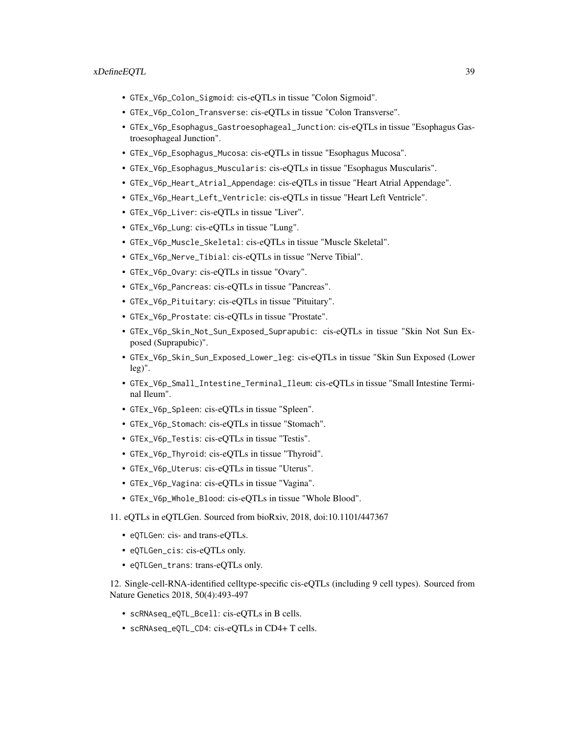## xDefineEQTL 39

- GTEx\_V6p\_Colon\_Sigmoid: cis-eQTLs in tissue "Colon Sigmoid".
- GTEx\_V6p\_Colon\_Transverse: cis-eQTLs in tissue "Colon Transverse".
- GTEx\_V6p\_Esophagus\_Gastroesophageal\_Junction: cis-eQTLs in tissue "Esophagus Gastroesophageal Junction".
- GTEx\_V6p\_Esophagus\_Mucosa: cis-eQTLs in tissue "Esophagus Mucosa".
- GTEx\_V6p\_Esophagus\_Muscularis: cis-eQTLs in tissue "Esophagus Muscularis".
- GTEx\_V6p\_Heart\_Atrial\_Appendage: cis-eQTLs in tissue "Heart Atrial Appendage".
- GTEx\_V6p\_Heart\_Left\_Ventricle: cis-eQTLs in tissue "Heart Left Ventricle".
- GTEx\_V6p\_Liver: cis-eQTLs in tissue "Liver".
- GTEx\_V6p\_Lung: cis-eQTLs in tissue "Lung".
- GTEx\_V6p\_Muscle\_Skeletal: cis-eQTLs in tissue "Muscle Skeletal".
- GTEx\_V6p\_Nerve\_Tibial: cis-eQTLs in tissue "Nerve Tibial".
- GTEx\_V6p\_Ovary: cis-eQTLs in tissue "Ovary".
- GTEx\_V6p\_Pancreas: cis-eQTLs in tissue "Pancreas".
- GTEx\_V6p\_Pituitary: cis-eQTLs in tissue "Pituitary".
- GTEx\_V6p\_Prostate: cis-eQTLs in tissue "Prostate".
- GTEx\_V6p\_Skin\_Not\_Sun\_Exposed\_Suprapubic: cis-eQTLs in tissue "Skin Not Sun Exposed (Suprapubic)".
- GTEx\_V6p\_Skin\_Sun\_Exposed\_Lower\_leg: cis-eQTLs in tissue "Skin Sun Exposed (Lower leg)".
- GTEx\_V6p\_Small\_Intestine\_Terminal\_Ileum: cis-eQTLs in tissue "Small Intestine Terminal Ileum".
- GTEx\_V6p\_Spleen: cis-eQTLs in tissue "Spleen".
- GTEx\_V6p\_Stomach: cis-eQTLs in tissue "Stomach".
- GTEx\_V6p\_Testis: cis-eQTLs in tissue "Testis".
- GTEx\_V6p\_Thyroid: cis-eQTLs in tissue "Thyroid".
- GTEx\_V6p\_Uterus: cis-eQTLs in tissue "Uterus".
- GTEx\_V6p\_Vagina: cis-eQTLs in tissue "Vagina".
- GTEx\_V6p\_Whole\_Blood: cis-eQTLs in tissue "Whole Blood".
- 11. eQTLs in eQTLGen. Sourced from bioRxiv, 2018, doi:10.1101/447367
	- eQTLGen: cis- and trans-eQTLs.
	- eQTLGen\_cis: cis-eQTLs only.
	- eQTLGen\_trans: trans-eQTLs only.

12. Single-cell-RNA-identified celltype-specific cis-eQTLs (including 9 cell types). Sourced from Nature Genetics 2018, 50(4):493-497

- scRNAseq\_eQTL\_Bcell: cis-eQTLs in B cells.
- scRNAseq\_eQTL\_CD4: cis-eQTLs in CD4+ T cells.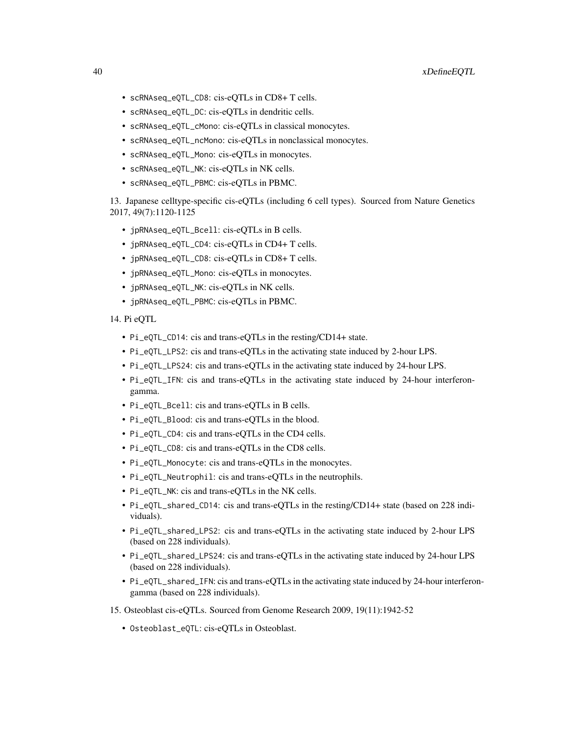- scRNAseq\_eQTL\_CD8: cis-eQTLs in CD8+ T cells.
- scRNAseq\_eQTL\_DC: cis-eQTLs in dendritic cells.
- scRNAseq\_eQTL\_cMono: cis-eQTLs in classical monocytes.
- scRNAseq\_eQTL\_ncMono: cis-eQTLs in nonclassical monocytes.
- scRNAseq\_eQTL\_Mono: cis-eQTLs in monocytes.
- scRNAseq\_eQTL\_NK: cis-eQTLs in NK cells.
- scRNAseq\_eQTL\_PBMC: cis-eQTLs in PBMC.

13. Japanese celltype-specific cis-eQTLs (including 6 cell types). Sourced from Nature Genetics 2017, 49(7):1120-1125

- jpRNAseq\_eQTL\_Bcell: cis-eQTLs in B cells.
- jpRNAseq\_eQTL\_CD4: cis-eQTLs in CD4+ T cells.
- jpRNAseq\_eQTL\_CD8: cis-eQTLs in CD8+ T cells.
- jpRNAseq\_eQTL\_Mono: cis-eQTLs in monocytes.
- jpRNAseq\_eQTL\_NK: cis-eQTLs in NK cells.
- jpRNAseq\_eQTL\_PBMC: cis-eQTLs in PBMC.
- 14. Pi eQTL
	- Pi\_eQTL\_CD14: cis and trans-eQTLs in the resting/CD14+ state.
	- Pi\_eQTL\_LPS2: cis and trans-eQTLs in the activating state induced by 2-hour LPS.
	- Pi\_eQTL\_LPS24: cis and trans-eQTLs in the activating state induced by 24-hour LPS.
	- Pi\_eQTL\_IFN: cis and trans-eQTLs in the activating state induced by 24-hour interferongamma.
	- Pi\_eQTL\_Bcell: cis and trans-eQTLs in B cells.
	- Pi\_eQTL\_Blood: cis and trans-eQTLs in the blood.
	- Pi\_eQTL\_CD4: cis and trans-eQTLs in the CD4 cells.
	- Pi\_eQTL\_CD8: cis and trans-eQTLs in the CD8 cells.
	- Pi\_eQTL\_Monocyte: cis and trans-eQTLs in the monocytes.
	- Pi\_eQTL\_Neutrophil: cis and trans-eQTLs in the neutrophils.
	- Pi\_eQTL\_NK: cis and trans-eQTLs in the NK cells.
	- Pi\_eQTL\_shared\_CD14: cis and trans-eQTLs in the resting/CD14+ state (based on 228 individuals).
	- Pi\_eQTL\_shared\_LPS2: cis and trans-eQTLs in the activating state induced by 2-hour LPS (based on 228 individuals).
	- Pi\_eQTL\_shared\_LPS24: cis and trans-eQTLs in the activating state induced by 24-hour LPS (based on 228 individuals).
	- Pi\_eQTL\_shared\_IFN: cis and trans-eQTLs in the activating state induced by 24-hour interferongamma (based on 228 individuals).
- 15. Osteoblast cis-eQTLs. Sourced from Genome Research 2009, 19(11):1942-52
	- Osteoblast\_eQTL: cis-eQTLs in Osteoblast.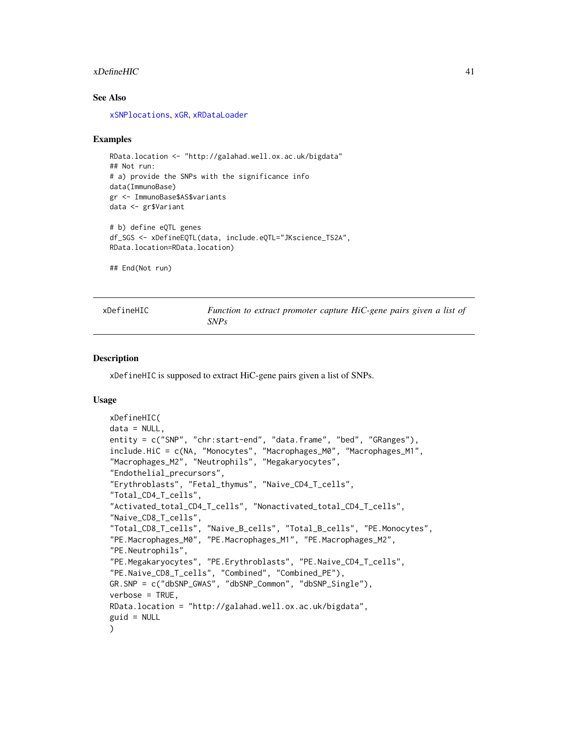### xDefineHIC 41

### See Also

[xSNPlocations](#page-193-0), [xGR](#page-68-0), [xRDataLoader](#page-182-0)

### Examples

```
RData.location <- "http://galahad.well.ox.ac.uk/bigdata"
## Not run:
# a) provide the SNPs with the significance info
data(ImmunoBase)
gr <- ImmunoBase$AS$variants
data <- gr$Variant
# b) define eQTL genes
df_SGS <- xDefineEQTL(data, include.eQTL="JKscience_TS2A",
RData.location=RData.location)
## End(Not run)
```

| xDefineHIC | Function to extract promoter capture HiC-gene pairs given a list of |  |  |  |  |  |
|------------|---------------------------------------------------------------------|--|--|--|--|--|
|            | <i>SNPs</i>                                                         |  |  |  |  |  |

## Description

xDefineHIC is supposed to extract HiC-gene pairs given a list of SNPs.

### Usage

```
xDefineHIC(
data = NULL,entity = c("SNP", "chr:start-end", "data.frame", "bed", "GRanges"),
include.HiC = c(NA, "Monocytes", "Macrophages_M0", "Macrophages_M1",
"Macrophages_M2", "Neutrophils", "Megakaryocytes",
"Endothelial_precursors",
"Erythroblasts", "Fetal_thymus", "Naive_CD4_T_cells",
"Total_CD4_T_cells",
"Activated_total_CD4_T_cells", "Nonactivated_total_CD4_T_cells",
"Naive_CD8_T_cells",
"Total_CD8_T_cells", "Naive_B_cells", "Total_B_cells", "PE.Monocytes",
"PE.Macrophages_M0", "PE.Macrophages_M1", "PE.Macrophages_M2",
"PE.Neutrophils",
"PE.Megakaryocytes", "PE.Erythroblasts", "PE.Naive_CD4_T_cells",
"PE.Naive_CD8_T_cells", "Combined", "Combined_PE"),
GR.SNP = c("dbSNP_GWAS", "dbSNP_Common", "dbSNP_Single"),
verbose = TRUE,
RData.location = "http://galahad.well.ox.ac.uk/bigdata",
guid = NULL\mathcal{L}
```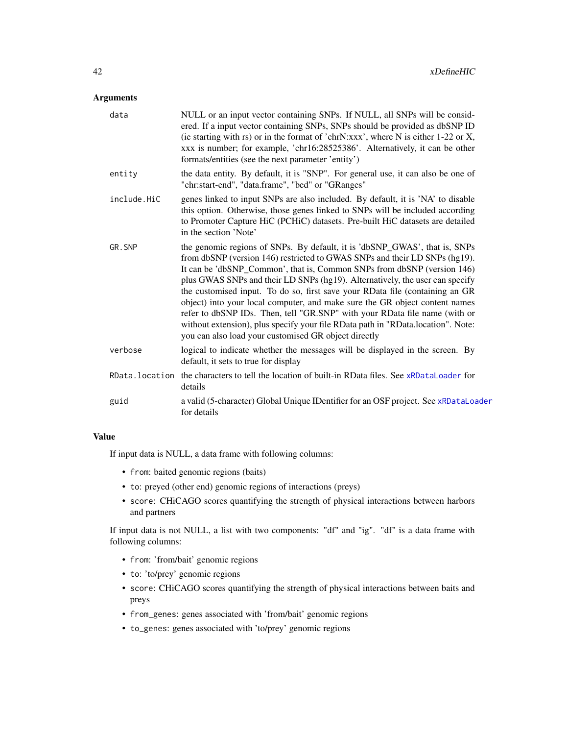## Arguments

| data        | NULL or an input vector containing SNPs. If NULL, all SNPs will be consid-<br>ered. If a input vector containing SNPs, SNPs should be provided as dbSNP ID<br>(ie starting with rs) or in the format of 'chrN:xxx', where N is either 1-22 or X,<br>xxx is number; for example, 'chr16:28525386'. Alternatively, it can be other<br>formats/entities (see the next parameter 'entity')                                                                                                                                                                                                                                                                                                                       |
|-------------|--------------------------------------------------------------------------------------------------------------------------------------------------------------------------------------------------------------------------------------------------------------------------------------------------------------------------------------------------------------------------------------------------------------------------------------------------------------------------------------------------------------------------------------------------------------------------------------------------------------------------------------------------------------------------------------------------------------|
| entity      | the data entity. By default, it is "SNP". For general use, it can also be one of<br>"chr:start-end", "data.frame", "bed" or "GRanges"                                                                                                                                                                                                                                                                                                                                                                                                                                                                                                                                                                        |
| include.HiC | genes linked to input SNPs are also included. By default, it is 'NA' to disable<br>this option. Otherwise, those genes linked to SNPs will be included according<br>to Promoter Capture HiC (PCHiC) datasets. Pre-built HiC datasets are detailed<br>in the section 'Note'                                                                                                                                                                                                                                                                                                                                                                                                                                   |
| GR.SNP      | the genomic regions of SNPs. By default, it is 'dbSNP_GWAS', that is, SNPs<br>from dbSNP (version 146) restricted to GWAS SNPs and their LD SNPs (hg19).<br>It can be 'dbSNP_Common', that is, Common SNPs from dbSNP (version 146)<br>plus GWAS SNPs and their LD SNPs (hg19). Alternatively, the user can specify<br>the customised input. To do so, first save your RData file (containing an GR<br>object) into your local computer, and make sure the GR object content names<br>refer to dbSNP IDs. Then, tell "GR.SNP" with your RData file name (with or<br>without extension), plus specify your file RData path in "RData.location". Note:<br>you can also load your customised GR object directly |
| verbose     | logical to indicate whether the messages will be displayed in the screen. By<br>default, it sets to true for display                                                                                                                                                                                                                                                                                                                                                                                                                                                                                                                                                                                         |
|             | RData. location the characters to tell the location of built-in RData files. See xRDataLoader for<br>details                                                                                                                                                                                                                                                                                                                                                                                                                                                                                                                                                                                                 |
| guid        | a valid (5-character) Global Unique IDentifier for an OSF project. See xRDataLoader<br>for details                                                                                                                                                                                                                                                                                                                                                                                                                                                                                                                                                                                                           |

## Value

If input data is NULL, a data frame with following columns:

- from: baited genomic regions (baits)
- to: preyed (other end) genomic regions of interactions (preys)
- score: CHiCAGO scores quantifying the strength of physical interactions between harbors and partners

If input data is not NULL, a list with two components: "df" and "ig". "df" is a data frame with following columns:

- from: 'from/bait' genomic regions
- to: 'to/prey' genomic regions
- score: CHiCAGO scores quantifying the strength of physical interactions between baits and preys
- from\_genes: genes associated with 'from/bait' genomic regions
- to\_genes: genes associated with 'to/prey' genomic regions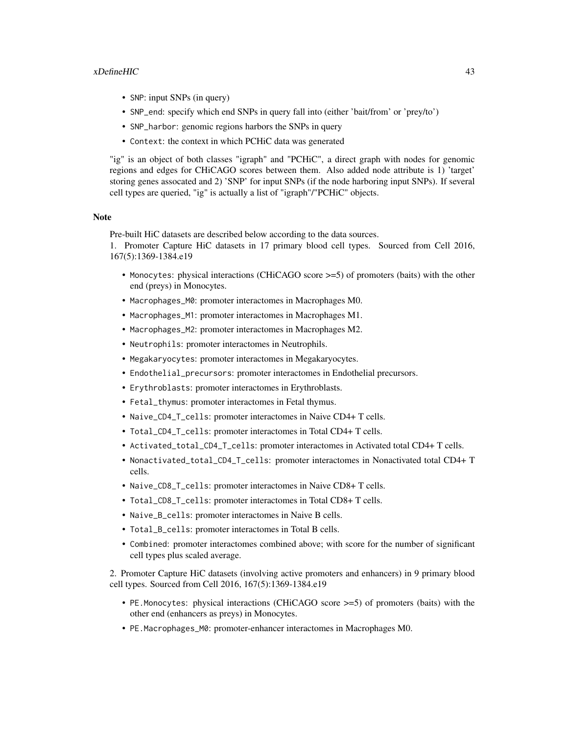### xDefineHIC 43

- SNP: input SNPs (in query)
- SNP\_end: specify which end SNPs in query fall into (either 'bait/from' or 'prey/to')
- SNP\_harbor: genomic regions harbors the SNPs in query
- Context: the context in which PCHiC data was generated

"ig" is an object of both classes "igraph" and "PCHiC", a direct graph with nodes for genomic regions and edges for CHiCAGO scores between them. Also added node attribute is 1) 'target' storing genes assocated and 2) 'SNP' for input SNPs (if the node harboring input SNPs). If several cell types are queried, "ig" is actually a list of "igraph"/"PCHiC" objects.

### **Note**

Pre-built HiC datasets are described below according to the data sources.

1. Promoter Capture HiC datasets in 17 primary blood cell types. Sourced from Cell 2016, 167(5):1369-1384.e19

- Monocytes: physical interactions (CHiCAGO score >=5) of promoters (baits) with the other end (preys) in Monocytes.
- Macrophages\_M0: promoter interactomes in Macrophages M0.
- Macrophages\_M1: promoter interactomes in Macrophages M1.
- Macrophages\_M2: promoter interactomes in Macrophages M2.
- Neutrophils: promoter interactomes in Neutrophils.
- Megakaryocytes: promoter interactomes in Megakaryocytes.
- Endothelial\_precursors: promoter interactomes in Endothelial precursors.
- Erythroblasts: promoter interactomes in Erythroblasts.
- Fetal\_thymus: promoter interactomes in Fetal thymus.
- Naive\_CD4\_T\_cells: promoter interactomes in Naive CD4+ T cells.
- Total\_CD4\_T\_cells: promoter interactomes in Total CD4+ T cells.
- Activated\_total\_CD4\_T\_cells: promoter interactomes in Activated total CD4+ T cells.
- Nonactivated\_total\_CD4\_T\_cells: promoter interactomes in Nonactivated total CD4+ T cells.
- Naive\_CD8\_T\_cells: promoter interactomes in Naive CD8+ T cells.
- Total\_CD8\_T\_cells: promoter interactomes in Total CD8+ T cells.
- Naive\_B\_cells: promoter interactomes in Naive B cells.
- Total\_B\_cells: promoter interactomes in Total B cells.
- Combined: promoter interactomes combined above; with score for the number of significant cell types plus scaled average.

2. Promoter Capture HiC datasets (involving active promoters and enhancers) in 9 primary blood cell types. Sourced from Cell 2016, 167(5):1369-1384.e19

- PE.Monocytes: physical interactions (CHiCAGO score >=5) of promoters (baits) with the other end (enhancers as preys) in Monocytes.
- PE.Macrophages\_M0: promoter-enhancer interactomes in Macrophages M0.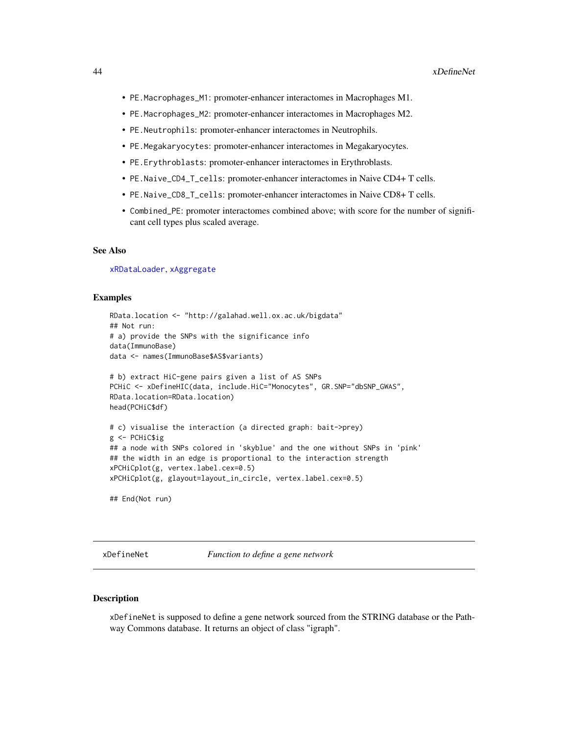- PE.Macrophages\_M1: promoter-enhancer interactomes in Macrophages M1.
- PE.Macrophages\_M2: promoter-enhancer interactomes in Macrophages M2.
- PE.Neutrophils: promoter-enhancer interactomes in Neutrophils.
- PE.Megakaryocytes: promoter-enhancer interactomes in Megakaryocytes.
- PE.Erythroblasts: promoter-enhancer interactomes in Erythroblasts.
- PE.Naive\_CD4\_T\_cells: promoter-enhancer interactomes in Naive CD4+ T cells.
- PE.Naive\_CD8\_T\_cells: promoter-enhancer interactomes in Naive CD8+ T cells.
- Combined\_PE: promoter interactomes combined above; with score for the number of significant cell types plus scaled average.

## See Also

[xRDataLoader](#page-182-0), [xAggregate](#page-16-0)

### Examples

```
RData.location <- "http://galahad.well.ox.ac.uk/bigdata"
## Not run:
# a) provide the SNPs with the significance info
data(ImmunoBase)
data <- names(ImmunoBase$AS$variants)
# b) extract HiC-gene pairs given a list of AS SNPs
PCHiC <- xDefineHIC(data, include.HiC="Monocytes", GR.SNP="dbSNP_GWAS",
RData.location=RData.location)
head(PCHiC$df)
# c) visualise the interaction (a directed graph: bait->prey)
g <- PCHiC$ig
## a node with SNPs colored in 'skyblue' and the one without SNPs in 'pink'
## the width in an edge is proportional to the interaction strength
xPCHiCplot(g, vertex.label.cex=0.5)
xPCHiCplot(g, glayout=layout_in_circle, vertex.label.cex=0.5)
```
## End(Not run)

xDefineNet *Function to define a gene network*

## **Description**

xDefineNet is supposed to define a gene network sourced from the STRING database or the Pathway Commons database. It returns an object of class "igraph".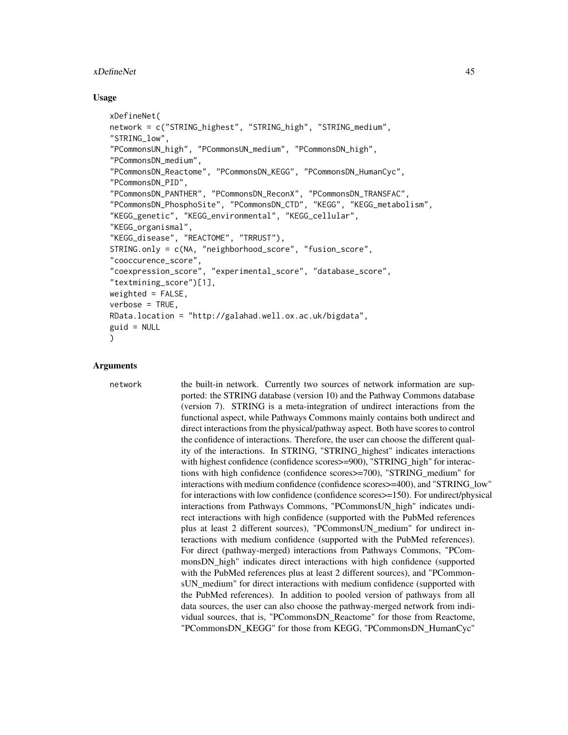#### xDefineNet 45

#### Usage

```
xDefineNet(
network = c("STRING_highest", "STRING_high", "STRING_medium",
"STRING_low",
"PCommonsUN_high", "PCommonsUN_medium", "PCommonsDN_high",
"PCommonsDN_medium",
"PCommonsDN_Reactome", "PCommonsDN_KEGG", "PCommonsDN_HumanCyc",
"PCommonsDN_PID",
"PCommonsDN_PANTHER", "PCommonsDN_ReconX", "PCommonsDN_TRANSFAC",
"PCommonsDN_PhosphoSite", "PCommonsDN_CTD", "KEGG", "KEGG_metabolism",
"KEGG_genetic", "KEGG_environmental", "KEGG_cellular",
"KEGG_organismal",
"KEGG_disease", "REACTOME", "TRRUST"),
STRING.only = c(NA, "neighborhood_score", "fusion_score",
"cooccurence_score",
"coexpression_score", "experimental_score", "database_score",
"textmining_score")[1],
weighted = FALSE,verbose = TRUE,
RData.location = "http://galahad.well.ox.ac.uk/bigdata",
guid = NULL
)
```
## Arguments

network the built-in network. Currently two sources of network information are supported: the STRING database (version 10) and the Pathway Commons database (version 7). STRING is a meta-integration of undirect interactions from the functional aspect, while Pathways Commons mainly contains both undirect and direct interactions from the physical/pathway aspect. Both have scores to control the confidence of interactions. Therefore, the user can choose the different quality of the interactions. In STRING, "STRING\_highest" indicates interactions with highest confidence (confidence scores  $>=$ 900), "STRING high" for interactions with high confidence (confidence scores>=700), "STRING\_medium" for interactions with medium confidence (confidence scores>=400), and "STRING\_low" for interactions with low confidence (confidence scores>=150). For undirect/physical interactions from Pathways Commons, "PCommonsUN\_high" indicates undirect interactions with high confidence (supported with the PubMed references plus at least 2 different sources), "PCommonsUN\_medium" for undirect interactions with medium confidence (supported with the PubMed references). For direct (pathway-merged) interactions from Pathways Commons, "PCommonsDN\_high" indicates direct interactions with high confidence (supported with the PubMed references plus at least 2 different sources), and "PCommonsUN\_medium" for direct interactions with medium confidence (supported with the PubMed references). In addition to pooled version of pathways from all data sources, the user can also choose the pathway-merged network from individual sources, that is, "PCommonsDN\_Reactome" for those from Reactome, "PCommonsDN\_KEGG" for those from KEGG, "PCommonsDN\_HumanCyc"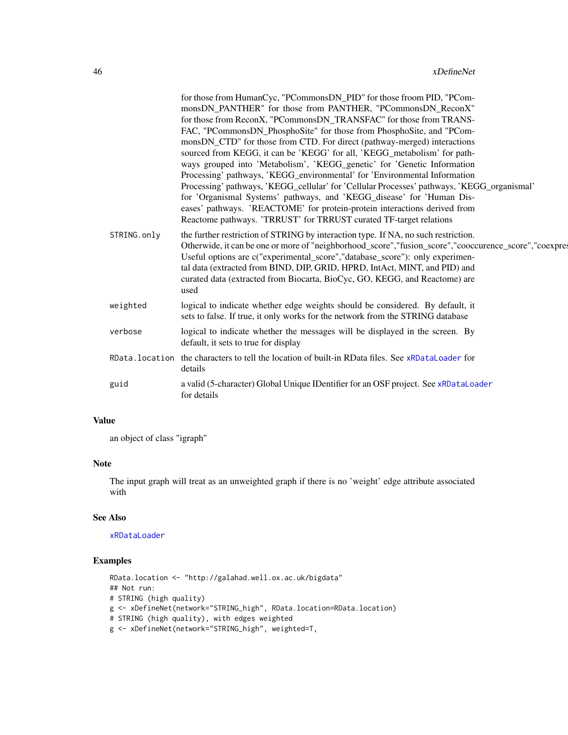|             | for those from HumanCyc, "PCommonsDN_PID" for those froom PID, "PCom-                                                                                      |
|-------------|------------------------------------------------------------------------------------------------------------------------------------------------------------|
|             | monsDN_PANTHER" for those from PANTHER, "PCommonsDN_ReconX"                                                                                                |
|             | for those from ReconX, "PCommonsDN_TRANSFAC" for those from TRANS-                                                                                         |
|             | FAC, "PCommonsDN_PhosphoSite" for those from PhosphoSite, and "PCom-                                                                                       |
|             | monsDN_CTD" for those from CTD. For direct (pathway-merged) interactions                                                                                   |
|             | sourced from KEGG, it can be 'KEGG' for all, 'KEGG_metabolism' for path-<br>ways grouped into 'Metabolism', 'KEGG_genetic' for 'Genetic Information        |
|             | Processing' pathways, 'KEGG_environmental' for 'Environmental Information                                                                                  |
|             | Processing' pathways, 'KEGG_cellular' for 'Cellular Processes' pathways, 'KEGG_organismal'                                                                 |
|             | for 'Organismal Systems' pathways, and 'KEGG_disease' for 'Human Dis-                                                                                      |
|             | eases' pathways. 'REACTOME' for protein-protein interactions derived from                                                                                  |
|             | Reactome pathways. 'TRRUST' for TRRUST curated TF-target relations                                                                                         |
| STRING.only | the further restriction of STRING by interaction type. If NA, no such restriction.                                                                         |
|             | Otherwide, it can be one or more of "neighborhood_score", "fusion_score", "cooccurence_score", "coexpres                                                   |
|             | Useful options are c("experimental_score","database_score"): only experimen-<br>tal data (extracted from BIND, DIP, GRID, HPRD, IntAct, MINT, and PID) and |
|             | curated data (extracted from Biocarta, BioCyc, GO, KEGG, and Reactome) are                                                                                 |
|             | used                                                                                                                                                       |
| weighted    | logical to indicate whether edge weights should be considered. By default, it                                                                              |
|             | sets to false. If true, it only works for the network from the STRING database                                                                             |
| verbose     | logical to indicate whether the messages will be displayed in the screen. By                                                                               |
|             | default, it sets to true for display                                                                                                                       |
|             | RData. location the characters to tell the location of built-in RData files. See xRDataLoader for                                                          |
|             | details                                                                                                                                                    |
| guid        | a valid (5-character) Global Unique IDentifier for an OSF project. See xRDataLoader                                                                        |
|             | for details                                                                                                                                                |
|             |                                                                                                                                                            |

# Value

an object of class "igraph"

#### Note

The input graph will treat as an unweighted graph if there is no 'weight' edge attribute associated with

# See Also

## [xRDataLoader](#page-182-0)

## Examples

```
RData.location <- "http://galahad.well.ox.ac.uk/bigdata"
## Not run:
# STRING (high quality)
g <- xDefineNet(network="STRING_high", RData.location=RData.location)
# STRING (high quality), with edges weighted
g <- xDefineNet(network="STRING_high", weighted=T,
```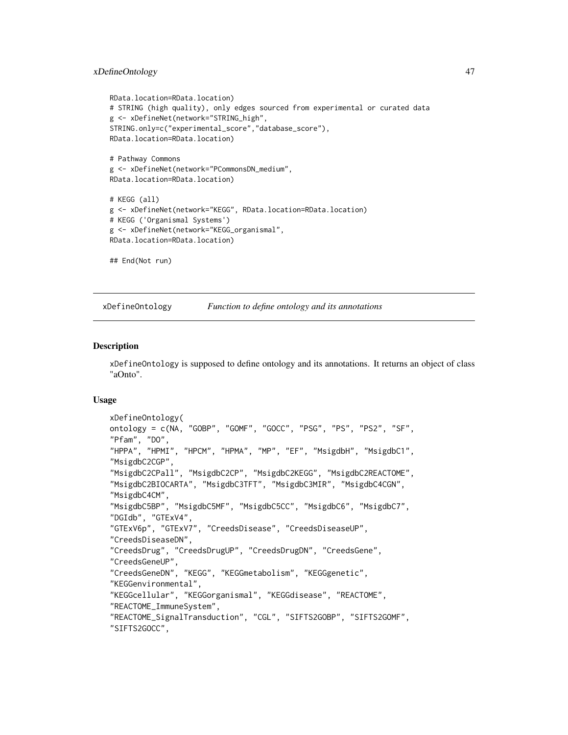## xDefineOntology 47

```
RData.location=RData.location)
# STRING (high quality), only edges sourced from experimental or curated data
g <- xDefineNet(network="STRING_high",
STRING.only=c("experimental_score","database_score"),
RData.location=RData.location)
# Pathway Commons
g <- xDefineNet(network="PCommonsDN_medium",
RData.location=RData.location)
# KEGG (all)
g <- xDefineNet(network="KEGG", RData.location=RData.location)
# KEGG ('Organismal Systems')
g <- xDefineNet(network="KEGG_organismal",
RData.location=RData.location)
## End(Not run)
```
<span id="page-46-0"></span>xDefineOntology *Function to define ontology and its annotations*

### **Description**

xDefineOntology is supposed to define ontology and its annotations. It returns an object of class "aOnto".

### Usage

```
xDefineOntology(
ontology = c(NA, "GOBP", "GOMF", "GOCC", "PSG", "PS", "PS2", "SF",
"Pfam", "DO",
"HPPA", "HPMI", "HPCM", "HPMA", "MP", "EF", "MsigdbH", "MsigdbC1",
"MsigdbC2CGP",
"MsigdbC2CPall", "MsigdbC2CP", "MsigdbC2KEGG", "MsigdbC2REACTOME",
"MsigdbC2BIOCARTA", "MsigdbC3TFT", "MsigdbC3MIR", "MsigdbC4CGN",
"MsigdbC4CM",
"MsigdbC5BP", "MsigdbC5MF", "MsigdbC5CC", "MsigdbC6", "MsigdbC7",
"DGIdb", "GTExV4",
"GTExV6p", "GTExV7", "CreedsDisease", "CreedsDiseaseUP",
"CreedsDiseaseDN",
"CreedsDrug", "CreedsDrugUP", "CreedsDrugDN", "CreedsGene",
"CreedsGeneUP",
"CreedsGeneDN", "KEGG", "KEGGmetabolism", "KEGGgenetic",
"KEGGenvironmental",
"KEGGcellular", "KEGGorganismal", "KEGGdisease", "REACTOME",
"REACTOME_ImmuneSystem",
"REACTOME_SignalTransduction", "CGL", "SIFTS2GOBP", "SIFTS2GOMF",
"SIFTS2GOCC",
```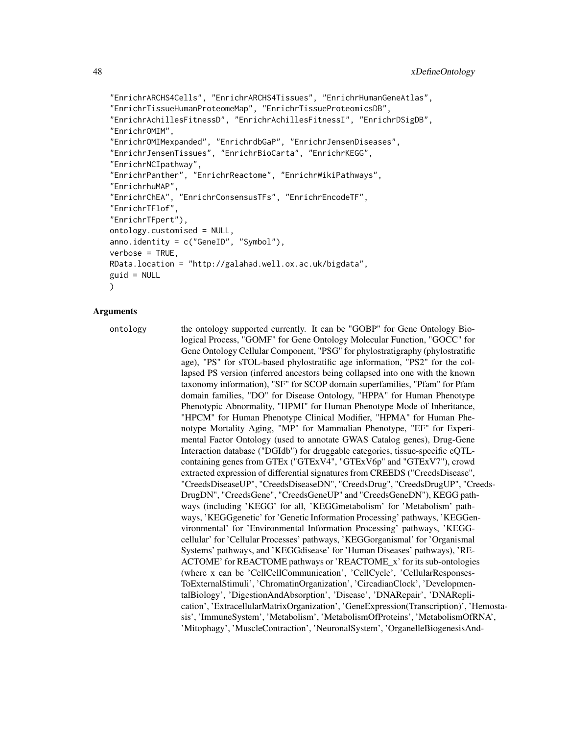```
"EnrichrARCHS4Cells", "EnrichrARCHS4Tissues", "EnrichrHumanGeneAtlas",
"EnrichrTissueHumanProteomeMap", "EnrichrTissueProteomicsDB",
"EnrichrAchillesFitnessD", "EnrichrAchillesFitnessI", "EnrichrDSigDB",
"EnrichrOMIM",
"EnrichrOMIMexpanded", "EnrichrdbGaP", "EnrichrJensenDiseases",
"EnrichrJensenTissues", "EnrichrBioCarta", "EnrichrKEGG",
"EnrichrNCIpathway",
"EnrichrPanther", "EnrichrReactome", "EnrichrWikiPathways",
"EnrichrhuMAP",
"EnrichrChEA", "EnrichrConsensusTFs", "EnrichrEncodeTF",
"EnrichrTFlof",
"EnrichrTFpert"),
ontology.customised = NULL,
anno.identity = c("GeneID", "Symbol"),
verbose = TRUE,
RData.location = "http://galahad.well.ox.ac.uk/bigdata",
guid = NULL)
```
## Arguments

ontology the ontology supported currently. It can be "GOBP" for Gene Ontology Biological Process, "GOMF" for Gene Ontology Molecular Function, "GOCC" for Gene Ontology Cellular Component, "PSG" for phylostratigraphy (phylostratific age), "PS" for sTOL-based phylostratific age information, "PS2" for the collapsed PS version (inferred ancestors being collapsed into one with the known taxonomy information), "SF" for SCOP domain superfamilies, "Pfam" for Pfam domain families, "DO" for Disease Ontology, "HPPA" for Human Phenotype Phenotypic Abnormality, "HPMI" for Human Phenotype Mode of Inheritance, "HPCM" for Human Phenotype Clinical Modifier, "HPMA" for Human Phenotype Mortality Aging, "MP" for Mammalian Phenotype, "EF" for Experimental Factor Ontology (used to annotate GWAS Catalog genes), Drug-Gene Interaction database ("DGIdb") for druggable categories, tissue-specific eQTLcontaining genes from GTEx ("GTExV4", "GTExV6p" and "GTExV7"), crowd extracted expression of differential signatures from CREEDS ("CreedsDisease", "CreedsDiseaseUP", "CreedsDiseaseDN", "CreedsDrug", "CreedsDrugUP", "Creeds-DrugDN", "CreedsGene", "CreedsGeneUP" and "CreedsGeneDN"), KEGG pathways (including 'KEGG' for all, 'KEGGmetabolism' for 'Metabolism' pathways, 'KEGGgenetic' for 'Genetic Information Processing' pathways, 'KEGGenvironmental' for 'Environmental Information Processing' pathways, 'KEGGcellular' for 'Cellular Processes' pathways, 'KEGGorganismal' for 'Organismal Systems' pathways, and 'KEGGdisease' for 'Human Diseases' pathways), 'RE-ACTOME' for REACTOME pathways or 'REACTOME\_x' for its sub-ontologies (where x can be 'CellCellCommunication', 'CellCycle', 'CellularResponses-ToExternalStimuli', 'ChromatinOrganization', 'CircadianClock', 'DevelopmentalBiology', 'DigestionAndAbsorption', 'Disease', 'DNARepair', 'DNAReplication', 'ExtracellularMatrixOrganization', 'GeneExpression(Transcription)', 'Hemostasis', 'ImmuneSystem', 'Metabolism', 'MetabolismOfProteins', 'MetabolismOfRNA', 'Mitophagy', 'MuscleContraction', 'NeuronalSystem', 'OrganelleBiogenesisAnd-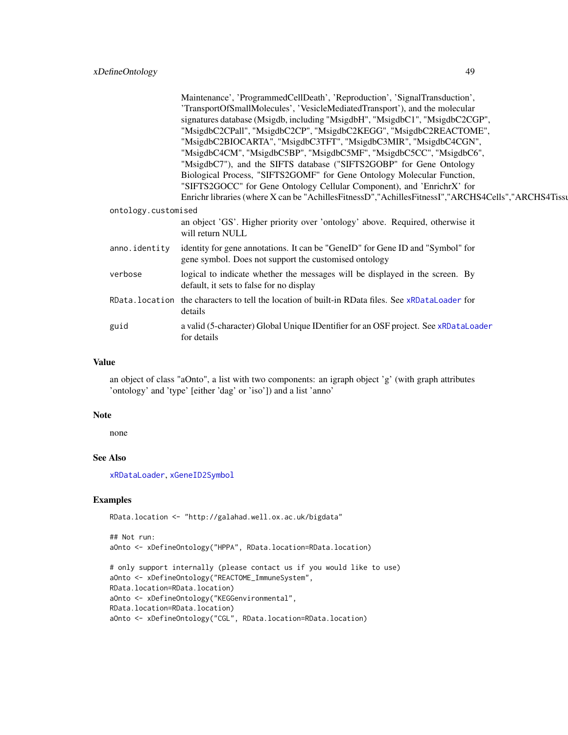|                     | Maintenance', 'ProgrammedCellDeath', 'Reproduction', 'SignalTransduction',                            |  |  |  |  |
|---------------------|-------------------------------------------------------------------------------------------------------|--|--|--|--|
|                     | 'TransportOfSmallMolecules', 'VesicleMediatedTransport'), and the molecular                           |  |  |  |  |
|                     | signatures database (Msigdb, including "MsigdbH", "MsigdbC1", "MsigdbC2CGP",                          |  |  |  |  |
|                     | "MsigdbC2CPall", "MsigdbC2CP", "MsigdbC2KEGG", "MsigdbC2REACTOME",                                    |  |  |  |  |
|                     | "MsigdbC2BIOCARTA", "MsigdbC3TFT", "MsigdbC3MIR", "MsigdbC4CGN",                                      |  |  |  |  |
|                     | "MsigdbC4CM", "MsigdbC5BP", "MsigdbC5MF", "MsigdbC5CC", "MsigdbC6",                                   |  |  |  |  |
|                     | "MsigdbC7"), and the SIFTS database ("SIFTS2GOBP" for Gene Ontology                                   |  |  |  |  |
|                     | Biological Process, "SIFTS2GOMF" for Gene Ontology Molecular Function,                                |  |  |  |  |
|                     | "SIFTS2GOCC" for Gene Ontology Cellular Component), and 'EnrichrX' for                                |  |  |  |  |
|                     | Enrichr libraries (where X can be "AchillesFitnessD", "AchillesFitnessI", "ARCHS4Cells", "ARCHS4Tissu |  |  |  |  |
| ontology.customised |                                                                                                       |  |  |  |  |
|                     | an object 'GS'. Higher priority over 'ontology' above. Required, otherwise it                         |  |  |  |  |
|                     | will return NULL                                                                                      |  |  |  |  |
|                     | anno. identity identity for gene annotations. It can be "GeneID" for Gene ID and "Symbol" for         |  |  |  |  |
|                     | gene symbol. Does not support the customised ontology                                                 |  |  |  |  |
|                     |                                                                                                       |  |  |  |  |
| verbose             | logical to indicate whether the messages will be displayed in the screen. By                          |  |  |  |  |
|                     | default, it sets to false for no display                                                              |  |  |  |  |
|                     | RData. location the characters to tell the location of built-in RData files. See xRDataLoader for     |  |  |  |  |
|                     | details                                                                                               |  |  |  |  |
| guid                | a valid (5-character) Global Unique IDentifier for an OSF project. See xRDataLoader                   |  |  |  |  |
|                     | for details                                                                                           |  |  |  |  |
|                     |                                                                                                       |  |  |  |  |

### Value

an object of class "aOnto", a list with two components: an igraph object 'g' (with graph attributes 'ontology' and 'type' [either 'dag' or 'iso']) and a list 'anno'

### Note

none

# See Also

[xRDataLoader](#page-182-0), [xGeneID2Symbol](#page-62-0)

## Examples

RData.location <- "http://galahad.well.ox.ac.uk/bigdata"

```
## Not run:
aOnto <- xDefineOntology("HPPA", RData.location=RData.location)
# only support internally (please contact us if you would like to use)
aOnto <- xDefineOntology("REACTOME_ImmuneSystem",
RData.location=RData.location)
aOnto <- xDefineOntology("KEGGenvironmental",
RData.location=RData.location)
aOnto <- xDefineOntology("CGL", RData.location=RData.location)
```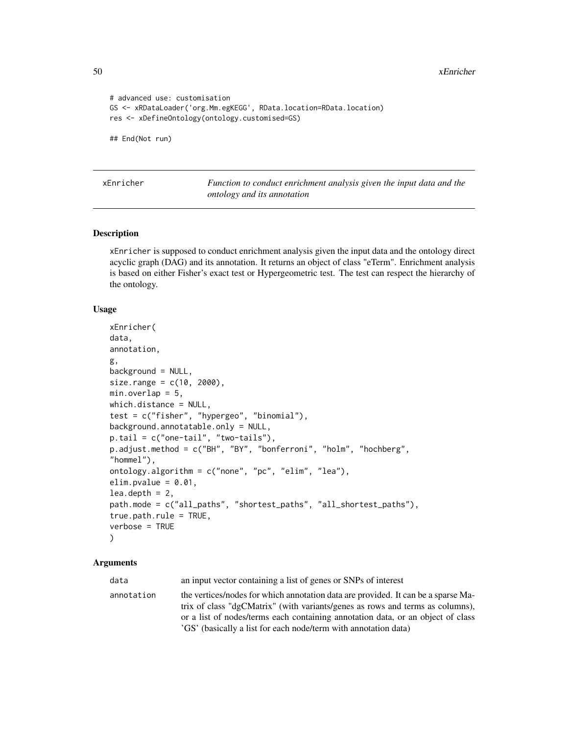50 xEnricher

```
# advanced use: customisation
GS <- xRDataLoader('org.Mm.egKEGG', RData.location=RData.location)
res <- xDefineOntology(ontology.customised=GS)
## End(Not run)
```
<span id="page-49-0"></span>xEnricher *Function to conduct enrichment analysis given the input data and the ontology and its annotation*

### Description

xEnricher is supposed to conduct enrichment analysis given the input data and the ontology direct acyclic graph (DAG) and its annotation. It returns an object of class "eTerm". Enrichment analysis is based on either Fisher's exact test or Hypergeometric test. The test can respect the hierarchy of the ontology.

#### Usage

```
xEnricher(
data,
annotation,
g,
background = NULL,
size.random = c(10, 2000),min. overlap = 5,which.distance = NULL,
test = c("fisher", "hypergeo", "binomial"),
background.annotatable.only = NULL,
p.tail = c("one-tail", "two-tails"),
p.adjust.method = c("BH", "BY", "bonferroni", "holm", "hochberg",
"hommel"),
ontology.algorithm = c("none", "pc", "elim", "lea"),
elim.pvalue = 0.01,
lea.depth = 2,path.mode = c("all_paths", "shortest_paths", "all_shortest_paths"),
true.path.rule = TRUE,
verbose = TRUE
)
```
#### Arguments

data an input vector containing a list of genes or SNPs of interest annotation the vertices/nodes for which annotation data are provided. It can be a sparse Matrix of class "dgCMatrix" (with variants/genes as rows and terms as columns), or a list of nodes/terms each containing annotation data, or an object of class 'GS' (basically a list for each node/term with annotation data)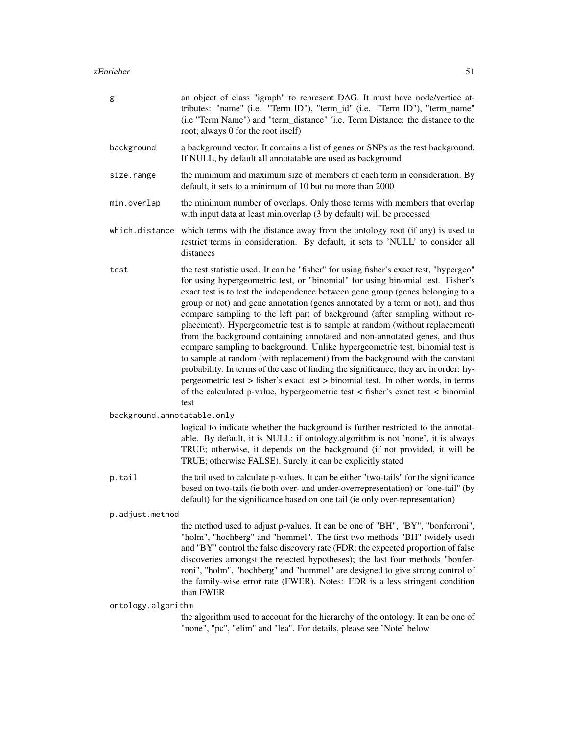| g                           | an object of class "igraph" to represent DAG. It must have node/vertice at-<br>tributes: "name" (i.e. "Term ID"), "term_id" (i.e. "Term ID"), "term_name"<br>(i.e "Term Name") and "term_distance" (i.e. Term Distance: the distance to the<br>root; always 0 for the root itself)                                                                                                                                                                                                                                                                                                                                                                                                                                                                                                                                                                                                                                                                                                                                                 |
|-----------------------------|------------------------------------------------------------------------------------------------------------------------------------------------------------------------------------------------------------------------------------------------------------------------------------------------------------------------------------------------------------------------------------------------------------------------------------------------------------------------------------------------------------------------------------------------------------------------------------------------------------------------------------------------------------------------------------------------------------------------------------------------------------------------------------------------------------------------------------------------------------------------------------------------------------------------------------------------------------------------------------------------------------------------------------|
| background                  | a background vector. It contains a list of genes or SNPs as the test background.<br>If NULL, by default all annotatable are used as background                                                                                                                                                                                                                                                                                                                                                                                                                                                                                                                                                                                                                                                                                                                                                                                                                                                                                     |
| size.range                  | the minimum and maximum size of members of each term in consideration. By<br>default, it sets to a minimum of 10 but no more than 2000                                                                                                                                                                                                                                                                                                                                                                                                                                                                                                                                                                                                                                                                                                                                                                                                                                                                                             |
| min.overlap                 | the minimum number of overlaps. Only those terms with members that overlap<br>with input data at least min.overlap (3 by default) will be processed                                                                                                                                                                                                                                                                                                                                                                                                                                                                                                                                                                                                                                                                                                                                                                                                                                                                                |
| which.distance              | which terms with the distance away from the ontology root (if any) is used to<br>restrict terms in consideration. By default, it sets to 'NULL' to consider all<br>distances                                                                                                                                                                                                                                                                                                                                                                                                                                                                                                                                                                                                                                                                                                                                                                                                                                                       |
| test                        | the test statistic used. It can be "fisher" for using fisher's exact test, "hypergeo"<br>for using hypergeometric test, or "binomial" for using binomial test. Fisher's<br>exact test is to test the independence between gene group (genes belonging to a<br>group or not) and gene annotation (genes annotated by a term or not), and thus<br>compare sampling to the left part of background (after sampling without re-<br>placement). Hypergeometric test is to sample at random (without replacement)<br>from the background containing annotated and non-annotated genes, and thus<br>compare sampling to background. Unlike hypergeometric test, binomial test is<br>to sample at random (with replacement) from the background with the constant<br>probability. In terms of the ease of finding the significance, they are in order: hy-<br>pergeometric test > fisher's exact test > binomial test. In other words, in terms<br>of the calculated p-value, hypergeometric test < fisher's exact test < binomial<br>test |
| background.annotatable.only |                                                                                                                                                                                                                                                                                                                                                                                                                                                                                                                                                                                                                                                                                                                                                                                                                                                                                                                                                                                                                                    |
|                             | logical to indicate whether the background is further restricted to the annotat-<br>able. By default, it is NULL: if ontology.algorithm is not 'none', it is always<br>TRUE; otherwise, it depends on the background (if not provided, it will be<br>TRUE; otherwise FALSE). Surely, it can be explicitly stated                                                                                                                                                                                                                                                                                                                                                                                                                                                                                                                                                                                                                                                                                                                   |
| p.tail                      | the tail used to calculate p-values. It can be either "two-tails" for the significance<br>based on two-tails (ie both over- and under-overrepresentation) or "one-tail" (by<br>default) for the significance based on one tail (ie only over-representation)                                                                                                                                                                                                                                                                                                                                                                                                                                                                                                                                                                                                                                                                                                                                                                       |
| p.adjust.method             |                                                                                                                                                                                                                                                                                                                                                                                                                                                                                                                                                                                                                                                                                                                                                                                                                                                                                                                                                                                                                                    |
|                             | the method used to adjust p-values. It can be one of "BH", "BY", "bonferroni",<br>"holm", "hochberg" and "hommel". The first two methods "BH" (widely used)<br>and "BY" control the false discovery rate (FDR: the expected proportion of false<br>discoveries amongst the rejected hypotheses); the last four methods "bonfer-<br>roni", "holm", "hochberg" and "hommel" are designed to give strong control of<br>the family-wise error rate (FWER). Notes: FDR is a less stringent condition<br>than FWER                                                                                                                                                                                                                                                                                                                                                                                                                                                                                                                       |
| ontology.algorithm          |                                                                                                                                                                                                                                                                                                                                                                                                                                                                                                                                                                                                                                                                                                                                                                                                                                                                                                                                                                                                                                    |
|                             | the algorithm used to account for the hierarchy of the ontology. It can be one of<br>"none", "pc", "elim" and "lea". For details, please see 'Note' below                                                                                                                                                                                                                                                                                                                                                                                                                                                                                                                                                                                                                                                                                                                                                                                                                                                                          |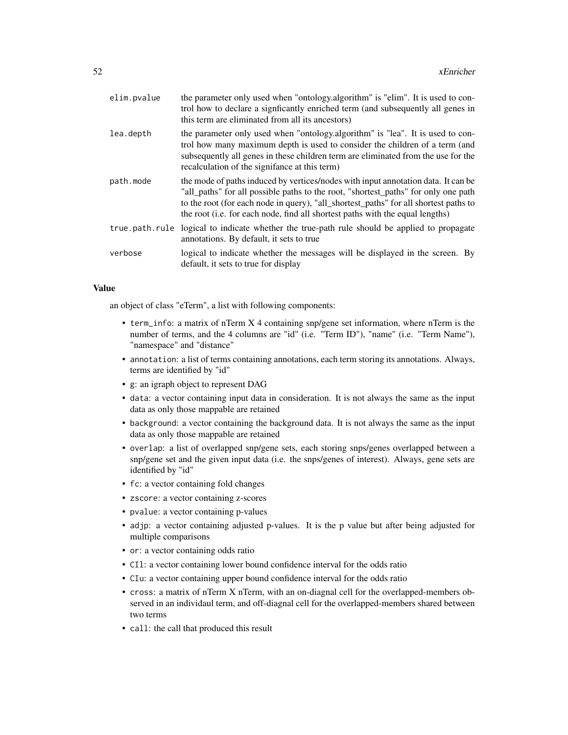| elim.pvalue | the parameter only used when "ontology.algorithm" is "elim". It is used to con-<br>trol how to declare a signficantly enriched term (and subsequently all genes in<br>this term are eliminated from all its ancestors)                                                                                                                           |
|-------------|--------------------------------------------------------------------------------------------------------------------------------------------------------------------------------------------------------------------------------------------------------------------------------------------------------------------------------------------------|
| lea.depth   | the parameter only used when "ontology.algorithm" is "lea". It is used to con-<br>trol how many maximum depth is used to consider the children of a term (and<br>subsequently all genes in these children term are eliminated from the use for the<br>recalculation of the signifance at this term)                                              |
| path.mode   | the mode of paths induced by vertices/nodes with input annotation data. It can be<br>"all_paths" for all possible paths to the root, "shortest_paths" for only one path<br>to the root (for each node in query), "all_shortest_paths" for all shortest paths to<br>the root (i.e. for each node, find all shortest paths with the equal lengths) |
|             | true path rule logical to indicate whether the true-path rule should be applied to propagate<br>annotations. By default, it sets to true                                                                                                                                                                                                         |
| verbose     | logical to indicate whether the messages will be displayed in the screen. By<br>default, it sets to true for display                                                                                                                                                                                                                             |

#### Value

an object of class "eTerm", a list with following components:

- term\_info: a matrix of nTerm X 4 containing snp/gene set information, where nTerm is the number of terms, and the 4 columns are "id" (i.e. "Term ID"), "name" (i.e. "Term Name"), "namespace" and "distance"
- annotation: a list of terms containing annotations, each term storing its annotations. Always, terms are identified by "id"
- g: an igraph object to represent DAG
- data: a vector containing input data in consideration. It is not always the same as the input data as only those mappable are retained
- background: a vector containing the background data. It is not always the same as the input data as only those mappable are retained
- overlap: a list of overlapped snp/gene sets, each storing snps/genes overlapped between a snp/gene set and the given input data (i.e. the snps/genes of interest). Always, gene sets are identified by "id"
- fc: a vector containing fold changes
- zscore: a vector containing z-scores
- pvalue: a vector containing p-values
- adjp: a vector containing adjusted p-values. It is the p value but after being adjusted for multiple comparisons
- or: a vector containing odds ratio
- CIl: a vector containing lower bound confidence interval for the odds ratio
- CIu: a vector containing upper bound confidence interval for the odds ratio
- cross: a matrix of nTerm X nTerm, with an on-diagnal cell for the overlapped-members observed in an individaul term, and off-diagnal cell for the overlapped-members shared between two terms
- call: the call that produced this result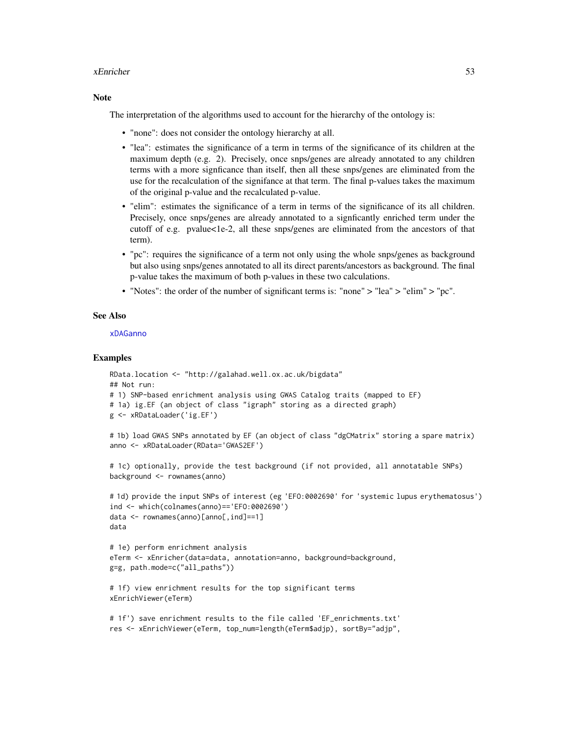#### xEnricher 53

### **Note**

The interpretation of the algorithms used to account for the hierarchy of the ontology is:

- "none": does not consider the ontology hierarchy at all.
- "lea": estimates the significance of a term in terms of the significance of its children at the maximum depth (e.g. 2). Precisely, once snps/genes are already annotated to any children terms with a more signficance than itself, then all these snps/genes are eliminated from the use for the recalculation of the signifance at that term. The final p-values takes the maximum of the original p-value and the recalculated p-value.
- "elim": estimates the significance of a term in terms of the significance of its all children. Precisely, once snps/genes are already annotated to a signficantly enriched term under the cutoff of e.g. pvalue<1e-2, all these snps/genes are eliminated from the ancestors of that term).
- "pc": requires the significance of a term not only using the whole snps/genes as background but also using snps/genes annotated to all its direct parents/ancestors as background. The final p-value takes the maximum of both p-values in these two calculations.
- "Notes": the order of the number of significant terms is: "none" > "lea" > "elim" > "pc".

### See Also

#### [xDAGanno](#page-30-0)

### Examples

```
RData.location <- "http://galahad.well.ox.ac.uk/bigdata"
## Not run:
# 1) SNP-based enrichment analysis using GWAS Catalog traits (mapped to EF)
# 1a) ig.EF (an object of class "igraph" storing as a directed graph)
g <- xRDataLoader('ig.EF')
# 1b) load GWAS SNPs annotated by EF (an object of class "dgCMatrix" storing a spare matrix)
anno <- xRDataLoader(RData='GWAS2EF')
# 1c) optionally, provide the test background (if not provided, all annotatable SNPs)
background <- rownames(anno)
# 1d) provide the input SNPs of interest (eg 'EFO:0002690' for 'systemic lupus erythematosus')
ind <- which(colnames(anno)=='EFO:0002690')
data <- rownames(anno)[anno[,ind]==1]
data
# 1e) perform enrichment analysis
eTerm <- xEnricher(data=data, annotation=anno, background=background,
g=g, path.mode=c("all_paths"))
# 1f) view enrichment results for the top significant terms
xEnrichViewer(eTerm)
# 1f') save enrichment results to the file called 'EF_enrichments.txt'
```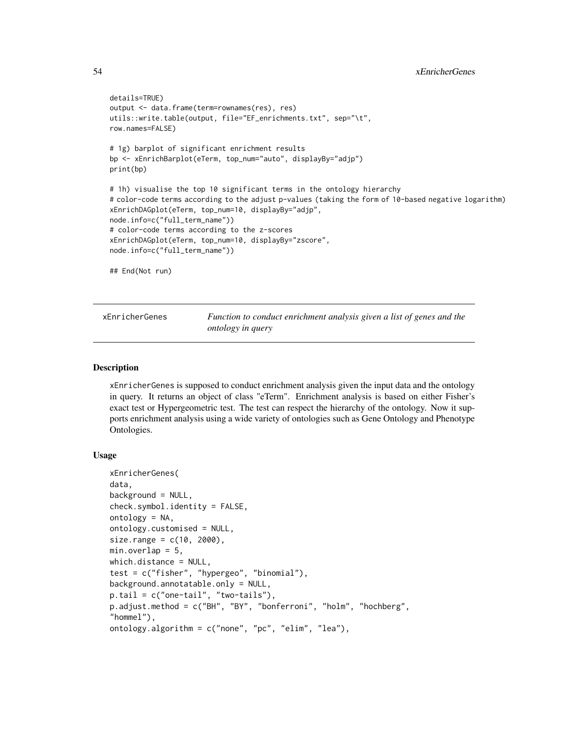```
details=TRUE)
output <- data.frame(term=rownames(res), res)
utils::write.table(output, file="EF_enrichments.txt", sep="\t",
row.names=FALSE)
# 1g) barplot of significant enrichment results
bp <- xEnrichBarplot(eTerm, top_num="auto", displayBy="adjp")
print(bp)
# 1h) visualise the top 10 significant terms in the ontology hierarchy
# color-code terms according to the adjust p-values (taking the form of 10-based negative logarithm)
xEnrichDAGplot(eTerm, top_num=10, displayBy="adjp",
node.info=c("full_term_name"))
# color-code terms according to the z-scores
xEnrichDAGplot(eTerm, top_num=10, displayBy="zscore",
node.info=c("full_term_name"))
## End(Not run)
```
<span id="page-53-0"></span>xEnricherGenes *Function to conduct enrichment analysis given a list of genes and the ontology in query*

## **Description**

xEnricherGenes is supposed to conduct enrichment analysis given the input data and the ontology in query. It returns an object of class "eTerm". Enrichment analysis is based on either Fisher's exact test or Hypergeometric test. The test can respect the hierarchy of the ontology. Now it supports enrichment analysis using a wide variety of ontologies such as Gene Ontology and Phenotype Ontologies.

#### Usage

```
xEnricherGenes(
data,
background = NULL,
check.symbol.identity = FALSE,
ontology = NA,
ontology.customised = NULL,
size.random = c(10, 2000),min. overlap = 5,which.distance = NULL,
test = c("fisher", "hypergeo", "binomial"),
background.annotatable.only = NULL,
p.tail = c("one-tail", "two-tails"),
p.adjust.method = c("BH", "BY", "bonferroni", "holm", "hochberg",
"hommel"),
ontology.algorithm = c("none", "pc", "elim", "lea"),
```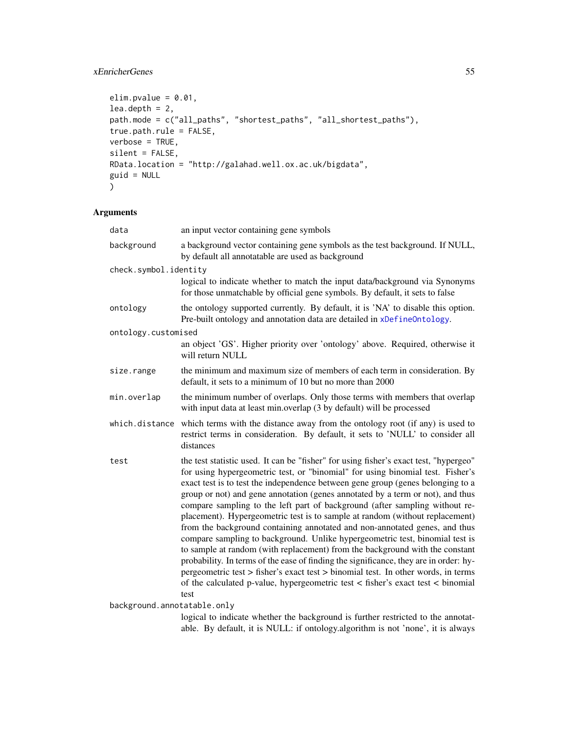## xEnricherGenes 55

```
elim.pvalue = 0.01,
lea.depth = 2,path.mode = c("all_paths", "shortest_paths", "all_shortest_paths"),
true.path.rule = FALSE,
verbose = TRUE,
silent = FALSE,
RData.location = "http://galahad.well.ox.ac.uk/bigdata",
guid = NULL
)
```
# Arguments

| data                        | an input vector containing gene symbols                                                                                                                                                                                                                                                                                                                                                                                                                                                                                                                                                                                                                                                                                                                                                                                                                                                                                                                                                                                            |  |  |  |
|-----------------------------|------------------------------------------------------------------------------------------------------------------------------------------------------------------------------------------------------------------------------------------------------------------------------------------------------------------------------------------------------------------------------------------------------------------------------------------------------------------------------------------------------------------------------------------------------------------------------------------------------------------------------------------------------------------------------------------------------------------------------------------------------------------------------------------------------------------------------------------------------------------------------------------------------------------------------------------------------------------------------------------------------------------------------------|--|--|--|
| background                  | a background vector containing gene symbols as the test background. If NULL,<br>by default all annotatable are used as background                                                                                                                                                                                                                                                                                                                                                                                                                                                                                                                                                                                                                                                                                                                                                                                                                                                                                                  |  |  |  |
| check.symbol.identity       |                                                                                                                                                                                                                                                                                                                                                                                                                                                                                                                                                                                                                                                                                                                                                                                                                                                                                                                                                                                                                                    |  |  |  |
|                             | logical to indicate whether to match the input data/background via Synonyms<br>for those unmatchable by official gene symbols. By default, it sets to false                                                                                                                                                                                                                                                                                                                                                                                                                                                                                                                                                                                                                                                                                                                                                                                                                                                                        |  |  |  |
| ontology                    | the ontology supported currently. By default, it is 'NA' to disable this option.<br>Pre-built ontology and annotation data are detailed in xDefineOntology.                                                                                                                                                                                                                                                                                                                                                                                                                                                                                                                                                                                                                                                                                                                                                                                                                                                                        |  |  |  |
| ontology.customised         |                                                                                                                                                                                                                                                                                                                                                                                                                                                                                                                                                                                                                                                                                                                                                                                                                                                                                                                                                                                                                                    |  |  |  |
|                             | an object 'GS'. Higher priority over 'ontology' above. Required, otherwise it<br>will return NULL                                                                                                                                                                                                                                                                                                                                                                                                                                                                                                                                                                                                                                                                                                                                                                                                                                                                                                                                  |  |  |  |
| size.range                  | the minimum and maximum size of members of each term in consideration. By<br>default, it sets to a minimum of 10 but no more than 2000                                                                                                                                                                                                                                                                                                                                                                                                                                                                                                                                                                                                                                                                                                                                                                                                                                                                                             |  |  |  |
| min.overlap                 | the minimum number of overlaps. Only those terms with members that overlap<br>with input data at least min.overlap (3 by default) will be processed                                                                                                                                                                                                                                                                                                                                                                                                                                                                                                                                                                                                                                                                                                                                                                                                                                                                                |  |  |  |
| which.distance              | which terms with the distance away from the ontology root (if any) is used to<br>restrict terms in consideration. By default, it sets to 'NULL' to consider all<br>distances                                                                                                                                                                                                                                                                                                                                                                                                                                                                                                                                                                                                                                                                                                                                                                                                                                                       |  |  |  |
| test                        | the test statistic used. It can be "fisher" for using fisher's exact test, "hypergeo"<br>for using hypergeometric test, or "binomial" for using binomial test. Fisher's<br>exact test is to test the independence between gene group (genes belonging to a<br>group or not) and gene annotation (genes annotated by a term or not), and thus<br>compare sampling to the left part of background (after sampling without re-<br>placement). Hypergeometric test is to sample at random (without replacement)<br>from the background containing annotated and non-annotated genes, and thus<br>compare sampling to background. Unlike hypergeometric test, binomial test is<br>to sample at random (with replacement) from the background with the constant<br>probability. In terms of the ease of finding the significance, they are in order: hy-<br>pergeometric test > fisher's exact test > binomial test. In other words, in terms<br>of the calculated p-value, hypergeometric test < fisher's exact test < binomial<br>test |  |  |  |
| background.annotatable.only |                                                                                                                                                                                                                                                                                                                                                                                                                                                                                                                                                                                                                                                                                                                                                                                                                                                                                                                                                                                                                                    |  |  |  |

logical to indicate whether the background is further restricted to the annotatable. By default, it is NULL: if ontology.algorithm is not 'none', it is always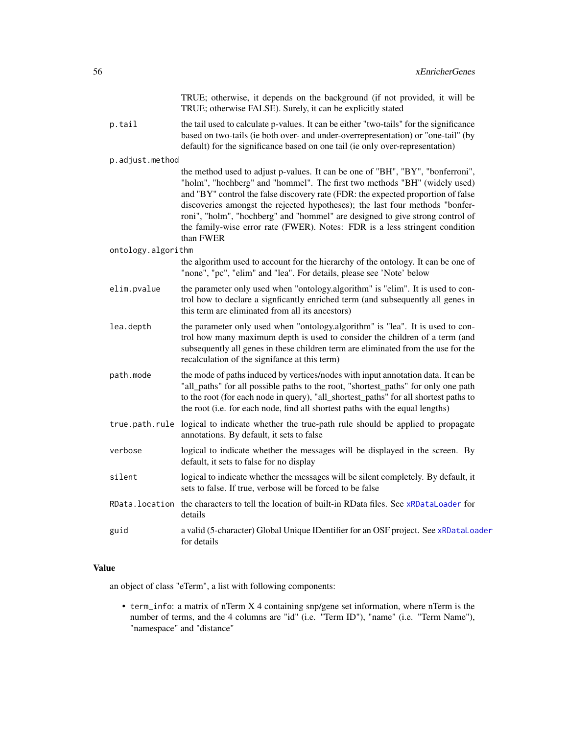|                    | TRUE; otherwise, it depends on the background (if not provided, it will be<br>TRUE; otherwise FALSE). Surely, it can be explicitly stated                                                                                                                                                                                                                                                                                                                                                                    |
|--------------------|--------------------------------------------------------------------------------------------------------------------------------------------------------------------------------------------------------------------------------------------------------------------------------------------------------------------------------------------------------------------------------------------------------------------------------------------------------------------------------------------------------------|
| p.tail             | the tail used to calculate p-values. It can be either "two-tails" for the significance<br>based on two-tails (ie both over- and under-overrepresentation) or "one-tail" (by<br>default) for the significance based on one tail (ie only over-representation)                                                                                                                                                                                                                                                 |
| p.adjust.method    |                                                                                                                                                                                                                                                                                                                                                                                                                                                                                                              |
|                    | the method used to adjust p-values. It can be one of "BH", "BY", "bonferroni",<br>"holm", "hochberg" and "hommel". The first two methods "BH" (widely used)<br>and "BY" control the false discovery rate (FDR: the expected proportion of false<br>discoveries amongst the rejected hypotheses); the last four methods "bonfer-<br>roni", "holm", "hochberg" and "hommel" are designed to give strong control of<br>the family-wise error rate (FWER). Notes: FDR is a less stringent condition<br>than FWER |
| ontology.algorithm |                                                                                                                                                                                                                                                                                                                                                                                                                                                                                                              |
|                    | the algorithm used to account for the hierarchy of the ontology. It can be one of<br>"none", "pc", "elim" and "lea". For details, please see 'Note' below                                                                                                                                                                                                                                                                                                                                                    |
| elim.pvalue        | the parameter only used when "ontology.algorithm" is "elim". It is used to con-<br>trol how to declare a signficantly enriched term (and subsequently all genes in<br>this term are eliminated from all its ancestors)                                                                                                                                                                                                                                                                                       |
| lea.depth          | the parameter only used when "ontology.algorithm" is "lea". It is used to con-<br>trol how many maximum depth is used to consider the children of a term (and<br>subsequently all genes in these children term are eliminated from the use for the<br>recalculation of the signifance at this term)                                                                                                                                                                                                          |
| path.mode          | the mode of paths induced by vertices/nodes with input annotation data. It can be<br>"all_paths" for all possible paths to the root, "shortest_paths" for only one path<br>to the root (for each node in query), "all_shortest_paths" for all shortest paths to<br>the root (i.e. for each node, find all shortest paths with the equal lengths)                                                                                                                                                             |
|                    | true path rule logical to indicate whether the true-path rule should be applied to propagate<br>annotations. By default, it sets to false                                                                                                                                                                                                                                                                                                                                                                    |
| verbose            | logical to indicate whether the messages will be displayed in the screen. By<br>default, it sets to false for no display                                                                                                                                                                                                                                                                                                                                                                                     |
| silent             | logical to indicate whether the messages will be silent completely. By default, it<br>sets to false. If true, verbose will be forced to be false                                                                                                                                                                                                                                                                                                                                                             |
| RData.location     | the characters to tell the location of built-in RData files. See xRDataLoader for<br>details                                                                                                                                                                                                                                                                                                                                                                                                                 |
| guid               | a valid (5-character) Global Unique IDentifier for an OSF project. See xRDataLoader<br>for details                                                                                                                                                                                                                                                                                                                                                                                                           |

### Value

an object of class "eTerm", a list with following components:

• term\_info: a matrix of nTerm X 4 containing snp/gene set information, where nTerm is the number of terms, and the 4 columns are "id" (i.e. "Term ID"), "name" (i.e. "Term Name"), "namespace" and "distance"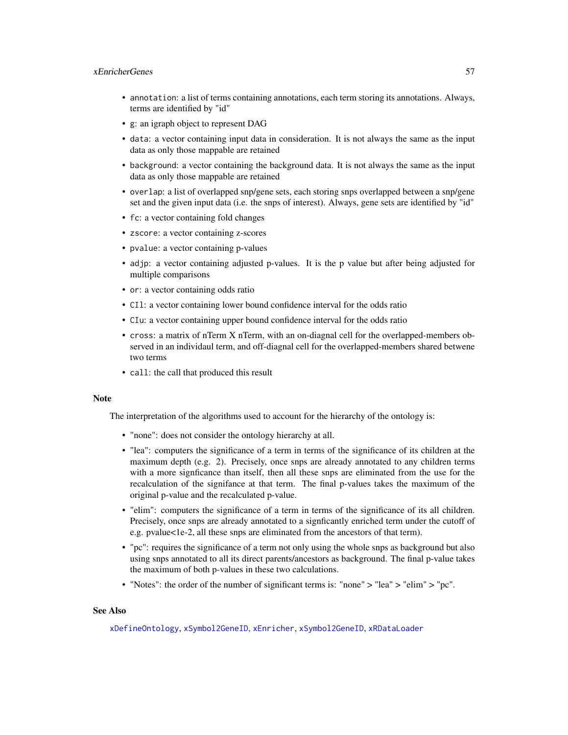## xEnricherGenes 57

- annotation: a list of terms containing annotations, each term storing its annotations. Always, terms are identified by "id"
- g: an igraph object to represent DAG
- data: a vector containing input data in consideration. It is not always the same as the input data as only those mappable are retained
- background: a vector containing the background data. It is not always the same as the input data as only those mappable are retained
- overlap: a list of overlapped snp/gene sets, each storing snps overlapped between a snp/gene set and the given input data (i.e. the snps of interest). Always, gene sets are identified by "id"
- fc: a vector containing fold changes
- zscore: a vector containing z-scores
- pvalue: a vector containing p-values
- adjp: a vector containing adjusted p-values. It is the p value but after being adjusted for multiple comparisons
- or: a vector containing odds ratio
- CIl: a vector containing lower bound confidence interval for the odds ratio
- CIu: a vector containing upper bound confidence interval for the odds ratio
- cross: a matrix of nTerm X nTerm, with an on-diagnal cell for the overlapped-members observed in an individaul term, and off-diagnal cell for the overlapped-members shared betwene two terms
- call: the call that produced this result

### **Note**

The interpretation of the algorithms used to account for the hierarchy of the ontology is:

- "none": does not consider the ontology hierarchy at all.
- "lea": computers the significance of a term in terms of the significance of its children at the maximum depth (e.g. 2). Precisely, once snps are already annotated to any children terms with a more signficance than itself, then all these snps are eliminated from the use for the recalculation of the signifance at that term. The final p-values takes the maximum of the original p-value and the recalculated p-value.
- "elim": computers the significance of a term in terms of the significance of its all children. Precisely, once snps are already annotated to a signficantly enriched term under the cutoff of e.g. pvalue<1e-2, all these snps are eliminated from the ancestors of that term).
- "pc": requires the significance of a term not only using the whole snps as background but also using snps annotated to all its direct parents/ancestors as background. The final p-value takes the maximum of both p-values in these two calculations.
- "Notes": the order of the number of significant terms is: "none" > "lea" > "elim" > "pc".

### See Also

[xDefineOntology](#page-46-0), [xSymbol2GeneID](#page-203-0), [xEnricher](#page-49-0), [xSymbol2GeneID](#page-203-0), [xRDataLoader](#page-182-0)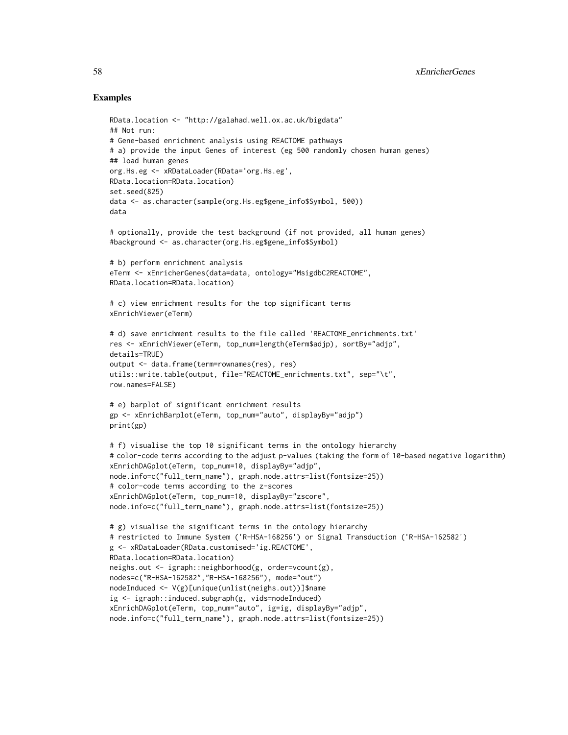## Examples

```
RData.location <- "http://galahad.well.ox.ac.uk/bigdata"
## Not run:
# Gene-based enrichment analysis using REACTOME pathways
# a) provide the input Genes of interest (eg 500 randomly chosen human genes)
## load human genes
org.Hs.eg <- xRDataLoader(RData='org.Hs.eg',
RData.location=RData.location)
set.seed(825)
data <- as.character(sample(org.Hs.eg$gene_info$Symbol, 500))
data
# optionally, provide the test background (if not provided, all human genes)
#background <- as.character(org.Hs.eg$gene_info$Symbol)
# b) perform enrichment analysis
eTerm <- xEnricherGenes(data=data, ontology="MsigdbC2REACTOME",
RData.location=RData.location)
# c) view enrichment results for the top significant terms
xEnrichViewer(eTerm)
# d) save enrichment results to the file called 'REACTOME_enrichments.txt'
res <- xEnrichViewer(eTerm, top_num=length(eTerm$adjp), sortBy="adjp",
details=TRUE)
output <- data.frame(term=rownames(res), res)
utils::write.table(output, file="REACTOME_enrichments.txt", sep="\t",
row.names=FALSE)
# e) barplot of significant enrichment results
gp <- xEnrichBarplot(eTerm, top_num="auto", displayBy="adjp")
print(gp)
# f) visualise the top 10 significant terms in the ontology hierarchy
# color-code terms according to the adjust p-values (taking the form of 10-based negative logarithm)
xEnrichDAGplot(eTerm, top_num=10, displayBy="adjp",
node.info=c("full_term_name"), graph.node.attrs=list(fontsize=25))
# color-code terms according to the z-scores
xEnrichDAGplot(eTerm, top_num=10, displayBy="zscore",
node.info=c("full_term_name"), graph.node.attrs=list(fontsize=25))
# g) visualise the significant terms in the ontology hierarchy
# restricted to Immune System ('R-HSA-168256') or Signal Transduction ('R-HSA-162582')
g <- xRDataLoader(RData.customised='ig.REACTOME',
RData.location=RData.location)
neighs.out <- igraph::neighborhood(g, order=vcount(g),
nodes=c("R-HSA-162582","R-HSA-168256"), mode="out")
nodeInduced <- V(g)[unique(unlist(neighs.out))]$name
ig <- igraph::induced.subgraph(g, vids=nodeInduced)
xEnrichDAGplot(eTerm, top_num="auto", ig=ig, displayBy="adjp",
node.info=c("full_term_name"), graph.node.attrs=list(fontsize=25))
```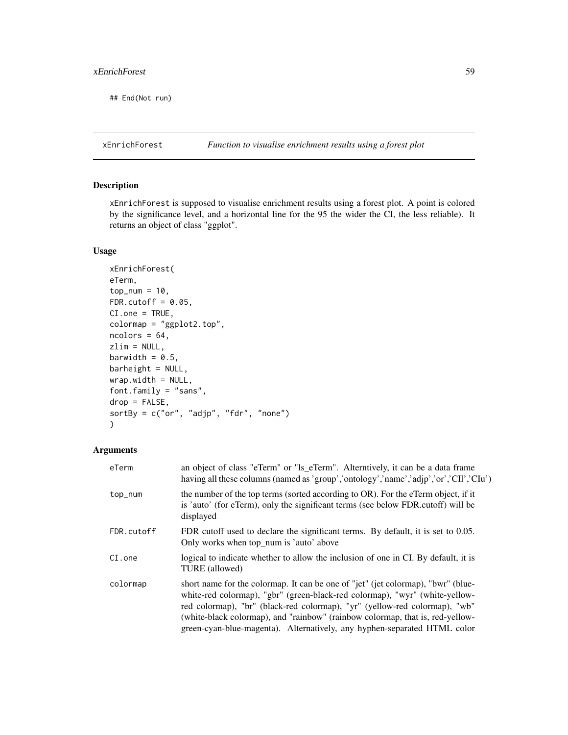## xEnrichForest 59

## End(Not run)

## Description

xEnrichForest is supposed to visualise enrichment results using a forest plot. A point is colored by the significance level, and a horizontal line for the 95 the wider the CI, the less reliable). It returns an object of class "ggplot".

## Usage

```
xEnrichForest(
eTerm,
top\_num = 10,
FDR.cutoff = 0.05,
CI.one = TRUE,
colormap = "ggplot2.top",
ncolors = 64,zlim = NULL,
barwidth = 0.5,
barheight = NULL,
wrap.width = NULL,
font.family = "sans",
drop = FALSE,
sortBy = c("or", "adjp", "fdr", "none")
)
```
## Arguments

| eTerm      | an object of class "eTerm" or "ls_eTerm". Alterntively, it can be a data frame<br>having all these columns (named as 'group','ontology','name','adjp','or','CII','CIu')                                                                                                                                                                                                                                    |
|------------|------------------------------------------------------------------------------------------------------------------------------------------------------------------------------------------------------------------------------------------------------------------------------------------------------------------------------------------------------------------------------------------------------------|
| top_num    | the number of the top terms (sorted according to OR). For the eTerm object, if it<br>is 'auto' (for eTerm), only the significant terms (see below FDR.cutoff) will be<br>displayed                                                                                                                                                                                                                         |
| FDR.cutoff | FDR cutoff used to declare the significant terms. By default, it is set to 0.05.<br>Only works when top_num is 'auto' above                                                                                                                                                                                                                                                                                |
| $CI.$ one  | logical to indicate whether to allow the inclusion of one in CI. By default, it is<br>TURE (allowed)                                                                                                                                                                                                                                                                                                       |
| colormap   | short name for the colormap. It can be one of "jet" (jet colormap), "bwr" (blue-<br>white-red colormap), "gbr" (green-black-red colormap), "wyr" (white-yellow-<br>red colormap), "br" (black-red colormap), "yr" (yellow-red colormap), "wb"<br>(white-black colormap), and "rainbow" (rainbow colormap, that is, red-yellow-<br>green-cyan-blue-magenta). Alternatively, any hyphen-separated HTML color |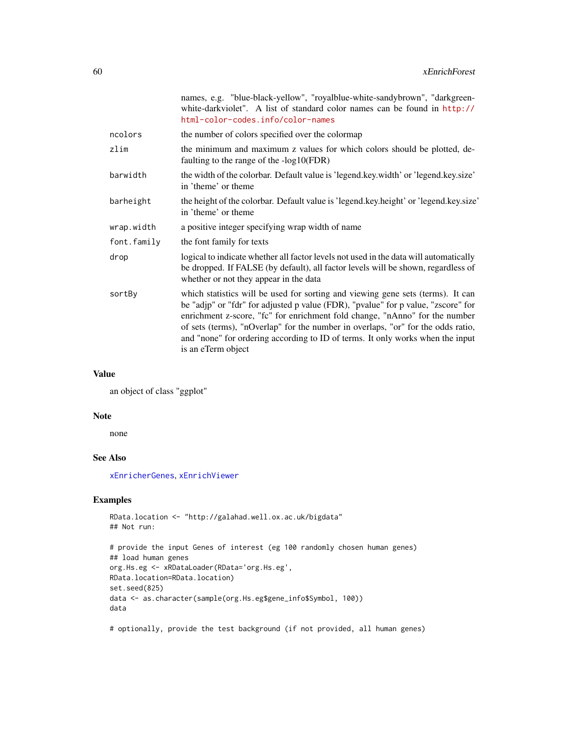|             | names, e.g. "blue-black-yellow", "royalblue-white-sandybrown", "darkgreen-<br>white-darkviolet". A list of standard color names can be found in http://<br>html-color-codes.info/color-names                                                                                                                                                                                                                                                    |
|-------------|-------------------------------------------------------------------------------------------------------------------------------------------------------------------------------------------------------------------------------------------------------------------------------------------------------------------------------------------------------------------------------------------------------------------------------------------------|
| ncolors     | the number of colors specified over the colormap                                                                                                                                                                                                                                                                                                                                                                                                |
| zlim        | the minimum and maximum z values for which colors should be plotted, de-<br>faulting to the range of the $-log10(FDR)$                                                                                                                                                                                                                                                                                                                          |
| barwidth    | the width of the colorbar. Default value is 'legend.key.width' or 'legend.key.size'<br>in 'theme' or theme                                                                                                                                                                                                                                                                                                                                      |
| barheight   | the height of the colorbar. Default value is 'legend.key.height' or 'legend.key.size'<br>in 'theme' or theme                                                                                                                                                                                                                                                                                                                                    |
| wrap.width  | a positive integer specifying wrap width of name                                                                                                                                                                                                                                                                                                                                                                                                |
| font.family | the font family for texts                                                                                                                                                                                                                                                                                                                                                                                                                       |
| drop        | logical to indicate whether all factor levels not used in the data will automatically<br>be dropped. If FALSE (by default), all factor levels will be shown, regardless of<br>whether or not they appear in the data                                                                                                                                                                                                                            |
| sortBy      | which statistics will be used for sorting and viewing gene sets (terms). It can<br>be "adjp" or "fdr" for adjusted p value (FDR), "pvalue" for p value, "zscore" for<br>enrichment z-score, "fc" for enrichment fold change, "nAnno" for the number<br>of sets (terms), "nOverlap" for the number in overlaps, "or" for the odds ratio,<br>and "none" for ordering according to ID of terms. It only works when the input<br>is an eTerm object |
|             |                                                                                                                                                                                                                                                                                                                                                                                                                                                 |

## Value

an object of class "ggplot"

#### Note

none

# See Also

[xEnricherGenes](#page-53-0), [xEnrichViewer](#page-60-0)

## Examples

```
RData.location <- "http://galahad.well.ox.ac.uk/bigdata"
## Not run:
# provide the input Genes of interest (eg 100 randomly chosen human genes)
## load human genes
org.Hs.eg <- xRDataLoader(RData='org.Hs.eg',
RData.location=RData.location)
set.seed(825)
data <- as.character(sample(org.Hs.eg$gene_info$Symbol, 100))
data
```
# optionally, provide the test background (if not provided, all human genes)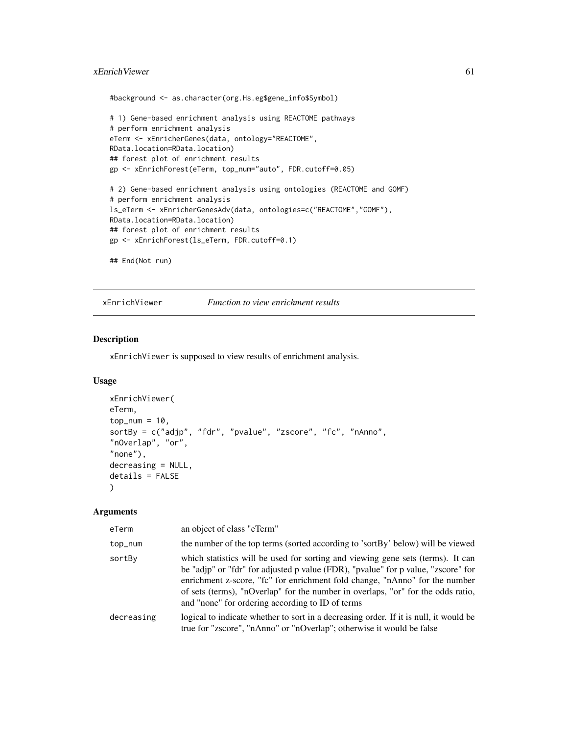## xEnrichViewer 61

#background <- as.character(org.Hs.eg\$gene\_info\$Symbol)

```
# 1) Gene-based enrichment analysis using REACTOME pathways
# perform enrichment analysis
eTerm <- xEnricherGenes(data, ontology="REACTOME",
RData.location=RData.location)
## forest plot of enrichment results
gp <- xEnrichForest(eTerm, top_num="auto", FDR.cutoff=0.05)
# 2) Gene-based enrichment analysis using ontologies (REACTOME and GOMF)
# perform enrichment analysis
ls_eTerm <- xEnricherGenesAdv(data, ontologies=c("REACTOME","GOMF"),
RData.location=RData.location)
## forest plot of enrichment results
gp <- xEnrichForest(ls_eTerm, FDR.cutoff=0.1)
## End(Not run)
```
<span id="page-60-0"></span>xEnrichViewer *Function to view enrichment results*

## Description

xEnrichViewer is supposed to view results of enrichment analysis.

## Usage

```
xEnrichViewer(
eTerm,
top_num = 10,
sortBy = c("adjp", "fdr", "pvalue", "zscore", "fc", "nAnno",
"nOverlap", "or",
"none"),
decreasing = NULL,
details = FALSE
)
```
#### Arguments

| eTerm      | an object of class "eTerm"                                                                                                                                                                                                                                                                                                                                                                  |
|------------|---------------------------------------------------------------------------------------------------------------------------------------------------------------------------------------------------------------------------------------------------------------------------------------------------------------------------------------------------------------------------------------------|
| top_num    | the number of the top terms (sorted according to 'sortBy' below) will be viewed                                                                                                                                                                                                                                                                                                             |
| sortBy     | which statistics will be used for sorting and viewing gene sets (terms). It can<br>be "adjp" or "fdr" for adjusted p value (FDR), "pvalue" for p value, "zscore" for<br>enrichment z-score, "fc" for enrichment fold change, "nAnno" for the number<br>of sets (terms), "nOverlap" for the number in overlaps, "or" for the odds ratio,<br>and "none" for ordering according to ID of terms |
| decreasing | logical to indicate whether to sort in a decreasing order. If it is null, it would be<br>true for "zscore", "nAnno" or "nOverlap"; otherwise it would be false                                                                                                                                                                                                                              |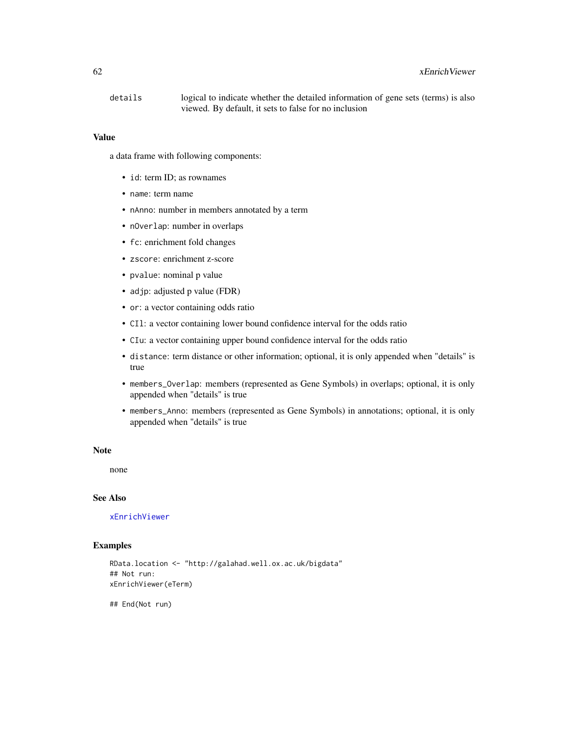### 62 xEnrichViewer

details logical to indicate whether the detailed information of gene sets (terms) is also viewed. By default, it sets to false for no inclusion

#### Value

a data frame with following components:

- id: term ID; as rownames
- name: term name
- nAnno: number in members annotated by a term
- nOverlap: number in overlaps
- fc: enrichment fold changes
- zscore: enrichment z-score
- pvalue: nominal p value
- adjp: adjusted p value (FDR)
- or: a vector containing odds ratio
- CIl: a vector containing lower bound confidence interval for the odds ratio
- CIu: a vector containing upper bound confidence interval for the odds ratio
- distance: term distance or other information; optional, it is only appended when "details" is true
- members\_Overlap: members (represented as Gene Symbols) in overlaps; optional, it is only appended when "details" is true
- members\_Anno: members (represented as Gene Symbols) in annotations; optional, it is only appended when "details" is true

#### Note

none

### See Also

[xEnrichViewer](#page-60-0)

### Examples

```
RData.location <- "http://galahad.well.ox.ac.uk/bigdata"
## Not run:
xEnrichViewer(eTerm)
```
## End(Not run)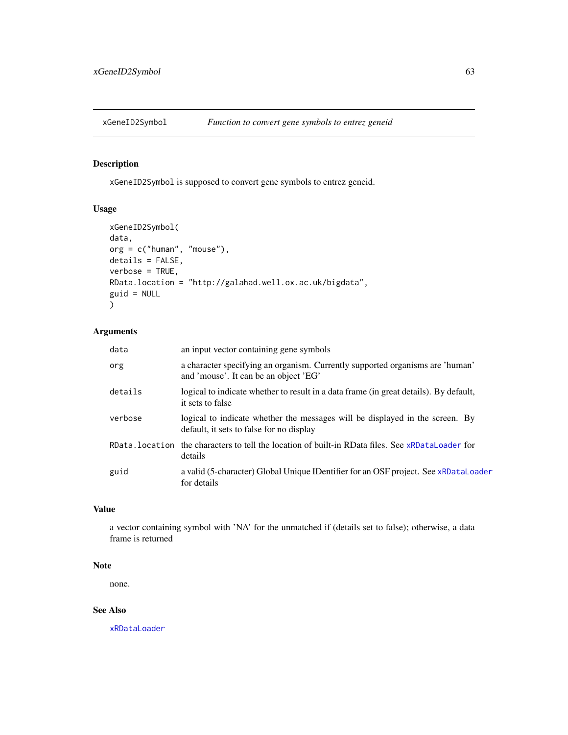<span id="page-62-0"></span>

## Description

xGeneID2Symbol is supposed to convert gene symbols to entrez geneid.

## Usage

```
xGeneID2Symbol(
data,
org = c("human", "mouse"),
details = FALSE,
verbose = TRUE,
RData.location = "http://galahad.well.ox.ac.uk/bigdata",
guid = NULL\mathcal{L}
```
## Arguments

| data    | an input vector containing gene symbols                                                                                  |
|---------|--------------------------------------------------------------------------------------------------------------------------|
| org     | a character specifying an organism. Currently supported organisms are 'human'<br>and 'mouse'. It can be an object 'EG'   |
| details | logical to indicate whether to result in a data frame (in great details). By default,<br>it sets to false                |
| verbose | logical to indicate whether the messages will be displayed in the screen. By<br>default, it sets to false for no display |
|         | RData, location the characters to tell the location of built-in RData files. See xRDataLoader for<br>details             |
| guid    | a valid (5-character) Global Unique IDentifier for an OSF project. See xRDataLoader<br>for details                       |

### Value

a vector containing symbol with 'NA' for the unmatched if (details set to false); otherwise, a data frame is returned

### Note

none.

## See Also

[xRDataLoader](#page-182-0)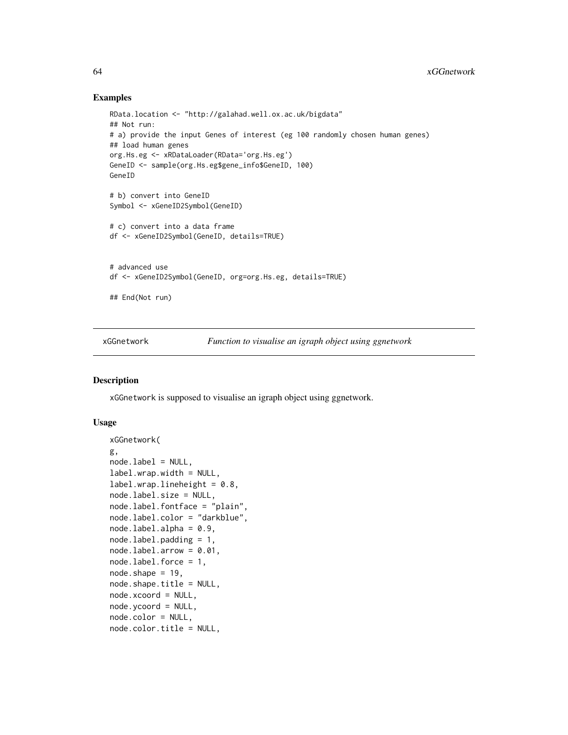### Examples

```
RData.location <- "http://galahad.well.ox.ac.uk/bigdata"
## Not run:
# a) provide the input Genes of interest (eg 100 randomly chosen human genes)
## load human genes
org.Hs.eg <- xRDataLoader(RData='org.Hs.eg')
GeneID <- sample(org.Hs.eg$gene_info$GeneID, 100)
GeneID
# b) convert into GeneID
Symbol <- xGeneID2Symbol(GeneID)
# c) convert into a data frame
df <- xGeneID2Symbol(GeneID, details=TRUE)
# advanced use
df <- xGeneID2Symbol(GeneID, org=org.Hs.eg, details=TRUE)
## End(Not run)
```
<span id="page-63-0"></span>xGGnetwork *Function to visualise an igraph object using ggnetwork*

### Description

xGGnetwork is supposed to visualise an igraph object using ggnetwork.

### Usage

```
xGGnetwork(
g,
nodeu = NULL,label.wrap.width = NULL,
label.wrap.lineheight = 0.8,
node.label.size = NULL,
node.label.fontface = "plain",
node.label.color = "darkblue",
nodeu = 0.9,
node.label.padding = 1,
nodeu = 1abel.arrow = 0.01,
node.label.force = 1,
node.shape = 19,
node.shape.title = NULL,
node.xcoord = NULL,
node.ycoord = NULL,
node.color = NULL,
node.color.title = NULL,
```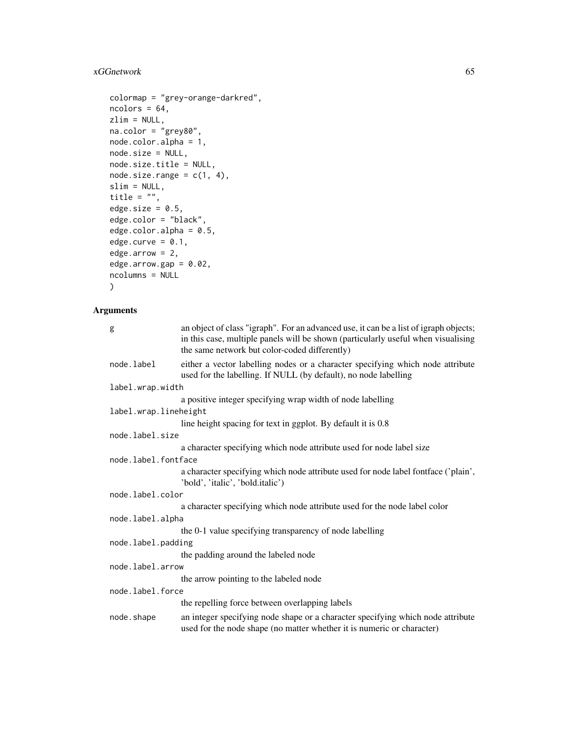# xGGnetwork 65

```
colormap = "grey-orange-darkred",
ncolors = 64,zlim = NULL,
na.color = "grey80",
node.color.alpha = 1,
node.size = NULL,
node.size.title = NULL,
node.size.name = c(1, 4),slim = NULL,
title = ",
edge.size = 0.5,
edge.color = "black",
edge.color.alpha = 0.5,
edge.curve = 0.1,
edge.arrow = 2,
edge.arrow.gap = 0.02,
ncolumns = NULL
\mathcal{L}
```
## Arguments

| g                     | an object of class "igraph". For an advanced use, it can be a list of igraph objects;<br>in this case, multiple panels will be shown (particularly useful when visualising<br>the same network but color-coded differently) |  |
|-----------------------|-----------------------------------------------------------------------------------------------------------------------------------------------------------------------------------------------------------------------------|--|
| node.label            | either a vector labelling nodes or a character specifying which node attribute<br>used for the labelling. If NULL (by default), no node labelling                                                                           |  |
| label.wrap.width      |                                                                                                                                                                                                                             |  |
|                       | a positive integer specifying wrap width of node labelling                                                                                                                                                                  |  |
| label.wrap.lineheight |                                                                                                                                                                                                                             |  |
|                       | line height spacing for text in ggplot. By default it is 0.8                                                                                                                                                                |  |
| node.label.size       |                                                                                                                                                                                                                             |  |
|                       | a character specifying which node attribute used for node label size                                                                                                                                                        |  |
| node.label.fontface   |                                                                                                                                                                                                                             |  |
|                       | a character specifying which node attribute used for node label fontface ('plain',<br>'bold', 'italic', 'bold.italic')                                                                                                      |  |
| node.label.color      |                                                                                                                                                                                                                             |  |
|                       | a character specifying which node attribute used for the node label color                                                                                                                                                   |  |
| node.label.alpha      |                                                                                                                                                                                                                             |  |
|                       | the 0-1 value specifying transparency of node labelling                                                                                                                                                                     |  |
| node.label.padding    |                                                                                                                                                                                                                             |  |
|                       | the padding around the labeled node                                                                                                                                                                                         |  |
| node.label.arrow      |                                                                                                                                                                                                                             |  |
|                       | the arrow pointing to the labeled node                                                                                                                                                                                      |  |
| node.label.force      |                                                                                                                                                                                                                             |  |
|                       | the repelling force between overlapping labels                                                                                                                                                                              |  |
| node.shape            | an integer specifying node shape or a character specifying which node attribute<br>used for the node shape (no matter whether it is numeric or character)                                                                   |  |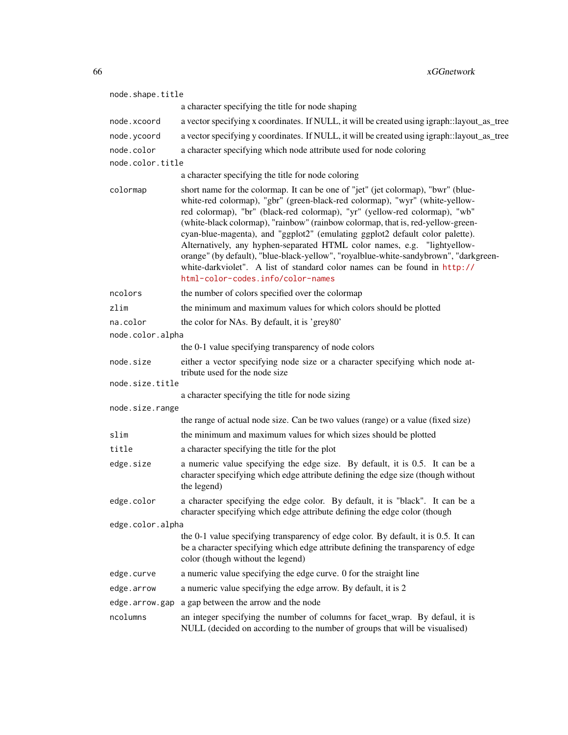| node.shape.title |                                                                                                                                                                                                                                                                                                                                                                                                                                                                                                                                                                                                                                                                                                        |
|------------------|--------------------------------------------------------------------------------------------------------------------------------------------------------------------------------------------------------------------------------------------------------------------------------------------------------------------------------------------------------------------------------------------------------------------------------------------------------------------------------------------------------------------------------------------------------------------------------------------------------------------------------------------------------------------------------------------------------|
|                  | a character specifying the title for node shaping                                                                                                                                                                                                                                                                                                                                                                                                                                                                                                                                                                                                                                                      |
| node.xcoord      | a vector specifying x coordinates. If NULL, it will be created using igraph::layout_as_tree                                                                                                                                                                                                                                                                                                                                                                                                                                                                                                                                                                                                            |
| node.ycoord      | a vector specifying y coordinates. If NULL, it will be created using igraph::layout_as_tree                                                                                                                                                                                                                                                                                                                                                                                                                                                                                                                                                                                                            |
| node.color       | a character specifying which node attribute used for node coloring                                                                                                                                                                                                                                                                                                                                                                                                                                                                                                                                                                                                                                     |
| node.color.title |                                                                                                                                                                                                                                                                                                                                                                                                                                                                                                                                                                                                                                                                                                        |
|                  | a character specifying the title for node coloring                                                                                                                                                                                                                                                                                                                                                                                                                                                                                                                                                                                                                                                     |
| colormap         | short name for the colormap. It can be one of "jet" (jet colormap), "bwr" (blue-<br>white-red colormap), "gbr" (green-black-red colormap), "wyr" (white-yellow-<br>red colormap), "br" (black-red colormap), "yr" (yellow-red colormap), "wb"<br>(white-black colormap), "rainbow" (rainbow colormap, that is, red-yellow-green-<br>cyan-blue-magenta), and "ggplot2" (emulating ggplot2 default color palette).<br>Alternatively, any hyphen-separated HTML color names, e.g. "lightyellow-<br>orange" (by default), "blue-black-yellow", "royalblue-white-sandybrown", "darkgreen-<br>white-darkviolet". A list of standard color names can be found in http://<br>html-color-codes.info/color-names |
| ncolors          | the number of colors specified over the colormap                                                                                                                                                                                                                                                                                                                                                                                                                                                                                                                                                                                                                                                       |
| zlim             | the minimum and maximum values for which colors should be plotted                                                                                                                                                                                                                                                                                                                                                                                                                                                                                                                                                                                                                                      |
| na.color         | the color for NAs. By default, it is 'grey80'                                                                                                                                                                                                                                                                                                                                                                                                                                                                                                                                                                                                                                                          |
| node.color.alpha |                                                                                                                                                                                                                                                                                                                                                                                                                                                                                                                                                                                                                                                                                                        |
|                  | the 0-1 value specifying transparency of node colors                                                                                                                                                                                                                                                                                                                                                                                                                                                                                                                                                                                                                                                   |
| node.size        | either a vector specifying node size or a character specifying which node at-<br>tribute used for the node size                                                                                                                                                                                                                                                                                                                                                                                                                                                                                                                                                                                        |
| node.size.title  |                                                                                                                                                                                                                                                                                                                                                                                                                                                                                                                                                                                                                                                                                                        |
| node.size.range  | a character specifying the title for node sizing                                                                                                                                                                                                                                                                                                                                                                                                                                                                                                                                                                                                                                                       |
|                  | the range of actual node size. Can be two values (range) or a value (fixed size)                                                                                                                                                                                                                                                                                                                                                                                                                                                                                                                                                                                                                       |
| slim             | the minimum and maximum values for which sizes should be plotted                                                                                                                                                                                                                                                                                                                                                                                                                                                                                                                                                                                                                                       |
| title            | a character specifying the title for the plot                                                                                                                                                                                                                                                                                                                                                                                                                                                                                                                                                                                                                                                          |
| edge.size        | a numeric value specifying the edge size. By default, it is 0.5. It can be a<br>character specifying which edge attribute defining the edge size (though without<br>the legend)                                                                                                                                                                                                                                                                                                                                                                                                                                                                                                                        |
| edge.color       | a character specifying the edge color. By default, it is "black". It can be a<br>character specifying which edge attribute defining the edge color (though                                                                                                                                                                                                                                                                                                                                                                                                                                                                                                                                             |
| edge.color.alpha |                                                                                                                                                                                                                                                                                                                                                                                                                                                                                                                                                                                                                                                                                                        |
|                  | the 0-1 value specifying transparency of edge color. By default, it is 0.5. It can<br>be a character specifying which edge attribute defining the transparency of edge<br>color (though without the legend)                                                                                                                                                                                                                                                                                                                                                                                                                                                                                            |
| edge.curve       | a numeric value specifying the edge curve. 0 for the straight line                                                                                                                                                                                                                                                                                                                                                                                                                                                                                                                                                                                                                                     |
| edge.arrow       | a numeric value specifying the edge arrow. By default, it is 2                                                                                                                                                                                                                                                                                                                                                                                                                                                                                                                                                                                                                                         |
| edge.arrow.gap   | a gap between the arrow and the node                                                                                                                                                                                                                                                                                                                                                                                                                                                                                                                                                                                                                                                                   |
| ncolumns         | an integer specifying the number of columns for facet_wrap. By defaul, it is<br>NULL (decided on according to the number of groups that will be visualised)                                                                                                                                                                                                                                                                                                                                                                                                                                                                                                                                            |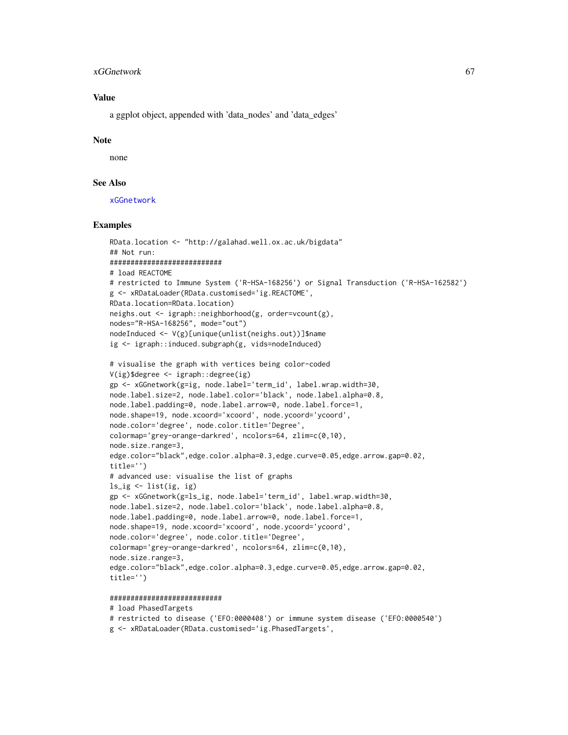#### xGGnetwork 67

## Value

a ggplot object, appended with 'data\_nodes' and 'data\_edges'

### Note

none

## See Also

[xGGnetwork](#page-63-0)

## Examples

```
RData.location <- "http://galahad.well.ox.ac.uk/bigdata"
## Not run:
###########################
# load REACTOME
# restricted to Immune System ('R-HSA-168256') or Signal Transduction ('R-HSA-162582')
g <- xRDataLoader(RData.customised='ig.REACTOME',
RData.location=RData.location)
neighs.out <- igraph::neighborhood(g, order=vcount(g),
nodes="R-HSA-168256", mode="out")
nodeInduced <- V(g)[unique(unlist(neighs.out))]$name
ig <- igraph::induced.subgraph(g, vids=nodeInduced)
# visualise the graph with vertices being color-coded
V(ig)$degree <- igraph::degree(ig)
gp <- xGGnetwork(g=ig, node.label='term_id', label.wrap.width=30,
node.label.size=2, node.label.color='black', node.label.alpha=0.8,
node.label.padding=0, node.label.arrow=0, node.label.force=1,
node.shape=19, node.xcoord='xcoord', node.ycoord='ycoord',
node.color='degree', node.color.title='Degree',
colormap='grey-orange-darkred', ncolors=64, zlim=c(0,10),
node.size.range=3,
edge.color="black",edge.color.alpha=0.3,edge.curve=0.05,edge.arrow.gap=0.02,
title='')
# advanced use: visualise the list of graphs
ls_{sig} < -list(ig, ig)gp <- xGGnetwork(g=ls_ig, node.label='term_id', label.wrap.width=30,
node.label.size=2, node.label.color='black', node.label.alpha=0.8,
node.label.padding=0, node.label.arrow=0, node.label.force=1,
node.shape=19, node.xcoord='xcoord', node.ycoord='ycoord',
node.color='degree', node.color.title='Degree',
colormap='grey-orange-darkred', ncolors=64, zlim=c(0,10),
node.size.range=3,
edge.color="black",edge.color.alpha=0.3,edge.curve=0.05,edge.arrow.gap=0.02,
title='')
```
#### ###########################

#### # load PhasedTargets

```
# restricted to disease ('EFO:0000408') or immune system disease ('EFO:0000540')
g <- xRDataLoader(RData.customised='ig.PhasedTargets',
```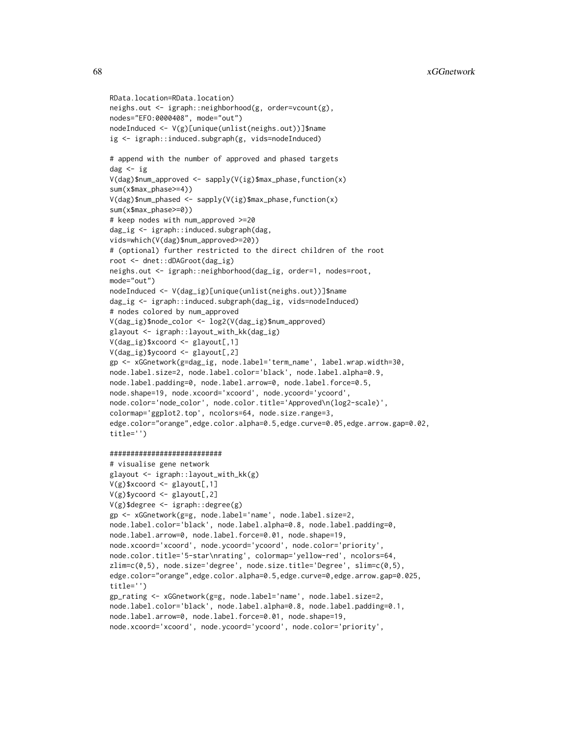```
RData.location=RData.location)
neighs.out <- igraph::neighborhood(g, order=vcount(g),
nodes="EFO:0000408", mode="out")
nodeInduced <- V(g)[unique(unlist(neighs.out))]$name
ig <- igraph::induced.subgraph(g, vids=nodeInduced)
# append with the number of approved and phased targets
dag <- ig
V(dag)$num_approved <- sapply(V(ig)$max_phase,function(x)
sum(x$max_phase>=4))
V(dag)$num_phased <- sapply(V(ig)$max_phase,function(x)
sum(x$max_phase>=0))
# keep nodes with num_approved >=20
dag_ig <- igraph::induced.subgraph(dag,
vids=which(V(dag)$num_approved>=20))
# (optional) further restricted to the direct children of the root
root <- dnet::dDAGroot(dag_ig)
neighs.out <- igraph::neighborhood(dag_ig, order=1, nodes=root,
mode="out")
nodeInduced <- V(dag_ig)[unique(unlist(neighs.out))]$name
dag_ig <- igraph::induced.subgraph(dag_ig, vids=nodeInduced)
# nodes colored by num_approved
V(dag_ig)$node_color <- log2(V(dag_ig)$num_approved)
glayout <- igraph::layout_with_kk(dag_ig)
V(dag_ig)$xcoord <- glayout[,1]
V(dag_ig)$ycoord <- glayout[,2]
gp <- xGGnetwork(g=dag_ig, node.label='term_name', label.wrap.width=30,
node.label.size=2, node.label.color='black', node.label.alpha=0.9,
node.label.padding=0, node.label.arrow=0, node.label.force=0.5,
node.shape=19, node.xcoord='xcoord', node.ycoord='ycoord',
node.color='node_color', node.color.title='Approved\n(log2-scale)',
colormap='ggplot2.top', ncolors=64, node.size.range=3,
edge.color="orange",edge.color.alpha=0.5,edge.curve=0.05,edge.arrow.gap=0.02,
title='')
```
#### ###########################

```
# visualise gene network
glayout <- igraph::layout_with_kk(g)
V(g)$xcoord <- glayout[,1]
V(g)$ycoord <- glayout[,2]
V(g)$degree <- igraph::degree(g)
gp <- xGGnetwork(g=g, node.label='name', node.label.size=2,
node.label.color='black', node.label.alpha=0.8, node.label.padding=0,
node.label.arrow=0, node.label.force=0.01, node.shape=19,
node.xcoord='xcoord', node.ycoord='ycoord', node.color='priority',
node.color.title='5-star\nrating', colormap='yellow-red', ncolors=64,
zlim = c(0,5), node.size='degree', node.size.title='Degree', slim=c(0,5),
edge.color="orange",edge.color.alpha=0.5,edge.curve=0,edge.arrow.gap=0.025,
title='')
gp_rating <- xGGnetwork(g=g, node.label='name', node.label.size=2,
node.label.color='black', node.label.alpha=0.8, node.label.padding=0.1,
node.label.arrow=0, node.label.force=0.01, node.shape=19,
node.xcoord='xcoord', node.ycoord='ycoord', node.color='priority',
```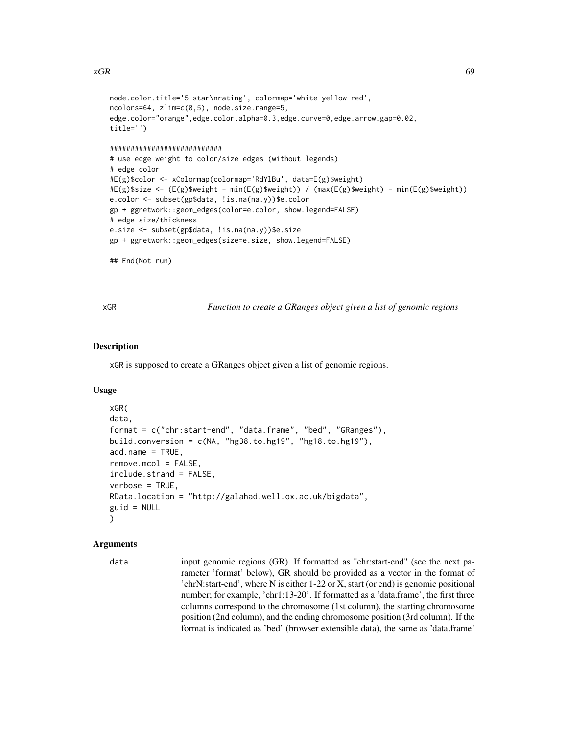### $xGR$  69

```
node.color.title='5-star\nrating', colormap='white-yellow-red',
ncolors=64, zlim=c(0,5), node.size.range=5,
edge.color="orange",edge.color.alpha=0.3,edge.curve=0,edge.arrow.gap=0.02,
title='')
###########################
# use edge weight to color/size edges (without legends)
# edge color
#E(g)$color <- xColormap(colormap='RdYlBu', data=E(g)$weight)
#E(g)$size <- (E(g)$weight - min(E(g)$weight)) / (max(E(g)$weight) - min(E(g)$weight))
e.color <- subset(gp$data, !is.na(na.y))$e.color
gp + ggnetwork::geom_edges(color=e.color, show.legend=FALSE)
# edge size/thickness
e.size <- subset(gp$data, !is.na(na.y))$e.size
gp + ggnetwork::geom_edges(size=e.size, show.legend=FALSE)
## End(Not run)
```
xGR *Function to create a GRanges object given a list of genomic regions*

### Description

xGR is supposed to create a GRanges object given a list of genomic regions.

### Usage

```
xGR(
data,
format = c("chr:start-end", "data.frame", "bed", "GRanges"),
build.conversion = c(NA, "hg38.to.hg19", "hg18.to.hg19"),
add.name = TRUE,remove.mcol = FALSE,
include.strand = FALSE,
verbose = TRUE,
RData.location = "http://galahad.well.ox.ac.uk/bigdata",
guid = NULL)
```
#### Arguments

```
data input genomic regions (GR). If formatted as "chr:start-end" (see the next pa-
                  rameter 'format' below), GR should be provided as a vector in the format of
                  'chrN:start-end', where N is either 1-22 or X, start (or end) is genomic positional
                  number; for example, 'chr1:13-20'. If formatted as a 'data.frame', the first three
                  columns correspond to the chromosome (1st column), the starting chromosome
                  position (2nd column), and the ending chromosome position (3rd column). If the
                  format is indicated as 'bed' (browser extensible data), the same as 'data.frame'
```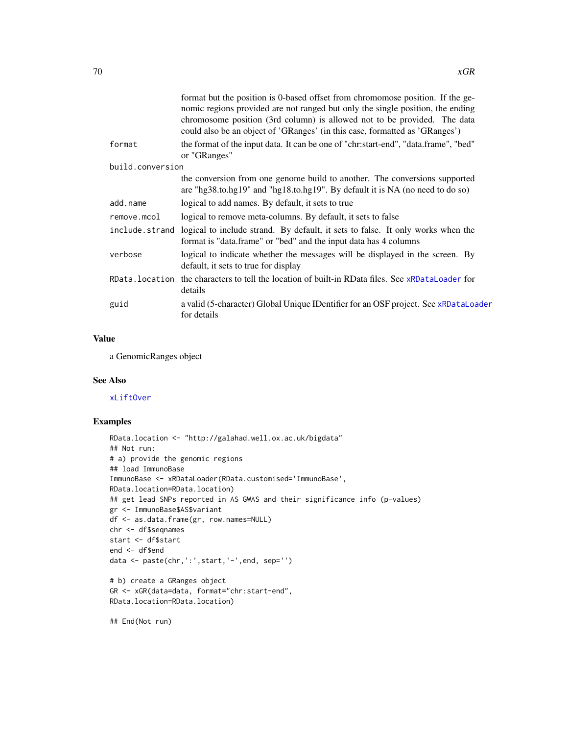|                  | format but the position is 0-based offset from chromomose position. If the ge-<br>nomic regions provided are not ranged but only the single position, the ending<br>chromosome position (3rd column) is allowed not to be provided. The data<br>could also be an object of 'GRanges' (in this case, formatted as 'GRanges') |  |
|------------------|-----------------------------------------------------------------------------------------------------------------------------------------------------------------------------------------------------------------------------------------------------------------------------------------------------------------------------|--|
| format           | the format of the input data. It can be one of "chr:start-end", "data.frame", "bed"<br>or "GRanges"                                                                                                                                                                                                                         |  |
| build.conversion |                                                                                                                                                                                                                                                                                                                             |  |
|                  | the conversion from one genome build to another. The conversions supported<br>are "hg38.to.hg19" and "hg18.to.hg19". By default it is NA (no need to do so)                                                                                                                                                                 |  |
| add.name         | logical to add names. By default, it sets to true                                                                                                                                                                                                                                                                           |  |
| remove.mcol      | logical to remove meta-columns. By default, it sets to false                                                                                                                                                                                                                                                                |  |
| include.strand   | logical to include strand. By default, it sets to false. It only works when the<br>format is "data.frame" or "bed" and the input data has 4 columns                                                                                                                                                                         |  |
| verbose          | logical to indicate whether the messages will be displayed in the screen. By<br>default, it sets to true for display                                                                                                                                                                                                        |  |
| RData.location   | the characters to tell the location of built-in RData files. See xRDataLoader for<br>details                                                                                                                                                                                                                                |  |
| guid             | a valid (5-character) Global Unique IDentifier for an OSF project. See xRDataLoader<br>for details                                                                                                                                                                                                                          |  |
|                  |                                                                                                                                                                                                                                                                                                                             |  |

## Value

a GenomicRanges object

### See Also

[xLiftOver](#page-92-0)

#### Examples

```
RData.location <- "http://galahad.well.ox.ac.uk/bigdata"
## Not run:
# a) provide the genomic regions
## load ImmunoBase
ImmunoBase <- xRDataLoader(RData.customised='ImmunoBase',
RData.location=RData.location)
## get lead SNPs reported in AS GWAS and their significance info (p-values)
gr <- ImmunoBase$AS$variant
df <- as.data.frame(gr, row.names=NULL)
chr <- df$seqnames
start <- df$start
end <- df$end
data <- paste(chr,':',start,'-',end, sep='')
# b) create a GRanges object
```

```
GR <- xGR(data=data, format="chr:start-end",
RData.location=RData.location)
```
## End(Not run)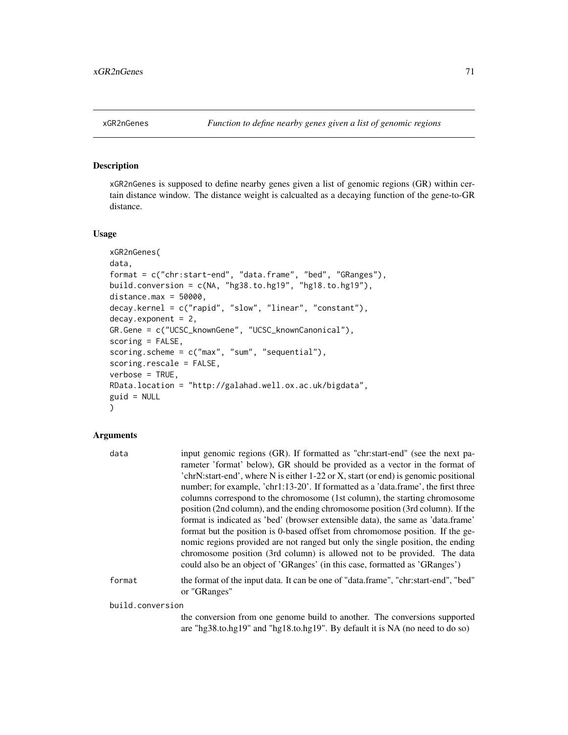### Description

xGR2nGenes is supposed to define nearby genes given a list of genomic regions (GR) within certain distance window. The distance weight is calcualted as a decaying function of the gene-to-GR distance.

### Usage

```
xGR2nGenes(
data,
format = c("chr:start-end", "data.frame", "bed", "GRanges"),
build.conversion = c(NA, "hg38.to.hg19", "hg18.to.hg19"),
distance.max = 50000,decay.kernel = c("rapid", "slow", "linear", "constant"),
decay. exponent = 2,
GR.Gene = c("UCSC_knownGene", "UCSC_knownCanonical"),
scoring = FALSE,
scoring.scheme = c("max", "sum", "sequential"),
scoring.rescale = FALSE,
verbose = TRUE,
RData.location = "http://galahad.well.ox.ac.uk/bigdata",
guid = NULL\mathcal{L}
```
### Arguments

| data             | input genomic regions (GR). If formatted as "chr:start-end" (see the next pa-                                                                                                                                                                                                                                               |
|------------------|-----------------------------------------------------------------------------------------------------------------------------------------------------------------------------------------------------------------------------------------------------------------------------------------------------------------------------|
|                  | rameter 'format' below), GR should be provided as a vector in the format of                                                                                                                                                                                                                                                 |
|                  | 'chrN:start-end', where N is either 1-22 or X, start (or end) is genomic positional                                                                                                                                                                                                                                         |
|                  | number; for example, 'chr1:13-20'. If formatted as a 'data.frame', the first three                                                                                                                                                                                                                                          |
|                  | columns correspond to the chromosome (1st column), the starting chromosome                                                                                                                                                                                                                                                  |
|                  | position (2nd column), and the ending chromosome position (3rd column). If the                                                                                                                                                                                                                                              |
|                  | format is indicated as 'bed' (browser extensible data), the same as 'data.frame'                                                                                                                                                                                                                                            |
|                  | format but the position is 0-based offset from chromomose position. If the ge-<br>nomic regions provided are not ranged but only the single position, the ending<br>chromosome position (3rd column) is allowed not to be provided. The data<br>could also be an object of 'GRanges' (in this case, formatted as 'GRanges') |
| format           | the format of the input data. It can be one of "data.frame", "chr:start-end", "bed"<br>or "GRanges"                                                                                                                                                                                                                         |
| build.conversion |                                                                                                                                                                                                                                                                                                                             |
|                  | the conversion from one genome build to another. The conversions supported                                                                                                                                                                                                                                                  |

the conversion from one genome build to another. The conversions supported are "hg38.to.hg19" and "hg18.to.hg19". By default it is NA (no need to do so)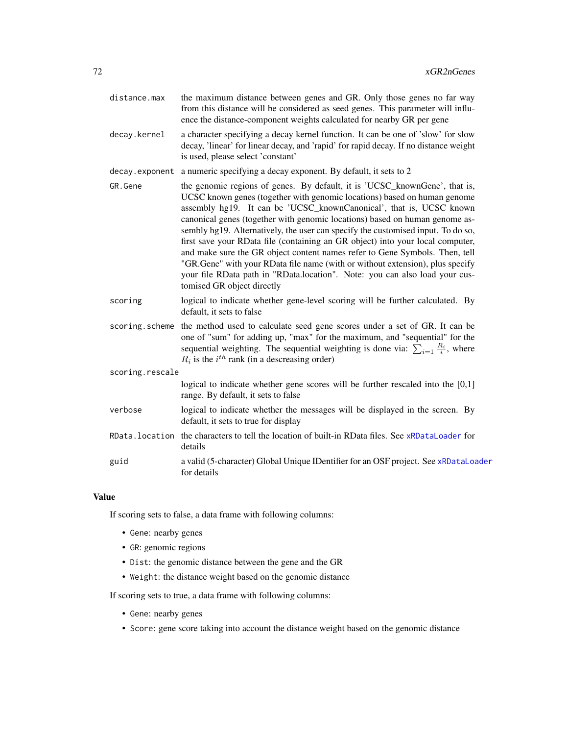distance.max the maximum distance between genes and GR. Only those genes no far way from this distance will be considered as seed genes. This parameter will influence the distance-component weights calculated for nearby GR per gene decay.kernel a character specifying a decay kernel function. It can be one of 'slow' for slow decay, 'linear' for linear decay, and 'rapid' for rapid decay. If no distance weight is used, please select 'constant' decay.exponent a numeric specifying a decay exponent. By default, it sets to 2 GR. Gene the genomic regions of genes. By default, it is 'UCSC knownGene', that is, UCSC known genes (together with genomic locations) based on human genome assembly hg19. It can be 'UCSC\_knownCanonical', that is, UCSC known canonical genes (together with genomic locations) based on human genome assembly hg19. Alternatively, the user can specify the customised input. To do so, first save your RData file (containing an GR object) into your local computer, and make sure the GR object content names refer to Gene Symbols. Then, tell "GR.Gene" with your RData file name (with or without extension), plus specify your file RData path in "RData.location". Note: you can also load your customised GR object directly scoring logical to indicate whether gene-level scoring will be further calculated. By default, it sets to false scoring.scheme the method used to calculate seed gene scores under a set of GR. It can be one of "sum" for adding up, "max" for the maximum, and "sequential" for the sequential weighting. The sequential weighting is done via:  $\sum_{i=1} \frac{R_i}{i}$ , where  $R_i$  is the  $i^{th}$  rank (in a descreasing order) scoring.rescale logical to indicate whether gene scores will be further rescaled into the [0,1] range. By default, it sets to false verbose logical to indicate whether the messages will be displayed in the screen. By default, it sets to true for display RData.location the characters to tell the location of built-in RData files. See [xRDataLoader](#page-182-0) for details guid a valid (5-character) Global Unique IDentifier for an OSF project. See [xRDataLoader](#page-182-0) for details

#### Value

If scoring sets to false, a data frame with following columns:

- Gene: nearby genes
- GR: genomic regions
- Dist: the genomic distance between the gene and the GR
- Weight: the distance weight based on the genomic distance

If scoring sets to true, a data frame with following columns:

- Gene: nearby genes
- Score: gene score taking into account the distance weight based on the genomic distance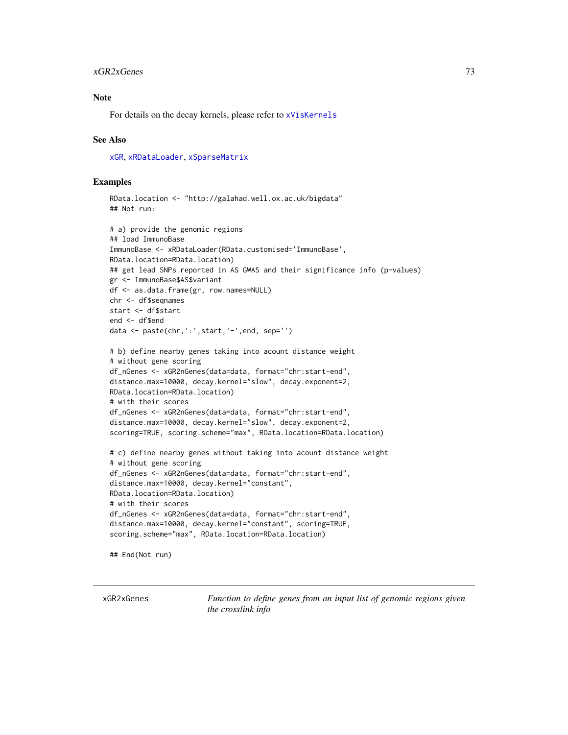#### xGR2xGenes 73

## Note

For details on the decay kernels, please refer to [xVisKernels](#page-209-0)

### See Also

[xGR](#page-68-0), [xRDataLoader](#page-182-0), [xSparseMatrix](#page-197-0)

## Examples

```
RData.location <- "http://galahad.well.ox.ac.uk/bigdata"
## Not run:
```

```
# a) provide the genomic regions
## load ImmunoBase
ImmunoBase <- xRDataLoader(RData.customised='ImmunoBase',
RData.location=RData.location)
## get lead SNPs reported in AS GWAS and their significance info (p-values)
gr <- ImmunoBase$AS$variant
df <- as.data.frame(gr, row.names=NULL)
chr <- df$seqnames
start <- df$start
end <- df$end
data <- paste(chr,':',start,'-',end, sep='')
```

```
# b) define nearby genes taking into acount distance weight
# without gene scoring
df_nGenes <- xGR2nGenes(data=data, format="chr:start-end",
distance.max=10000, decay.kernel="slow", decay.exponent=2,
RData.location=RData.location)
# with their scores
df_nGenes <- xGR2nGenes(data=data, format="chr:start-end",
distance.max=10000, decay.kernel="slow", decay.exponent=2,
scoring=TRUE, scoring.scheme="max", RData.location=RData.location)
```

```
# c) define nearby genes without taking into acount distance weight
# without gene scoring
df_nGenes <- xGR2nGenes(data=data, format="chr:start-end",
distance.max=10000, decay.kernel="constant",
RData.location=RData.location)
# with their scores
df_nGenes <- xGR2nGenes(data=data, format="chr:start-end",
distance.max=10000, decay.kernel="constant", scoring=TRUE,
scoring.scheme="max", RData.location=RData.location)
```
## End(Not run)

<span id="page-72-0"></span>xGR2xGenes *Function to define genes from an input list of genomic regions given the crosslink info*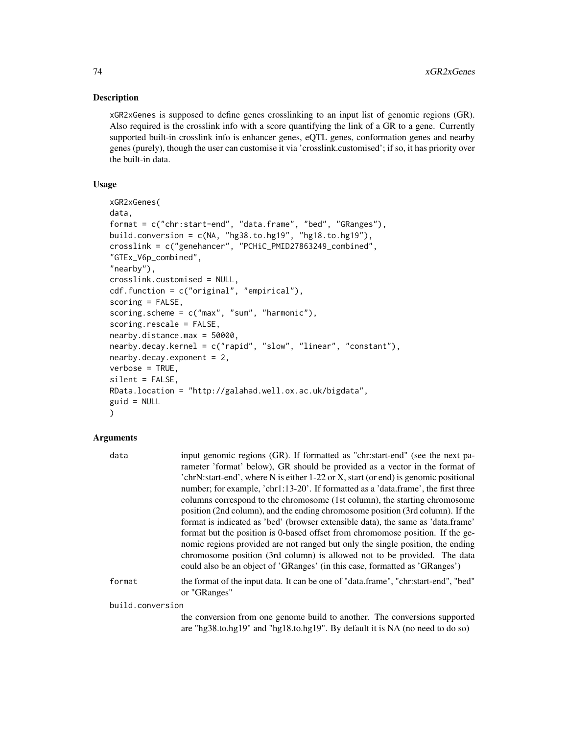## Description

xGR2xGenes is supposed to define genes crosslinking to an input list of genomic regions (GR). Also required is the crosslink info with a score quantifying the link of a GR to a gene. Currently supported built-in crosslink info is enhancer genes, eQTL genes, conformation genes and nearby genes (purely), though the user can customise it via 'crosslink.customised'; if so, it has priority over the built-in data.

# Usage

```
xGR2xGenes(
data,
format = c("chr:start-end", "data.frame", "bed", "GRanges"),
build.conversion = c(NA, "hg38.to.hg19", "hg18.to.hg19"),
crosslink = c("genehancer", "PCHiC_PMID27863249_combined",
"GTEx_V6p_combined",
"nearby"),
crosslink.customised = NULL,
cdf.function = c("original", "empirical"),
scoring = FALSE,
scoring.scheme = c("max", "sum", "harmonic"),
scoring.rescale = FALSE,
nearby.distance.max = 50000,
nearby.decay.kernel = c("rapid", "slow", "linear", "constant"),
nearby.decay.exponent = 2,
verbose = TRUE,
silent = FALSE,
RData.location = "http://galahad.well.ox.ac.uk/bigdata",
guid = NULL\mathcal{L}
```
## Arguments

| data             | input genomic regions (GR). If formatted as "chr:start-end" (see the next pa-                                                                                                                                                                                                                                               |
|------------------|-----------------------------------------------------------------------------------------------------------------------------------------------------------------------------------------------------------------------------------------------------------------------------------------------------------------------------|
|                  | rameter 'format' below), GR should be provided as a vector in the format of                                                                                                                                                                                                                                                 |
|                  | 'chrN:start-end', where N is either 1-22 or X, start (or end) is genomic positional                                                                                                                                                                                                                                         |
|                  | number; for example, 'chr1:13-20'. If formatted as a 'data.frame', the first three                                                                                                                                                                                                                                          |
|                  | columns correspond to the chromosome (1st column), the starting chromosome                                                                                                                                                                                                                                                  |
|                  | position (2nd column), and the ending chromosome position (3rd column). If the                                                                                                                                                                                                                                              |
|                  | format is indicated as 'bed' (browser extensible data), the same as 'data.frame'                                                                                                                                                                                                                                            |
|                  | format but the position is 0-based offset from chromomose position. If the ge-<br>nomic regions provided are not ranged but only the single position, the ending<br>chromosome position (3rd column) is allowed not to be provided. The data<br>could also be an object of 'GRanges' (in this case, formatted as 'GRanges') |
| format           | the format of the input data. It can be one of "data.frame", "chr:start-end", "bed"<br>or "GRanges"                                                                                                                                                                                                                         |
| build.conversion |                                                                                                                                                                                                                                                                                                                             |
|                  | the conversion from one genome build to another. The conversions supported                                                                                                                                                                                                                                                  |

are "hg38.to.hg19" and "hg18.to.hg19". By default it is NA (no need to do so)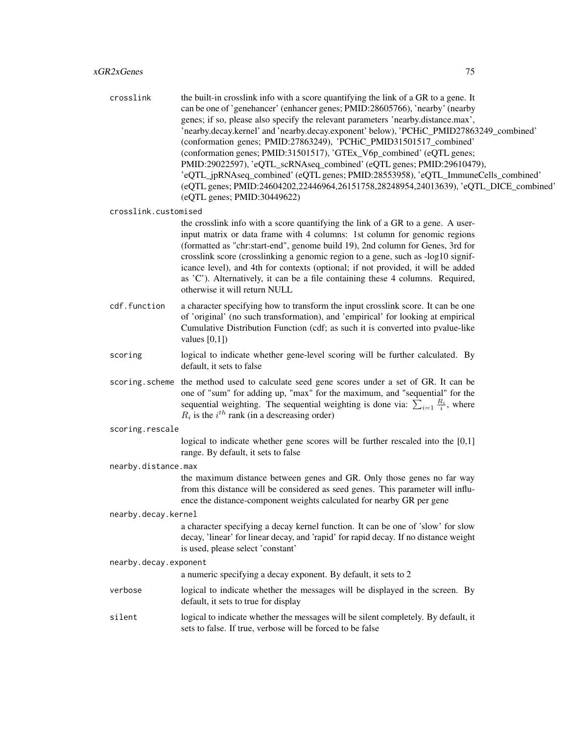crosslink the built-in crosslink info with a score quantifying the link of a GR to a gene. It can be one of 'genehancer' (enhancer genes; PMID:28605766), 'nearby' (nearby genes; if so, please also specify the relevant parameters 'nearby.distance.max', 'nearby.decay.kernel' and 'nearby.decay.exponent' below), 'PCHiC\_PMID27863249\_combined' (conformation genes; PMID:27863249), 'PCHiC\_PMID31501517\_combined' (conformation genes; PMID:31501517), 'GTEx\_V6p\_combined' (eQTL genes; PMID:29022597), 'eQTL\_scRNAseq\_combined' (eQTL genes; PMID:29610479), 'eQTL\_jpRNAseq\_combined' (eQTL genes; PMID:28553958), 'eQTL\_ImmuneCells\_combined' (eQTL genes; PMID:24604202,22446964,26151758,28248954,24013639), 'eQTL\_DICE\_combined' (eQTL genes; PMID:30449622)

crosslink.customised

the crosslink info with a score quantifying the link of a GR to a gene. A userinput matrix or data frame with 4 columns: 1st column for genomic regions (formatted as "chr:start-end", genome build 19), 2nd column for Genes, 3rd for crosslink score (crosslinking a genomic region to a gene, such as -log10 significance level), and 4th for contexts (optional; if not provided, it will be added as 'C'). Alternatively, it can be a file containing these 4 columns. Required, otherwise it will return NULL

- cdf.function a character specifying how to transform the input crosslink score. It can be one of 'original' (no such transformation), and 'empirical' for looking at empirical Cumulative Distribution Function (cdf; as such it is converted into pvalue-like values  $[0,1]$
- scoring logical to indicate whether gene-level scoring will be further calculated. By default, it sets to false
- scoring.scheme the method used to calculate seed gene scores under a set of GR. It can be one of "sum" for adding up, "max" for the maximum, and "sequential" for the sequential weighting. The sequential weighting is done via:  $\sum_{i=1} \frac{R_i}{i}$ , where  $R_i$  is the  $i^{th}$  rank (in a descreasing order)

```
scoring.rescale
```
logical to indicate whether gene scores will be further rescaled into the [0,1] range. By default, it sets to false

### nearby.distance.max

the maximum distance between genes and GR. Only those genes no far way from this distance will be considered as seed genes. This parameter will influence the distance-component weights calculated for nearby GR per gene

nearby.decay.kernel

a character specifying a decay kernel function. It can be one of 'slow' for slow decay, 'linear' for linear decay, and 'rapid' for rapid decay. If no distance weight is used, please select 'constant'

nearby.decay.exponent

a numeric specifying a decay exponent. By default, it sets to 2

- verbose logical to indicate whether the messages will be displayed in the screen. By default, it sets to true for display
- silent logical to indicate whether the messages will be silent completely. By default, it sets to false. If true, verbose will be forced to be false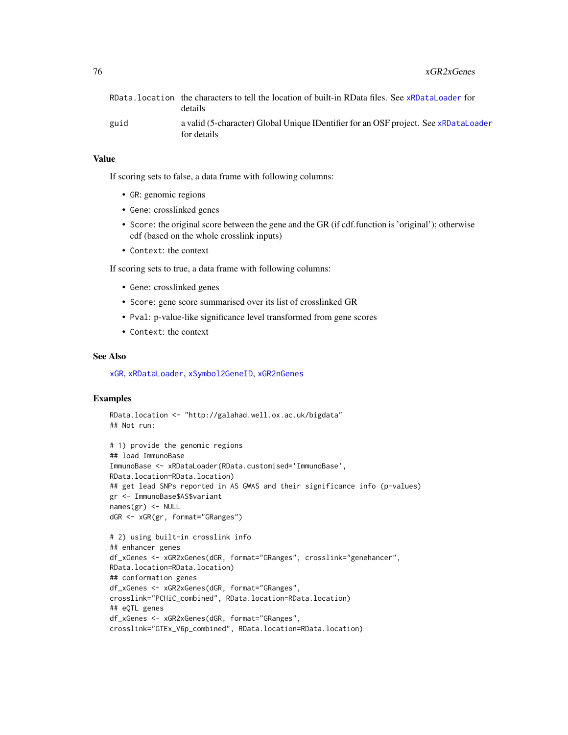|      | RData.location the characters to tell the location of built-in RData files. See xRDataLoader for<br>details |
|------|-------------------------------------------------------------------------------------------------------------|
| guid | a valid (5-character) Global Unique IDentifier for an OSF project. See xRDataLoader<br>for details          |

## Value

If scoring sets to false, a data frame with following columns:

- GR: genomic regions
- Gene: crosslinked genes
- Score: the original score between the gene and the GR (if cdf.function is 'original'); otherwise cdf (based on the whole crosslink inputs)
- Context: the context

If scoring sets to true, a data frame with following columns:

- Gene: crosslinked genes
- Score: gene score summarised over its list of crosslinked GR
- Pval: p-value-like significance level transformed from gene scores
- Context: the context

#### See Also

[xGR](#page-68-0), [xRDataLoader](#page-182-0), [xSymbol2GeneID](#page-203-0), [xGR2nGenes](#page-70-0)

## Examples

```
RData.location <- "http://galahad.well.ox.ac.uk/bigdata"
## Not run:
```

```
# 1) provide the genomic regions
## load ImmunoBase
ImmunoBase <- xRDataLoader(RData.customised='ImmunoBase',
RData.location=RData.location)
## get lead SNPs reported in AS GWAS and their significance info (p-values)
gr <- ImmunoBase$AS$variant
names(gr) <- NULL
dGR <- xGR(gr, format="GRanges")
```

```
# 2) using built-in crosslink info
## enhancer genes
df_xGenes <- xGR2xGenes(dGR, format="GRanges", crosslink="genehancer",
RData.location=RData.location)
## conformation genes
df_xGenes <- xGR2xGenes(dGR, format="GRanges",
crosslink="PCHiC_combined", RData.location=RData.location)
## eQTL genes
df_xGenes <- xGR2xGenes(dGR, format="GRanges",
crosslink="GTEx_V6p_combined", RData.location=RData.location)
```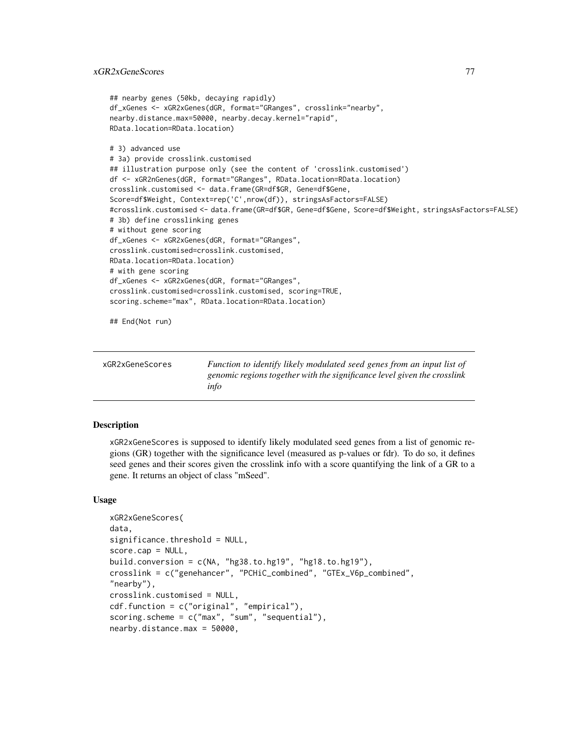```
## nearby genes (50kb, decaying rapidly)
df_xGenes <- xGR2xGenes(dGR, format="GRanges", crosslink="nearby",
nearby.distance.max=50000, nearby.decay.kernel="rapid",
RData.location=RData.location)
# 3) advanced use
# 3a) provide crosslink.customised
## illustration purpose only (see the content of 'crosslink.customised')
df <- xGR2nGenes(dGR, format="GRanges", RData.location=RData.location)
crosslink.customised <- data.frame(GR=df$GR, Gene=df$Gene,
Score=df$Weight, Context=rep('C',nrow(df)), stringsAsFactors=FALSE)
#crosslink.customised <- data.frame(GR=df$GR, Gene=df$Gene, Score=df$Weight, stringsAsFactors=FALSE)
# 3b) define crosslinking genes
# without gene scoring
df_xGenes <- xGR2xGenes(dGR, format="GRanges",
crosslink.customised=crosslink.customised,
RData.location=RData.location)
# with gene scoring
df_xGenes <- xGR2xGenes(dGR, format="GRanges",
crosslink.customised=crosslink.customised, scoring=TRUE,
scoring.scheme="max", RData.location=RData.location)
## End(Not run)
```

| xGR2xGeneScores | Function to identify likely modulated seed genes from an input list of   |
|-----------------|--------------------------------------------------------------------------|
|                 | genomic regions together with the significance level given the crosslink |
|                 | info                                                                     |

## **Description**

xGR2xGeneScores is supposed to identify likely modulated seed genes from a list of genomic regions (GR) together with the significance level (measured as p-values or fdr). To do so, it defines seed genes and their scores given the crosslink info with a score quantifying the link of a GR to a gene. It returns an object of class "mSeed".

### Usage

```
xGR2xGeneScores(
data,
significance.threshold = NULL,
score.cap = NULL,
build.conversion = c(NA, "hg38.to.hg19", "hg18.to.hg19"),
crosslink = c("genehancer", "PCHiC_combined", "GTEx_V6p_combined",
"nearby"),
crosslink.customised = NULL,
cdf.function = c("original", "empirical"),
scoring.scheme = c("max", "sum", "sequential"),
nearby.distance.max = 50000,
```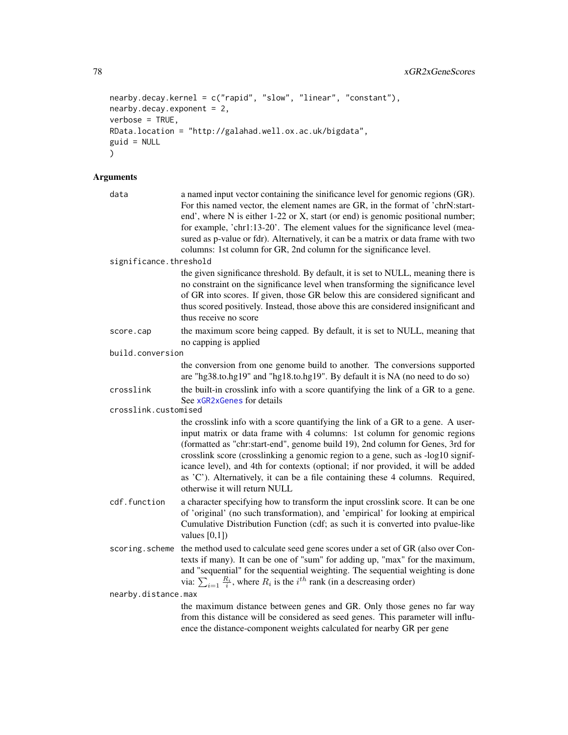```
nearby.decay.kernel = c("rapid", "slow", "linear", "constant"),
nearby.decay.exponent = 2,
verbose = TRUE,
RData.location = "http://galahad.well.ox.ac.uk/bigdata",
guid = NULL
\mathcal{L}
```

| data                   | a named input vector containing the sinificance level for genomic regions (GR).<br>For this named vector, the element names are GR, in the format of 'chrN:start-<br>end', where N is either 1-22 or X, start (or end) is genomic positional number;<br>for example, 'chr1:13-20'. The element values for the significance level (mea-<br>sured as p-value or fdr). Alternatively, it can be a matrix or data frame with two<br>columns: 1st column for GR, 2nd column for the significance level.                                        |
|------------------------|-------------------------------------------------------------------------------------------------------------------------------------------------------------------------------------------------------------------------------------------------------------------------------------------------------------------------------------------------------------------------------------------------------------------------------------------------------------------------------------------------------------------------------------------|
| significance.threshold |                                                                                                                                                                                                                                                                                                                                                                                                                                                                                                                                           |
|                        | the given significance threshold. By default, it is set to NULL, meaning there is<br>no constraint on the significance level when transforming the significance level<br>of GR into scores. If given, those GR below this are considered significant and<br>thus scored positively. Instead, those above this are considered insignificant and<br>thus receive no score                                                                                                                                                                   |
| score.cap              | the maximum score being capped. By default, it is set to NULL, meaning that<br>no capping is applied                                                                                                                                                                                                                                                                                                                                                                                                                                      |
| build.conversion       |                                                                                                                                                                                                                                                                                                                                                                                                                                                                                                                                           |
|                        | the conversion from one genome build to another. The conversions supported<br>are "hg38.to.hg19" and "hg18.to.hg19". By default it is NA (no need to do so)                                                                                                                                                                                                                                                                                                                                                                               |
| crosslink              | the built-in crosslink info with a score quantifying the link of a GR to a gene.                                                                                                                                                                                                                                                                                                                                                                                                                                                          |
| crosslink.customised   | See xGR2xGenes for details                                                                                                                                                                                                                                                                                                                                                                                                                                                                                                                |
|                        | the crosslink info with a score quantifying the link of a GR to a gene. A user-<br>input matrix or data frame with 4 columns: 1st column for genomic regions<br>(formatted as "chr:start-end", genome build 19), 2nd column for Genes, 3rd for<br>crosslink score (crosslinking a genomic region to a gene, such as -log10 signif-<br>icance level), and 4th for contexts (optional; if nor provided, it will be added<br>as 'C'). Alternatively, it can be a file containing these 4 columns. Required,<br>otherwise it will return NULL |
| cdf.function           | a character specifying how to transform the input crosslink score. It can be one<br>of 'original' (no such transformation), and 'empirical' for looking at empirical<br>Cumulative Distribution Function (cdf; as such it is converted into pvalue-like<br>values $[0,1]$ )                                                                                                                                                                                                                                                               |
| scoring.scheme         | the method used to calculate seed gene scores under a set of GR (also over Con-<br>texts if many). It can be one of "sum" for adding up, "max" for the maximum,<br>and "sequential" for the sequential weighting. The sequential weighting is done<br>via: $\sum_{i=1} \frac{R_i}{i}$ , where $R_i$ is the $i^{th}$ rank (in a descreasing order)                                                                                                                                                                                         |
| nearby.distance.max    |                                                                                                                                                                                                                                                                                                                                                                                                                                                                                                                                           |
|                        | the maximum distance between genes and GR. Only those genes no far way<br>from this distance will be considered as seed genes. This parameter will influ-<br>ence the distance-component weights calculated for nearby GR per gene                                                                                                                                                                                                                                                                                                        |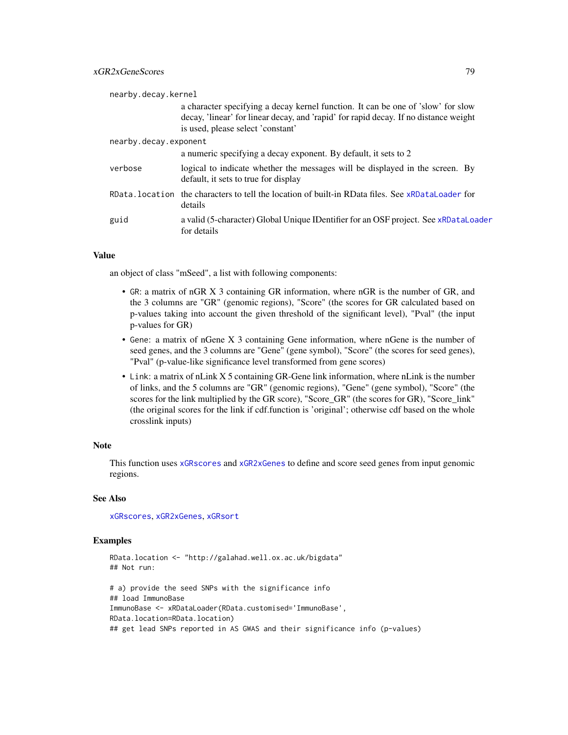| nearby.decay.kernel   |                                                                                                                                                                                                               |
|-----------------------|---------------------------------------------------------------------------------------------------------------------------------------------------------------------------------------------------------------|
|                       | a character specifying a decay kernel function. It can be one of 'slow' for slow<br>decay, 'linear' for linear decay, and 'rapid' for rapid decay. If no distance weight<br>is used, please select 'constant' |
| nearby.decay.exponent |                                                                                                                                                                                                               |
|                       | a numeric specifying a decay exponent. By default, it sets to 2                                                                                                                                               |
| verbose               | logical to indicate whether the messages will be displayed in the screen. By<br>default, it sets to true for display                                                                                          |
|                       | RData, location the characters to tell the location of built-in RData files. See xRDataLoader for<br>details                                                                                                  |
| guid                  | a valid (5-character) Global Unique IDentifier for an OSF project. See xRDataLoader<br>for details                                                                                                            |

## Value

an object of class "mSeed", a list with following components:

- GR: a matrix of nGR X 3 containing GR information, where nGR is the number of GR, and the 3 columns are "GR" (genomic regions), "Score" (the scores for GR calculated based on p-values taking into account the given threshold of the significant level), "Pval" (the input p-values for GR)
- Gene: a matrix of nGene X 3 containing Gene information, where nGene is the number of seed genes, and the 3 columns are "Gene" (gene symbol), "Score" (the scores for seed genes), "Pval" (p-value-like significance level transformed from gene scores)
- Link: a matrix of nLink X 5 containing GR-Gene link information, where nLink is the number of links, and the 5 columns are "GR" (genomic regions), "Gene" (gene symbol), "Score" (the scores for the link multiplied by the GR score), "Score\_GR" (the scores for GR), "Score\_link" (the original scores for the link if cdf.function is 'original'; otherwise cdf based on the whole crosslink inputs)

### Note

This function uses [xGRscores](#page-79-0) and [xGR2xGenes](#page-72-0) to define and score seed genes from input genomic regions.

### See Also

[xGRscores](#page-79-0), [xGR2xGenes](#page-72-0), [xGRsort](#page-80-0)

## Examples

```
RData.location <- "http://galahad.well.ox.ac.uk/bigdata"
## Not run:
# a) provide the seed SNPs with the significance info
## load ImmunoBase
ImmunoBase <- xRDataLoader(RData.customised='ImmunoBase',
RData.location=RData.location)
## get lead SNPs reported in AS GWAS and their significance info (p-values)
```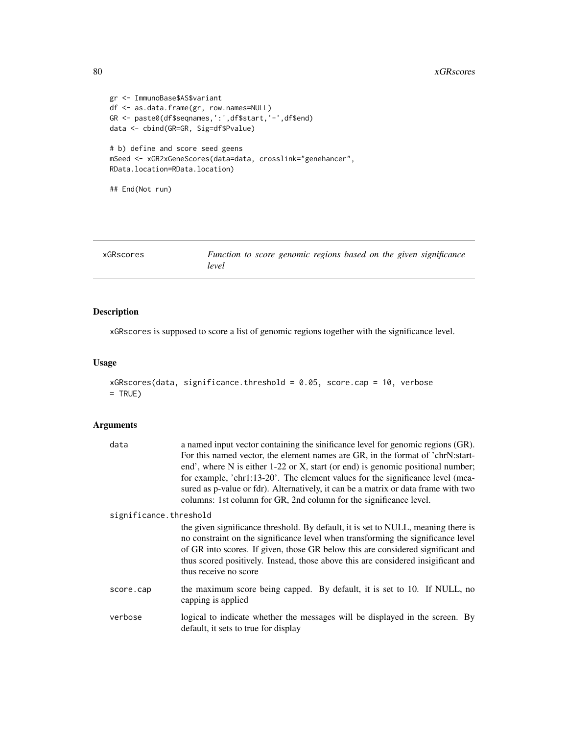#### 80 xGRscores and the set of the set of the set of the set of the set of the set of the set of the set of the set of the set of the set of the set of the set of the set of the set of the set of the set of the set of the set

```
gr <- ImmunoBase$AS$variant
df <- as.data.frame(gr, row.names=NULL)
GR <- paste0(df$seqnames,':',df$start,'-',df$end)
data <- cbind(GR=GR, Sig=df$Pvalue)
# b) define and score seed geens
mSeed <- xGR2xGeneScores(data=data, crosslink="genehancer",
RData.location=RData.location)
## End(Not run)
```
<span id="page-79-0"></span>

| xGRscores |       |  |  |  | Function to score genomic regions based on the given significance |
|-----------|-------|--|--|--|-------------------------------------------------------------------|
|           | level |  |  |  |                                                                   |

# Description

xGRscores is supposed to score a list of genomic regions together with the significance level.

## Usage

```
xGRscores(data, significance.threshold = 0.05, score.cap = 10, verbose
= TRUE)
```

| data                   | a named input vector containing the sinificance level for genomic regions (GR).    |  |  |  |  |
|------------------------|------------------------------------------------------------------------------------|--|--|--|--|
|                        | For this named vector, the element names are GR, in the format of 'chrN:start-     |  |  |  |  |
|                        | end', where N is either 1-22 or X, start (or end) is genomic positional number;    |  |  |  |  |
|                        | for example, 'chr1:13-20'. The element values for the significance level (mea-     |  |  |  |  |
|                        | sured as p-value or fdr). Alternatively, it can be a matrix or data frame with two |  |  |  |  |
|                        | columns: 1st column for GR, 2nd column for the significance level.                 |  |  |  |  |
| significance.threshold |                                                                                    |  |  |  |  |
|                        | the given significance threshold. By default, it is set to NULL, meaning there is  |  |  |  |  |
|                        | no constraint on the significance level when transforming the significance level   |  |  |  |  |
|                        | of GR into scores. If given, those GR below this are considered significant and    |  |  |  |  |
|                        | thus scored positively. Instead, those above this are considered insigificant and  |  |  |  |  |
|                        | thus receive no score                                                              |  |  |  |  |
| score.cap              | the maximum score being capped. By default, it is set to 10. If NULL, no           |  |  |  |  |
|                        | capping is applied                                                                 |  |  |  |  |
| verbose                | logical to indicate whether the messages will be displayed in the screen. By       |  |  |  |  |
|                        | default, it sets to true for display                                               |  |  |  |  |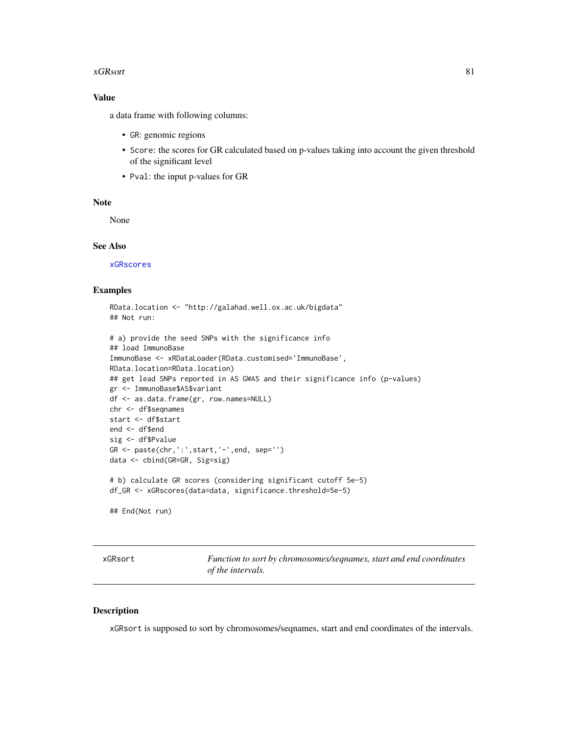#### xGRsort 81

## Value

a data frame with following columns:

- GR: genomic regions
- Score: the scores for GR calculated based on p-values taking into account the given threshold of the significant level
- Pval: the input p-values for GR

## Note

None

## See Also

[xGRscores](#page-79-0)

## Examples

```
RData.location <- "http://galahad.well.ox.ac.uk/bigdata"
## Not run:
```

```
# a) provide the seed SNPs with the significance info
## load ImmunoBase
ImmunoBase <- xRDataLoader(RData.customised='ImmunoBase',
RData.location=RData.location)
## get lead SNPs reported in AS GWAS and their significance info (p-values)
gr <- ImmunoBase$AS$variant
df <- as.data.frame(gr, row.names=NULL)
chr <- df$seqnames
start <- df$start
end <- df$end
sig <- df$Pvalue
GR <- paste(chr, ':', start, '-', end, sep='')
data <- cbind(GR=GR, Sig=sig)
# b) calculate GR scores (considering significant cutoff 5e-5)
df_GR <- xGRscores(data=data, significance.threshold=5e-5)
## End(Not run)
```
<span id="page-80-0"></span>xGRsort *Function to sort by chromosomes/seqnames, start and end coordinates of the intervals.*

### Description

xGRsort is supposed to sort by chromosomes/seqnames, start and end coordinates of the intervals.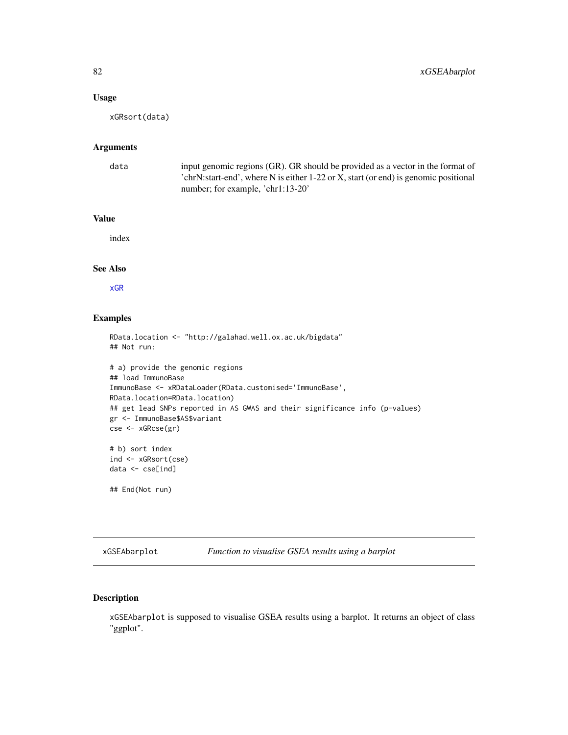## Usage

xGRsort(data)

# Arguments

| data | input genomic regions (GR). GR should be provided as a vector in the format of      |
|------|-------------------------------------------------------------------------------------|
|      | 'chrN:start-end', where N is either 1-22 or X, start (or end) is genomic positional |
|      | number; for example, 'chr1:13-20'                                                   |

## Value

index

## See Also

[xGR](#page-68-0)

### Examples

```
RData.location <- "http://galahad.well.ox.ac.uk/bigdata"
## Not run:
# a) provide the genomic regions
## load ImmunoBase
ImmunoBase <- xRDataLoader(RData.customised='ImmunoBase',
RData.location=RData.location)
## get lead SNPs reported in AS GWAS and their significance info (p-values)
gr <- ImmunoBase$AS$variant
cse <- xGRcse(gr)
# b) sort index
ind <- xGRsort(cse)
data <- cse[ind]
## End(Not run)
```
<span id="page-81-0"></span>xGSEAbarplot *Function to visualise GSEA results using a barplot*

## Description

xGSEAbarplot is supposed to visualise GSEA results using a barplot. It returns an object of class "ggplot".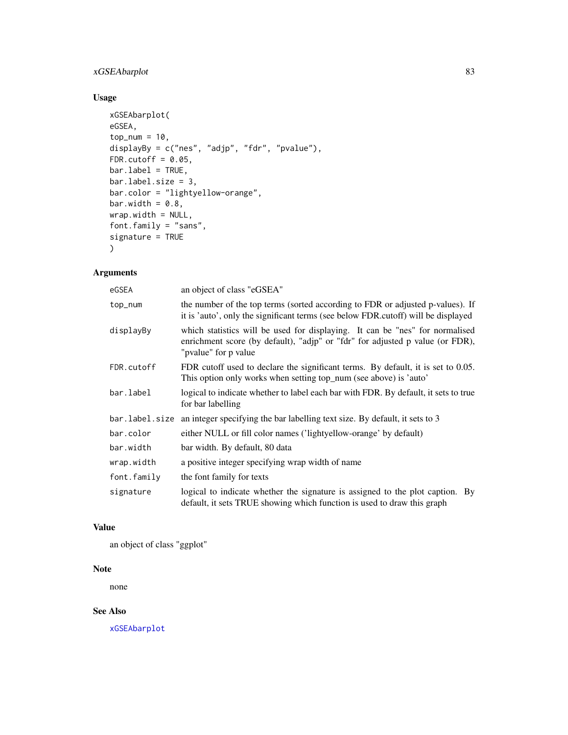# xGSEAbarplot 83

# Usage

```
xGSEAbarplot(
eGSEA,
top\_num = 10,
displayBy = c("nes", "adjp", "fdr", "pvalue"),
FDR.cutoff = 0.05,
bar.label = TRUE,
bar.label.size = 3,
bar.color = "lightyellow-orange",
bar.width = 0.8,
wrap.width = NULL,
font.family = "sans",
signature = TRUE
)
```
# Arguments

| eGSEA          | an object of class "eGSEA"                                                                                                                                                            |  |  |  |
|----------------|---------------------------------------------------------------------------------------------------------------------------------------------------------------------------------------|--|--|--|
| top_num        | the number of the top terms (sorted according to FDR or adjusted p-values). If<br>it is 'auto', only the significant terms (see below FDR.cutoff) will be displayed                   |  |  |  |
| displayBy      | which statistics will be used for displaying. It can be "nes" for normalised<br>enrichment score (by default), "adjp" or "fdr" for adjusted p value (or FDR),<br>"pvalue" for p value |  |  |  |
| FDR.cutoff     | FDR cutoff used to declare the significant terms. By default, it is set to 0.05.<br>This option only works when setting top_num (see above) is 'auto'                                 |  |  |  |
| bar.label      | logical to indicate whether to label each bar with FDR. By default, it sets to true<br>for bar labelling                                                                              |  |  |  |
| bar.label.size | an integer specifying the bar labelling text size. By default, it sets to 3                                                                                                           |  |  |  |
| bar.color      | either NULL or fill color names ('lightyellow-orange' by default)                                                                                                                     |  |  |  |
| bar.width      | bar width. By default, 80 data                                                                                                                                                        |  |  |  |
| wrap.width     | a positive integer specifying wrap width of name                                                                                                                                      |  |  |  |
| font.family    | the font family for texts                                                                                                                                                             |  |  |  |
| signature      | logical to indicate whether the signature is assigned to the plot caption. By<br>default, it sets TRUE showing which function is used to draw this graph                              |  |  |  |

# Value

an object of class "ggplot"

# Note

none

# See Also

[xGSEAbarplot](#page-81-0)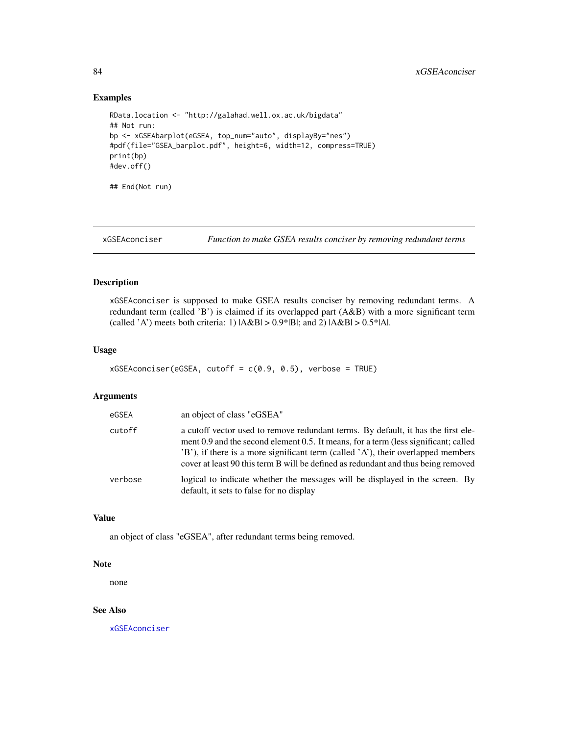## Examples

```
RData.location <- "http://galahad.well.ox.ac.uk/bigdata"
## Not run:
bp <- xGSEAbarplot(eGSEA, top_num="auto", displayBy="nes")
#pdf(file="GSEA_barplot.pdf", height=6, width=12, compress=TRUE)
print(bp)
#dev.off()
## End(Not run)
```
<span id="page-83-0"></span>xGSEAconciser *Function to make GSEA results conciser by removing redundant terms*

## Description

xGSEAconciser is supposed to make GSEA results conciser by removing redundant terms. A redundant term (called 'B') is claimed if its overlapped part (A&B) with a more significant term (called 'A') meets both criteria: 1)  $|A&B| > 0.9*|B|$ ; and 2)  $|A&B| > 0.5*|A|$ .

### Usage

```
xGSEAconciser(eGSEA, cutoff = c(0.9, 0.5), verbose = TRUE)
```
#### Arguments

| eGSEA   | an object of class "eGSEA"                                                                                                                                                                                                                                                                                                                        |
|---------|---------------------------------------------------------------------------------------------------------------------------------------------------------------------------------------------------------------------------------------------------------------------------------------------------------------------------------------------------|
| cutoff  | a cutoff vector used to remove redundant terms. By default, it has the first ele-<br>ment 0.9 and the second element 0.5. It means, for a term (less significant; called<br>'B'), if there is a more significant term (called 'A'), their overlapped members<br>cover at least 90 this term B will be defined as redundant and thus being removed |
| verbose | logical to indicate whether the messages will be displayed in the screen. By<br>default, it sets to false for no display                                                                                                                                                                                                                          |

## Value

an object of class "eGSEA", after redundant terms being removed.

### Note

none

## See Also

[xGSEAconciser](#page-83-0)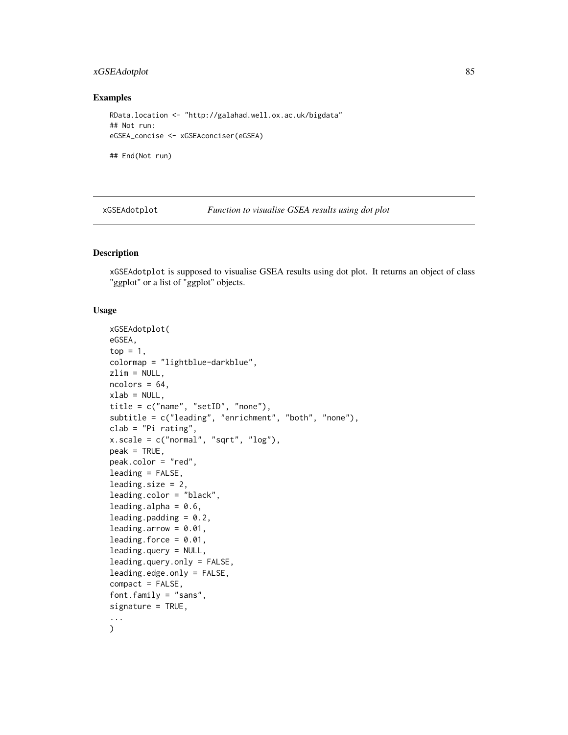# xGSEAdotplot 85

## Examples

```
RData.location <- "http://galahad.well.ox.ac.uk/bigdata"
## Not run:
eGSEA_concise <- xGSEAconciser(eGSEA)
```
## End(Not run)

<span id="page-84-0"></span>xGSEAdotplot *Function to visualise GSEA results using dot plot*

## Description

xGSEAdotplot is supposed to visualise GSEA results using dot plot. It returns an object of class "ggplot" or a list of "ggplot" objects.

## Usage

```
xGSEAdotplot(
eGSEA,
top = 1,
colormap = "lightblue-darkblue",
zlim = NULL,
ncolors = 64,
xlab = NULL,
title = c("name", "setID", "none"),subtitle = c("leading", "enrichment", "both", "none"),
clab = "Pi rating",
x.\text{scale} = c("normal", "sqrt", "log"),
peak = TRUE,peak.color = "red",
leading = FALSE,
leading.size = 2,
leading.color = "black",
leading.alpha = 0.6,
leading.padding = 0.2,
leading.arrow = 0.01,
leading.force = 0.01,
leading.query = NULL,
leading.query.only = FALSE,
leading.edge.only = FALSE,
compact = FALSE,
font.family = "sans",
signature = TRUE,
...
\mathcal{L}
```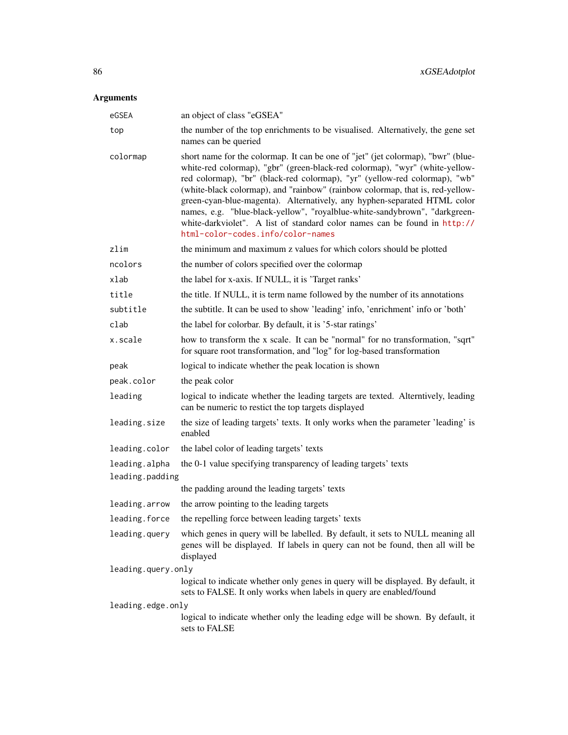| eGSEA              | an object of class "eGSEA"                                                                                                                                                                                                                                                                                                                                                                                                                                                                                                                                                                                 |  |  |  |
|--------------------|------------------------------------------------------------------------------------------------------------------------------------------------------------------------------------------------------------------------------------------------------------------------------------------------------------------------------------------------------------------------------------------------------------------------------------------------------------------------------------------------------------------------------------------------------------------------------------------------------------|--|--|--|
| top                | the number of the top enrichments to be visualised. Alternatively, the gene set<br>names can be queried                                                                                                                                                                                                                                                                                                                                                                                                                                                                                                    |  |  |  |
| colormap           | short name for the colormap. It can be one of "jet" (jet colormap), "bwr" (blue-<br>white-red colormap), "gbr" (green-black-red colormap), "wyr" (white-yellow-<br>red colormap), "br" (black-red colormap), "yr" (yellow-red colormap), "wb"<br>(white-black colormap), and "rainbow" (rainbow colormap, that is, red-yellow-<br>green-cyan-blue-magenta). Alternatively, any hyphen-separated HTML color<br>names, e.g. "blue-black-yellow", "royalblue-white-sandybrown", "darkgreen-<br>white-darkviolet". A list of standard color names can be found in http://<br>html-color-codes.info/color-names |  |  |  |
| zlim               | the minimum and maximum z values for which colors should be plotted                                                                                                                                                                                                                                                                                                                                                                                                                                                                                                                                        |  |  |  |
| ncolors            | the number of colors specified over the colormap                                                                                                                                                                                                                                                                                                                                                                                                                                                                                                                                                           |  |  |  |
| xlab               | the label for x-axis. If NULL, it is 'Target ranks'                                                                                                                                                                                                                                                                                                                                                                                                                                                                                                                                                        |  |  |  |
| title              | the title. If NULL, it is term name followed by the number of its annotations                                                                                                                                                                                                                                                                                                                                                                                                                                                                                                                              |  |  |  |
| subtitle           | the subtitle. It can be used to show 'leading' info, 'enrichment' info or 'both'                                                                                                                                                                                                                                                                                                                                                                                                                                                                                                                           |  |  |  |
| clab               | the label for colorbar. By default, it is '5-star ratings'                                                                                                                                                                                                                                                                                                                                                                                                                                                                                                                                                 |  |  |  |
| x.scale            | how to transform the x scale. It can be "normal" for no transformation, "sqrt"<br>for square root transformation, and "log" for log-based transformation                                                                                                                                                                                                                                                                                                                                                                                                                                                   |  |  |  |
| peak               | logical to indicate whether the peak location is shown                                                                                                                                                                                                                                                                                                                                                                                                                                                                                                                                                     |  |  |  |
| peak.color         | the peak color                                                                                                                                                                                                                                                                                                                                                                                                                                                                                                                                                                                             |  |  |  |
| leading            | logical to indicate whether the leading targets are texted. Alterntively, leading<br>can be numeric to restict the top targets displayed                                                                                                                                                                                                                                                                                                                                                                                                                                                                   |  |  |  |
| leading.size       | the size of leading targets' texts. It only works when the parameter 'leading' is<br>enabled                                                                                                                                                                                                                                                                                                                                                                                                                                                                                                               |  |  |  |
| leading.color      | the label color of leading targets' texts                                                                                                                                                                                                                                                                                                                                                                                                                                                                                                                                                                  |  |  |  |
| leading.alpha      | the 0-1 value specifying transparency of leading targets' texts                                                                                                                                                                                                                                                                                                                                                                                                                                                                                                                                            |  |  |  |
| leading.padding    |                                                                                                                                                                                                                                                                                                                                                                                                                                                                                                                                                                                                            |  |  |  |
|                    | the padding around the leading targets' texts                                                                                                                                                                                                                                                                                                                                                                                                                                                                                                                                                              |  |  |  |
| leading.arrow      | the arrow pointing to the leading targets                                                                                                                                                                                                                                                                                                                                                                                                                                                                                                                                                                  |  |  |  |
| leading.force      | the repelling force between leading targets' texts                                                                                                                                                                                                                                                                                                                                                                                                                                                                                                                                                         |  |  |  |
| leading.query      | which genes in query will be labelled. By default, it sets to NULL meaning all<br>genes will be displayed. If labels in query can not be found, then all will be<br>displayed                                                                                                                                                                                                                                                                                                                                                                                                                              |  |  |  |
| leading.query.only |                                                                                                                                                                                                                                                                                                                                                                                                                                                                                                                                                                                                            |  |  |  |
|                    | logical to indicate whether only genes in query will be displayed. By default, it<br>sets to FALSE. It only works when labels in query are enabled/found                                                                                                                                                                                                                                                                                                                                                                                                                                                   |  |  |  |
| leading.edge.only  | logical to indicate whether only the leading edge will be shown. By default, it<br>sets to FALSE                                                                                                                                                                                                                                                                                                                                                                                                                                                                                                           |  |  |  |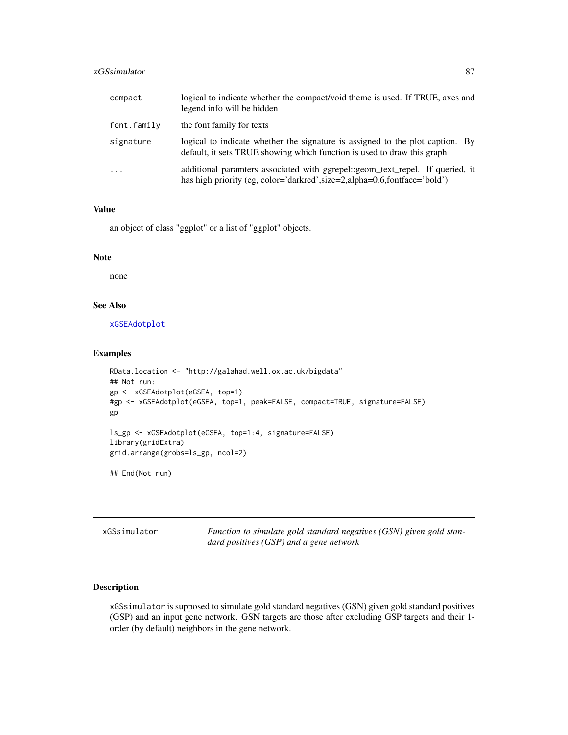# xGSsimulator 87

| compact     | logical to indicate whether the compact/void theme is used. If TRUE, axes and<br>legend info will be hidden                                                  |
|-------------|--------------------------------------------------------------------------------------------------------------------------------------------------------------|
| font.family | the font family for texts                                                                                                                                    |
| signature   | logical to indicate whether the signature is assigned to the plot caption. By<br>default, it sets TRUE showing which function is used to draw this graph     |
| $\cdots$    | additional paramters associated with ggrepel::geom_text_repel. If queried, it<br>has high priority (eg, color='darkred', size=2, alpha=0.6, fontface='bold') |

## Value

an object of class "ggplot" or a list of "ggplot" objects.

#### Note

none

# See Also

[xGSEAdotplot](#page-84-0)

## Examples

```
RData.location <- "http://galahad.well.ox.ac.uk/bigdata"
## Not run:
gp <- xGSEAdotplot(eGSEA, top=1)
#gp <- xGSEAdotplot(eGSEA, top=1, peak=FALSE, compact=TRUE, signature=FALSE)
gp
ls_gp <- xGSEAdotplot(eGSEA, top=1:4, signature=FALSE)
library(gridExtra)
grid.arrange(grobs=ls_gp, ncol=2)
## End(Not run)
```
xGSsimulator *Function to simulate gold standard negatives (GSN) given gold standard positives (GSP) and a gene network*

# Description

xGSsimulator is supposed to simulate gold standard negatives (GSN) given gold standard positives (GSP) and an input gene network. GSN targets are those after excluding GSP targets and their 1 order (by default) neighbors in the gene network.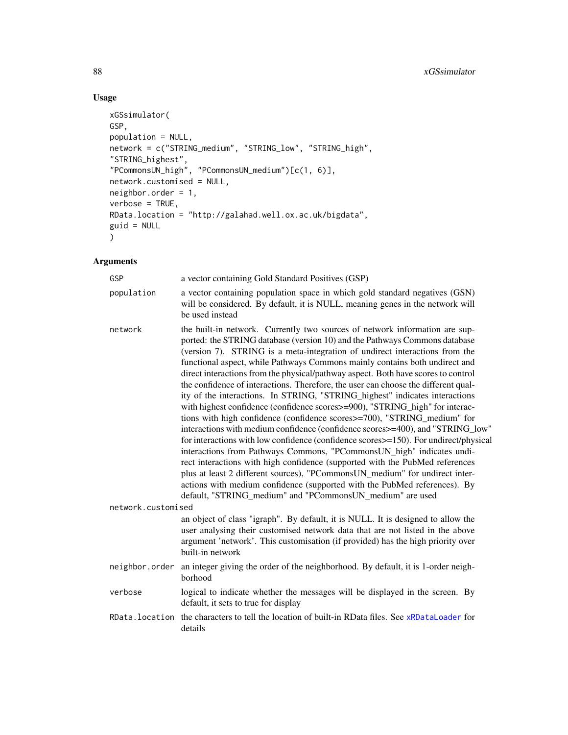# Usage

```
xGSsimulator(
GSP,
population = NULL,
network = c("STRING_medium", "STRING_low", "STRING_high",
"STRING_highest",
"PCommonsUN_high", "PCommonsUN_medium")[c(1, 6)],
network.customised = NULL,
neighbor.order = 1,
verbose = TRUE,
RData.location = "http://galahad.well.ox.ac.uk/bigdata",
guid = NULL
)
```

| GSP                | a vector containing Gold Standard Positives (GSP)                                                                                                                                                                                                                                                                                                                                                                                                                                                                                                                                                                                                                                                                                                                                                                                                                                                                                                                                                                                                                                                                                                                                                                                                                                                         |
|--------------------|-----------------------------------------------------------------------------------------------------------------------------------------------------------------------------------------------------------------------------------------------------------------------------------------------------------------------------------------------------------------------------------------------------------------------------------------------------------------------------------------------------------------------------------------------------------------------------------------------------------------------------------------------------------------------------------------------------------------------------------------------------------------------------------------------------------------------------------------------------------------------------------------------------------------------------------------------------------------------------------------------------------------------------------------------------------------------------------------------------------------------------------------------------------------------------------------------------------------------------------------------------------------------------------------------------------|
| population         | a vector containing population space in which gold standard negatives (GSN)<br>will be considered. By default, it is NULL, meaning genes in the network will<br>be used instead                                                                                                                                                                                                                                                                                                                                                                                                                                                                                                                                                                                                                                                                                                                                                                                                                                                                                                                                                                                                                                                                                                                           |
| network            | the built-in network. Currently two sources of network information are sup-<br>ported: the STRING database (version 10) and the Pathways Commons database<br>(version 7). STRING is a meta-integration of undirect interactions from the<br>functional aspect, while Pathways Commons mainly contains both undirect and<br>direct interactions from the physical/pathway aspect. Both have scores to control<br>the confidence of interactions. Therefore, the user can choose the different qual-<br>ity of the interactions. In STRING, "STRING_highest" indicates interactions<br>with highest confidence (confidence scores>=900), "STRING_high" for interac-<br>tions with high confidence (confidence scores>=700), "STRING_medium" for<br>interactions with medium confidence (confidence scores>=400), and "STRING_low"<br>for interactions with low confidence (confidence scores>=150). For undirect/physical<br>interactions from Pathways Commons, "PCommonsUN_high" indicates undi-<br>rect interactions with high confidence (supported with the PubMed references<br>plus at least 2 different sources), "PCommonsUN_medium" for undirect inter-<br>actions with medium confidence (supported with the PubMed references). By<br>default, "STRING_medium" and "PCommonsUN_medium" are used |
| network.customised |                                                                                                                                                                                                                                                                                                                                                                                                                                                                                                                                                                                                                                                                                                                                                                                                                                                                                                                                                                                                                                                                                                                                                                                                                                                                                                           |
|                    | an object of class "igraph". By default, it is NULL. It is designed to allow the<br>user analysing their customised network data that are not listed in the above<br>argument 'network'. This customisation (if provided) has the high priority over<br>built-in network                                                                                                                                                                                                                                                                                                                                                                                                                                                                                                                                                                                                                                                                                                                                                                                                                                                                                                                                                                                                                                  |
| neighbor.order     | an integer giving the order of the neighborhood. By default, it is 1-order neigh-<br>borhood                                                                                                                                                                                                                                                                                                                                                                                                                                                                                                                                                                                                                                                                                                                                                                                                                                                                                                                                                                                                                                                                                                                                                                                                              |
| verbose            | logical to indicate whether the messages will be displayed in the screen. By<br>default, it sets to true for display                                                                                                                                                                                                                                                                                                                                                                                                                                                                                                                                                                                                                                                                                                                                                                                                                                                                                                                                                                                                                                                                                                                                                                                      |
| RData.location     | the characters to tell the location of built-in RData files. See xRDataLoader for<br>details                                                                                                                                                                                                                                                                                                                                                                                                                                                                                                                                                                                                                                                                                                                                                                                                                                                                                                                                                                                                                                                                                                                                                                                                              |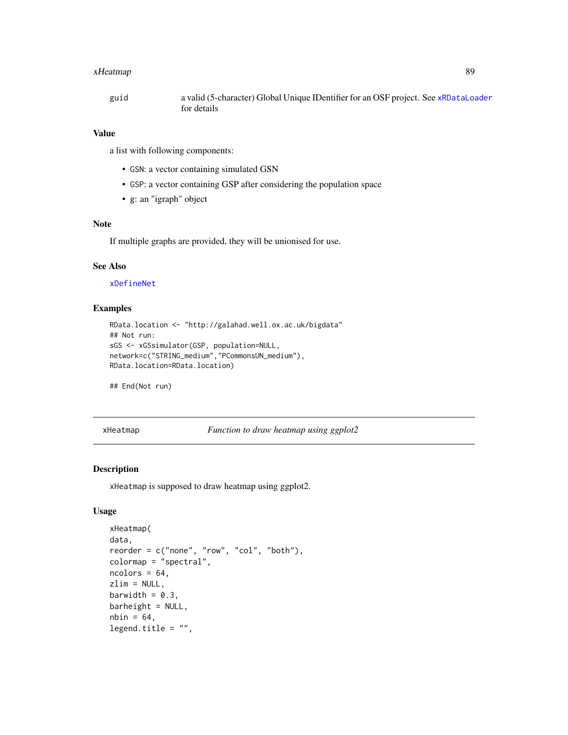# xHeatmap 89

| guid | a valid (5-character) Global Unique IDentifier for an OSF project. See xRDataLoader |
|------|-------------------------------------------------------------------------------------|
|      | for details                                                                         |

# Value

a list with following components:

- GSN: a vector containing simulated GSN
- GSP: a vector containing GSP after considering the population space
- g: an "igraph" object

# Note

If multiple graphs are provided, they will be unionised for use.

## See Also

[xDefineNet](#page-43-0)

### Examples

```
RData.location <- "http://galahad.well.ox.ac.uk/bigdata"
## Not run:
sGS <- xGSsimulator(GSP, population=NULL,
network=c("STRING_medium","PCommonsUN_medium"),
RData.location=RData.location)
```
## End(Not run)

<span id="page-88-0"></span>xHeatmap *Function to draw heatmap using ggplot2*

# Description

xHeatmap is supposed to draw heatmap using ggplot2.

### Usage

```
xHeatmap(
data,
reorder = c("none", "row", "col", "both"),
colormap = "spectral",
ncolors = 64,
zlim = NULL,
barwidth = 0.3,
barheight = NULL,
nbin = 64,
legend.title = ",
```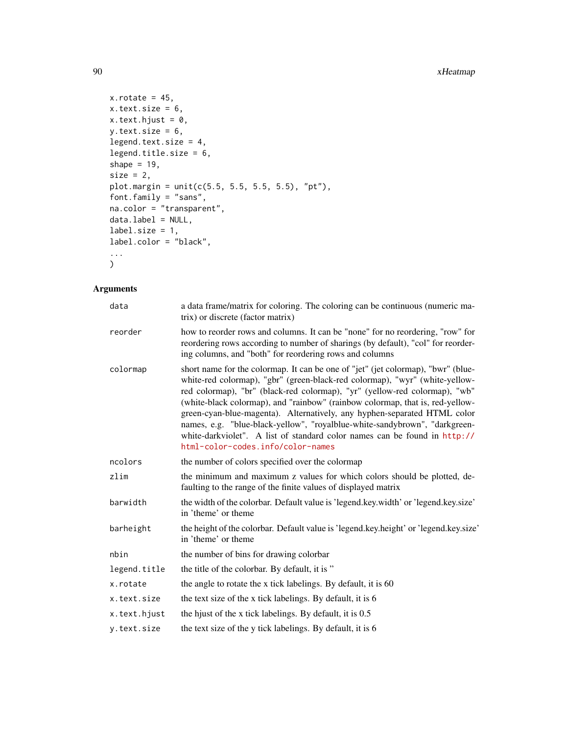# 90 xHeatmap

```
x.rotate = 45,
x.text.size = 6,
x.text.hjust = 0,y.text.size = 6,
legend.text.size = 4,
legend.title.size = 6,
shape = 19,
size = 2,
plot.margin = unit(c(5.5, 5.5, 5.5, 5.5), "pt"),font.family = "sans",
na.color = "transparent",
data.label = NULL,
label.size = 1,
label.color = "black",
...
)
```

| data         | a data frame/matrix for coloring. The coloring can be continuous (numeric ma-<br>trix) or discrete (factor matrix)                                                                                                                                                                                                                                                                                                                                                                                                                                                                                         |  |
|--------------|------------------------------------------------------------------------------------------------------------------------------------------------------------------------------------------------------------------------------------------------------------------------------------------------------------------------------------------------------------------------------------------------------------------------------------------------------------------------------------------------------------------------------------------------------------------------------------------------------------|--|
| reorder      | how to reorder rows and columns. It can be "none" for no reordering, "row" for<br>reordering rows according to number of sharings (by default), "col" for reorder-<br>ing columns, and "both" for reordering rows and columns                                                                                                                                                                                                                                                                                                                                                                              |  |
| colormap     | short name for the colormap. It can be one of "jet" (jet colormap), "bwr" (blue-<br>white-red colormap), "gbr" (green-black-red colormap), "wyr" (white-yellow-<br>red colormap), "br" (black-red colormap), "yr" (yellow-red colormap), "wb"<br>(white-black colormap), and "rainbow" (rainbow colormap, that is, red-yellow-<br>green-cyan-blue-magenta). Alternatively, any hyphen-separated HTML color<br>names, e.g. "blue-black-yellow", "royalblue-white-sandybrown", "darkgreen-<br>white-darkviolet". A list of standard color names can be found in http://<br>html-color-codes.info/color-names |  |
| ncolors      | the number of colors specified over the colormap                                                                                                                                                                                                                                                                                                                                                                                                                                                                                                                                                           |  |
| zlim         | the minimum and maximum z values for which colors should be plotted, de-<br>faulting to the range of the finite values of displayed matrix                                                                                                                                                                                                                                                                                                                                                                                                                                                                 |  |
| barwidth     | the width of the colorbar. Default value is 'legend.key.width' or 'legend.key.size'<br>in 'theme' or theme                                                                                                                                                                                                                                                                                                                                                                                                                                                                                                 |  |
| barheight    | the height of the colorbar. Default value is 'legend.key.height' or 'legend.key.size'<br>in 'theme' or theme                                                                                                                                                                                                                                                                                                                                                                                                                                                                                               |  |
| nbin         | the number of bins for drawing colorbar                                                                                                                                                                                                                                                                                                                                                                                                                                                                                                                                                                    |  |
| legend.title | the title of the colorbar. By default, it is "                                                                                                                                                                                                                                                                                                                                                                                                                                                                                                                                                             |  |
| x.rotate     | the angle to rotate the x tick labelings. By default, it is 60                                                                                                                                                                                                                                                                                                                                                                                                                                                                                                                                             |  |
| x.text.size  | the text size of the x tick labelings. By default, it is 6                                                                                                                                                                                                                                                                                                                                                                                                                                                                                                                                                 |  |
| x.text.hjust | the hjust of the x tick labelings. By default, it is 0.5                                                                                                                                                                                                                                                                                                                                                                                                                                                                                                                                                   |  |
| y.text.size  | the text size of the y tick labelings. By default, it is 6                                                                                                                                                                                                                                                                                                                                                                                                                                                                                                                                                 |  |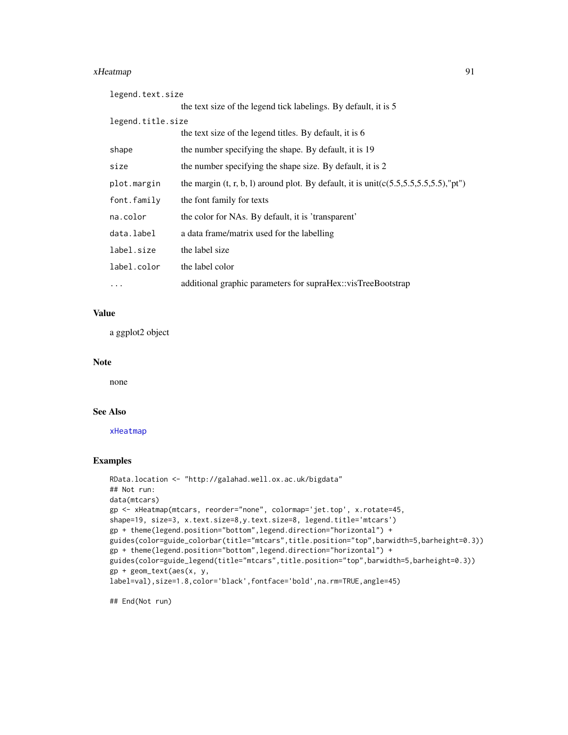#### xHeatmap 91

| legend.text.size  |                                                                                               |
|-------------------|-----------------------------------------------------------------------------------------------|
|                   | the text size of the legend tick labelings. By default, it is 5                               |
| legend.title.size |                                                                                               |
|                   | the text size of the legend titles. By default, it is 6                                       |
| shape             | the number specifying the shape. By default, it is 19                                         |
| size              | the number specifying the shape size. By default, it is 2                                     |
| plot.margin       | the margin $(t, r, b, l)$ around plot. By default, it is unit( $c(5.5, 5.5, 5.5, 5.5)$ ,"pt") |
| font.family       | the font family for texts                                                                     |
| na.color          | the color for NAs. By default, it is 'transparent'                                            |
| data.label        | a data frame/matrix used for the labelling                                                    |
| label.size        | the label size                                                                                |
| label.color       | the label color                                                                               |
| $\ddots$ .        | additional graphic parameters for supraHex::visTreeBootstrap                                  |

### Value

a ggplot2 object

## Note

none

### See Also

[xHeatmap](#page-88-0)

## Examples

```
RData.location <- "http://galahad.well.ox.ac.uk/bigdata"
## Not run:
data(mtcars)
gp <- xHeatmap(mtcars, reorder="none", colormap='jet.top', x.rotate=45,
shape=19, size=3, x.text.size=8,y.text.size=8, legend.title='mtcars')
gp + theme(legend.position="bottom",legend.direction="horizontal") +
guides(color=guide_colorbar(title="mtcars",title.position="top",barwidth=5,barheight=0.3))
gp + theme(legend.position="bottom",legend.direction="horizontal") +
guides(color=guide_legend(title="mtcars",title.position="top",barwidth=5,barheight=0.3))
gp + geom_text(aes(x, y,
label=val),size=1.8,color='black',fontface='bold',na.rm=TRUE,angle=45)
```
## End(Not run)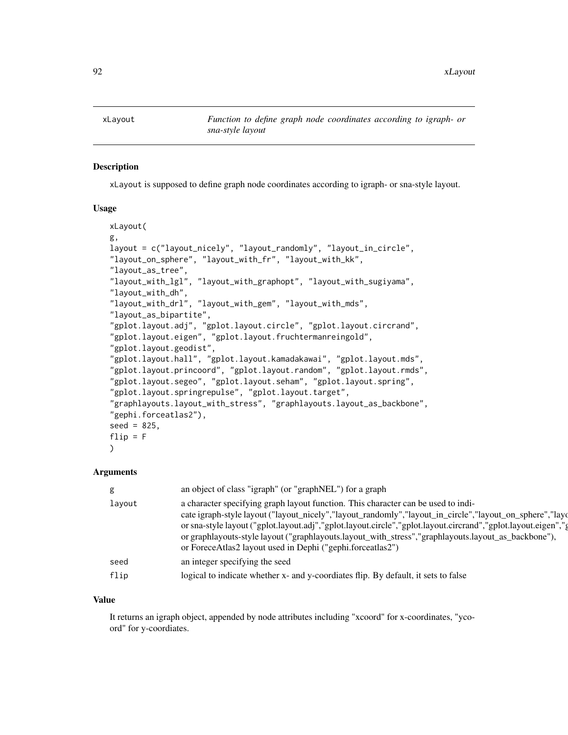### Description

xLayout is supposed to define graph node coordinates according to igraph- or sna-style layout.

## Usage

```
xLayout(
g,
layout = c("layout_nicely", "layout_randomly", "layout_in_circle",
"layout_on_sphere", "layout_with_fr", "layout_with_kk",
"layout_as_tree",
"layout_with_lgl", "layout_with_graphopt", "layout_with_sugiyama",
"layout_with_dh",
"layout_with_drl", "layout_with_gem", "layout_with_mds",
"layout_as_bipartite",
"gplot.layout.adj", "gplot.layout.circle", "gplot.layout.circrand",
"gplot.layout.eigen", "gplot.layout.fruchtermanreingold",
"gplot.layout.geodist",
"gplot.layout.hall", "gplot.layout.kamadakawai", "gplot.layout.mds",
"gplot.layout.princoord", "gplot.layout.random", "gplot.layout.rmds",
"gplot.layout.segeo", "gplot.layout.seham", "gplot.layout.spring",
"gplot.layout.springrepulse", "gplot.layout.target",
"graphlayouts.layout_with_stress", "graphlayouts.layout_as_backbone",
"gephi.forceatlas2"),
seed = 825,
flip = F)
```
#### Arguments

|        | an object of class "igraph" (or "graphNEL") for a graph                                                                                                                                                                                                                                                                                                                                                                                                                              |
|--------|--------------------------------------------------------------------------------------------------------------------------------------------------------------------------------------------------------------------------------------------------------------------------------------------------------------------------------------------------------------------------------------------------------------------------------------------------------------------------------------|
| layout | a character specifying graph layout function. This character can be used to indi-<br>cate igraph-style layout ("layout_nicely","layout_randomly","layout_in_circle","layout_on_sphere","layout<br>or sna-style layout ("gplot.layout.adj","gplot.layout.circle","gplot.layout.circrand","gplot.layout.eigen","g<br>or graphlayouts-style layout ("graphlayouts.layout_with_stress","graphlayouts.layout_as_backbone"),<br>or ForeceAtlas2 layout used in Dephi ("gephi.forceatlas2") |
| seed   | an integer specifying the seed                                                                                                                                                                                                                                                                                                                                                                                                                                                       |
| flip   | logical to indicate whether x- and y-coordiates flip. By default, it sets to false                                                                                                                                                                                                                                                                                                                                                                                                   |

## Value

It returns an igraph object, appended by node attributes including "xcoord" for x-coordinates, "ycoord" for y-coordiates.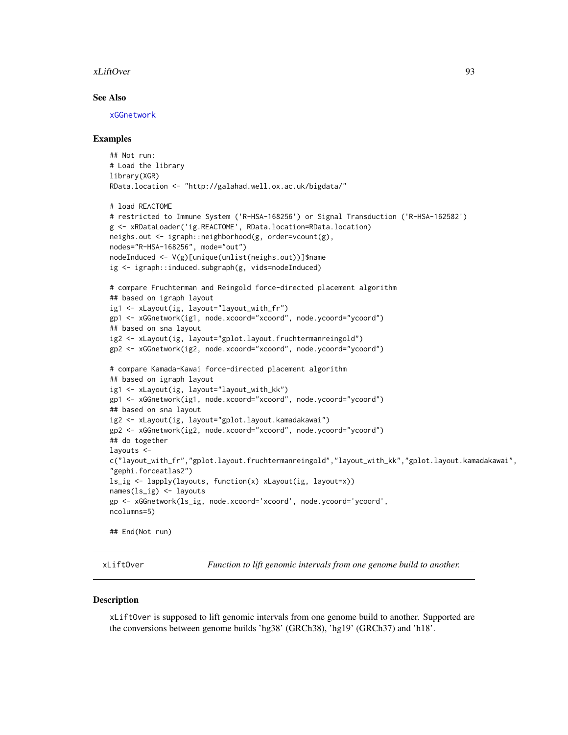#### xLiftOver 93

### See Also

[xGGnetwork](#page-63-0)

#### Examples

```
## Not run:
# Load the library
library(XGR)
RData.location <- "http://galahad.well.ox.ac.uk/bigdata/"
# load REACTOME
# restricted to Immune System ('R-HSA-168256') or Signal Transduction ('R-HSA-162582')
g <- xRDataLoader('ig.REACTOME', RData.location=RData.location)
neighs.out <- igraph::neighborhood(g, order=vcount(g),
nodes="R-HSA-168256", mode="out")
nodeInduced <- V(g)[unique(unlist(neighs.out))]$name
ig <- igraph::induced.subgraph(g, vids=nodeInduced)
# compare Fruchterman and Reingold force-directed placement algorithm
## based on igraph layout
ig1 <- xLayout(ig, layout="layout_with_fr")
gp1 <- xGGnetwork(ig1, node.xcoord="xcoord", node.ycoord="ycoord")
## based on sna layout
ig2 <- xLayout(ig, layout="gplot.layout.fruchtermanreingold")
gp2 <- xGGnetwork(ig2, node.xcoord="xcoord", node.ycoord="ycoord")
# compare Kamada-Kawai force-directed placement algorithm
## based on igraph layout
ig1 <- xLayout(ig, layout="layout_with_kk")
gp1 <- xGGnetwork(ig1, node.xcoord="xcoord", node.ycoord="ycoord")
## based on sna layout
ig2 <- xLayout(ig, layout="gplot.layout.kamadakawai")
gp2 <- xGGnetwork(ig2, node.xcoord="xcoord", node.ycoord="ycoord")
## do together
layouts <-
c("layout_with_fr","gplot.layout.fruchtermanreingold","layout_with_kk","gplot.layout.kamadakawai",
"gephi.forceatlas2")
ls_ig <- lapply(layouts, function(x) xLayout(ig, layout=x))
names(ls_ig) <- layouts
gp <- xGGnetwork(ls_ig, node.xcoord='xcoord', node.ycoord='ycoord',
ncolumns=5)
## End(Not run)
```
xLiftOver *Function to lift genomic intervals from one genome build to another.*

#### **Description**

xLiftOver is supposed to lift genomic intervals from one genome build to another. Supported are the conversions between genome builds 'hg38' (GRCh38), 'hg19' (GRCh37) and 'h18'.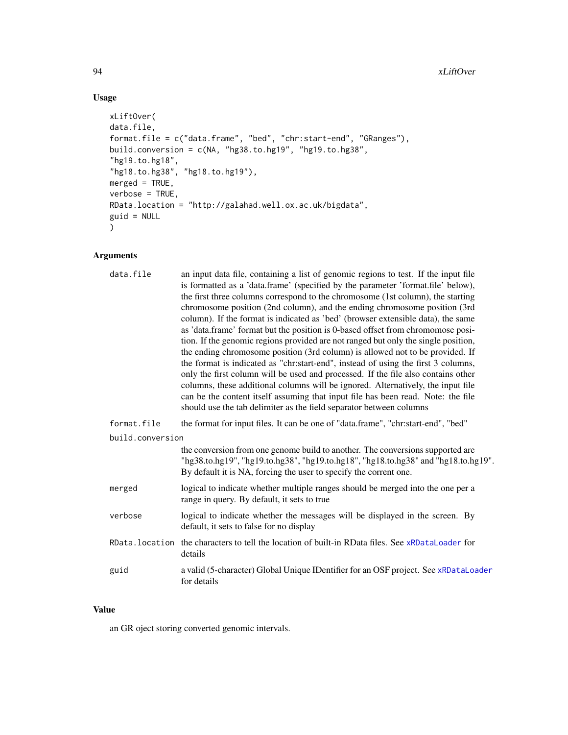# Usage

```
xLiftOver(
data.file,
format.file = c("data.frame", "bed", "chr:start-end", "GRanges"),
build.conversion = c(NA, "hg38.to.hg19", "hg19.to.hg38",
"hg19.to.hg18",
"hg18.to.hg38", "hg18.to.hg19"),
merged = TRUE,
verbose = TRUE,
RData.location = "http://galahad.well.ox.ac.uk/bigdata",
guid = NULL
)
```
# Arguments

| data.file        | an input data file, containing a list of genomic regions to test. If the input file<br>is formatted as a 'data.frame' (specified by the parameter 'format.file' below),<br>the first three columns correspond to the chromosome (1st column), the starting<br>chromosome position (2nd column), and the ending chromosome position (3rd<br>column). If the format is indicated as 'bed' (browser extensible data), the same<br>as 'data.frame' format but the position is 0-based offset from chromomose posi-<br>tion. If the genomic regions provided are not ranged but only the single position,<br>the ending chromosome position (3rd column) is allowed not to be provided. If<br>the format is indicated as "chr:start-end", instead of using the first 3 columns,<br>only the first column will be used and processed. If the file also contains other<br>columns, these additional columns will be ignored. Alternatively, the input file<br>can be the content itself assuming that input file has been read. Note: the file<br>should use the tab delimiter as the field separator between columns |
|------------------|----------------------------------------------------------------------------------------------------------------------------------------------------------------------------------------------------------------------------------------------------------------------------------------------------------------------------------------------------------------------------------------------------------------------------------------------------------------------------------------------------------------------------------------------------------------------------------------------------------------------------------------------------------------------------------------------------------------------------------------------------------------------------------------------------------------------------------------------------------------------------------------------------------------------------------------------------------------------------------------------------------------------------------------------------------------------------------------------------------------|
| format.file      | the format for input files. It can be one of "data.frame", "chr:start-end", "bed"                                                                                                                                                                                                                                                                                                                                                                                                                                                                                                                                                                                                                                                                                                                                                                                                                                                                                                                                                                                                                              |
| build.conversion |                                                                                                                                                                                                                                                                                                                                                                                                                                                                                                                                                                                                                                                                                                                                                                                                                                                                                                                                                                                                                                                                                                                |
|                  | the conversion from one genome build to another. The conversions supported are<br>"hg38.to.hg19", "hg19.to.hg38", "hg19.to.hg18", "hg18.to.hg38" and "hg18.to.hg19".<br>By default it is NA, forcing the user to specify the corrent one.                                                                                                                                                                                                                                                                                                                                                                                                                                                                                                                                                                                                                                                                                                                                                                                                                                                                      |
| merged           | logical to indicate whether multiple ranges should be merged into the one per a<br>range in query. By default, it sets to true                                                                                                                                                                                                                                                                                                                                                                                                                                                                                                                                                                                                                                                                                                                                                                                                                                                                                                                                                                                 |
| verbose          | logical to indicate whether the messages will be displayed in the screen. By<br>default, it sets to false for no display                                                                                                                                                                                                                                                                                                                                                                                                                                                                                                                                                                                                                                                                                                                                                                                                                                                                                                                                                                                       |
|                  | RData. location the characters to tell the location of built-in RData files. See xRDataLoader for<br>details                                                                                                                                                                                                                                                                                                                                                                                                                                                                                                                                                                                                                                                                                                                                                                                                                                                                                                                                                                                                   |
| guid             | a valid (5-character) Global Unique IDentifier for an OSF project. See xRDataLoader<br>for details                                                                                                                                                                                                                                                                                                                                                                                                                                                                                                                                                                                                                                                                                                                                                                                                                                                                                                                                                                                                             |

## Value

an GR oject storing converted genomic intervals.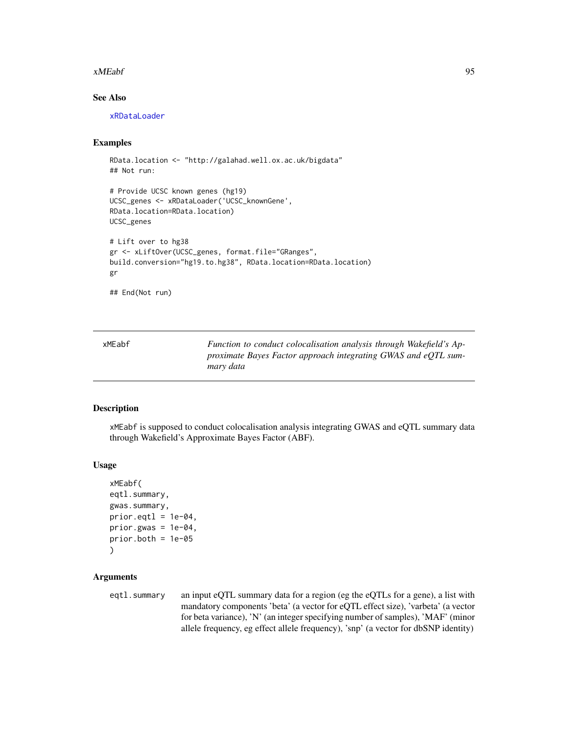#### xMEabf 95

# See Also

[xRDataLoader](#page-182-0)

# Examples

```
RData.location <- "http://galahad.well.ox.ac.uk/bigdata"
## Not run:
```

```
# Provide UCSC known genes (hg19)
UCSC_genes <- xRDataLoader('UCSC_knownGene',
RData.location=RData.location)
UCSC_genes
# Lift over to hg38
gr <- xLiftOver(UCSC_genes, format.file="GRanges",
```

```
build.conversion="hg19.to.hg38", RData.location=RData.location)
gr
```

```
## End(Not run)
```
<span id="page-94-0"></span>

| xMEabf | Function to conduct colocalisation analysis through Wakefield's Ap- |
|--------|---------------------------------------------------------------------|
|        | proximate Bayes Factor approach integrating GWAS and eQTL sum-      |
|        | mary data                                                           |

# Description

xMEabf is supposed to conduct colocalisation analysis integrating GWAS and eQTL summary data through Wakefield's Approximate Bayes Factor (ABF).

#### Usage

```
xMEabf(
eqtl.summary,
gwas.summary,
prior.get1 = 1e-04,
prior.gwas = 1e-04,
prior.both = 1e-05)
```
## Arguments

eqtl.summary an input eQTL summary data for a region (eg the eQTLs for a gene), a list with mandatory components 'beta' (a vector for eQTL effect size), 'varbeta' (a vector for beta variance), 'N' (an integer specifying number of samples), 'MAF' (minor allele frequency, eg effect allele frequency), 'snp' (a vector for dbSNP identity)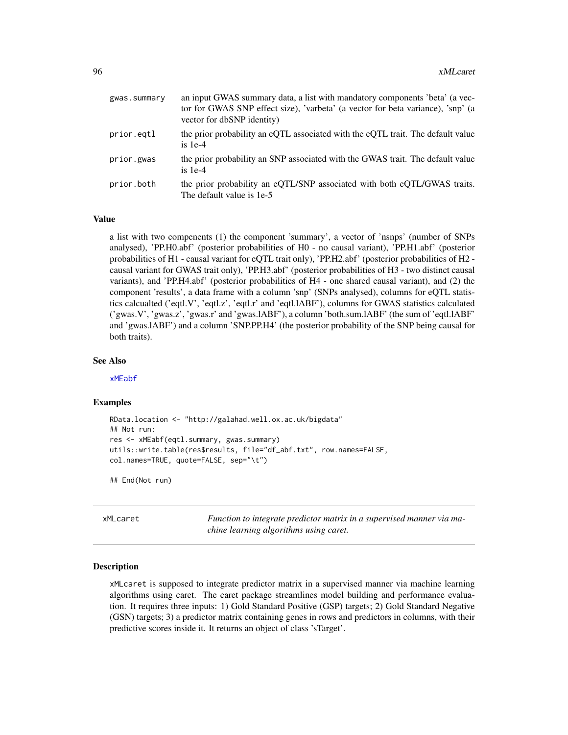| gwas.summary | an input GWAS summary data, a list with mandatory components 'beta' (a vec-<br>tor for GWAS SNP effect size), 'varbeta' (a vector for beta variance), 'snp' (a<br>vector for dbSNP identity) |
|--------------|----------------------------------------------------------------------------------------------------------------------------------------------------------------------------------------------|
| prior.eqtl   | the prior probability an eQTL associated with the eQTL trait. The default value<br>is $1e-4$                                                                                                 |
| prior.gwas   | the prior probability an SNP associated with the GWAS trait. The default value<br>is $1e-4$                                                                                                  |
| prior.both   | the prior probability an eQTL/SNP associated with both eQTL/GWAS traits.<br>The default value is 1e-5                                                                                        |

### Value

a list with two compenents (1) the component 'summary', a vector of 'nsnps' (number of SNPs analysed), 'PP.H0.abf' (posterior probabilities of H0 - no causal variant), 'PP.H1.abf' (posterior probabilities of H1 - causal variant for eQTL trait only), 'PP.H2.abf' (posterior probabilities of H2 causal variant for GWAS trait only), 'PP.H3.abf' (posterior probabilities of H3 - two distinct causal variants), and 'PP.H4.abf' (posterior probabilities of H4 - one shared causal variant), and (2) the component 'results', a data frame with a column 'snp' (SNPs analysed), columns for eQTL statistics calcualted ('eqtl.V', 'eqtl.z', 'eqtl.r' and 'eqtl.lABF'), columns for GWAS statistics calculated ('gwas.V', 'gwas.z', 'gwas.r' and 'gwas.lABF'), a column 'both.sum.lABF' (the sum of 'eqtl.lABF' and 'gwas.lABF') and a column 'SNP.PP.H4' (the posterior probability of the SNP being causal for both traits).

#### See Also

[xMEabf](#page-94-0)

### Examples

```
RData.location <- "http://galahad.well.ox.ac.uk/bigdata"
## Not run:
res <- xMEabf(eqtl.summary, gwas.summary)
utils::write.table(res$results, file="df_abf.txt", row.names=FALSE,
col.names=TRUE, quote=FALSE, sep="\t")
```
## End(Not run)

xMLcaret *Function to integrate predictor matrix in a supervised manner via machine learning algorithms using caret.*

#### Description

xMLcaret is supposed to integrate predictor matrix in a supervised manner via machine learning algorithms using caret. The caret package streamlines model building and performance evaluation. It requires three inputs: 1) Gold Standard Positive (GSP) targets; 2) Gold Standard Negative (GSN) targets; 3) a predictor matrix containing genes in rows and predictors in columns, with their predictive scores inside it. It returns an object of class 'sTarget'.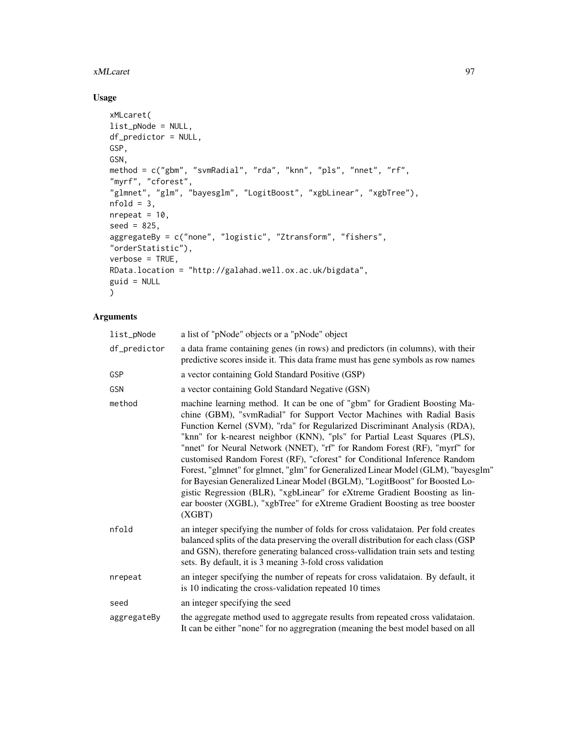### xMLcaret 97

# Usage

```
xMLcaret(
list_pNode = NULL,
df_predictor = NULL,
GSP,
GSN,
method = c("gbm", "svmRadial", "rda", "knn", "pls", "nnet", "rf",
"myrf", "cforest",
"glmnet", "glm", "bayesglm", "LogitBoost", "xgbLinear", "xgbTree"),
nfold = 3,nrepeat = 10,
seed = 825,aggregateBy = c("none", "logistic", "Ztransform", "fishers",
"orderStatistic"),
verbose = TRUE,
RData.location = "http://galahad.well.ox.ac.uk/bigdata",
guid = NULL\mathcal{L}
```

| list_pNode   | a list of "pNode" objects or a "pNode" object                                                                                                                                                                                                                                                                                                                                                                                                                                                                                                                                                                                                                                                                                                                                                                      |
|--------------|--------------------------------------------------------------------------------------------------------------------------------------------------------------------------------------------------------------------------------------------------------------------------------------------------------------------------------------------------------------------------------------------------------------------------------------------------------------------------------------------------------------------------------------------------------------------------------------------------------------------------------------------------------------------------------------------------------------------------------------------------------------------------------------------------------------------|
| df_predictor | a data frame containing genes (in rows) and predictors (in columns), with their<br>predictive scores inside it. This data frame must has gene symbols as row names                                                                                                                                                                                                                                                                                                                                                                                                                                                                                                                                                                                                                                                 |
| GSP          | a vector containing Gold Standard Positive (GSP)                                                                                                                                                                                                                                                                                                                                                                                                                                                                                                                                                                                                                                                                                                                                                                   |
| GSN          | a vector containing Gold Standard Negative (GSN)                                                                                                                                                                                                                                                                                                                                                                                                                                                                                                                                                                                                                                                                                                                                                                   |
| method       | machine learning method. It can be one of "gbm" for Gradient Boosting Ma-<br>chine (GBM), "svmRadial" for Support Vector Machines with Radial Basis<br>Function Kernel (SVM), "rda" for Regularized Discriminant Analysis (RDA),<br>"knn" for k-nearest neighbor (KNN), "pls" for Partial Least Squares (PLS),<br>"nnet" for Neural Network (NNET), "rf" for Random Forest (RF), "myrf" for<br>customised Random Forest (RF), "cforest" for Conditional Inference Random<br>Forest, "glmnet" for glmnet, "glm" for Generalized Linear Model (GLM), "bayesglm"<br>for Bayesian Generalized Linear Model (BGLM), "LogitBoost" for Boosted Lo-<br>gistic Regression (BLR), "xgbLinear" for eXtreme Gradient Boosting as lin-<br>ear booster (XGBL), "xgbTree" for eXtreme Gradient Boosting as tree booster<br>(XGBT) |
| nfold        | an integer specifying the number of folds for cross validataion. Per fold creates<br>balanced splits of the data preserving the overall distribution for each class (GSP<br>and GSN), therefore generating balanced cross-vallidation train sets and testing<br>sets. By default, it is 3 meaning 3-fold cross validation                                                                                                                                                                                                                                                                                                                                                                                                                                                                                          |
| nrepeat      | an integer specifying the number of repeats for cross validataion. By default, it<br>is 10 indicating the cross-validation repeated 10 times                                                                                                                                                                                                                                                                                                                                                                                                                                                                                                                                                                                                                                                                       |
| seed         | an integer specifying the seed                                                                                                                                                                                                                                                                                                                                                                                                                                                                                                                                                                                                                                                                                                                                                                                     |
| aggregateBy  | the aggregate method used to aggregate results from repeated cross validataion.<br>It can be either "none" for no aggregration (meaning the best model based on all                                                                                                                                                                                                                                                                                                                                                                                                                                                                                                                                                                                                                                                |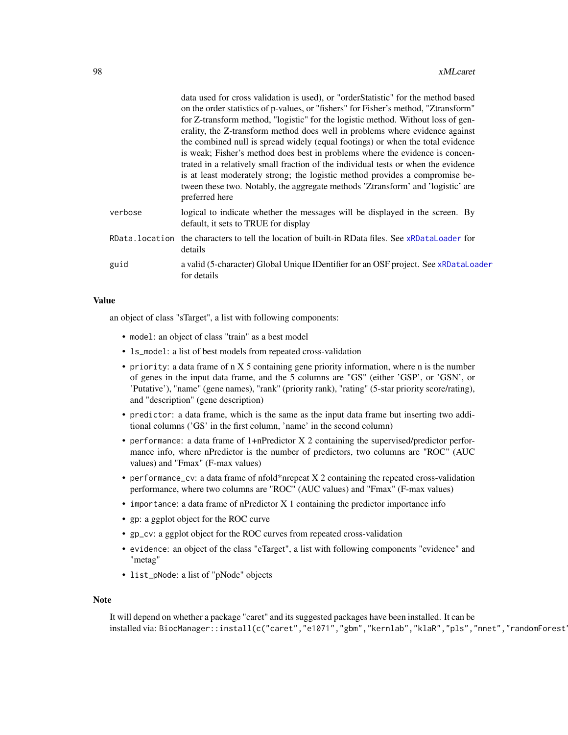|                | data used for cross validation is used), or "order Statistic" for the method based<br>on the order statistics of p-values, or "fishers" for Fisher's method, "Ztransform"<br>for Z-transform method, "logistic" for the logistic method. Without loss of gen-<br>erality, the Z-transform method does well in problems where evidence against<br>the combined null is spread widely (equal footings) or when the total evidence<br>is weak; Fisher's method does best in problems where the evidence is concen-<br>trated in a relatively small fraction of the individual tests or when the evidence<br>is at least moderately strong; the logistic method provides a compromise be-<br>tween these two. Notably, the aggregate methods 'Ztransform' and 'logistic' are<br>preferred here |
|----------------|--------------------------------------------------------------------------------------------------------------------------------------------------------------------------------------------------------------------------------------------------------------------------------------------------------------------------------------------------------------------------------------------------------------------------------------------------------------------------------------------------------------------------------------------------------------------------------------------------------------------------------------------------------------------------------------------------------------------------------------------------------------------------------------------|
| verbose        | logical to indicate whether the messages will be displayed in the screen. By<br>default, it sets to TRUE for display                                                                                                                                                                                                                                                                                                                                                                                                                                                                                                                                                                                                                                                                       |
| RData.location | the characters to tell the location of built-in RData files. See xRDataLoader for<br>details                                                                                                                                                                                                                                                                                                                                                                                                                                                                                                                                                                                                                                                                                               |
| guid           | a valid (5-character) Global Unique IDentifier for an OSF project. See xRDataLoader<br>for details                                                                                                                                                                                                                                                                                                                                                                                                                                                                                                                                                                                                                                                                                         |
|                |                                                                                                                                                                                                                                                                                                                                                                                                                                                                                                                                                                                                                                                                                                                                                                                            |

## Value

an object of class "sTarget", a list with following components:

- model: an object of class "train" as a best model
- ls\_model: a list of best models from repeated cross-validation
- priority: a data frame of n X 5 containing gene priority information, where n is the number of genes in the input data frame, and the 5 columns are "GS" (either 'GSP', or 'GSN', or 'Putative'), "name" (gene names), "rank" (priority rank), "rating" (5-star priority score/rating), and "description" (gene description)
- predictor: a data frame, which is the same as the input data frame but inserting two additional columns ('GS' in the first column, 'name' in the second column)
- performance: a data frame of 1+nPredictor X 2 containing the supervised/predictor performance info, where nPredictor is the number of predictors, two columns are "ROC" (AUC values) and "Fmax" (F-max values)
- performance\_cv: a data frame of nfold\*nrepeat X 2 containing the repeated cross-validation performance, where two columns are "ROC" (AUC values) and "Fmax" (F-max values)
- importance: a data frame of nPredictor X 1 containing the predictor importance info
- gp: a ggplot object for the ROC curve
- gp\_cv: a ggplot object for the ROC curves from repeated cross-validation
- evidence: an object of the class "eTarget", a list with following components "evidence" and "metag"
- list\_pNode: a list of "pNode" objects

#### Note

It will depend on whether a package "caret" and its suggested packages have been installed. It can be installed via: BiocManager::install(c("caret","e1071","gbm","kernlab","klaR","pls","nnet","randomForest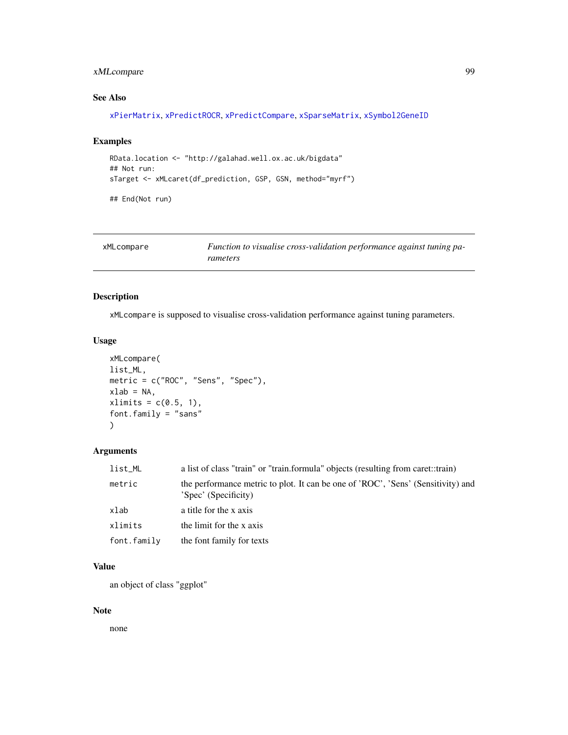# xMLcompare 99

# See Also

[xPierMatrix](#page-143-0), [xPredictROCR](#page-180-0), [xPredictCompare](#page-179-0), [xSparseMatrix](#page-197-0), [xSymbol2GeneID](#page-203-0)

## Examples

```
RData.location <- "http://galahad.well.ox.ac.uk/bigdata"
## Not run:
sTarget <- xMLcaret(df_prediction, GSP, GSN, method="myrf")
```
## End(Not run)

<span id="page-98-0"></span>

| xMLcompare | Function to visualise cross-validation performance against tuning pa- |
|------------|-----------------------------------------------------------------------|
|            | rameters                                                              |

# Description

xMLcompare is supposed to visualise cross-validation performance against tuning parameters.

# Usage

```
xMLcompare(
list_ML,
metric = c("ROC", "Sens", "Spec"),
xlab = NA,
xlimits = c(0.5, 1),
font.family = "sans"
\lambda
```
## Arguments

| list_ML     | a list of class "train" or "train.formula" objects (resulting from caret::train)                         |  |
|-------------|----------------------------------------------------------------------------------------------------------|--|
| metric      | the performance metric to plot. It can be one of 'ROC', 'Sens' (Sensitivity) and<br>'Spec' (Specificity) |  |
| xlab        | a title for the x axis                                                                                   |  |
| xlimits     | the limit for the x axis                                                                                 |  |
| font.family | the font family for texts                                                                                |  |

# Value

an object of class "ggplot"

## Note

none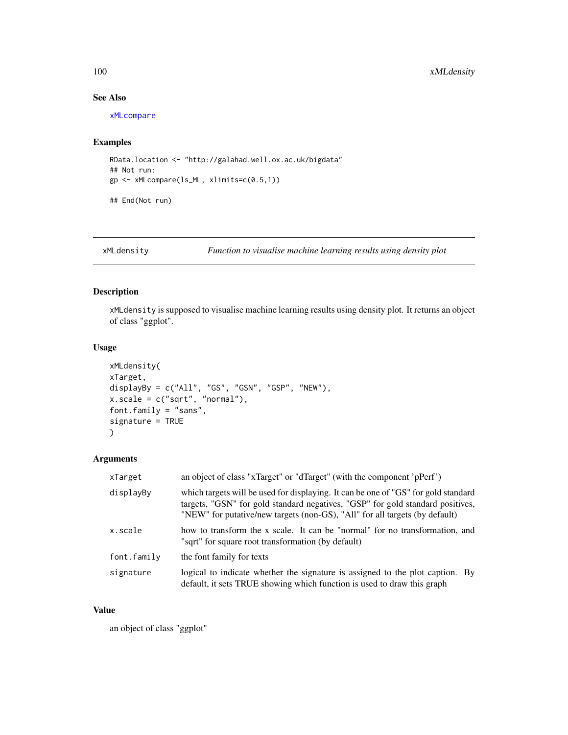## See Also

[xMLcompare](#page-98-0)

# Examples

```
RData.location <- "http://galahad.well.ox.ac.uk/bigdata"
## Not run:
gp <- xMLcompare(ls_ML, xlimits=c(0.5,1))
```
## End(Not run)

xMLdensity *Function to visualise machine learning results using density plot*

# Description

xMLdensity is supposed to visualise machine learning results using density plot. It returns an object of class "ggplot".

#### Usage

```
xMLdensity(
xTarget,
displayBy = c("All", "GS", "GSN", "GSP", "NEW"),
x.scale = c("sqrt", "normal"),
font.family = "sans",
signature = TRUE
\mathcal{L}
```
# Arguments

| xTarget     | an object of class "xTarget" or "dTarget" (with the component 'pPerf')                                                                                                                                                                              |
|-------------|-----------------------------------------------------------------------------------------------------------------------------------------------------------------------------------------------------------------------------------------------------|
| displayBy   | which targets will be used for displaying. It can be one of "GS" for gold standard<br>targets, "GSN" for gold standard negatives, "GSP" for gold standard positives,<br>"NEW" for putative/new targets (non-GS), "All" for all targets (by default) |
| x.scale     | how to transform the x scale. It can be "normal" for no transformation, and<br>"sqrt" for square root transformation (by default)                                                                                                                   |
| font.family | the font family for texts                                                                                                                                                                                                                           |
| signature   | logical to indicate whether the signature is assigned to the plot caption. By<br>default, it sets TRUE showing which function is used to draw this graph                                                                                            |

#### Value

an object of class "ggplot"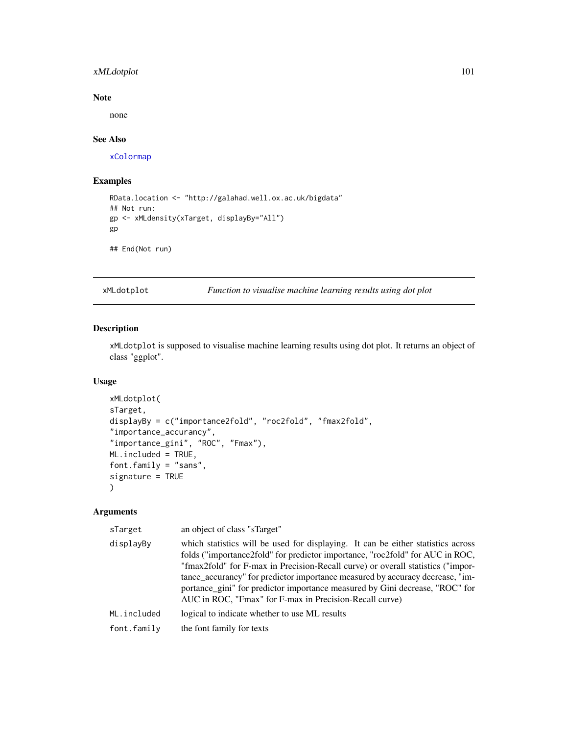# xMLdotplot 101

# Note

none

## See Also

[xColormap](#page-21-0)

## Examples

```
RData.location <- "http://galahad.well.ox.ac.uk/bigdata"
## Not run:
gp <- xMLdensity(xTarget, displayBy="All")
gp
```
## End(Not run)

<span id="page-100-0"></span>xMLdotplot *Function to visualise machine learning results using dot plot*

## Description

xMLdotplot is supposed to visualise machine learning results using dot plot. It returns an object of class "ggplot".

## Usage

```
xMLdotplot(
sTarget,
displayBy = c("importance2fold", "roc2fold", "fmax2fold",
"importance_accurancy",
"importance_gini", "ROC", "Fmax"),
ML.included = TRUE,
font.family = "sans",
signature = TRUE
\mathcal{L}
```

| sTarget     | an object of class "sTarget"                                                                                                                                                                                                                                                                                                                                                                                                                                                     |
|-------------|----------------------------------------------------------------------------------------------------------------------------------------------------------------------------------------------------------------------------------------------------------------------------------------------------------------------------------------------------------------------------------------------------------------------------------------------------------------------------------|
| displayBy   | which statistics will be used for displaying. It can be either statistics across<br>folds ("importance2fold" for predictor importance, "roc2fold" for AUC in ROC,<br>"fmax2fold" for F-max in Precision-Recall curve) or overall statistics ("impor-<br>tance_accurancy" for predictor importance measured by accuracy decrease, "im-<br>portance_gini" for predictor importance measured by Gini decrease, "ROC" for<br>AUC in ROC, "Fmax" for F-max in Precision-Recall curve) |
| ML.included | logical to indicate whether to use ML results                                                                                                                                                                                                                                                                                                                                                                                                                                    |
| font.family | the font family for texts                                                                                                                                                                                                                                                                                                                                                                                                                                                        |
|             |                                                                                                                                                                                                                                                                                                                                                                                                                                                                                  |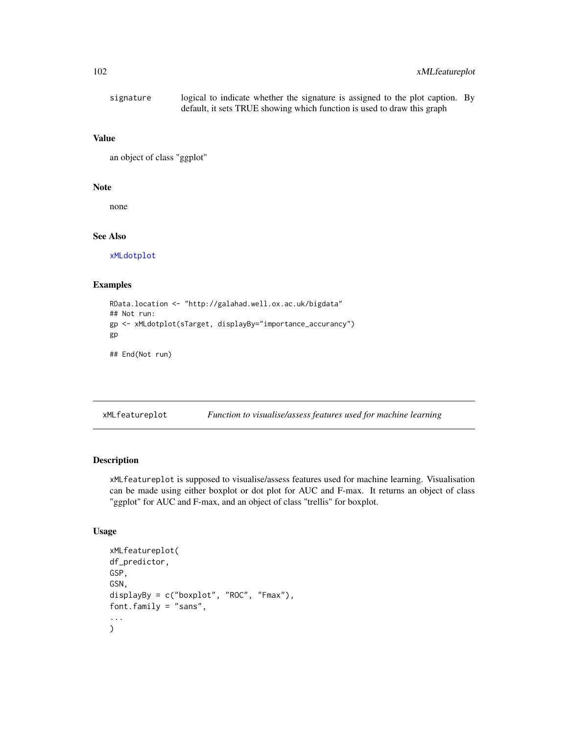```
signature logical to indicate whether the signature is assigned to the plot caption. By
                  default, it sets TRUE showing which function is used to draw this graph
```
### Value

an object of class "ggplot"

#### Note

none

## See Also

[xMLdotplot](#page-100-0)

# Examples

```
RData.location <- "http://galahad.well.ox.ac.uk/bigdata"
## Not run:
gp <- xMLdotplot(sTarget, displayBy="importance_accurancy")
gp
```
## End(Not run)

xMLfeatureplot *Function to visualise/assess features used for machine learning*

### Description

xMLfeatureplot is supposed to visualise/assess features used for machine learning. Visualisation can be made using either boxplot or dot plot for AUC and F-max. It returns an object of class "ggplot" for AUC and F-max, and an object of class "trellis" for boxplot.

### Usage

```
xMLfeatureplot(
df_predictor,
GSP,
GSN,
displayBy = c("boxplot", "ROC", "Fmax"),
font.family = "sans",
...
\mathcal{L}
```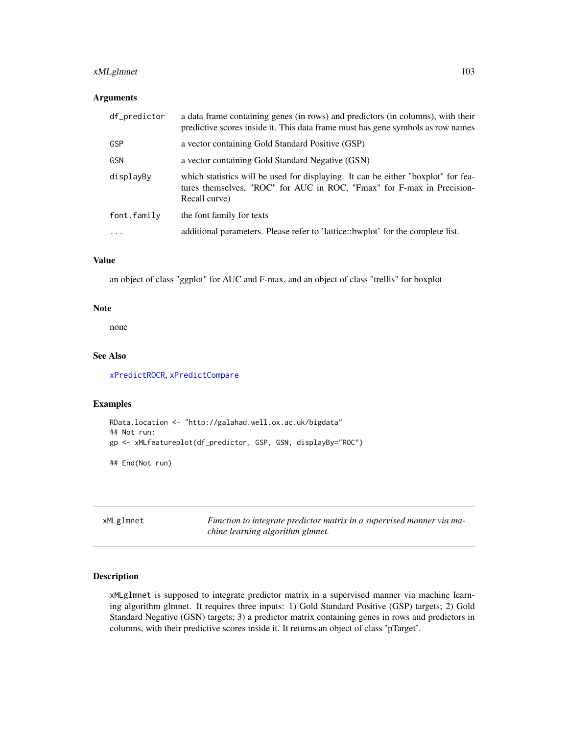# xMLglmnet 103

## Arguments

| df_predictor            | a data frame containing genes (in rows) and predictors (in columns), with their<br>predictive scores inside it. This data frame must has gene symbols as row names           |
|-------------------------|------------------------------------------------------------------------------------------------------------------------------------------------------------------------------|
| GSP                     | a vector containing Gold Standard Positive (GSP)                                                                                                                             |
| GSN                     | a vector containing Gold Standard Negative (GSN)                                                                                                                             |
| displayBy               | which statistics will be used for displaying. It can be either "boxplot" for fea-<br>tures themselves, "ROC" for AUC in ROC, "Fmax" for F-max in Precision-<br>Recall curve) |
| font.family             | the font family for texts                                                                                                                                                    |
| $\cdot$ $\cdot$ $\cdot$ | additional parameters. Please refer to 'lattice::bwplot' for the complete list.                                                                                              |
|                         |                                                                                                                                                                              |

# Value

an object of class "ggplot" for AUC and F-max, and an object of class "trellis" for boxplot

#### Note

none

## See Also

[xPredictROCR](#page-180-0), [xPredictCompare](#page-179-0)

## Examples

```
RData.location <- "http://galahad.well.ox.ac.uk/bigdata"
## Not run:
gp <- xMLfeatureplot(df_predictor, GSP, GSN, displayBy="ROC")
## End(Not run)
```
xMLglmnet *Function to integrate predictor matrix in a supervised manner via machine learning algorithm glmnet.*

# Description

xMLglmnet is supposed to integrate predictor matrix in a supervised manner via machine learning algorithm glmnet. It requires three inputs: 1) Gold Standard Positive (GSP) targets; 2) Gold Standard Negative (GSN) targets; 3) a predictor matrix containing genes in rows and predictors in columns, with their predictive scores inside it. It returns an object of class 'pTarget'.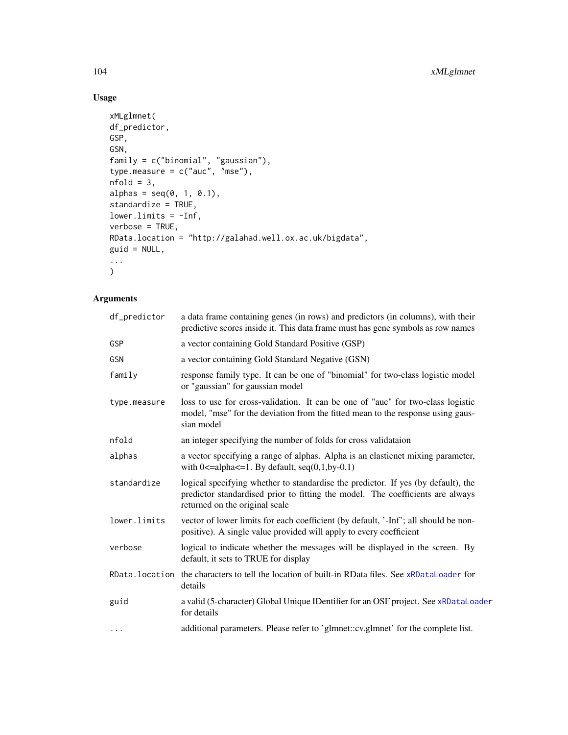# Usage

```
xMLglmnet(
df_predictor,
GSP,
GSN,
family = c("binomial", "gaussian"),
type.measure = c("auc", "mse"),
nfold = 3,
alphas = seq(0, 1, 0.1),
standardize = TRUE,
lower.limits = -Inf,
verbose = TRUE,
RData.location = "http://galahad.well.ox.ac.uk/bigdata",
guid = NULL,...
\sum_{i=1}^{n}
```

| df_predictor | a data frame containing genes (in rows) and predictors (in columns), with their<br>predictive scores inside it. This data frame must has gene symbols as row names                                    |
|--------------|-------------------------------------------------------------------------------------------------------------------------------------------------------------------------------------------------------|
| <b>GSP</b>   | a vector containing Gold Standard Positive (GSP)                                                                                                                                                      |
| <b>GSN</b>   | a vector containing Gold Standard Negative (GSN)                                                                                                                                                      |
| family       | response family type. It can be one of "binomial" for two-class logistic model<br>or "gaussian" for gaussian model                                                                                    |
| type.measure | loss to use for cross-validation. It can be one of "auc" for two-class logistic<br>model, "mse" for the deviation from the fitted mean to the response using gaus-<br>sian model                      |
| nfold        | an integer specifying the number of folds for cross validataion                                                                                                                                       |
| alphas       | a vector specifying a range of alphas. Alpha is an elasticnet mixing parameter,<br>with $0 \leq$ =alpha $\leq$ =1. By default, seq(0,1,by-0.1)                                                        |
| standardize  | logical specifying whether to standardise the predictor. If yes (by default), the<br>predictor standardised prior to fitting the model. The coefficients are always<br>returned on the original scale |
| lower.limits | vector of lower limits for each coefficient (by default, '-Inf'; all should be non-<br>positive). A single value provided will apply to every coefficient                                             |
| verbose      | logical to indicate whether the messages will be displayed in the screen. By<br>default, it sets to TRUE for display                                                                                  |
|              | RData. location the characters to tell the location of built-in RData files. See xRDataLoader for<br>details                                                                                          |
| guid         | a valid (5-character) Global Unique IDentifier for an OSF project. See xRDataLoader<br>for details                                                                                                    |
| $\cdots$     | additional parameters. Please refer to 'glmnet::cv.glmnet' for the complete list.                                                                                                                     |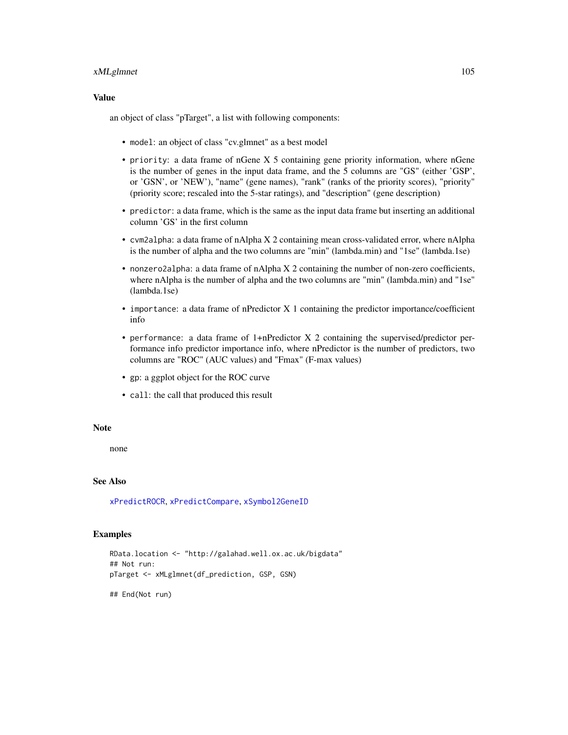## xMLglmnet 105

## Value

an object of class "pTarget", a list with following components:

- model: an object of class "cv.glmnet" as a best model
- priority: a data frame of nGene X 5 containing gene priority information, where nGene is the number of genes in the input data frame, and the 5 columns are "GS" (either 'GSP', or 'GSN', or 'NEW'), "name" (gene names), "rank" (ranks of the priority scores), "priority" (priority score; rescaled into the 5-star ratings), and "description" (gene description)
- predictor: a data frame, which is the same as the input data frame but inserting an additional column 'GS' in the first column
- cvm2alpha: a data frame of nAlpha X 2 containing mean cross-validated error, where nAlpha is the number of alpha and the two columns are "min" (lambda.min) and "1se" (lambda.1se)
- nonzero2alpha: a data frame of nAlpha X 2 containing the number of non-zero coefficients, where nAlpha is the number of alpha and the two columns are "min" (lambda.min) and "1se" (lambda.1se)
- importance: a data frame of nPredictor X 1 containing the predictor importance/coefficient info
- performance: a data frame of 1+nPredictor X 2 containing the supervised/predictor performance info predictor importance info, where nPredictor is the number of predictors, two columns are "ROC" (AUC values) and "Fmax" (F-max values)
- gp: a ggplot object for the ROC curve
- call: the call that produced this result

## Note

none

### See Also

[xPredictROCR](#page-180-0), [xPredictCompare](#page-179-0), [xSymbol2GeneID](#page-203-0)

### Examples

```
RData.location <- "http://galahad.well.ox.ac.uk/bigdata"
## Not run:
pTarget <- xMLglmnet(df_prediction, GSP, GSN)
## End(Not run)
```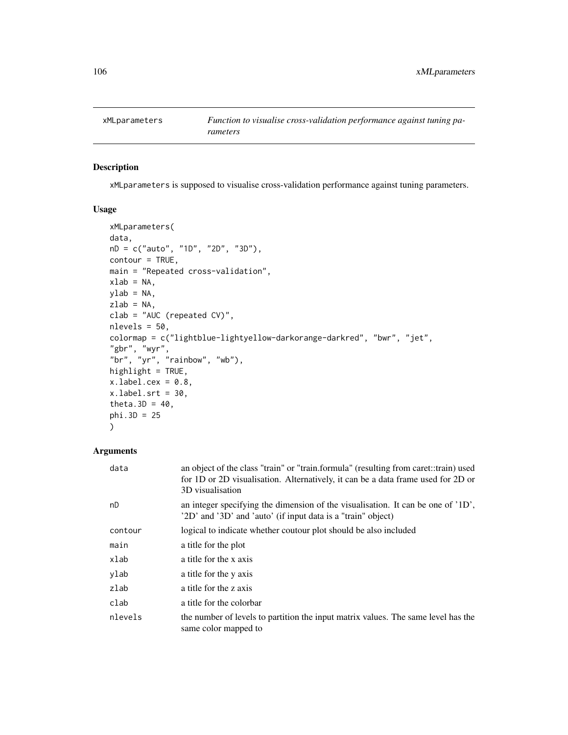# Description

xMLparameters is supposed to visualise cross-validation performance against tuning parameters.

# Usage

```
xMLparameters(
data,
nD = c("auto", "1D", "2D", "3D"),
contour = TRUE,
main = "Repeated cross-validation",
xlab = NA,
ylab = NA,
zlab = NA,
clab = "AUC (repeated CV)",
nlevels = 50,
colormap = c("lightblue-lightyellow-darkorange-darkred", "bwr", "jet",
"gbr", "wyr",
"br", "yr", "rainbow", "wb"),
highlight = TRUE,
x.label.cex = 0.8,
xulabel.srt = 30,
theta.3D = 40,
phi.3D = 25\mathcal{L}
```

| data    | an object of the class "train" or "train.formula" (resulting from caret::train) used<br>for 1D or 2D visualisation. Alternatively, it can be a data frame used for 2D or<br>3D visualisation |
|---------|----------------------------------------------------------------------------------------------------------------------------------------------------------------------------------------------|
| nD      | an integer specifying the dimension of the visualisation. It can be one of '1D',<br>'2D' and '3D' and 'auto' (if input data is a "train" object)                                             |
| contour | logical to indicate whether coutour plot should be also included                                                                                                                             |
| main    | a title for the plot                                                                                                                                                                         |
| xlab    | a title for the x axis                                                                                                                                                                       |
| ylab    | a title for the y axis                                                                                                                                                                       |
| zlab    | a title for the z axis                                                                                                                                                                       |
| clab    | a title for the colorbar                                                                                                                                                                     |
| nlevels | the number of levels to partition the input matrix values. The same level has the<br>same color mapped to                                                                                    |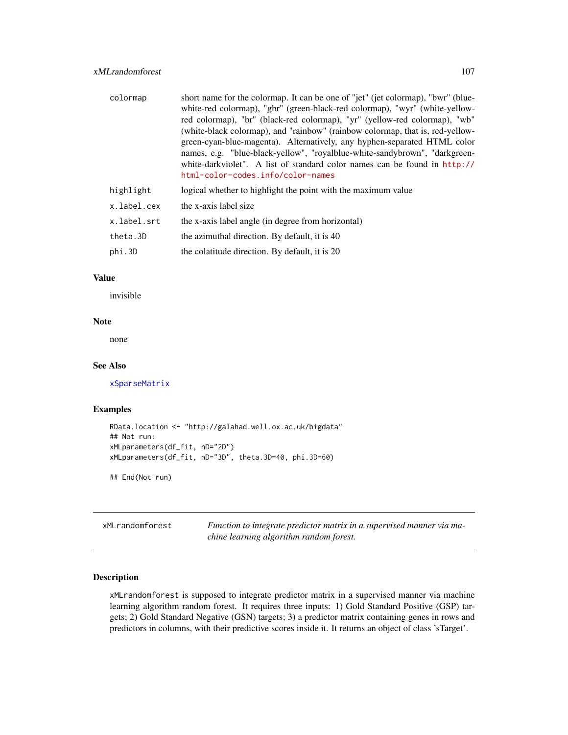| colormap    | short name for the colormap. It can be one of "jet" (jet colormap), "bwr" (blue-<br>white-red colormap), "gbr" (green-black-red colormap), "wyr" (white-yellow-<br>red colormap), "br" (black-red colormap), "yr" (yellow-red colormap), "wb"<br>(white-black colormap), and "rainbow" (rainbow colormap, that is, red-yellow-<br>green-cyan-blue-magenta). Alternatively, any hyphen-separated HTML color<br>names, e.g. "blue-black-yellow", "royalblue-white-sandybrown", "darkgreen-<br>white-darkviolet". A list of standard color names can be found in http://<br>html-color-codes.info/color-names |
|-------------|------------------------------------------------------------------------------------------------------------------------------------------------------------------------------------------------------------------------------------------------------------------------------------------------------------------------------------------------------------------------------------------------------------------------------------------------------------------------------------------------------------------------------------------------------------------------------------------------------------|
| highlight   | logical whether to highlight the point with the maximum value                                                                                                                                                                                                                                                                                                                                                                                                                                                                                                                                              |
| x.label.cex | the x-axis label size                                                                                                                                                                                                                                                                                                                                                                                                                                                                                                                                                                                      |
| x.label.srt | the x-axis label angle (in degree from horizontal)                                                                                                                                                                                                                                                                                                                                                                                                                                                                                                                                                         |
| theta.3D    | the azimuthal direction. By default, it is 40                                                                                                                                                                                                                                                                                                                                                                                                                                                                                                                                                              |
| phi.3D      | the colatitude direction. By default, it is 20                                                                                                                                                                                                                                                                                                                                                                                                                                                                                                                                                             |

### Value

invisible

## Note

none

## See Also

[xSparseMatrix](#page-197-0)

# Examples

```
RData.location <- "http://galahad.well.ox.ac.uk/bigdata"
## Not run:
xMLparameters(df_fit, nD="2D")
xMLparameters(df_fit, nD="3D", theta.3D=40, phi.3D=60)
```
## End(Not run)

xMLrandomforest *Function to integrate predictor matrix in a supervised manner via machine learning algorithm random forest.*

# Description

xMLrandomforest is supposed to integrate predictor matrix in a supervised manner via machine learning algorithm random forest. It requires three inputs: 1) Gold Standard Positive (GSP) targets; 2) Gold Standard Negative (GSN) targets; 3) a predictor matrix containing genes in rows and predictors in columns, with their predictive scores inside it. It returns an object of class 'sTarget'.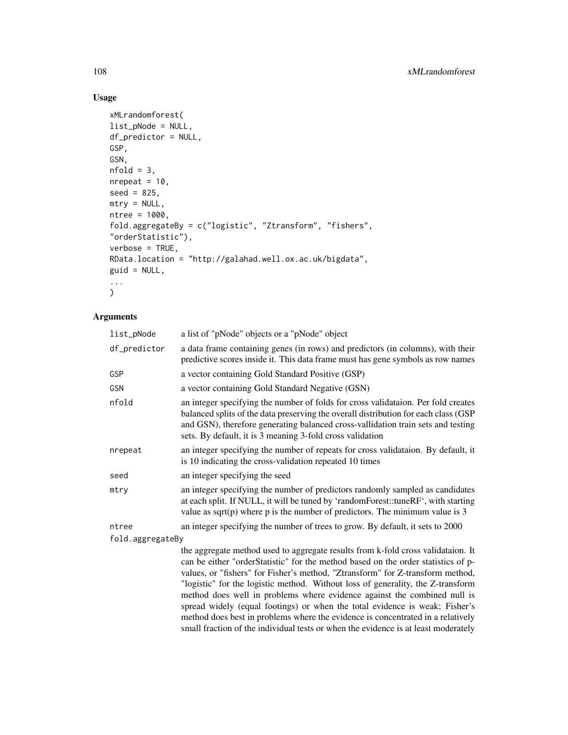# Usage

```
xMLrandomforest(
list_pNode = NULL,
df_predictor = NULL,
GSP,
GSN,
nfold = 3,
nrepeat = 10,
seed = 825,mtry = NULL,ntree = 1000,
fold.aggregateBy = c("logistic", "Ztransform", "fishers",
"orderStatistic"),
verbose = TRUE,
RData.location = "http://galahad.well.ox.ac.uk/bigdata",
guid = NULL,
...
\mathcal{L}
```

| list_pNode       | a list of "pNode" objects or a "pNode" object                                                                                                                                                                                                                                                                                                                                                                                                                                                                                                                                                                                                                                  |
|------------------|--------------------------------------------------------------------------------------------------------------------------------------------------------------------------------------------------------------------------------------------------------------------------------------------------------------------------------------------------------------------------------------------------------------------------------------------------------------------------------------------------------------------------------------------------------------------------------------------------------------------------------------------------------------------------------|
| df_predictor     | a data frame containing genes (in rows) and predictors (in columns), with their<br>predictive scores inside it. This data frame must has gene symbols as row names                                                                                                                                                                                                                                                                                                                                                                                                                                                                                                             |
| GSP              | a vector containing Gold Standard Positive (GSP)                                                                                                                                                                                                                                                                                                                                                                                                                                                                                                                                                                                                                               |
| GSN              | a vector containing Gold Standard Negative (GSN)                                                                                                                                                                                                                                                                                                                                                                                                                                                                                                                                                                                                                               |
| nfold            | an integer specifying the number of folds for cross validataion. Per fold creates<br>balanced splits of the data preserving the overall distribution for each class (GSP<br>and GSN), therefore generating balanced cross-vallidation train sets and testing<br>sets. By default, it is 3 meaning 3-fold cross validation                                                                                                                                                                                                                                                                                                                                                      |
| nrepeat          | an integer specifying the number of repeats for cross validataion. By default, it<br>is 10 indicating the cross-validation repeated 10 times                                                                                                                                                                                                                                                                                                                                                                                                                                                                                                                                   |
| seed             | an integer specifying the seed                                                                                                                                                                                                                                                                                                                                                                                                                                                                                                                                                                                                                                                 |
| mtry             | an integer specifying the number of predictors randomly sampled as candidates<br>at each split. If NULL, it will be tuned by 'randomForest::tuneRF', with starting<br>value as sqrt $(p)$ where p is the number of predictors. The minimum value is 3                                                                                                                                                                                                                                                                                                                                                                                                                          |
| ntree            | an integer specifying the number of trees to grow. By default, it sets to 2000                                                                                                                                                                                                                                                                                                                                                                                                                                                                                                                                                                                                 |
| fold.aggregateBy |                                                                                                                                                                                                                                                                                                                                                                                                                                                                                                                                                                                                                                                                                |
|                  | the aggregate method used to aggregate results from k-fold cross validataion. It<br>can be either "orderStatistic" for the method based on the order statistics of p-<br>values, or "fishers" for Fisher's method, "Ztransform" for Z-transform method,<br>"logistic" for the logistic method. Without loss of generality, the Z-transform<br>method does well in problems where evidence against the combined null is<br>spread widely (equal footings) or when the total evidence is weak; Fisher's<br>method does best in problems where the evidence is concentrated in a relatively<br>small fraction of the individual tests or when the evidence is at least moderately |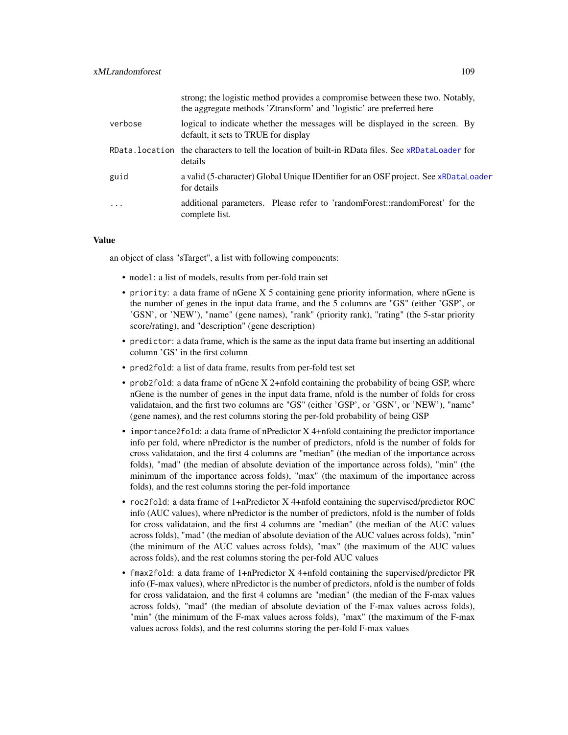|         | strong; the logistic method provides a compromise between these two. Notably,<br>the aggregate methods 'Ztransform' and 'logistic' are preferred here |
|---------|-------------------------------------------------------------------------------------------------------------------------------------------------------|
| verbose | logical to indicate whether the messages will be displayed in the screen. By<br>default, it sets to TRUE for display                                  |
|         | RData, location the characters to tell the location of built-in RData files. See xRDataLoader for<br>details                                          |
| guid    | a valid (5-character) Global Unique IDentifier for an OSF project. See xRDataLoader<br>for details                                                    |
| $\cdot$ | additional parameters. Please refer to 'randomForest::randomForest' for the<br>complete list.                                                         |

an object of class "sTarget", a list with following components:

- model: a list of models, results from per-fold train set
- priority: a data frame of nGene X 5 containing gene priority information, where nGene is the number of genes in the input data frame, and the 5 columns are "GS" (either 'GSP', or 'GSN', or 'NEW'), "name" (gene names), "rank" (priority rank), "rating" (the 5-star priority score/rating), and "description" (gene description)
- predictor: a data frame, which is the same as the input data frame but inserting an additional column 'GS' in the first column
- pred2fold: a list of data frame, results from per-fold test set
- prob2fold: a data frame of nGene X 2+nfold containing the probability of being GSP, where nGene is the number of genes in the input data frame, nfold is the number of folds for cross validataion, and the first two columns are "GS" (either 'GSP', or 'GSN', or 'NEW'), "name" (gene names), and the rest columns storing the per-fold probability of being GSP
- importance2fold: a data frame of nPredictor X 4+nfold containing the predictor importance info per fold, where nPredictor is the number of predictors, nfold is the number of folds for cross validataion, and the first 4 columns are "median" (the median of the importance across folds), "mad" (the median of absolute deviation of the importance across folds), "min" (the minimum of the importance across folds), "max" (the maximum of the importance across folds), and the rest columns storing the per-fold importance
- roc2fold: a data frame of 1+nPredictor X 4+nfold containing the supervised/predictor ROC info (AUC values), where nPredictor is the number of predictors, nfold is the number of folds for cross validataion, and the first 4 columns are "median" (the median of the AUC values across folds), "mad" (the median of absolute deviation of the AUC values across folds), "min" (the minimum of the AUC values across folds), "max" (the maximum of the AUC values across folds), and the rest columns storing the per-fold AUC values
- fmax2fold: a data frame of 1+nPredictor X 4+nfold containing the supervised/predictor PR info (F-max values), where nPredictor is the number of predictors, nfold is the number of folds for cross validataion, and the first 4 columns are "median" (the median of the F-max values across folds), "mad" (the median of absolute deviation of the F-max values across folds), "min" (the minimum of the F-max values across folds), "max" (the maximum of the F-max values across folds), and the rest columns storing the per-fold F-max values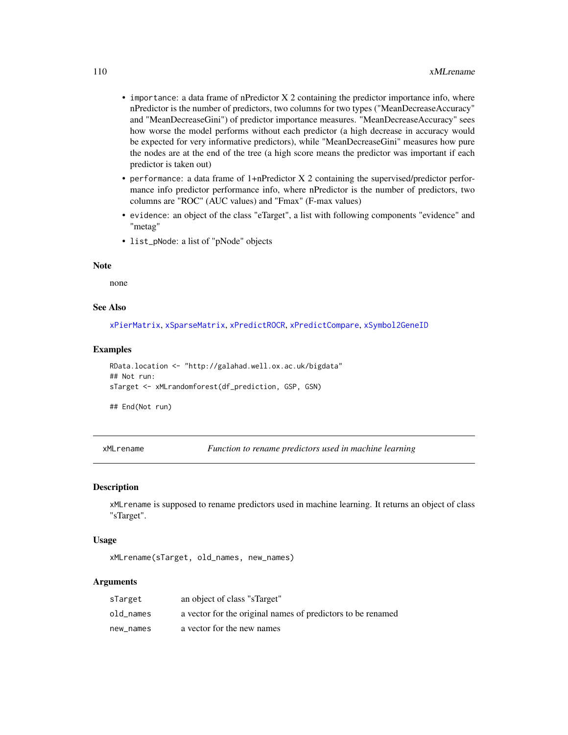- importance: a data frame of nPredictor X 2 containing the predictor importance info, where nPredictor is the number of predictors, two columns for two types ("MeanDecreaseAccuracy" and "MeanDecreaseGini") of predictor importance measures. "MeanDecreaseAccuracy" sees how worse the model performs without each predictor (a high decrease in accuracy would be expected for very informative predictors), while "MeanDecreaseGini" measures how pure the nodes are at the end of the tree (a high score means the predictor was important if each predictor is taken out)
- performance: a data frame of 1+nPredictor X 2 containing the supervised/predictor performance info predictor performance info, where nPredictor is the number of predictors, two columns are "ROC" (AUC values) and "Fmax" (F-max values)
- evidence: an object of the class "eTarget", a list with following components "evidence" and "metag"
- list\_pNode: a list of "pNode" objects

## Note

none

#### See Also

[xPierMatrix](#page-143-0), [xSparseMatrix](#page-197-0), [xPredictROCR](#page-180-0), [xPredictCompare](#page-179-0), [xSymbol2GeneID](#page-203-0)

#### Examples

```
RData.location <- "http://galahad.well.ox.ac.uk/bigdata"
## Not run:
sTarget <- xMLrandomforest(df_prediction, GSP, GSN)
```
## End(Not run)

<span id="page-109-0"></span>xMLrename *Function to rename predictors used in machine learning*

#### **Description**

xMLrename is supposed to rename predictors used in machine learning. It returns an object of class "sTarget".

#### Usage

xMLrename(sTarget, old\_names, new\_names)

| sTarget   | an object of class "sTarget"                                |
|-----------|-------------------------------------------------------------|
| old names | a vector for the original names of predictors to be renamed |
| new names | a vector for the new names                                  |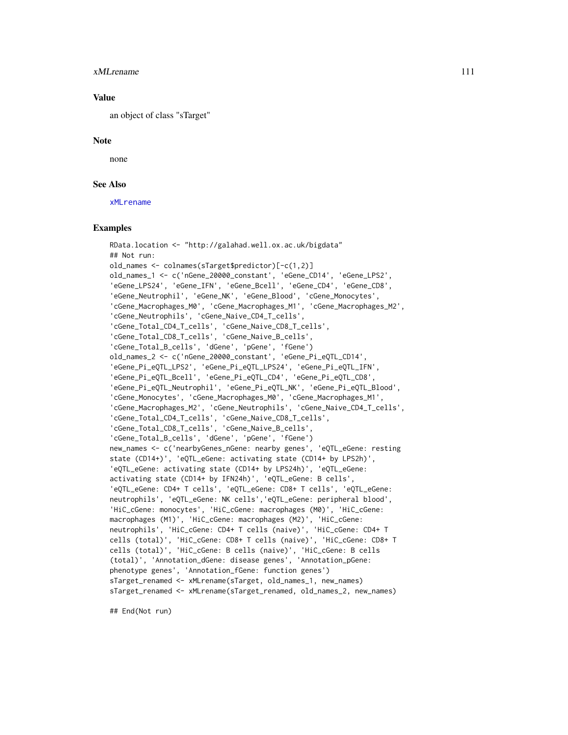#### xMLrename 111

#### Value

an object of class "sTarget"

#### Note

none

## See Also

[xMLrename](#page-109-0)

## Examples

```
RData.location <- "http://galahad.well.ox.ac.uk/bigdata"
## Not run:
old_names <- colnames(sTarget$predictor)[-c(1,2)]
old_names_1 <- c('nGene_20000_constant', 'eGene_CD14', 'eGene_LPS2',
'eGene_LPS24', 'eGene_IFN', 'eGene_Bcell', 'eGene_CD4', 'eGene_CD8',
'eGene_Neutrophil', 'eGene_NK', 'eGene_Blood', 'cGene_Monocytes',
'cGene_Macrophages_M0', 'cGene_Macrophages_M1', 'cGene_Macrophages_M2',
'cGene_Neutrophils', 'cGene_Naive_CD4_T_cells',
'cGene_Total_CD4_T_cells', 'cGene_Naive_CD8_T_cells',
'cGene_Total_CD8_T_cells', 'cGene_Naive_B_cells',
'cGene_Total_B_cells', 'dGene', 'pGene', 'fGene')
old_names_2 <- c('nGene_20000_constant', 'eGene_Pi_eQTL_CD14',
'eGene_Pi_eQTL_LPS2', 'eGene_Pi_eQTL_LPS24', 'eGene_Pi_eQTL_IFN',
'eGene_Pi_eQTL_Bcell', 'eGene_Pi_eQTL_CD4', 'eGene_Pi_eQTL_CD8',
'eGene_Pi_eQTL_Neutrophil', 'eGene_Pi_eQTL_NK', 'eGene_Pi_eQTL_Blood',
'cGene_Monocytes', 'cGene_Macrophages_M0', 'cGene_Macrophages_M1',
'cGene_Macrophages_M2', 'cGene_Neutrophils', 'cGene_Naive_CD4_T_cells',
'cGene_Total_CD4_T_cells', 'cGene_Naive_CD8_T_cells',
'cGene_Total_CD8_T_cells', 'cGene_Naive_B_cells',
'cGene_Total_B_cells', 'dGene', 'pGene', 'fGene')
new_names <- c('nearbyGenes_nGene: nearby genes', 'eQTL_eGene: resting
state (CD14+)', 'eQTL_eGene: activating state (CD14+ by LPS2h)',
'eQTL_eGene: activating state (CD14+ by LPS24h)', 'eQTL_eGene:
activating state (CD14+ by IFN24h)', 'eQTL_eGene: B cells',
'eQTL_eGene: CD4+ T cells', 'eQTL_eGene: CD8+ T cells', 'eQTL_eGene:
neutrophils', 'eQTL_eGene: NK cells','eQTL_eGene: peripheral blood',
'HiC_cGene: monocytes', 'HiC_cGene: macrophages (M0)', 'HiC_cGene:
macrophages (M1)', 'HiC_cGene: macrophages (M2)', 'HiC_cGene:
neutrophils', 'HiC_cGene: CD4+ T cells (naive)', 'HiC_cGene: CD4+ T
cells (total)', 'HiC_cGene: CD8+ T cells (naive)', 'HiC_cGene: CD8+ T
cells (total)', 'HiC_cGene: B cells (naive)', 'HiC_cGene: B cells
(total)', 'Annotation_dGene: disease genes', 'Annotation_pGene:
phenotype genes', 'Annotation_fGene: function genes')
sTarget_renamed <- xMLrename(sTarget, old_names_1, new_names)
sTarget_renamed <- xMLrename(sTarget_renamed, old_names_2, new_names)
```
## End(Not run)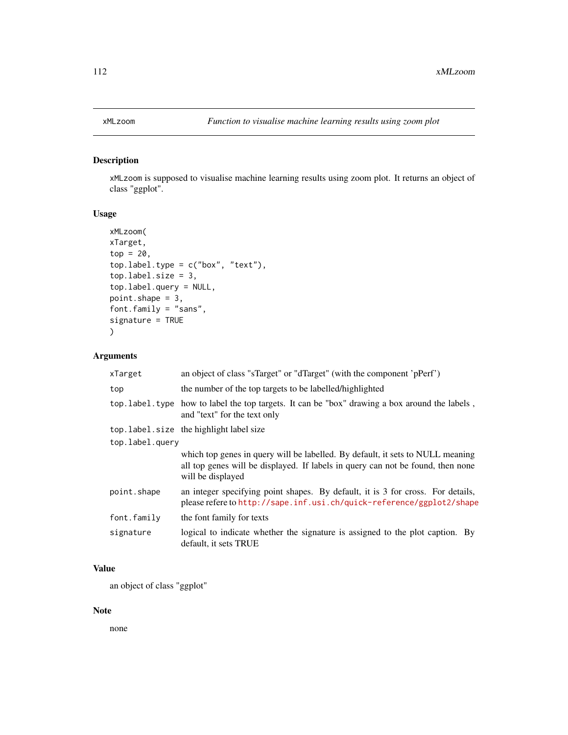# Description

xMLzoom is supposed to visualise machine learning results using zoom plot. It returns an object of class "ggplot".

# Usage

```
xMLzoom(
xTarget,
top = 20,
top.label.type = c("box", "text"),
top.label.size = 3,
top.label.query = NULL,
point.shape = 3,
font.family = "sans",
signature = TRUE
)
```
# Arguments

| xTarget         | an object of class "sTarget" or "dTarget" (with the component 'pPerf')                                                                                                                 |
|-----------------|----------------------------------------------------------------------------------------------------------------------------------------------------------------------------------------|
| top             | the number of the top targets to be labelled/highlighted                                                                                                                               |
|                 | top. label. type how to label the top targets. It can be "box" drawing a box around the labels,<br>and "text" for the text only                                                        |
|                 | top. label. size the highlight label size                                                                                                                                              |
| top.label.query |                                                                                                                                                                                        |
|                 | which top genes in query will be labelled. By default, it sets to NULL meaning<br>all top genes will be displayed. If labels in query can not be found, then none<br>will be displayed |
| point.shape     | an integer specifying point shapes. By default, it is 3 for cross. For details,<br>please refere to http://sape.inf.usi.ch/quick-reference/ggplot2/shape                               |
| font.family     | the font family for texts                                                                                                                                                              |
| signature       | logical to indicate whether the signature is assigned to the plot caption. By<br>default, it sets TRUE                                                                                 |

## Value

an object of class "ggplot"

## Note

none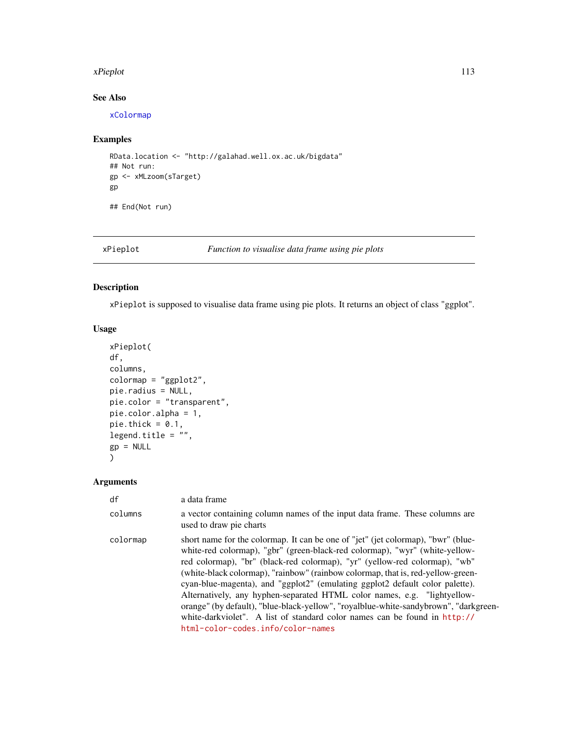#### xPieplot 113

# See Also

[xColormap](#page-21-0)

# Examples

```
RData.location <- "http://galahad.well.ox.ac.uk/bigdata"
## Not run:
gp <- xMLzoom(sTarget)
gp
```
## End(Not run)

## xPieplot *Function to visualise data frame using pie plots*

# Description

xPieplot is supposed to visualise data frame using pie plots. It returns an object of class "ggplot".

# Usage

```
xPieplot(
df,
columns,
colormap = "ggplot2",
pie.radius = NULL,
pie.color = "transparent",
pie.color.alpha = 1,
pie.thick = 0.1,
legend.title = ",
gp = NULL\mathcal{L}
```

| df       | a data frame                                                                                                                                                                                                                                                                                                                                                                                                                                                                                                                                                                                                                                                                                           |
|----------|--------------------------------------------------------------------------------------------------------------------------------------------------------------------------------------------------------------------------------------------------------------------------------------------------------------------------------------------------------------------------------------------------------------------------------------------------------------------------------------------------------------------------------------------------------------------------------------------------------------------------------------------------------------------------------------------------------|
| columns  | a vector containing column names of the input data frame. These columns are<br>used to draw pie charts                                                                                                                                                                                                                                                                                                                                                                                                                                                                                                                                                                                                 |
| colormap | short name for the colormap. It can be one of "jet" (jet colormap), "bwr" (blue-<br>white-red colormap), "gbr" (green-black-red colormap), "wyr" (white-yellow-<br>red colormap), "br" (black-red colormap), "yr" (yellow-red colormap), "wb"<br>(white-black colormap), "rainbow" (rainbow colormap, that is, red-yellow-green-<br>cyan-blue-magenta), and "ggplot2" (emulating ggplot2 default color palette).<br>Alternatively, any hyphen-separated HTML color names, e.g. "lightyellow-<br>orange" (by default), "blue-black-yellow", "royalblue-white-sandybrown", "darkgreen-<br>white-darkviolet". A list of standard color names can be found in http://<br>html-color-codes.info/color-names |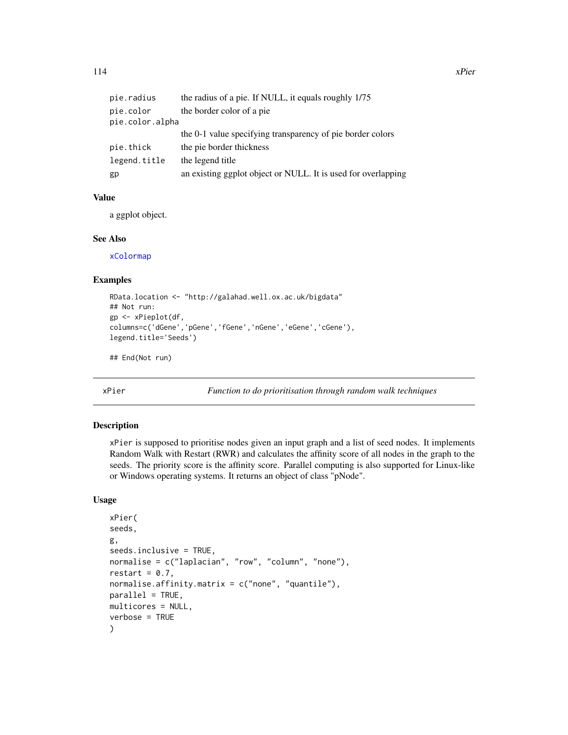| pie.radius      | the radius of a pie. If NULL, it equals roughly 1/75          |
|-----------------|---------------------------------------------------------------|
| pie.color       | the border color of a pie                                     |
| pie.color.alpha |                                                               |
|                 | the 0-1 value specifying transparency of pie border colors    |
| pie.thick       | the pie border thickness                                      |
| legend.title    | the legend title                                              |
| gp              | an existing ggplot object or NULL. It is used for overlapping |

a ggplot object.

#### See Also

[xColormap](#page-21-0)

# Examples

```
RData.location <- "http://galahad.well.ox.ac.uk/bigdata"
## Not run:
gp <- xPieplot(df,
columns=c('dGene','pGene','fGene','nGene','eGene','cGene'),
legend.title='Seeds')
```
## End(Not run)

<span id="page-113-0"></span>xPier *Function to do prioritisation through random walk techniques*

#### Description

xPier is supposed to prioritise nodes given an input graph and a list of seed nodes. It implements Random Walk with Restart (RWR) and calculates the affinity score of all nodes in the graph to the seeds. The priority score is the affinity score. Parallel computing is also supported for Linux-like or Windows operating systems. It returns an object of class "pNode".

## Usage

```
xPier(
seeds,
g,
seeds.inclusive = TRUE,
normalise = c("laplacian", "row", "column", "none"),
restart = 0.7,
normalise.affinity.matrix = c("none", "quantile"),parallel = TRUE,multicores = NULL,
verbose = TRUE
)
```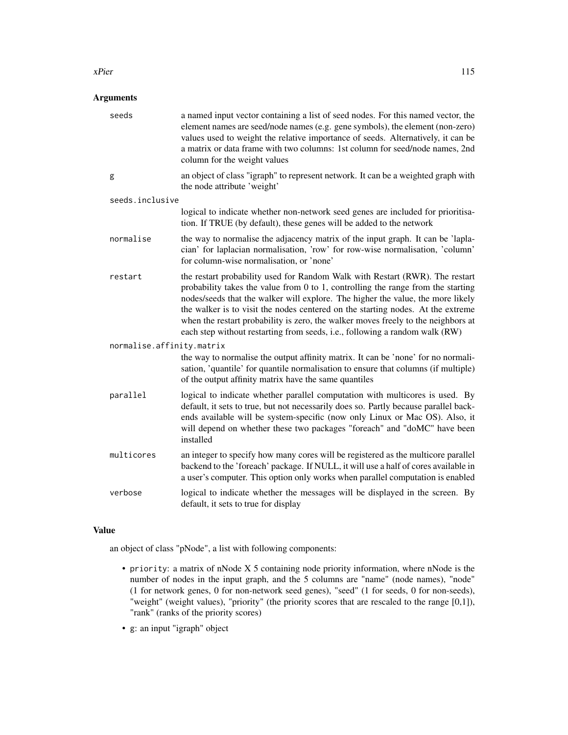#### xPier 115

# Arguments

| seeds                     | a named input vector containing a list of seed nodes. For this named vector, the<br>element names are seed/node names (e.g. gene symbols), the element (non-zero)<br>values used to weight the relative importance of seeds. Alternatively, it can be<br>a matrix or data frame with two columns: 1st column for seed/node names, 2nd<br>column for the weight values                                                                                                                                        |
|---------------------------|--------------------------------------------------------------------------------------------------------------------------------------------------------------------------------------------------------------------------------------------------------------------------------------------------------------------------------------------------------------------------------------------------------------------------------------------------------------------------------------------------------------|
| g                         | an object of class "igraph" to represent network. It can be a weighted graph with<br>the node attribute 'weight'                                                                                                                                                                                                                                                                                                                                                                                             |
| seeds.inclusive           |                                                                                                                                                                                                                                                                                                                                                                                                                                                                                                              |
|                           | logical to indicate whether non-network seed genes are included for prioritisa-<br>tion. If TRUE (by default), these genes will be added to the network                                                                                                                                                                                                                                                                                                                                                      |
| normalise                 | the way to normalise the adjacency matrix of the input graph. It can be 'lapla-<br>cian' for laplacian normalisation, 'row' for row-wise normalisation, 'column'<br>for column-wise normalisation, or 'none'                                                                                                                                                                                                                                                                                                 |
| restart                   | the restart probability used for Random Walk with Restart (RWR). The restart<br>probability takes the value from $0$ to 1, controlling the range from the starting<br>nodes/seeds that the walker will explore. The higher the value, the more likely<br>the walker is to visit the nodes centered on the starting nodes. At the extreme<br>when the restart probability is zero, the walker moves freely to the neighbors at<br>each step without restarting from seeds, i.e., following a random walk (RW) |
| normalise.affinity.matrix |                                                                                                                                                                                                                                                                                                                                                                                                                                                                                                              |
|                           | the way to normalise the output affinity matrix. It can be 'none' for no normali-<br>sation, 'quantile' for quantile normalisation to ensure that columns (if multiple)<br>of the output affinity matrix have the same quantiles                                                                                                                                                                                                                                                                             |
| parallel                  | logical to indicate whether parallel computation with multicores is used. By<br>default, it sets to true, but not necessarily does so. Partly because parallel back-<br>ends available will be system-specific (now only Linux or Mac OS). Also, it<br>will depend on whether these two packages "foreach" and "doMC" have been<br>installed                                                                                                                                                                 |
| multicores                | an integer to specify how many cores will be registered as the multicore parallel<br>backend to the 'foreach' package. If NULL, it will use a half of cores available in<br>a user's computer. This option only works when parallel computation is enabled                                                                                                                                                                                                                                                   |
| verbose                   | logical to indicate whether the messages will be displayed in the screen. By<br>default, it sets to true for display                                                                                                                                                                                                                                                                                                                                                                                         |

# Value

an object of class "pNode", a list with following components:

- priority: a matrix of nNode X 5 containing node priority information, where nNode is the number of nodes in the input graph, and the 5 columns are "name" (node names), "node" (1 for network genes, 0 for non-network seed genes), "seed" (1 for seeds, 0 for non-seeds), "weight" (weight values), "priority" (the priority scores that are rescaled to the range [0,1]), "rank" (ranks of the priority scores)
- g: an input "igraph" object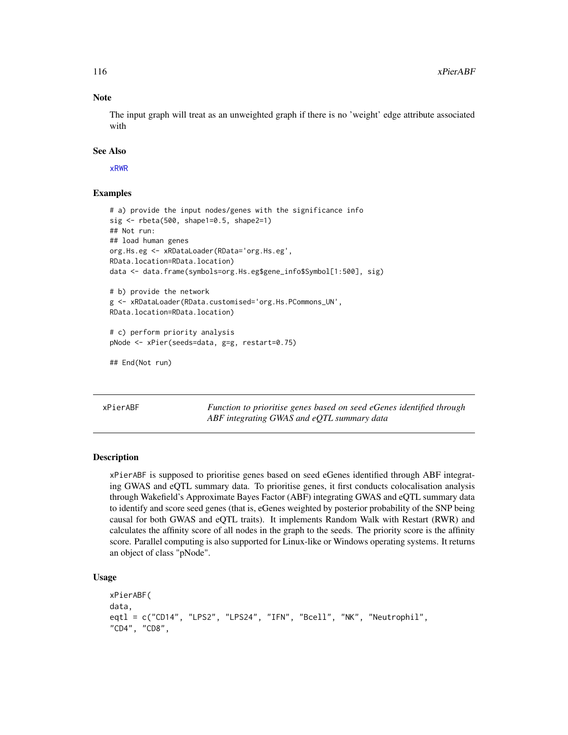#### Note

The input graph will treat as an unweighted graph if there is no 'weight' edge attribute associated with

#### See Also

[xRWR](#page-184-0)

## Examples

```
# a) provide the input nodes/genes with the significance info
sig <- rbeta(500, shape1=0.5, shape2=1)
## Not run:
## load human genes
org.Hs.eg <- xRDataLoader(RData='org.Hs.eg',
RData.location=RData.location)
data <- data.frame(symbols=org.Hs.eg$gene_info$Symbol[1:500], sig)
# b) provide the network
g <- xRDataLoader(RData.customised='org.Hs.PCommons_UN',
RData.location=RData.location)
# c) perform priority analysis
pNode <- xPier(seeds=data, g=g, restart=0.75)
## End(Not run)
```
xPierABF *Function to prioritise genes based on seed eGenes identified through ABF integrating GWAS and eQTL summary data*

#### Description

xPierABF is supposed to prioritise genes based on seed eGenes identified through ABF integrating GWAS and eQTL summary data. To prioritise genes, it first conducts colocalisation analysis through Wakefield's Approximate Bayes Factor (ABF) integrating GWAS and eQTL summary data to identify and score seed genes (that is, eGenes weighted by posterior probability of the SNP being causal for both GWAS and eQTL traits). It implements Random Walk with Restart (RWR) and calculates the affinity score of all nodes in the graph to the seeds. The priority score is the affinity score. Parallel computing is also supported for Linux-like or Windows operating systems. It returns an object of class "pNode".

#### Usage

```
xPierABF(
data,
eqtl = c("CD14", "LPS2", "LPS24", "IFN", "Bcell", "NK", "Neutrophil",
"CD4", "CD8",
```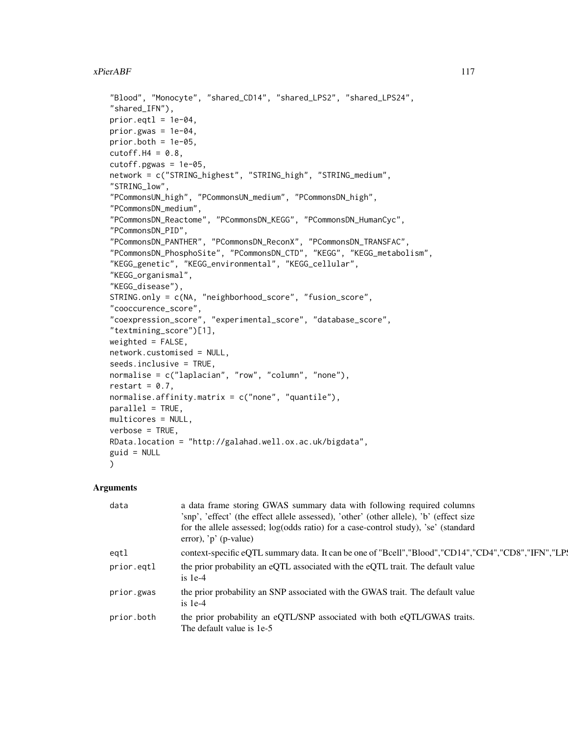```
"Blood", "Monocyte", "shared_CD14", "shared_LPS2", "shared_LPS24",
"shared_IFN"),
prior.get1 = 1e-04,
prior.gwas = 1e-04,
prior.both = 1e-05,
cutoff.H4 = 0.8,
cutoff.pgwas = 1e-05,network = c("STRING_highest", "STRING_high", "STRING_medium",
"STRING_low",
"PCommonsUN_high", "PCommonsUN_medium", "PCommonsDN_high",
"PCommonsDN_medium",
"PCommonsDN_Reactome", "PCommonsDN_KEGG", "PCommonsDN_HumanCyc",
"PCommonsDN_PID",
"PCommonsDN_PANTHER", "PCommonsDN_ReconX", "PCommonsDN_TRANSFAC",
"PCommonsDN_PhosphoSite", "PCommonsDN_CTD", "KEGG", "KEGG_metabolism",
"KEGG_genetic", "KEGG_environmental", "KEGG_cellular",
"KEGG_organismal",
"KEGG_disease"),
STRING.only = c(NA, "neighborhood_score", "fusion_score",
"cooccurence_score",
"coexpression_score", "experimental_score", "database_score",
"textmining_score")[1],
weighted = FALSE,network.customised = NULL,
seeds.inclusive = TRUE,
normalise = c("laplacian", "row", "column", "none"),
restart = 0.7,
normalise.affinity.matrix = c("none", "quantile"),
parallel = TRUE,
multicores = NULL,
verbose = TRUE,
RData.location = "http://galahad.well.ox.ac.uk/bigdata",
guid = NULL\lambda
```

| data       | a data frame storing GWAS summary data with following required columns<br>'snp', 'effect' (the effect allele assessed), 'other' (other allele), 'b' (effect size<br>for the allele assessed; log(odds ratio) for a case-control study), 'se' (standard<br>error), ' $p'$ (p-value) |
|------------|------------------------------------------------------------------------------------------------------------------------------------------------------------------------------------------------------------------------------------------------------------------------------------|
| eqtl       | context-specific eQTL summary data. It can be one of "Bcell", "Blood", "CD14", "CD4", "CD8", "IFN", "LP.                                                                                                                                                                           |
| prior.eqtl | the prior probability an eQTL associated with the eQTL trait. The default value<br>is $1e-4$                                                                                                                                                                                       |
| prior.gwas | the prior probability an SNP associated with the GWAS trait. The default value<br>$is 1e-4$                                                                                                                                                                                        |
| prior.both | the prior probability an eQTL/SNP associated with both eQTL/GWAS traits.<br>The default value is 1e-5                                                                                                                                                                              |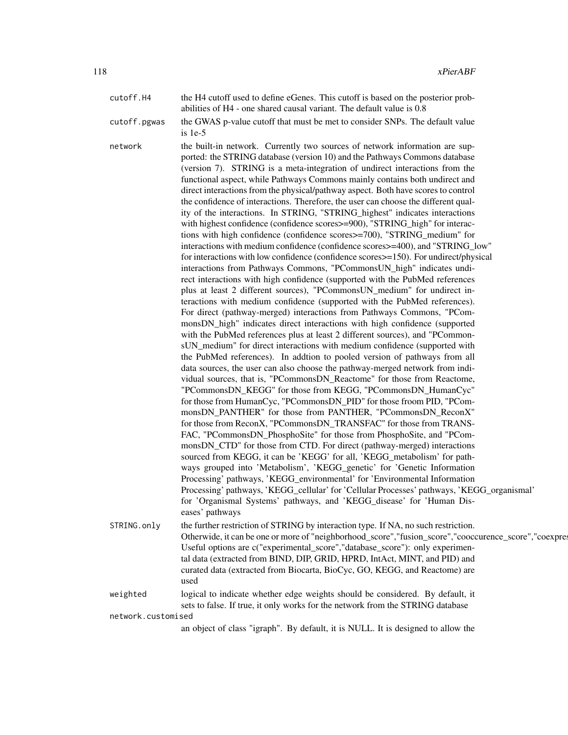cutoff.H4 the H4 cutoff used to define eGenes. This cutoff is based on the posterior probabilities of H4 - one shared causal variant. The default value is 0.8 cutoff.pgwas the GWAS p-value cutoff that must be met to consider SNPs. The default value is 1e-5 network the built-in network. Currently two sources of network information are supported: the STRING database (version 10) and the Pathways Commons database (version 7). STRING is a meta-integration of undirect interactions from the functional aspect, while Pathways Commons mainly contains both undirect and direct interactions from the physical/pathway aspect. Both have scores to control the confidence of interactions. Therefore, the user can choose the different quality of the interactions. In STRING, "STRING\_highest" indicates interactions with highest confidence (confidence scores>=900), "STRING\_high" for interactions with high confidence (confidence scores>=700), "STRING\_medium" for interactions with medium confidence (confidence scores>=400), and "STRING\_low" for interactions with low confidence (confidence scores>=150). For undirect/physical interactions from Pathways Commons, "PCommonsUN\_high" indicates undirect interactions with high confidence (supported with the PubMed references plus at least 2 different sources), "PCommonsUN\_medium" for undirect interactions with medium confidence (supported with the PubMed references). For direct (pathway-merged) interactions from Pathways Commons, "PCommonsDN\_high" indicates direct interactions with high confidence (supported with the PubMed references plus at least 2 different sources), and "PCommonsUN\_medium" for direct interactions with medium confidence (supported with the PubMed references). In addtion to pooled version of pathways from all data sources, the user can also choose the pathway-merged network from individual sources, that is, "PCommonsDN\_Reactome" for those from Reactome, "PCommonsDN\_KEGG" for those from KEGG, "PCommonsDN\_HumanCyc" for those from HumanCyc, "PCommonsDN\_PID" for those froom PID, "PCommonsDN\_PANTHER" for those from PANTHER, "PCommonsDN\_ReconX" for those from ReconX, "PCommonsDN\_TRANSFAC" for those from TRANS-FAC, "PCommonsDN\_PhosphoSite" for those from PhosphoSite, and "PCommonsDN\_CTD" for those from CTD. For direct (pathway-merged) interactions sourced from KEGG, it can be 'KEGG' for all, 'KEGG\_metabolism' for pathways grouped into 'Metabolism', 'KEGG\_genetic' for 'Genetic Information Processing' pathways, 'KEGG\_environmental' for 'Environmental Information Processing' pathways, 'KEGG\_cellular' for 'Cellular Processes' pathways, 'KEGG\_organismal' for 'Organismal Systems' pathways, and 'KEGG\_disease' for 'Human Diseases' pathways STRING.only the further restriction of STRING by interaction type. If NA, no such restriction. Otherwide, it can be one or more of "neighborhood\_score","fusion\_score","cooccurence\_score","coexpre Useful options are c("experimental\_score","database\_score"): only experimental data (extracted from BIND, DIP, GRID, HPRD, IntAct, MINT, and PID) and curated data (extracted from Biocarta, BioCyc, GO, KEGG, and Reactome) are used weighted logical to indicate whether edge weights should be considered. By default, it

sets to false. If true, it only works for the network from the STRING database network.customised

an object of class "igraph". By default, it is NULL. It is designed to allow the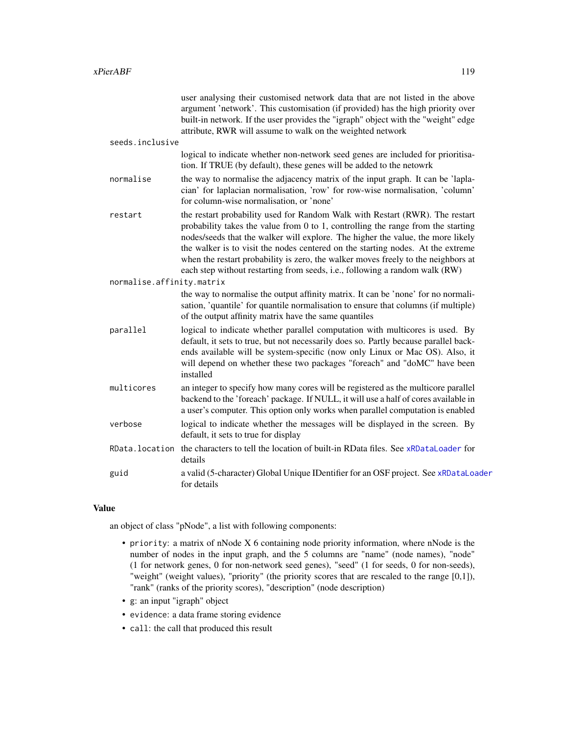|                           | user analysing their customised network data that are not listed in the above<br>argument 'network'. This customisation (if provided) has the high priority over<br>built-in network. If the user provides the "igraph" object with the "weight" edge<br>attribute, RWR will assume to walk on the weighted network                                                                                                                                                                                             |
|---------------------------|-----------------------------------------------------------------------------------------------------------------------------------------------------------------------------------------------------------------------------------------------------------------------------------------------------------------------------------------------------------------------------------------------------------------------------------------------------------------------------------------------------------------|
| seeds.inclusive           |                                                                                                                                                                                                                                                                                                                                                                                                                                                                                                                 |
|                           | logical to indicate whether non-network seed genes are included for prioritisa-<br>tion. If TRUE (by default), these genes will be added to the netowrk                                                                                                                                                                                                                                                                                                                                                         |
| normalise                 | the way to normalise the adjacency matrix of the input graph. It can be 'lapla-<br>cian' for laplacian normalisation, 'row' for row-wise normalisation, 'column'<br>for column-wise normalisation, or 'none'                                                                                                                                                                                                                                                                                                    |
| restart                   | the restart probability used for Random Walk with Restart (RWR). The restart<br>probability takes the value from $0$ to $1$ , controlling the range from the starting<br>nodes/seeds that the walker will explore. The higher the value, the more likely<br>the walker is to visit the nodes centered on the starting nodes. At the extreme<br>when the restart probability is zero, the walker moves freely to the neighbors at<br>each step without restarting from seeds, i.e., following a random walk (RW) |
| normalise.affinity.matrix |                                                                                                                                                                                                                                                                                                                                                                                                                                                                                                                 |
|                           | the way to normalise the output affinity matrix. It can be 'none' for no normali-<br>sation, 'quantile' for quantile normalisation to ensure that columns (if multiple)<br>of the output affinity matrix have the same quantiles                                                                                                                                                                                                                                                                                |
| parallel                  | logical to indicate whether parallel computation with multicores is used. By<br>default, it sets to true, but not necessarily does so. Partly because parallel back-<br>ends available will be system-specific (now only Linux or Mac OS). Also, it<br>will depend on whether these two packages "foreach" and "doMC" have been<br>installed                                                                                                                                                                    |
| multicores                | an integer to specify how many cores will be registered as the multicore parallel<br>backend to the 'foreach' package. If NULL, it will use a half of cores available in<br>a user's computer. This option only works when parallel computation is enabled                                                                                                                                                                                                                                                      |
| verbose                   | logical to indicate whether the messages will be displayed in the screen. By<br>default, it sets to true for display                                                                                                                                                                                                                                                                                                                                                                                            |
|                           | RData. location the characters to tell the location of built-in RData files. See xRDataLoader for<br>details                                                                                                                                                                                                                                                                                                                                                                                                    |
| guid                      | a valid (5-character) Global Unique IDentifier for an OSF project. See xRDataLoader<br>for details                                                                                                                                                                                                                                                                                                                                                                                                              |
|                           |                                                                                                                                                                                                                                                                                                                                                                                                                                                                                                                 |

an object of class "pNode", a list with following components:

- priority: a matrix of nNode X 6 containing node priority information, where nNode is the number of nodes in the input graph, and the 5 columns are "name" (node names), "node" (1 for network genes, 0 for non-network seed genes), "seed" (1 for seeds, 0 for non-seeds), "weight" (weight values), "priority" (the priority scores that are rescaled to the range [0,1]), "rank" (ranks of the priority scores), "description" (node description)
- g: an input "igraph" object
- evidence: a data frame storing evidence
- call: the call that produced this result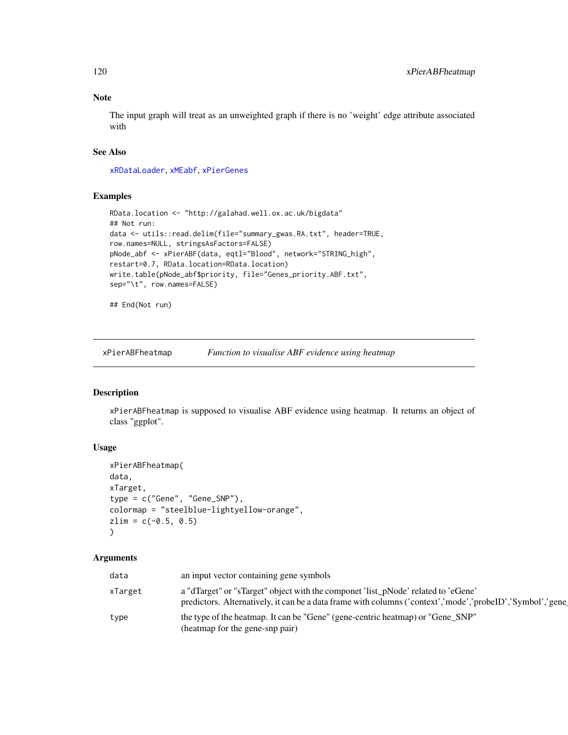# Note

The input graph will treat as an unweighted graph if there is no 'weight' edge attribute associated with

# See Also

[xRDataLoader](#page-182-0), [xMEabf](#page-94-0), [xPierGenes](#page-129-0)

## Examples

```
RData.location <- "http://galahad.well.ox.ac.uk/bigdata"
## Not run:
data <- utils::read.delim(file="summary_gwas.RA.txt", header=TRUE,
row.names=NULL, stringsAsFactors=FALSE)
pNode_abf <- xPierABF(data, eqtl="Blood", network="STRING_high",
restart=0.7, RData.location=RData.location)
write.table(pNode_abf$priority, file="Genes_priority.ABF.txt",
sep="\t", row.names=FALSE)
```
## End(Not run)

xPierABFheatmap *Function to visualise ABF evidence using heatmap*

# Description

xPierABFheatmap is supposed to visualise ABF evidence using heatmap. It returns an object of class "ggplot".

#### Usage

```
xPierABFheatmap(
data,
xTarget,
type = c("Gene", "Gene_SNP"),
colormap = "steelblue-lightyellow-orange",
zlim = c(-0.5, 0.5))
```

| data    | an input vector containing gene symbols                                                                                                                                                        |
|---------|------------------------------------------------------------------------------------------------------------------------------------------------------------------------------------------------|
| xTarget | a "dTarget" or "sTarget" object with the componet 'list_pNode' related to 'eGene'<br>predictors. Alternatively, it can be a data frame with columns ('context','mode','probeID','Symbol','gene |
| type    | the type of the heatmap. It can be "Gene" (gene-centric heatmap) or "Gene_SNP"<br>(heatmap for the gene-snp pair)                                                                              |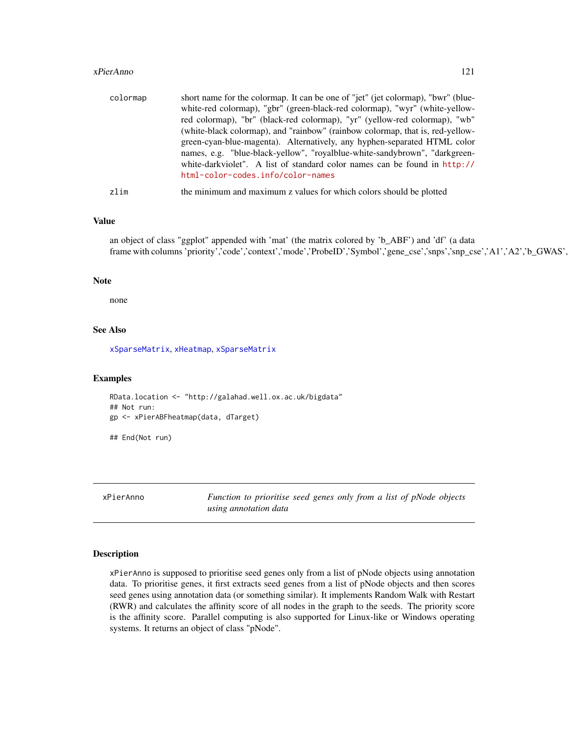#### xPierAnno 121

| colormap | short name for the colormap. It can be one of "jet" (jet colormap), "bwr" (blue-<br>white-red colormap), "gbr" (green-black-red colormap), "wyr" (white-yellow-<br>red colormap), "br" (black-red colormap), "yr" (yellow-red colormap), "wb"<br>(white-black colormap), and "rainbow" (rainbow colormap, that is, red-yellow-<br>green-cyan-blue-magenta). Alternatively, any hyphen-separated HTML color<br>names, e.g. "blue-black-yellow", "royalblue-white-sandybrown", "darkgreen- |
|----------|------------------------------------------------------------------------------------------------------------------------------------------------------------------------------------------------------------------------------------------------------------------------------------------------------------------------------------------------------------------------------------------------------------------------------------------------------------------------------------------|
| zlim     | white-darkviolet". A list of standard color names can be found in http://<br>html-color-codes.info/color-names<br>the minimum and maximum z values for which colors should be plotted                                                                                                                                                                                                                                                                                                    |

# Value

an object of class "ggplot" appended with 'mat' (the matrix colored by 'b\_ABF') and 'df' (a data frame with columns 'priority','code','context','mode','ProbeID','Symbol','gene\_cse','snps','snp\_cse','A1','A2','b\_GWAS',

## Note

none

# See Also

[xSparseMatrix](#page-197-0), [xHeatmap](#page-88-0), [xSparseMatrix](#page-197-0)

# Examples

```
RData.location <- "http://galahad.well.ox.ac.uk/bigdata"
## Not run:
gp <- xPierABFheatmap(data, dTarget)
## End(Not run)
```
xPierAnno *Function to prioritise seed genes only from a list of pNode objects using annotation data*

#### Description

xPierAnno is supposed to prioritise seed genes only from a list of pNode objects using annotation data. To prioritise genes, it first extracts seed genes from a list of pNode objects and then scores seed genes using annotation data (or something similar). It implements Random Walk with Restart (RWR) and calculates the affinity score of all nodes in the graph to the seeds. The priority score is the affinity score. Parallel computing is also supported for Linux-like or Windows operating systems. It returns an object of class "pNode".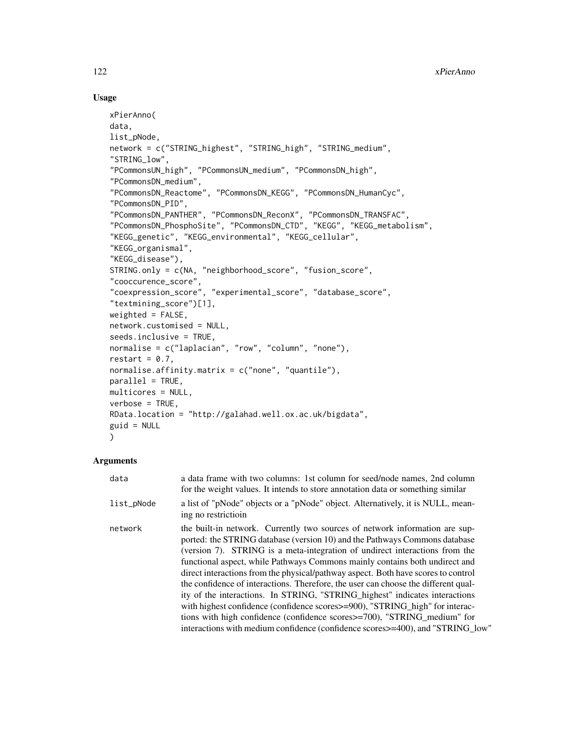# Usage

```
xPierAnno(
data,
list_pNode,
network = c("STRING_highest", "STRING_high", "STRING_medium",
"STRING_low",
"PCommonsUN_high", "PCommonsUN_medium", "PCommonsDN_high",
"PCommonsDN_medium",
"PCommonsDN_Reactome", "PCommonsDN_KEGG", "PCommonsDN_HumanCyc",
"PCommonsDN_PID",
"PCommonsDN_PANTHER", "PCommonsDN_ReconX", "PCommonsDN_TRANSFAC",
"PCommonsDN_PhosphoSite", "PCommonsDN_CTD", "KEGG", "KEGG_metabolism",
"KEGG_genetic", "KEGG_environmental", "KEGG_cellular",
"KEGG_organismal",
"KEGG_disease"),
STRING.only = c(NA, "neighborhood_score", "fusion_score",
"cooccurence_score",
"coexpression_score", "experimental_score", "database_score",
"textmining_score")[1],
weighted = FALSE,network.customised = NULL,
seeds.inclusive = TRUE,
normalise = c("laplacian", "row", "column", "none"),
restart = 0.7,
normalise.affinity.matrix = c("none", "quantile"),
parallel = TRUE,
multicores = NULL,
verbose = TRUE,
RData.location = "http://galahad.well.ox.ac.uk/bigdata",
guid = NULL)
```

| data       | a data frame with two columns: 1st column for seed/node names, 2nd column<br>for the weight values. It intends to store annotation data or something similar                                                                                                                                                                                                                                                                                                                                                                                                                                                                                                                                                                                                                                                                            |
|------------|-----------------------------------------------------------------------------------------------------------------------------------------------------------------------------------------------------------------------------------------------------------------------------------------------------------------------------------------------------------------------------------------------------------------------------------------------------------------------------------------------------------------------------------------------------------------------------------------------------------------------------------------------------------------------------------------------------------------------------------------------------------------------------------------------------------------------------------------|
| list_pNode | a list of "pNode" objects or a "pNode" object. Alternatively, it is NULL, mean-<br>ing no restriction                                                                                                                                                                                                                                                                                                                                                                                                                                                                                                                                                                                                                                                                                                                                   |
| network    | the built-in network. Currently two sources of network information are sup-<br>ported: the STRING database (version 10) and the Pathways Commons database<br>(version 7). STRING is a meta-integration of undirect interactions from the<br>functional aspect, while Pathways Commons mainly contains both undirect and<br>direct interactions from the physical/pathway aspect. Both have scores to control<br>the confidence of interactions. Therefore, the user can choose the different qual-<br>ity of the interactions. In STRING, "STRING highest" indicates interactions<br>with highest confidence (confidence scores >= 900), "STRING_high" for interac-<br>tions with high confidence (confidence scores > = 700), "STRING_medium" for<br>interactions with medium confidence (confidence scores > = 400), and "STRING low" |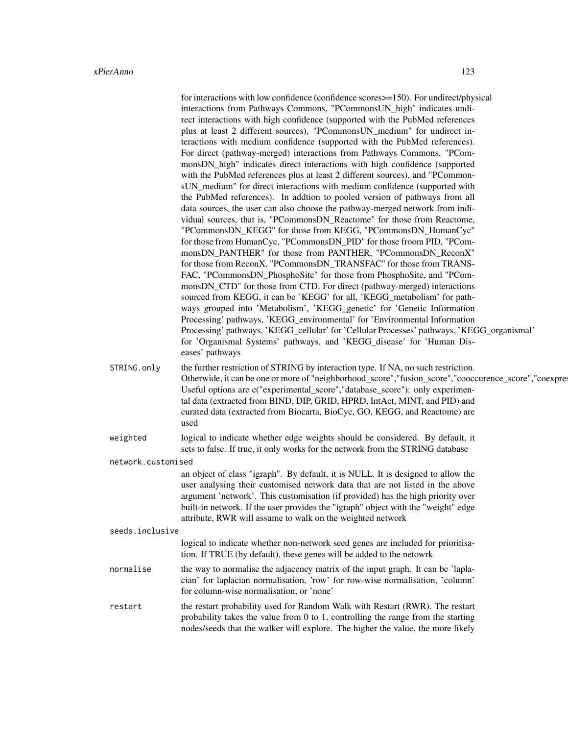|                    | for interactions with low confidence (confidence scores>=150). For undirect/physical<br>interactions from Pathways Commons, "PCommonsUN_high" indicates undi-<br>rect interactions with high confidence (supported with the PubMed references<br>plus at least 2 different sources), "PCommonsUN_medium" for undirect in-<br>teractions with medium confidence (supported with the PubMed references).<br>For direct (pathway-merged) interactions from Pathways Commons, "PCom-<br>monsDN_high" indicates direct interactions with high confidence (supported<br>with the PubMed references plus at least 2 different sources), and "PCommon-<br>sUN_medium" for direct interactions with medium confidence (supported with<br>the PubMed references). In addtion to pooled version of pathways from all<br>data sources, the user can also choose the pathway-merged network from indi-<br>vidual sources, that is, "PCommonsDN_Reactome" for those from Reactome,<br>"PCommonsDN_KEGG" for those from KEGG, "PCommonsDN_HumanCyc"<br>for those from HumanCyc, "PCommonsDN_PID" for those froom PID, "PCom-<br>monsDN_PANTHER" for those from PANTHER, "PCommonsDN_ReconX"<br>for those from ReconX, "PCommonsDN_TRANSFAC" for those from TRANS-<br>FAC, "PCommonsDN_PhosphoSite" for those from PhosphoSite, and "PCom-<br>monsDN_CTD" for those from CTD. For direct (pathway-merged) interactions |  |
|--------------------|--------------------------------------------------------------------------------------------------------------------------------------------------------------------------------------------------------------------------------------------------------------------------------------------------------------------------------------------------------------------------------------------------------------------------------------------------------------------------------------------------------------------------------------------------------------------------------------------------------------------------------------------------------------------------------------------------------------------------------------------------------------------------------------------------------------------------------------------------------------------------------------------------------------------------------------------------------------------------------------------------------------------------------------------------------------------------------------------------------------------------------------------------------------------------------------------------------------------------------------------------------------------------------------------------------------------------------------------------------------------------------------------------------|--|
|                    | sourced from KEGG, it can be 'KEGG' for all, 'KEGG_metabolism' for path-                                                                                                                                                                                                                                                                                                                                                                                                                                                                                                                                                                                                                                                                                                                                                                                                                                                                                                                                                                                                                                                                                                                                                                                                                                                                                                                               |  |
|                    | ways grouped into 'Metabolism', 'KEGG_genetic' for 'Genetic Information<br>Processing' pathways, 'KEGG_environmental' for 'Environmental Information<br>Processing' pathways, 'KEGG_cellular' for 'Cellular Processes' pathways, 'KEGG_organismal'<br>for 'Organismal Systems' pathways, and 'KEGG_disease' for 'Human Dis-<br>eases' pathways                                                                                                                                                                                                                                                                                                                                                                                                                                                                                                                                                                                                                                                                                                                                                                                                                                                                                                                                                                                                                                                         |  |
| STRING.only        | the further restriction of STRING by interaction type. If NA, no such restriction.<br>Otherwide, it can be one or more of "neighborhood_score", "fusion_score", "cooccurence_score", "coexpres<br>Useful options are c("experimental_score","database_score"): only experimen-<br>tal data (extracted from BIND, DIP, GRID, HPRD, IntAct, MINT, and PID) and<br>curated data (extracted from Biocarta, BioCyc, GO, KEGG, and Reactome) are<br>used                                                                                                                                                                                                                                                                                                                                                                                                                                                                                                                                                                                                                                                                                                                                                                                                                                                                                                                                                     |  |
| weighted           | logical to indicate whether edge weights should be considered. By default, it<br>sets to false. If true, it only works for the network from the STRING database                                                                                                                                                                                                                                                                                                                                                                                                                                                                                                                                                                                                                                                                                                                                                                                                                                                                                                                                                                                                                                                                                                                                                                                                                                        |  |
| network.customised |                                                                                                                                                                                                                                                                                                                                                                                                                                                                                                                                                                                                                                                                                                                                                                                                                                                                                                                                                                                                                                                                                                                                                                                                                                                                                                                                                                                                        |  |
|                    | an object of class "igraph". By default, it is NULL. It is designed to allow the<br>user analysing their customised network data that are not listed in the above<br>argument 'network'. This customisation (if provided) has the high priority over<br>built-in network. If the user provides the "igraph" object with the "weight" edge<br>attribute, RWR will assume to walk on the weighted network                                                                                                                                                                                                                                                                                                                                                                                                                                                                                                                                                                                                                                                                                                                                                                                                                                                                                                                                                                                                |  |
| seeds.inclusive    |                                                                                                                                                                                                                                                                                                                                                                                                                                                                                                                                                                                                                                                                                                                                                                                                                                                                                                                                                                                                                                                                                                                                                                                                                                                                                                                                                                                                        |  |
|                    | logical to indicate whether non-network seed genes are included for prioritisa-<br>tion. If TRUE (by default), these genes will be added to the netowrk                                                                                                                                                                                                                                                                                                                                                                                                                                                                                                                                                                                                                                                                                                                                                                                                                                                                                                                                                                                                                                                                                                                                                                                                                                                |  |
| normalise          | the way to normalise the adjacency matrix of the input graph. It can be 'lapla-<br>cian' for laplacian normalisation, 'row' for row-wise normalisation, 'column'<br>for column-wise normalisation, or 'none'                                                                                                                                                                                                                                                                                                                                                                                                                                                                                                                                                                                                                                                                                                                                                                                                                                                                                                                                                                                                                                                                                                                                                                                           |  |
| restart            | the restart probability used for Random Walk with Restart (RWR). The restart<br>probability takes the value from $0$ to $1$ , controlling the range from the starting<br>nodes/seeds that the walker will explore. The higher the value, the more likely                                                                                                                                                                                                                                                                                                                                                                                                                                                                                                                                                                                                                                                                                                                                                                                                                                                                                                                                                                                                                                                                                                                                               |  |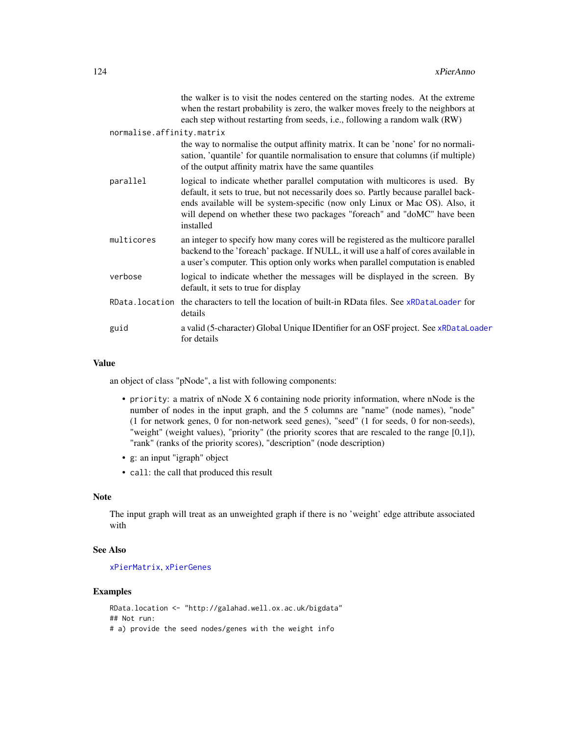|                           | the walker is to visit the nodes centered on the starting nodes. At the extreme<br>when the restart probability is zero, the walker moves freely to the neighbors at<br>each step without restarting from seeds, i.e., following a random walk (RW)                                                                                          |
|---------------------------|----------------------------------------------------------------------------------------------------------------------------------------------------------------------------------------------------------------------------------------------------------------------------------------------------------------------------------------------|
| normalise.affinity.matrix |                                                                                                                                                                                                                                                                                                                                              |
|                           | the way to normalise the output affinity matrix. It can be 'none' for no normali-<br>sation, 'quantile' for quantile normalisation to ensure that columns (if multiple)<br>of the output affinity matrix have the same quantiles                                                                                                             |
| parallel                  | logical to indicate whether parallel computation with multicores is used. By<br>default, it sets to true, but not necessarily does so. Partly because parallel back-<br>ends available will be system-specific (now only Linux or Mac OS). Also, it<br>will depend on whether these two packages "foreach" and "doMC" have been<br>installed |
| multicores                | an integer to specify how many cores will be registered as the multicore parallel<br>backend to the 'foreach' package. If NULL, it will use a half of cores available in<br>a user's computer. This option only works when parallel computation is enabled                                                                                   |
| verbose                   | logical to indicate whether the messages will be displayed in the screen. By<br>default, it sets to true for display                                                                                                                                                                                                                         |
| RData.location            | the characters to tell the location of built-in RData files. See xRDataLoader for<br>details                                                                                                                                                                                                                                                 |
| guid                      | a valid (5-character) Global Unique IDentifier for an OSF project. See xRDataLoader<br>for details                                                                                                                                                                                                                                           |
|                           |                                                                                                                                                                                                                                                                                                                                              |

an object of class "pNode", a list with following components:

- priority: a matrix of nNode X 6 containing node priority information, where nNode is the number of nodes in the input graph, and the 5 columns are "name" (node names), "node" (1 for network genes, 0 for non-network seed genes), "seed" (1 for seeds, 0 for non-seeds), "weight" (weight values), "priority" (the priority scores that are rescaled to the range [0,1]), "rank" (ranks of the priority scores), "description" (node description)
- g: an input "igraph" object
- call: the call that produced this result

# Note

The input graph will treat as an unweighted graph if there is no 'weight' edge attribute associated with

#### See Also

[xPierMatrix](#page-143-0), [xPierGenes](#page-129-0)

## Examples

```
RData.location <- "http://galahad.well.ox.ac.uk/bigdata"
## Not run:
# a) provide the seed nodes/genes with the weight info
```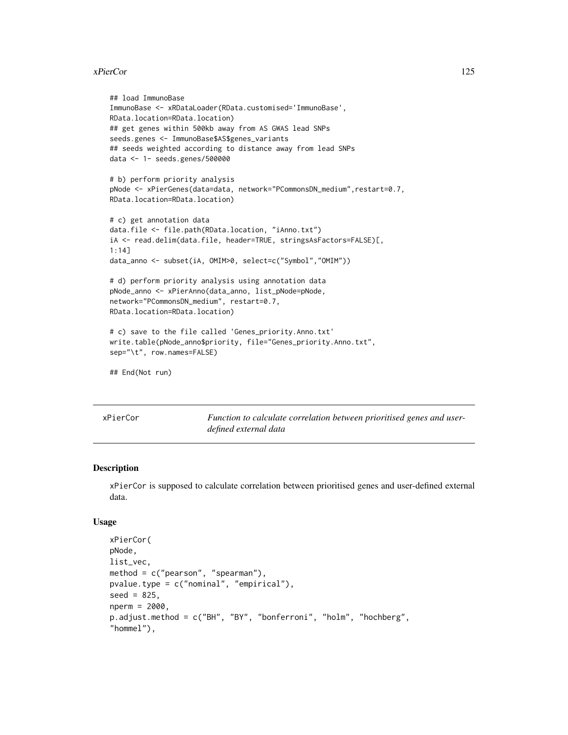#### xPierCor 125

```
## load ImmunoBase
ImmunoBase <- xRDataLoader(RData.customised='ImmunoBase',
RData.location=RData.location)
## get genes within 500kb away from AS GWAS lead SNPs
seeds.genes <- ImmunoBase$AS$genes_variants
## seeds weighted according to distance away from lead SNPs
data <- 1- seeds.genes/500000
# b) perform priority analysis
pNode <- xPierGenes(data=data, network="PCommonsDN_medium", restart=0.7,
RData.location=RData.location)
# c) get annotation data
data.file <- file.path(RData.location, "iAnno.txt")
iA <- read.delim(data.file, header=TRUE, stringsAsFactors=FALSE)[,
1:14]
data_anno <- subset(iA, OMIM>0, select=c("Symbol","OMIM"))
# d) perform priority analysis using annotation data
pNode_anno <- xPierAnno(data_anno, list_pNode=pNode,
network="PCommonsDN_medium", restart=0.7,
RData.location=RData.location)
# c) save to the file called 'Genes_priority.Anno.txt'
write.table(pNode_anno$priority, file="Genes_priority.Anno.txt",
sep="\t", row.names=FALSE)
## End(Not run)
```
xPierCor *Function to calculate correlation between prioritised genes and userdefined external data*

#### Description

xPierCor is supposed to calculate correlation between prioritised genes and user-defined external data.

## Usage

```
xPierCor(
pNode,
list_vec,
method = c("pearson", "spearman").pvalue.type = c("nominal", "empirical"),
seed = 825,
nperm = 2000,
p.adjust.method = c("BH", "BY", "bonferroni", "holm", "hochberg",
"hommel"),
```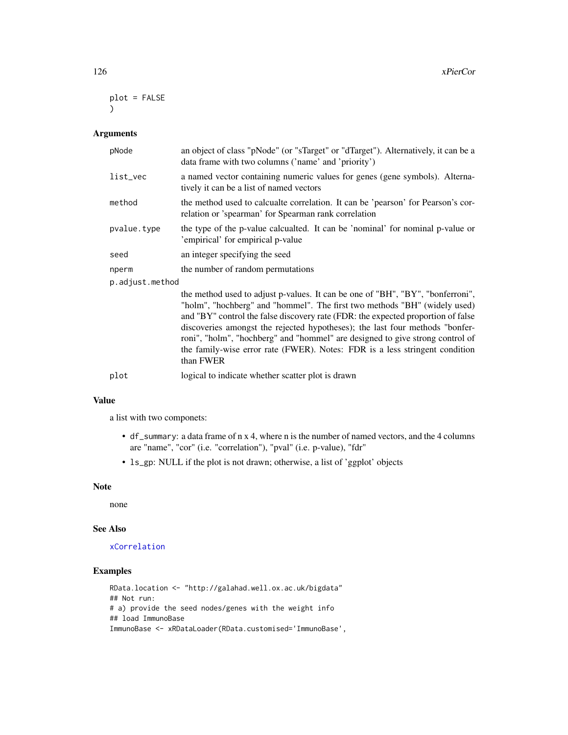```
plot = FALSE
)
```
#### Arguments

| pNode           | an object of class "pNode" (or "sTarget" or "dTarget"). Alternatively, it can be a<br>data frame with two columns ('name' and 'priority')                 |
|-----------------|-----------------------------------------------------------------------------------------------------------------------------------------------------------|
| list_vec        | a named vector containing numeric values for genes (gene symbols). Alterna-<br>tively it can be a list of named vectors                                   |
| method          | the method used to calcualte correlation. It can be 'pearson' for Pearson's cor-<br>relation or 'spearman' for Spearman rank correlation                  |
| pvalue.type     | the type of the p-value calcualted. It can be 'nominal' for nominal p-value or<br>'empirical' for empirical p-value                                       |
| seed            | an integer specifying the seed                                                                                                                            |
| nperm           | the number of random permutations                                                                                                                         |
| p.adjust.method |                                                                                                                                                           |
|                 | the method used to adjust p-values. It can be one of "BH", "BY", "bonferroni",<br>"holm" "hochberg" and "hommel" The first two methods "BH" (widely used) |

"holm", "nochberg" and "hommel". The first two methods "BH" (widely used) and "BY" control the false discovery rate (FDR: the expected proportion of false discoveries amongst the rejected hypotheses); the last four methods "bonferroni", "holm", "hochberg" and "hommel" are designed to give strong control of the family-wise error rate (FWER). Notes: FDR is a less stringent condition than FWER

plot logical to indicate whether scatter plot is drawn

## Value

a list with two componets:

- df\_summary: a data frame of n x 4, where n is the number of named vectors, and the 4 columns are "name", "cor" (i.e. "correlation"), "pval" (i.e. p-value), "fdr"
- ls\_gp: NULL if the plot is not drawn; otherwise, a list of 'ggplot' objects

#### Note

none

#### See Also

## [xCorrelation](#page-28-0)

# Examples

```
RData.location <- "http://galahad.well.ox.ac.uk/bigdata"
## Not run:
# a) provide the seed nodes/genes with the weight info
## load ImmunoBase
ImmunoBase <- xRDataLoader(RData.customised='ImmunoBase',
```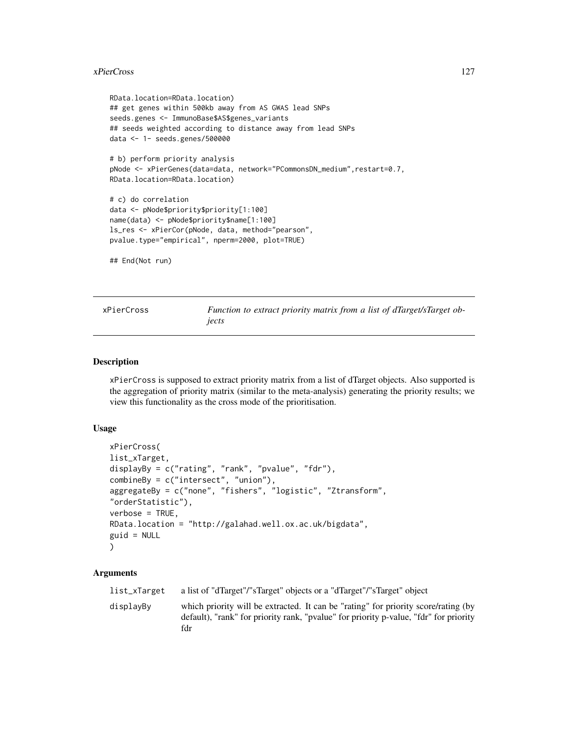#### xPierCross 227

```
RData.location=RData.location)
## get genes within 500kb away from AS GWAS lead SNPs
seeds.genes <- ImmunoBase$AS$genes_variants
## seeds weighted according to distance away from lead SNPs
data <- 1- seeds.genes/500000
# b) perform priority analysis
pNode <- xPierGenes(data=data, network="PCommonsDN_medium", restart=0.7,
RData.location=RData.location)
# c) do correlation
data <- pNode$priority$priority[1:100]
name(data) <- pNode$priority$name[1:100]
ls_res <- xPierCor(pNode, data, method="pearson",
pvalue.type="empirical", nperm=2000, plot=TRUE)
## End(Not run)
```
xPierCross *Function to extract priority matrix from a list of dTarget/sTarget objects*

## Description

xPierCross is supposed to extract priority matrix from a list of dTarget objects. Also supported is the aggregation of priority matrix (similar to the meta-analysis) generating the priority results; we view this functionality as the cross mode of the prioritisation.

#### Usage

```
xPierCross(
list_xTarget,
displayBy = c("rating", "rank", "pvalue", "fdr"),
combineBy = c("intersect", "union"),
aggregateBy = c("none", "fishers", "logistic", "Ztransform",
"orderStatistic"),
verbose = TRUE,
RData.location = "http://galahad.well.ox.ac.uk/bigdata",
guid = NULL\lambda
```

| list_xTarget | a list of "dTarget"/"sTarget" objects or a "dTarget"/"sTarget" object                                                                                                              |
|--------------|------------------------------------------------------------------------------------------------------------------------------------------------------------------------------------|
| displavBv    | which priority will be extracted. It can be "rating" for priority score/rating (by<br>default), "rank" for priority rank, "pvalue" for priority p-value, "fdr" for priority<br>fdr |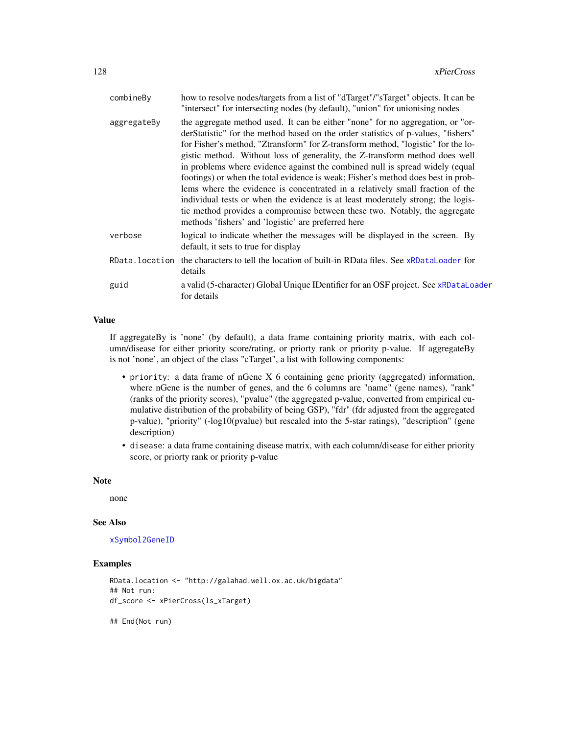| combineBy   | how to resolve nodes/targets from a list of "dTarget"/"sTarget" objects. It can be<br>"intersect" for intersecting nodes (by default), "union" for unionising nodes                                                                                                                                                                                                                                                                                                                                                                                                                                                                                                                                                                                                                                                 |
|-------------|---------------------------------------------------------------------------------------------------------------------------------------------------------------------------------------------------------------------------------------------------------------------------------------------------------------------------------------------------------------------------------------------------------------------------------------------------------------------------------------------------------------------------------------------------------------------------------------------------------------------------------------------------------------------------------------------------------------------------------------------------------------------------------------------------------------------|
| aggregateBy | the aggregate method used. It can be either "none" for no aggregation, or "or-<br>derStatistic" for the method based on the order statistics of p-values, "fishers"<br>for Fisher's method, "Ztransform" for Z-transform method, "logistic" for the lo-<br>gistic method. Without loss of generality, the Z-transform method does well<br>in problems where evidence against the combined null is spread widely (equal<br>footings) or when the total evidence is weak; Fisher's method does best in prob-<br>lems where the evidence is concentrated in a relatively small fraction of the<br>individual tests or when the evidence is at least moderately strong; the logis-<br>tic method provides a compromise between these two. Notably, the aggregate<br>methods 'fishers' and 'logistic' are preferred here |
| verbose     | logical to indicate whether the messages will be displayed in the screen. By<br>default, it sets to true for display                                                                                                                                                                                                                                                                                                                                                                                                                                                                                                                                                                                                                                                                                                |
|             | RData. location the characters to tell the location of built-in RData files. See xRDataLoader for<br>details                                                                                                                                                                                                                                                                                                                                                                                                                                                                                                                                                                                                                                                                                                        |
| guid        | a valid (5-character) Global Unique IDentifier for an OSF project. See xRDataLoader<br>for details                                                                                                                                                                                                                                                                                                                                                                                                                                                                                                                                                                                                                                                                                                                  |
|             |                                                                                                                                                                                                                                                                                                                                                                                                                                                                                                                                                                                                                                                                                                                                                                                                                     |

If aggregateBy is 'none' (by default), a data frame containing priority matrix, with each column/disease for either priority score/rating, or priorty rank or priority p-value. If aggregateBy is not 'none', an object of the class "cTarget", a list with following components:

- priority: a data frame of nGene X 6 containing gene priority (aggregated) information, where nGene is the number of genes, and the 6 columns are "name" (gene names), "rank" (ranks of the priority scores), "pvalue" (the aggregated p-value, converted from empirical cumulative distribution of the probability of being GSP), "fdr" (fdr adjusted from the aggregated p-value), "priority" (-log10(pvalue) but rescaled into the 5-star ratings), "description" (gene description)
- disease: a data frame containing disease matrix, with each column/disease for either priority score, or priorty rank or priority p-value

# Note

none

#### See Also

[xSymbol2GeneID](#page-203-0)

#### Examples

```
RData.location <- "http://galahad.well.ox.ac.uk/bigdata"
## Not run:
df_score <- xPierCross(ls_xTarget)
```
## End(Not run)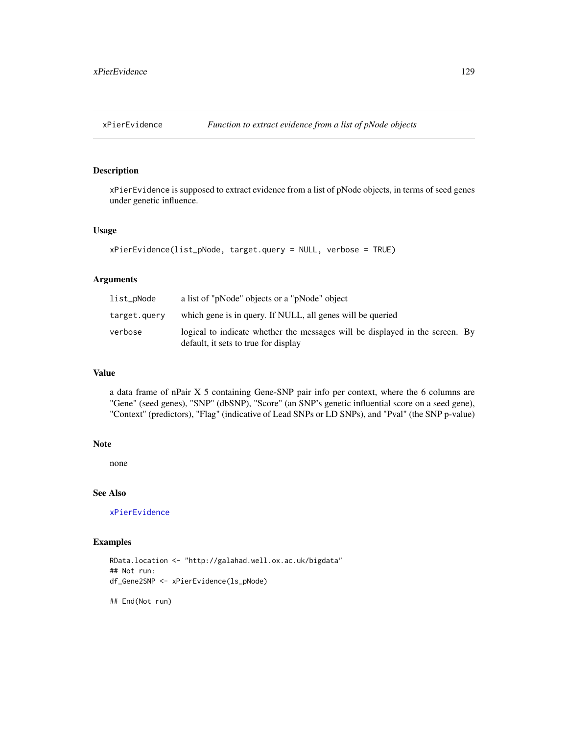<span id="page-128-0"></span>

## Description

xPierEvidence is supposed to extract evidence from a list of pNode objects, in terms of seed genes under genetic influence.

## Usage

```
xPierEvidence(list_pNode, target.query = NULL, verbose = TRUE)
```
## Arguments

| list_pNode   | a list of "pNode" objects or a "pNode" object                                                                        |  |
|--------------|----------------------------------------------------------------------------------------------------------------------|--|
| target.query | which gene is in query. If NULL, all genes will be queried                                                           |  |
| verbose      | logical to indicate whether the messages will be displayed in the screen. By<br>default, it sets to true for display |  |

## Value

a data frame of nPair X 5 containing Gene-SNP pair info per context, where the 6 columns are "Gene" (seed genes), "SNP" (dbSNP), "Score" (an SNP's genetic influential score on a seed gene), "Context" (predictors), "Flag" (indicative of Lead SNPs or LD SNPs), and "Pval" (the SNP p-value)

## Note

none

## See Also

[xPierEvidence](#page-128-0)

# Examples

```
RData.location <- "http://galahad.well.ox.ac.uk/bigdata"
## Not run:
df_Gene2SNP <- xPierEvidence(ls_pNode)
```
## End(Not run)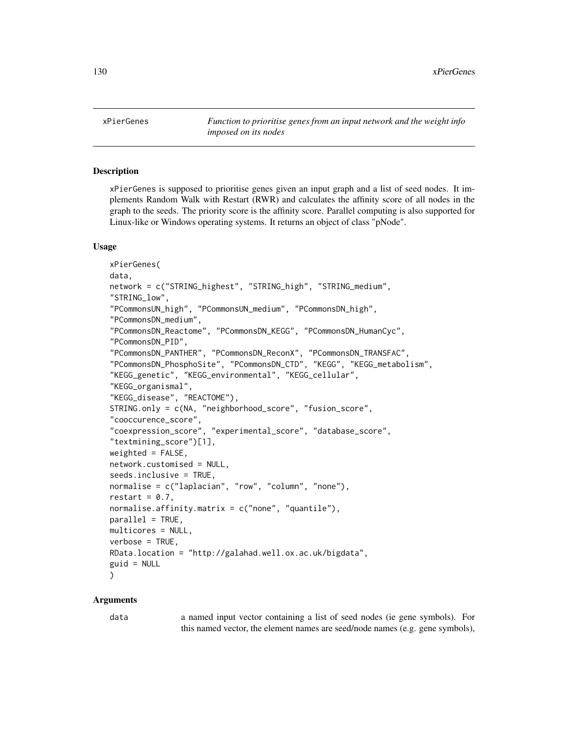130 xPierGenes

<span id="page-129-0"></span>xPierGenes *Function to prioritise genes from an input network and the weight info imposed on its nodes*

## **Description**

xPierGenes is supposed to prioritise genes given an input graph and a list of seed nodes. It implements Random Walk with Restart (RWR) and calculates the affinity score of all nodes in the graph to the seeds. The priority score is the affinity score. Parallel computing is also supported for Linux-like or Windows operating systems. It returns an object of class "pNode".

#### Usage

```
xPierGenes(
data,
network = c("STRING_highest", "STRING_high", "STRING_medium",
"STRING_low",
"PCommonsUN_high", "PCommonsUN_medium", "PCommonsDN_high",
"PCommonsDN_medium",
"PCommonsDN_Reactome", "PCommonsDN_KEGG", "PCommonsDN_HumanCyc",
"PCommonsDN_PID",
"PCommonsDN_PANTHER", "PCommonsDN_ReconX", "PCommonsDN_TRANSFAC",
"PCommonsDN_PhosphoSite", "PCommonsDN_CTD", "KEGG", "KEGG_metabolism",
"KEGG_genetic", "KEGG_environmental", "KEGG_cellular",
"KEGG_organismal",
"KEGG_disease", "REACTOME"),
STRING.only = c(NA, "neighborhood_score", "fusion_score",
"cooccurence_score",
"coexpression_score", "experimental_score", "database_score",
"textmining_score")[1],
weighted = FALSE,network.customised = NULL,
seeds.inclusive = TRUE,
normalise = c("laplacian", "row", "column", "none"),
restart = 0.7,
normalise.affinity.matrix = c("none", "quantile"),
parallel = TRUE,
multicores = NULL,
verbose = TRUE,
RData.location = "http://galahad.well.ox.ac.uk/bigdata",
guid = NULL)
```
#### Arguments

data a named input vector containing a list of seed nodes (ie gene symbols). For this named vector, the element names are seed/node names (e.g. gene symbols),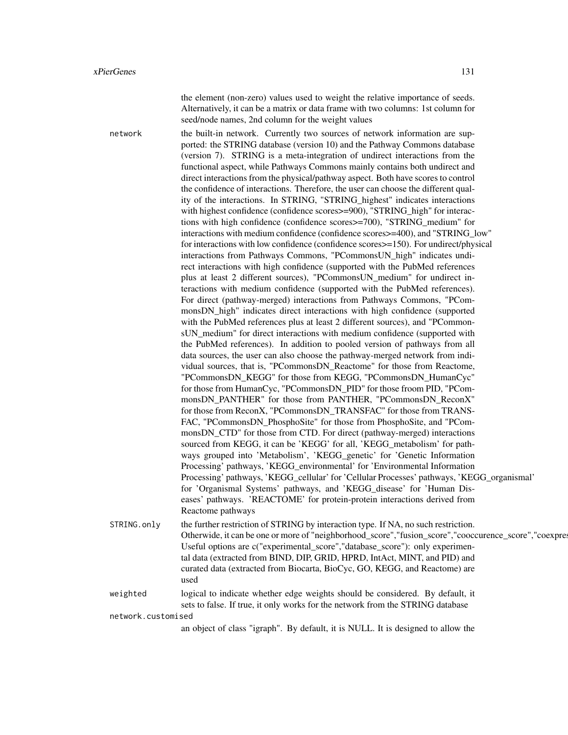the element (non-zero) values used to weight the relative importance of seeds. Alternatively, it can be a matrix or data frame with two columns: 1st column for seed/node names, 2nd column for the weight values

network the built-in network. Currently two sources of network information are supported: the STRING database (version 10) and the Pathway Commons database (version 7). STRING is a meta-integration of undirect interactions from the functional aspect, while Pathways Commons mainly contains both undirect and direct interactions from the physical/pathway aspect. Both have scores to control the confidence of interactions. Therefore, the user can choose the different quality of the interactions. In STRING, "STRING\_highest" indicates interactions with highest confidence (confidence scores >=900), "STRING\_high" for interactions with high confidence (confidence scores>=700), "STRING\_medium" for interactions with medium confidence (confidence scores>=400), and "STRING\_low" for interactions with low confidence (confidence scores>=150). For undirect/physical interactions from Pathways Commons, "PCommonsUN\_high" indicates undirect interactions with high confidence (supported with the PubMed references plus at least 2 different sources), "PCommonsUN\_medium" for undirect interactions with medium confidence (supported with the PubMed references). For direct (pathway-merged) interactions from Pathways Commons, "PCommonsDN high" indicates direct interactions with high confidence (supported with the PubMed references plus at least 2 different sources), and "PCommonsUN medium" for direct interactions with medium confidence (supported with the PubMed references). In addition to pooled version of pathways from all data sources, the user can also choose the pathway-merged network from individual sources, that is, "PCommonsDN\_Reactome" for those from Reactome, "PCommonsDN\_KEGG" for those from KEGG, "PCommonsDN\_HumanCyc" for those from HumanCyc, "PCommonsDN\_PID" for those froom PID, "PCommonsDN\_PANTHER" for those from PANTHER, "PCommonsDN\_ReconX" for those from ReconX, "PCommonsDN\_TRANSFAC" for those from TRANS-FAC, "PCommonsDN\_PhosphoSite" for those from PhosphoSite, and "PCommonsDN\_CTD" for those from CTD. For direct (pathway-merged) interactions sourced from KEGG, it can be 'KEGG' for all, 'KEGG\_metabolism' for pathways grouped into 'Metabolism', 'KEGG\_genetic' for 'Genetic Information Processing' pathways, 'KEGG\_environmental' for 'Environmental Information Processing' pathways, 'KEGG\_cellular' for 'Cellular Processes' pathways, 'KEGG\_organismal' for 'Organismal Systems' pathways, and 'KEGG\_disease' for 'Human Diseases' pathways. 'REACTOME' for protein-protein interactions derived from Reactome pathways

STRING.only the further restriction of STRING by interaction type. If NA, no such restriction. Otherwide, it can be one or more of "neighborhood\_score","fusion\_score","cooccurence\_score","coexpre Useful options are c("experimental\_score","database\_score"): only experimental data (extracted from BIND, DIP, GRID, HPRD, IntAct, MINT, and PID) and curated data (extracted from Biocarta, BioCyc, GO, KEGG, and Reactome) are used

weighted logical to indicate whether edge weights should be considered. By default, it sets to false. If true, it only works for the network from the STRING database

network.customised

an object of class "igraph". By default, it is NULL. It is designed to allow the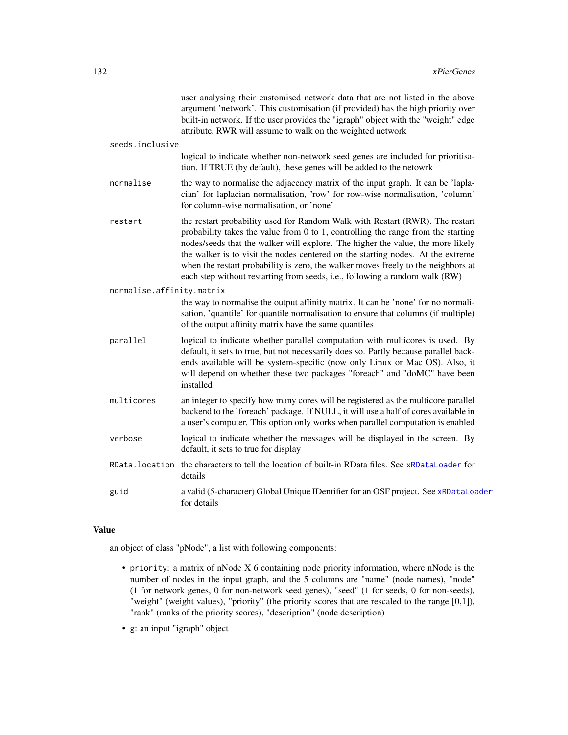|                           | user analysing their customised network data that are not listed in the above<br>argument 'network'. This customisation (if provided) has the high priority over<br>built-in network. If the user provides the "igraph" object with the "weight" edge<br>attribute, RWR will assume to walk on the weighted network                                                                                                                                                                                             |
|---------------------------|-----------------------------------------------------------------------------------------------------------------------------------------------------------------------------------------------------------------------------------------------------------------------------------------------------------------------------------------------------------------------------------------------------------------------------------------------------------------------------------------------------------------|
| seeds.inclusive           |                                                                                                                                                                                                                                                                                                                                                                                                                                                                                                                 |
|                           | logical to indicate whether non-network seed genes are included for prioritisa-<br>tion. If TRUE (by default), these genes will be added to the netowrk                                                                                                                                                                                                                                                                                                                                                         |
| normalise                 | the way to normalise the adjacency matrix of the input graph. It can be 'lapla-<br>cian' for laplacian normalisation, 'row' for row-wise normalisation, 'column'<br>for column-wise normalisation, or 'none'                                                                                                                                                                                                                                                                                                    |
| restart                   | the restart probability used for Random Walk with Restart (RWR). The restart<br>probability takes the value from $0$ to $1$ , controlling the range from the starting<br>nodes/seeds that the walker will explore. The higher the value, the more likely<br>the walker is to visit the nodes centered on the starting nodes. At the extreme<br>when the restart probability is zero, the walker moves freely to the neighbors at<br>each step without restarting from seeds, i.e., following a random walk (RW) |
| normalise.affinity.matrix |                                                                                                                                                                                                                                                                                                                                                                                                                                                                                                                 |
|                           | the way to normalise the output affinity matrix. It can be 'none' for no normali-<br>sation, 'quantile' for quantile normalisation to ensure that columns (if multiple)<br>of the output affinity matrix have the same quantiles                                                                                                                                                                                                                                                                                |
| parallel                  | logical to indicate whether parallel computation with multicores is used. By<br>default, it sets to true, but not necessarily does so. Partly because parallel back-<br>ends available will be system-specific (now only Linux or Mac OS). Also, it<br>will depend on whether these two packages "foreach" and "doMC" have been<br>installed                                                                                                                                                                    |
| multicores                | an integer to specify how many cores will be registered as the multicore parallel<br>backend to the 'foreach' package. If NULL, it will use a half of cores available in<br>a user's computer. This option only works when parallel computation is enabled                                                                                                                                                                                                                                                      |
| verbose                   | logical to indicate whether the messages will be displayed in the screen. By<br>default, it sets to true for display                                                                                                                                                                                                                                                                                                                                                                                            |
|                           | RData. location the characters to tell the location of built-in RData files. See xRDataLoader for<br>details                                                                                                                                                                                                                                                                                                                                                                                                    |
| guid                      | a valid (5-character) Global Unique IDentifier for an OSF project. See xRDataLoader<br>for details                                                                                                                                                                                                                                                                                                                                                                                                              |
|                           |                                                                                                                                                                                                                                                                                                                                                                                                                                                                                                                 |

an object of class "pNode", a list with following components:

- priority: a matrix of nNode X 6 containing node priority information, where nNode is the number of nodes in the input graph, and the 5 columns are "name" (node names), "node" (1 for network genes, 0 for non-network seed genes), "seed" (1 for seeds, 0 for non-seeds), "weight" (weight values), "priority" (the priority scores that are rescaled to the range [0,1]), "rank" (ranks of the priority scores), "description" (node description)
- g: an input "igraph" object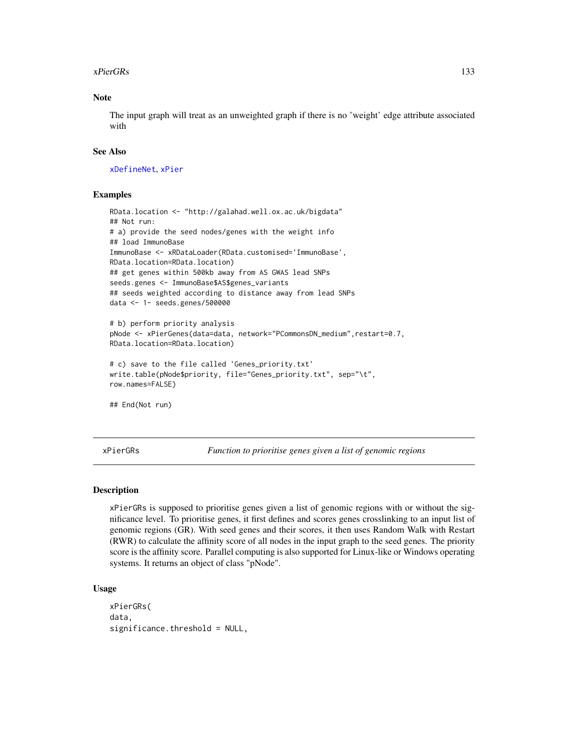#### xPierGRs 133

# Note

The input graph will treat as an unweighted graph if there is no 'weight' edge attribute associated with

## See Also

[xDefineNet](#page-43-0), [xPier](#page-113-0)

## Examples

```
RData.location <- "http://galahad.well.ox.ac.uk/bigdata"
## Not run:
# a) provide the seed nodes/genes with the weight info
## load ImmunoBase
ImmunoBase <- xRDataLoader(RData.customised='ImmunoBase',
RData.location=RData.location)
## get genes within 500kb away from AS GWAS lead SNPs
seeds.genes <- ImmunoBase$AS$genes_variants
## seeds weighted according to distance away from lead SNPs
data <- 1- seeds.genes/500000
# b) perform priority analysis
pNode <- xPierGenes(data=data, network="PCommonsDN_medium",restart=0.7,
RData.location=RData.location)
# c) save to the file called 'Genes_priority.txt'
write.table(pNode$priority, file="Genes_priority.txt", sep="\t",
row.names=FALSE)
## End(Not run)
```
xPierGRs *Function to prioritise genes given a list of genomic regions*

## Description

xPierGRs is supposed to prioritise genes given a list of genomic regions with or without the significance level. To prioritise genes, it first defines and scores genes crosslinking to an input list of genomic regions (GR). With seed genes and their scores, it then uses Random Walk with Restart (RWR) to calculate the affinity score of all nodes in the input graph to the seed genes. The priority score is the affinity score. Parallel computing is also supported for Linux-like or Windows operating systems. It returns an object of class "pNode".

#### Usage

```
xPierGRs(
data,
significance.threshold = NULL,
```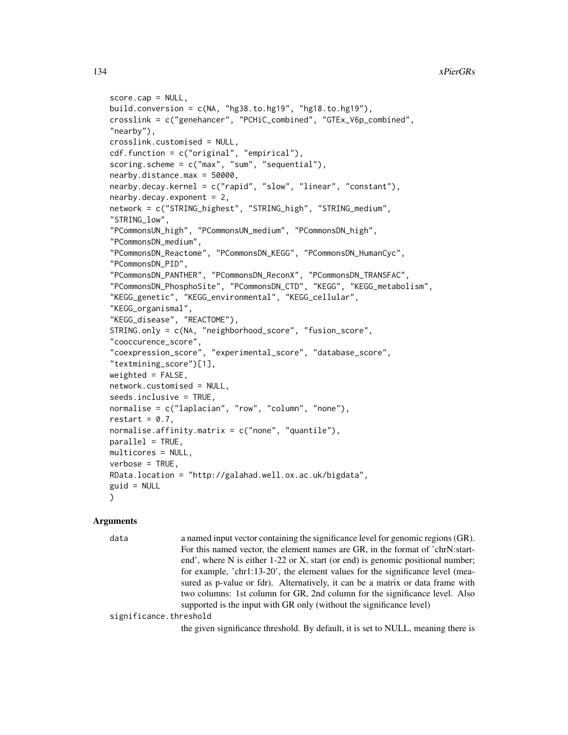```
score.cap = NULL,
build.conversion = c(NA, "hg38.to.hg19", "hg18.to.hg19"),
crosslink = c("genehancer", "PCHiC_combined", "GTEx_V6p_combined",
"nearby"),
crosslink.customised = NULL,
cdf.function = c("original", "empirical"),
scoring.scheme = c("max", "sum", "sequential"),
nearby.distance.max = 50000,
nearby.decay.kernel = c("rapid", "slow", "linear", "constant"),
nearby.decay.exponent = 2,
network = c("STRING_highest", "STRING_high", "STRING_medium",
"STRING_low",
"PCommonsUN_high", "PCommonsUN_medium", "PCommonsDN_high",
"PCommonsDN_medium",
"PCommonsDN_Reactome", "PCommonsDN_KEGG", "PCommonsDN_HumanCyc",
"PCommonsDN_PID",
"PCommonsDN_PANTHER", "PCommonsDN_ReconX", "PCommonsDN_TRANSFAC",
"PCommonsDN_PhosphoSite", "PCommonsDN_CTD", "KEGG", "KEGG_metabolism",
"KEGG_genetic", "KEGG_environmental", "KEGG_cellular",
"KEGG_organismal",
"KEGG_disease", "REACTOME"),
STRING.only = c(NA, "neighborhood_score", "fusion_score",
"cooccurence_score",
"coexpression_score", "experimental_score", "database_score",
"textmining_score")[1],
weighted = FALSE,network.customised = NULL,
seeds.inclusive = TRUE,
normalise = c("laplacian", "row", "column", "none"),
restart = 0.7,
normalise.affinity.matrix = c("none", "quantile"),
parallel = TRUE,
multicores = NULL,
verbose = TRUE,
RData.location = "http://galahad.well.ox.ac.uk/bigdata",
guid = NULL)
```
## Arguments

data a named input vector containing the significance level for genomic regions (GR). For this named vector, the element names are GR, in the format of 'chrN:startend', where N is either 1-22 or X, start (or end) is genomic positional number; for example, 'chr1:13-20', the element values for the significance level (measured as p-value or fdr). Alternatively, it can be a matrix or data frame with two columns: 1st column for GR, 2nd column for the significance level. Also supported is the input with GR only (without the significance level)

significance.threshold

the given significance threshold. By default, it is set to NULL, meaning there is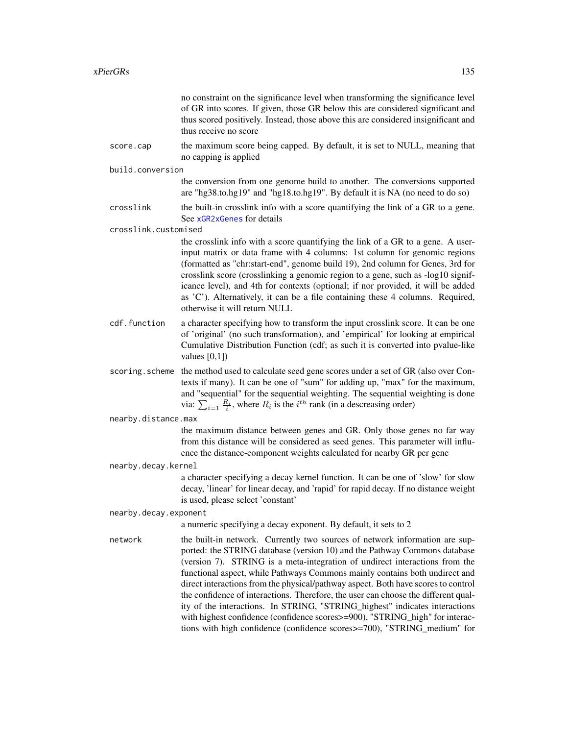|                       | no constraint on the significance level when transforming the significance level<br>of GR into scores. If given, those GR below this are considered significant and<br>thus scored positively. Instead, those above this are considered insignificant and<br>thus receive no score                                                                                                                                                                                                                                                                                                                                                                                                                                                           |
|-----------------------|----------------------------------------------------------------------------------------------------------------------------------------------------------------------------------------------------------------------------------------------------------------------------------------------------------------------------------------------------------------------------------------------------------------------------------------------------------------------------------------------------------------------------------------------------------------------------------------------------------------------------------------------------------------------------------------------------------------------------------------------|
| score.cap             | the maximum score being capped. By default, it is set to NULL, meaning that<br>no capping is applied                                                                                                                                                                                                                                                                                                                                                                                                                                                                                                                                                                                                                                         |
| build.conversion      |                                                                                                                                                                                                                                                                                                                                                                                                                                                                                                                                                                                                                                                                                                                                              |
|                       | the conversion from one genome build to another. The conversions supported<br>are "hg38.to.hg19" and "hg18.to.hg19". By default it is NA (no need to do so)                                                                                                                                                                                                                                                                                                                                                                                                                                                                                                                                                                                  |
| crosslink             | the built-in crosslink info with a score quantifying the link of a GR to a gene.<br>See xGR2xGenes for details                                                                                                                                                                                                                                                                                                                                                                                                                                                                                                                                                                                                                               |
| crosslink.customised  |                                                                                                                                                                                                                                                                                                                                                                                                                                                                                                                                                                                                                                                                                                                                              |
|                       | the crosslink info with a score quantifying the link of a GR to a gene. A user-<br>input matrix or data frame with 4 columns: 1st column for genomic regions<br>(formatted as "chr:start-end", genome build 19), 2nd column for Genes, 3rd for<br>crosslink score (crosslinking a genomic region to a gene, such as -log10 signif-<br>icance level), and 4th for contexts (optional; if nor provided, it will be added<br>as 'C'). Alternatively, it can be a file containing these 4 columns. Required,<br>otherwise it will return NULL                                                                                                                                                                                                    |
| cdf.function          | a character specifying how to transform the input crosslink score. It can be one<br>of 'original' (no such transformation), and 'empirical' for looking at empirical<br>Cumulative Distribution Function (cdf; as such it is converted into pvalue-like<br>values $[0,1]$ )                                                                                                                                                                                                                                                                                                                                                                                                                                                                  |
|                       | scoring. scheme the method used to calculate seed gene scores under a set of GR (also over Con-<br>texts if many). It can be one of "sum" for adding up, "max" for the maximum,<br>and "sequential" for the sequential weighting. The sequential weighting is done<br>via: $\sum_{i=1}^R \frac{R_i}{i}$ , where $R_i$ is the $i^{th}$ rank (in a descreasing order)                                                                                                                                                                                                                                                                                                                                                                          |
| nearby.distance.max   |                                                                                                                                                                                                                                                                                                                                                                                                                                                                                                                                                                                                                                                                                                                                              |
|                       | the maximum distance between genes and GR. Only those genes no far way<br>from this distance will be considered as seed genes. This parameter will influ-<br>ence the distance-component weights calculated for nearby GR per gene                                                                                                                                                                                                                                                                                                                                                                                                                                                                                                           |
| nearby.decay.kernel   |                                                                                                                                                                                                                                                                                                                                                                                                                                                                                                                                                                                                                                                                                                                                              |
|                       | a character specifying a decay kernel function. It can be one of 'slow' for slow<br>decay, 'linear' for linear decay, and 'rapid' for rapid decay. If no distance weight<br>is used, please select 'constant'                                                                                                                                                                                                                                                                                                                                                                                                                                                                                                                                |
| nearby.decay.exponent |                                                                                                                                                                                                                                                                                                                                                                                                                                                                                                                                                                                                                                                                                                                                              |
|                       | a numeric specifying a decay exponent. By default, it sets to 2                                                                                                                                                                                                                                                                                                                                                                                                                                                                                                                                                                                                                                                                              |
| network               | the built-in network. Currently two sources of network information are sup-<br>ported: the STRING database (version 10) and the Pathway Commons database<br>(version 7). STRING is a meta-integration of undirect interactions from the<br>functional aspect, while Pathways Commons mainly contains both undirect and<br>direct interactions from the physical/pathway aspect. Both have scores to control<br>the confidence of interactions. Therefore, the user can choose the different qual-<br>ity of the interactions. In STRING, "STRING_highest" indicates interactions<br>with highest confidence (confidence scores>=900), "STRING_high" for interac-<br>tions with high confidence (confidence scores>=700), "STRING_medium" for |
|                       |                                                                                                                                                                                                                                                                                                                                                                                                                                                                                                                                                                                                                                                                                                                                              |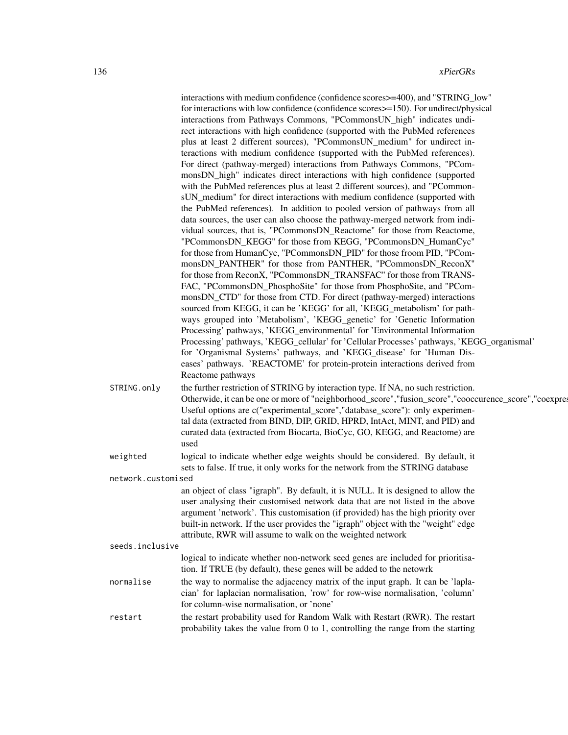|                    | interactions with medium confidence (confidence scores > = 400), and "STRING_low"<br>for interactions with low confidence (confidence scores>=150). For undirect/physical<br>interactions from Pathways Commons, "PCommonsUN_high" indicates undi-<br>rect interactions with high confidence (supported with the PubMed references<br>plus at least 2 different sources), "PCommonsUN_medium" for undirect in-<br>teractions with medium confidence (supported with the PubMed references).<br>For direct (pathway-merged) interactions from Pathways Commons, "PCom-<br>monsDN_high" indicates direct interactions with high confidence (supported |
|--------------------|-----------------------------------------------------------------------------------------------------------------------------------------------------------------------------------------------------------------------------------------------------------------------------------------------------------------------------------------------------------------------------------------------------------------------------------------------------------------------------------------------------------------------------------------------------------------------------------------------------------------------------------------------------|
|                    | with the PubMed references plus at least 2 different sources), and "PCommon-<br>sUN_medium" for direct interactions with medium confidence (supported with<br>the PubMed references). In addition to pooled version of pathways from all<br>data sources, the user can also choose the pathway-merged network from indi-<br>vidual sources, that is, "PCommonsDN_Reactome" for those from Reactome,                                                                                                                                                                                                                                                 |
|                    | "PCommonsDN_KEGG" for those from KEGG, "PCommonsDN_HumanCyc"<br>for those from HumanCyc, "PCommonsDN_PID" for those froom PID, "PCom-<br>monsDN_PANTHER" for those from PANTHER, "PCommonsDN_ReconX"<br>for those from ReconX, "PCommonsDN_TRANSFAC" for those from TRANS-<br>FAC, "PCommonsDN_PhosphoSite" for those from PhosphoSite, and "PCom-<br>monsDN_CTD" for those from CTD. For direct (pathway-merged) interactions                                                                                                                                                                                                                      |
|                    | sourced from KEGG, it can be 'KEGG' for all, 'KEGG_metabolism' for path-<br>ways grouped into 'Metabolism', 'KEGG_genetic' for 'Genetic Information<br>Processing' pathways, 'KEGG_environmental' for 'Environmental Information<br>Processing' pathways, 'KEGG_cellular' for 'Cellular Processes' pathways, 'KEGG_organismal'<br>for 'Organismal Systems' pathways, and 'KEGG_disease' for 'Human Dis-                                                                                                                                                                                                                                             |
| STRING.only        | eases' pathways. 'REACTOME' for protein-protein interactions derived from<br>Reactome pathways<br>the further restriction of STRING by interaction type. If NA, no such restriction.                                                                                                                                                                                                                                                                                                                                                                                                                                                                |
|                    | Otherwide, it can be one or more of "neighborhood_score", "fusion_score", "cooccurence_score", "coexpres<br>Useful options are c("experimental_score","database_score"): only experimen-<br>tal data (extracted from BIND, DIP, GRID, HPRD, IntAct, MINT, and PID) and<br>curated data (extracted from Biocarta, BioCyc, GO, KEGG, and Reactome) are<br>used                                                                                                                                                                                                                                                                                        |
| weighted           | logical to indicate whether edge weights should be considered. By default, it<br>sets to false. If true, it only works for the network from the STRING database                                                                                                                                                                                                                                                                                                                                                                                                                                                                                     |
| network.customised |                                                                                                                                                                                                                                                                                                                                                                                                                                                                                                                                                                                                                                                     |
|                    | an object of class "igraph". By default, it is NULL. It is designed to allow the<br>user analysing their customised network data that are not listed in the above<br>argument 'network'. This customisation (if provided) has the high priority over<br>built-in network. If the user provides the "igraph" object with the "weight" edge<br>attribute, RWR will assume to walk on the weighted network                                                                                                                                                                                                                                             |
| seeds.inclusive    |                                                                                                                                                                                                                                                                                                                                                                                                                                                                                                                                                                                                                                                     |
|                    | logical to indicate whether non-network seed genes are included for prioritisa-<br>tion. If TRUE (by default), these genes will be added to the netowrk                                                                                                                                                                                                                                                                                                                                                                                                                                                                                             |
| normalise          | the way to normalise the adjacency matrix of the input graph. It can be 'lapla-<br>cian' for laplacian normalisation, 'row' for row-wise normalisation, 'column'<br>for column-wise normalisation, or 'none'                                                                                                                                                                                                                                                                                                                                                                                                                                        |
| restart            | the restart probability used for Random Walk with Restart (RWR). The restart<br>probability takes the value from $0$ to $1$ , controlling the range from the starting                                                                                                                                                                                                                                                                                                                                                                                                                                                                               |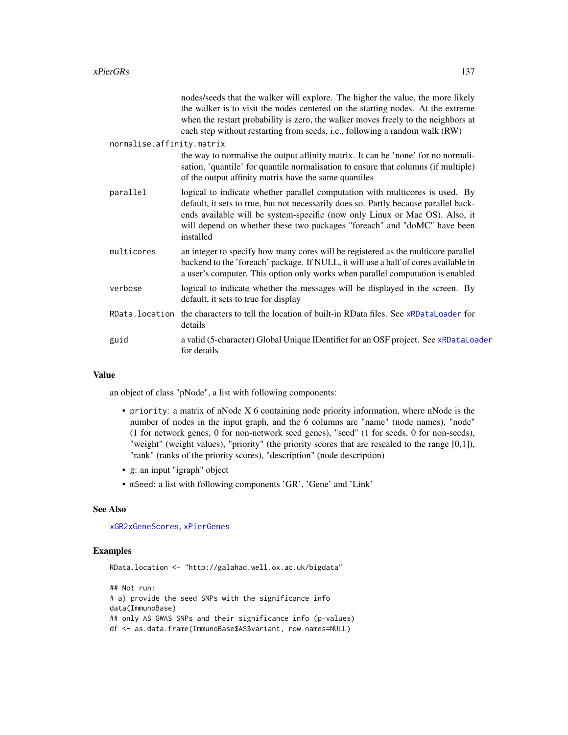|                           |                | nodes/seeds that the walker will explore. The higher the value, the more likely<br>the walker is to visit the nodes centered on the starting nodes. At the extreme<br>when the restart probability is zero, the walker moves freely to the neighbors at<br>each step without restarting from seeds, i.e., following a random walk (RW)       |
|---------------------------|----------------|----------------------------------------------------------------------------------------------------------------------------------------------------------------------------------------------------------------------------------------------------------------------------------------------------------------------------------------------|
| normalise.affinity.matrix |                |                                                                                                                                                                                                                                                                                                                                              |
|                           |                | the way to normalise the output affinity matrix. It can be 'none' for no normali-<br>sation, 'quantile' for quantile normalisation to ensure that columns (if multiple)<br>of the output affinity matrix have the same quantiles                                                                                                             |
|                           | parallel       | logical to indicate whether parallel computation with multicores is used. By<br>default, it sets to true, but not necessarily does so. Partly because parallel back-<br>ends available will be system-specific (now only Linux or Mac OS). Also, it<br>will depend on whether these two packages "foreach" and "doMC" have been<br>installed |
|                           | multicores     | an integer to specify how many cores will be registered as the multicore parallel<br>backend to the 'foreach' package. If NULL, it will use a half of cores available in<br>a user's computer. This option only works when parallel computation is enabled                                                                                   |
|                           | verbose        | logical to indicate whether the messages will be displayed in the screen. By<br>default, it sets to true for display                                                                                                                                                                                                                         |
|                           | RData.location | the characters to tell the location of built-in RData files. See xRDataLoader for<br>details                                                                                                                                                                                                                                                 |
|                           | guid           | a valid (5-character) Global Unique IDentifier for an OSF project. See xRDataLoader<br>for details                                                                                                                                                                                                                                           |

an object of class "pNode", a list with following components:

- priority: a matrix of nNode X 6 containing node priority information, where nNode is the number of nodes in the input graph, and the 6 columns are "name" (node names), "node" (1 for network genes, 0 for non-network seed genes), "seed" (1 for seeds, 0 for non-seeds), "weight" (weight values), "priority" (the priority scores that are rescaled to the range [0,1]), "rank" (ranks of the priority scores), "description" (node description)
- g: an input "igraph" object
- mSeed: a list with following components 'GR', 'Gene' and 'Link'

## See Also

[xGR2xGeneScores](#page-76-0), [xPierGenes](#page-129-0)

# Examples

RData.location <- "http://galahad.well.ox.ac.uk/bigdata"

## Not run: # a) provide the seed SNPs with the significance info data(ImmunoBase) ## only AS GWAS SNPs and their significance info (p-values) df <- as.data.frame(ImmunoBase\$AS\$variant, row.names=NULL)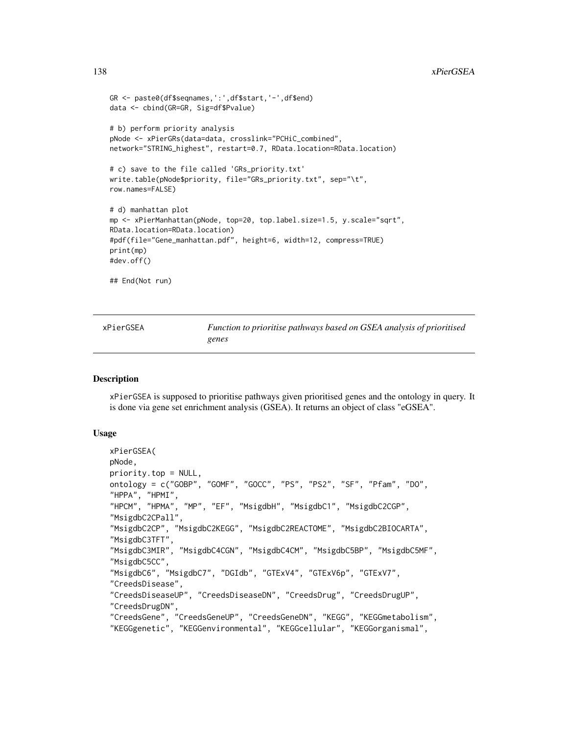```
GR <- paste0(df$seqnames,':',df$start,'-',df$end)
data <- cbind(GR=GR, Sig=df$Pvalue)
# b) perform priority analysis
pNode <- xPierGRs(data=data, crosslink="PCHiC_combined",
network="STRING_highest", restart=0.7, RData.location=RData.location)
# c) save to the file called 'GRs_priority.txt'
write.table(pNode$priority, file="GRs_priority.txt", sep="\t",
row.names=FALSE)
# d) manhattan plot
mp <- xPierManhattan(pNode, top=20, top.label.size=1.5, y.scale="sqrt",
RData.location=RData.location)
#pdf(file="Gene_manhattan.pdf", height=6, width=12, compress=TRUE)
print(mp)
#dev.off()
## End(Not run)
```
xPierGSEA *Function to prioritise pathways based on GSEA analysis of prioritised genes*

# Description

xPierGSEA is supposed to prioritise pathways given prioritised genes and the ontology in query. It is done via gene set enrichment analysis (GSEA). It returns an object of class "eGSEA".

## Usage

```
xPierGSEA(
pNode,
priority.top = NULL,
ontology = c("GOBP", "GOMF", "GOCC", "PS", "PS2", "SF", "Pfam", "DO",
"HPPA", "HPMI",
"HPCM", "HPMA", "MP", "EF", "MsigdbH", "MsigdbC1", "MsigdbC2CGP",
"MsigdbC2CPall",
"MsigdbC2CP", "MsigdbC2KEGG", "MsigdbC2REACTOME", "MsigdbC2BIOCARTA",
"MsigdbC3TFT",
"MsigdbC3MIR", "MsigdbC4CGN", "MsigdbC4CM", "MsigdbC5BP", "MsigdbC5MF",
"MsigdbC5CC",
"MsigdbC6", "MsigdbC7", "DGIdb", "GTExV4", "GTExV6p", "GTExV7",
"CreedsDisease",
"CreedsDiseaseUP", "CreedsDiseaseDN", "CreedsDrug", "CreedsDrugUP",
"CreedsDrugDN",
"CreedsGene", "CreedsGeneUP", "CreedsGeneDN", "KEGG", "KEGGmetabolism",
"KEGGgenetic", "KEGGenvironmental", "KEGGcellular", "KEGGorganismal",
```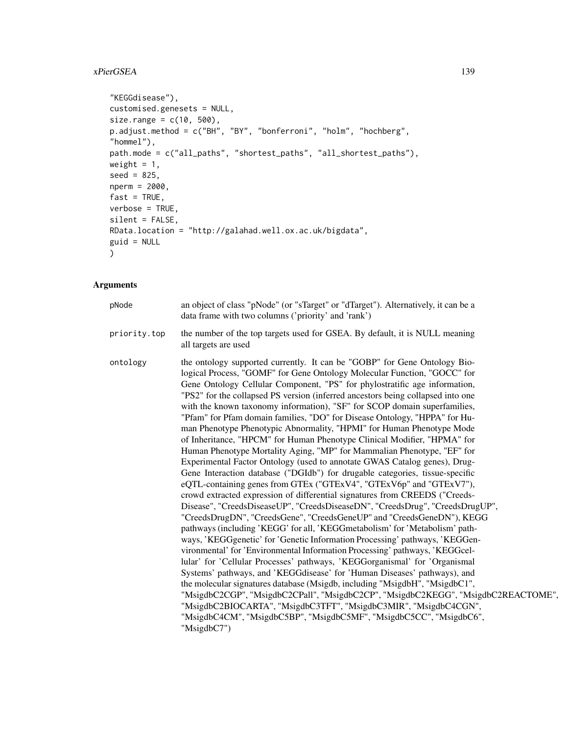# xPierGSEA 139

```
"KEGGdisease"),
customised.genesets = NULL,
size.random = c(10, 500),p.adjust.method = c("BH", "BY", "bonferroni", "holm", "hochberg",
"hommel"),
path.mode = c("all_paths", "shortest_paths", "all_shortest_paths"),
weight = 1,
seed = 825,nperm = 2000,
fast = TRUE,verbose = TRUE,
silent = FALSE,
RData.location = "http://galahad.well.ox.ac.uk/bigdata",
guid = NULL\mathcal{L}
```

| pNode        | an object of class "pNode" (or "sTarget" or "dTarget"). Alternatively, it can be a<br>data frame with two columns ('priority' and 'rank')                                                                                                                                                                                                                                                                                                                                                                                                                                                                                                                                                                                                                                                                                                                                                                                                                                                                                                                                                                                                                                                                                                                                                                                                                                                                                                                                                                                                                                                                                                                                                                                                                                                                                                                                                                                            |
|--------------|--------------------------------------------------------------------------------------------------------------------------------------------------------------------------------------------------------------------------------------------------------------------------------------------------------------------------------------------------------------------------------------------------------------------------------------------------------------------------------------------------------------------------------------------------------------------------------------------------------------------------------------------------------------------------------------------------------------------------------------------------------------------------------------------------------------------------------------------------------------------------------------------------------------------------------------------------------------------------------------------------------------------------------------------------------------------------------------------------------------------------------------------------------------------------------------------------------------------------------------------------------------------------------------------------------------------------------------------------------------------------------------------------------------------------------------------------------------------------------------------------------------------------------------------------------------------------------------------------------------------------------------------------------------------------------------------------------------------------------------------------------------------------------------------------------------------------------------------------------------------------------------------------------------------------------------|
| priority.top | the number of the top targets used for GSEA. By default, it is NULL meaning<br>all targets are used                                                                                                                                                                                                                                                                                                                                                                                                                                                                                                                                                                                                                                                                                                                                                                                                                                                                                                                                                                                                                                                                                                                                                                                                                                                                                                                                                                                                                                                                                                                                                                                                                                                                                                                                                                                                                                  |
| ontology     | the ontology supported currently. It can be "GOBP" for Gene Ontology Bio-<br>logical Process, "GOMF" for Gene Ontology Molecular Function, "GOCC" for<br>Gene Ontology Cellular Component, "PS" for phylostratific age information,<br>"PS2" for the collapsed PS version (inferred ancestors being collapsed into one<br>with the known taxonomy information), "SF" for SCOP domain superfamilies,<br>"Pfam" for Pfam domain families, "DO" for Disease Ontology, "HPPA" for Hu-<br>man Phenotype Phenotypic Abnormality, "HPMI" for Human Phenotype Mode<br>of Inheritance, "HPCM" for Human Phenotype Clinical Modifier, "HPMA" for<br>Human Phenotype Mortality Aging, "MP" for Mammalian Phenotype, "EF" for<br>Experimental Factor Ontology (used to annotate GWAS Catalog genes), Drug-<br>Gene Interaction database ("DGIdb") for drugable categories, tissue-specific<br>eQTL-containing genes from GTEx ("GTExV4", "GTExV6p" and "GTExV7"),<br>crowd extracted expression of differential signatures from CREEDS ("Creeds-<br>Disease", "CreedsDiseaseUP", "CreedsDiseaseDN", "CreedsDrug", "CreedsDrugUP",<br>"CreedsDrugDN", "CreedsGene", "CreedsGeneUP" and "CreedsGeneDN"), KEGG<br>pathways (including 'KEGG' for all, 'KEGGmetabolism' for 'Metabolism' path-<br>ways, 'KEGGgenetic' for 'Genetic Information Processing' pathways, 'KEGGen-<br>vironmental' for 'Environmental Information Processing' pathways, 'KEGGcel-<br>lular' for 'Cellular Processes' pathways, 'KEGGorganismal' for 'Organismal<br>Systems' pathways, and 'KEGGdisease' for 'Human Diseases' pathways), and<br>the molecular signatures database (Msigdb, including "MsigdbH", "MsigdbC1",<br>"MsigdbC2CGP", "MsigdbC2CPall", "MsigdbC2CP", "MsigdbC2KEGG", "MsigdbC2REACTOME",<br>"MsigdbC2BIOCARTA", "MsigdbC3TFT", "MsigdbC3MIR", "MsigdbC4CGN",<br>"MsigdbC4CM", "MsigdbC5BP", "MsigdbC5MF", "MsigdbC5CC", "MsigdbC6",<br>"MsigdbC7") |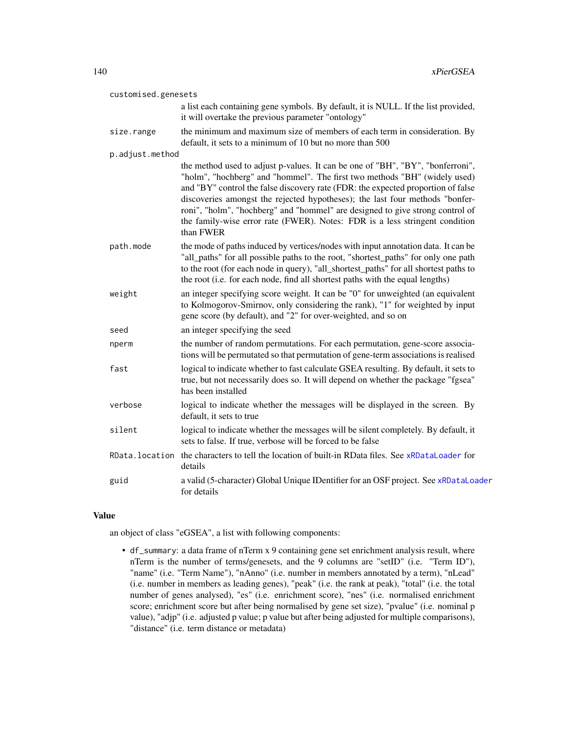| customised.genesets |                                                                                                                                                                                                                                                                                                                                                                                                                                                                                                              |
|---------------------|--------------------------------------------------------------------------------------------------------------------------------------------------------------------------------------------------------------------------------------------------------------------------------------------------------------------------------------------------------------------------------------------------------------------------------------------------------------------------------------------------------------|
|                     | a list each containing gene symbols. By default, it is NULL. If the list provided,<br>it will overtake the previous parameter "ontology"                                                                                                                                                                                                                                                                                                                                                                     |
| size.range          | the minimum and maximum size of members of each term in consideration. By<br>default, it sets to a minimum of 10 but no more than 500                                                                                                                                                                                                                                                                                                                                                                        |
| p.adjust.method     |                                                                                                                                                                                                                                                                                                                                                                                                                                                                                                              |
|                     | the method used to adjust p-values. It can be one of "BH", "BY", "bonferroni",<br>"holm", "hochberg" and "hommel". The first two methods "BH" (widely used)<br>and "BY" control the false discovery rate (FDR: the expected proportion of false<br>discoveries amongst the rejected hypotheses); the last four methods "bonfer-<br>roni", "holm", "hochberg" and "hommel" are designed to give strong control of<br>the family-wise error rate (FWER). Notes: FDR is a less stringent condition<br>than FWER |
| path.mode           | the mode of paths induced by vertices/nodes with input annotation data. It can be<br>"all_paths" for all possible paths to the root, "shortest_paths" for only one path<br>to the root (for each node in query), "all_shortest_paths" for all shortest paths to<br>the root (i.e. for each node, find all shortest paths with the equal lengths)                                                                                                                                                             |
| weight              | an integer specifying score weight. It can be "0" for unweighted (an equivalent<br>to Kolmogorov-Smirnov, only considering the rank), "1" for weighted by input<br>gene score (by default), and "2" for over-weighted, and so on                                                                                                                                                                                                                                                                             |
| seed                | an integer specifying the seed                                                                                                                                                                                                                                                                                                                                                                                                                                                                               |
| nperm               | the number of random permutations. For each permutation, gene-score associa-<br>tions will be permutated so that permutation of gene-term associations is realised                                                                                                                                                                                                                                                                                                                                           |
| fast                | logical to indicate whether to fast calculate GSEA resulting. By default, it sets to<br>true, but not necessarily does so. It will depend on whether the package "fgsea"<br>has been installed                                                                                                                                                                                                                                                                                                               |
| verbose             | logical to indicate whether the messages will be displayed in the screen. By<br>default, it sets to true                                                                                                                                                                                                                                                                                                                                                                                                     |
| silent              | logical to indicate whether the messages will be silent completely. By default, it<br>sets to false. If true, verbose will be forced to be false                                                                                                                                                                                                                                                                                                                                                             |
| RData.location      | the characters to tell the location of built-in RData files. See xRDataLoader for<br>details                                                                                                                                                                                                                                                                                                                                                                                                                 |
| guid                | a valid (5-character) Global Unique IDentifier for an OSF project. See xRDataLoader<br>for details                                                                                                                                                                                                                                                                                                                                                                                                           |

an object of class "eGSEA", a list with following components:

• df\_summary: a data frame of nTerm x 9 containing gene set enrichment analysis result, where nTerm is the number of terms/genesets, and the 9 columns are "setID" (i.e. "Term ID"), "name" (i.e. "Term Name"), "nAnno" (i.e. number in members annotated by a term), "nLead" (i.e. number in members as leading genes), "peak" (i.e. the rank at peak), "total" (i.e. the total number of genes analysed), "es" (i.e. enrichment score), "nes" (i.e. normalised enrichment score; enrichment score but after being normalised by gene set size), "pvalue" (i.e. nominal p value), "adjp" (i.e. adjusted p value; p value but after being adjusted for multiple comparisons), "distance" (i.e. term distance or metadata)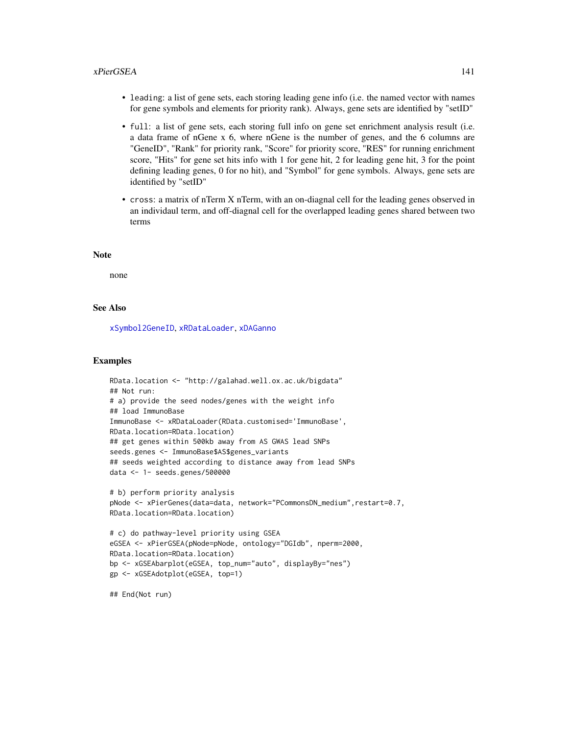#### xPierGSEA 141

- leading: a list of gene sets, each storing leading gene info (i.e. the named vector with names for gene symbols and elements for priority rank). Always, gene sets are identified by "setID"
- full: a list of gene sets, each storing full info on gene set enrichment analysis result (i.e. a data frame of nGene x 6, where nGene is the number of genes, and the 6 columns are "GeneID", "Rank" for priority rank, "Score" for priority score, "RES" for running enrichment score, "Hits" for gene set hits info with 1 for gene hit, 2 for leading gene hit, 3 for the point defining leading genes, 0 for no hit), and "Symbol" for gene symbols. Always, gene sets are identified by "setID"
- cross: a matrix of nTerm X nTerm, with an on-diagnal cell for the leading genes observed in an individaul term, and off-diagnal cell for the overlapped leading genes shared between two terms

#### **Note**

none

#### See Also

[xSymbol2GeneID](#page-203-0), [xRDataLoader](#page-182-0), [xDAGanno](#page-30-0)

#### Examples

```
RData.location <- "http://galahad.well.ox.ac.uk/bigdata"
## Not run:
# a) provide the seed nodes/genes with the weight info
## load ImmunoBase
ImmunoBase <- xRDataLoader(RData.customised='ImmunoBase',
RData.location=RData.location)
## get genes within 500kb away from AS GWAS lead SNPs
seeds.genes <- ImmunoBase$AS$genes_variants
## seeds weighted according to distance away from lead SNPs
data <- 1- seeds.genes/500000
# b) perform priority analysis
pNode <- xPierGenes(data=data, network="PCommonsDN_medium",restart=0.7,
RData.location=RData.location)
# c) do pathway-level priority using GSEA
eGSEA <- xPierGSEA(pNode=pNode, ontology="DGIdb", nperm=2000,
RData.location=RData.location)
bp <- xGSEAbarplot(eGSEA, top_num="auto", displayBy="nes")
gp <- xGSEAdotplot(eGSEA, top=1)
```
## End(Not run)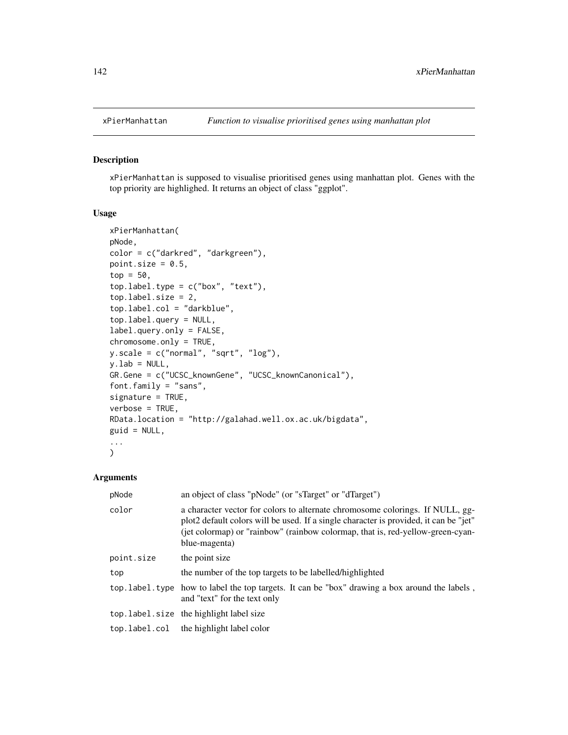## Description

xPierManhattan is supposed to visualise prioritised genes using manhattan plot. Genes with the top priority are highlighed. It returns an object of class "ggplot".

# Usage

```
xPierManhattan(
pNode,
color = c("darkred", "darkgreen"),
point.size = 0.5,
top = 50,
top.label.type = c("box", "text"),
top.label.size = 2,
top.label.col = "darkblue",
top.label.query = NULL,
label.query.only = FALSE,
chromosome.only = TRUE,
y.scale = c("normal", "sqrt", "log"),
y.lab = NULL,
GR.Gene = c("UCSC_knownGene", "UCSC_knownCanonical"),
font.family = "sans",
signature = TRUE,
verbose = TRUE,
RData.location = "http://galahad.well.ox.ac.uk/bigdata",
guid = NULL,...
)
```

| pNode         | an object of class "pNode" (or "sTarget" or "dTarget")                                                                                                                                                                                                                    |
|---------------|---------------------------------------------------------------------------------------------------------------------------------------------------------------------------------------------------------------------------------------------------------------------------|
| color         | a character vector for colors to alternate chromosome colorings. If NULL, gg-<br>plot2 default colors will be used. If a single character is provided, it can be "jet"<br>(jet colormap) or "rainbow" (rainbow colormap, that is, red-yellow-green-cyan-<br>blue-magenta) |
| point.size    | the point size                                                                                                                                                                                                                                                            |
| top           | the number of the top targets to be labelled/highlighted                                                                                                                                                                                                                  |
|               | top. label. type how to label the top targets. It can be "box" drawing a box around the labels,<br>and "text" for the text only                                                                                                                                           |
|               | top. label. size the highlight label size                                                                                                                                                                                                                                 |
| top.label.col | the highlight label color                                                                                                                                                                                                                                                 |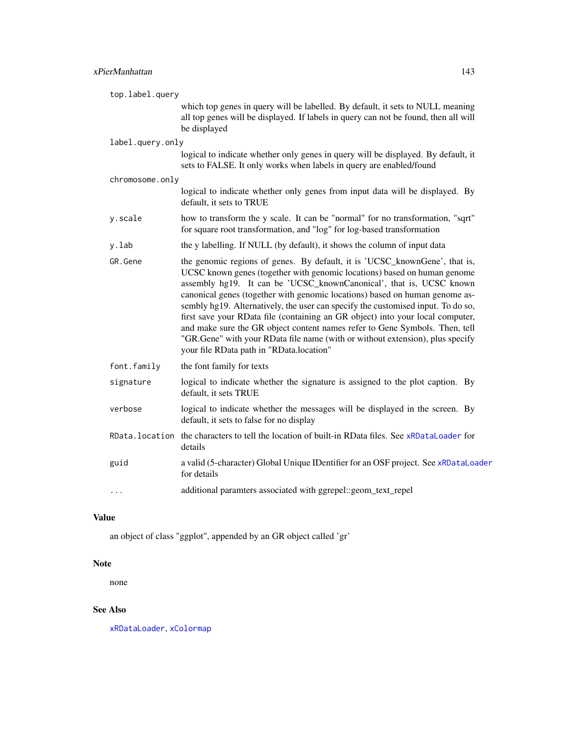| top.label.query  |                                                                                                                                                                                                                                                                                                                                                                                                                                                                                                                                                                                                                                                                                                |
|------------------|------------------------------------------------------------------------------------------------------------------------------------------------------------------------------------------------------------------------------------------------------------------------------------------------------------------------------------------------------------------------------------------------------------------------------------------------------------------------------------------------------------------------------------------------------------------------------------------------------------------------------------------------------------------------------------------------|
|                  | which top genes in query will be labelled. By default, it sets to NULL meaning<br>all top genes will be displayed. If labels in query can not be found, then all will<br>be displayed                                                                                                                                                                                                                                                                                                                                                                                                                                                                                                          |
| label.query.only |                                                                                                                                                                                                                                                                                                                                                                                                                                                                                                                                                                                                                                                                                                |
|                  | logical to indicate whether only genes in query will be displayed. By default, it<br>sets to FALSE. It only works when labels in query are enabled/found                                                                                                                                                                                                                                                                                                                                                                                                                                                                                                                                       |
| chromosome.only  |                                                                                                                                                                                                                                                                                                                                                                                                                                                                                                                                                                                                                                                                                                |
|                  | logical to indicate whether only genes from input data will be displayed. By<br>default, it sets to TRUE                                                                                                                                                                                                                                                                                                                                                                                                                                                                                                                                                                                       |
| y.scale          | how to transform the y scale. It can be "normal" for no transformation, "sqrt"<br>for square root transformation, and "log" for log-based transformation                                                                                                                                                                                                                                                                                                                                                                                                                                                                                                                                       |
| y.lab            | the y labelling. If NULL (by default), it shows the column of input data                                                                                                                                                                                                                                                                                                                                                                                                                                                                                                                                                                                                                       |
| GR.Gene          | the genomic regions of genes. By default, it is 'UCSC_knownGene', that is,<br>UCSC known genes (together with genomic locations) based on human genome<br>assembly hg19. It can be 'UCSC_knownCanonical', that is, UCSC known<br>canonical genes (together with genomic locations) based on human genome as-<br>sembly hg19. Alternatively, the user can specify the customised input. To do so,<br>first save your RData file (containing an GR object) into your local computer,<br>and make sure the GR object content names refer to Gene Symbols. Then, tell<br>"GR.Gene" with your RData file name (with or without extension), plus specify<br>your file RData path in "RData.location" |
| font.family      | the font family for texts                                                                                                                                                                                                                                                                                                                                                                                                                                                                                                                                                                                                                                                                      |
| signature        | logical to indicate whether the signature is assigned to the plot caption. By<br>default, it sets TRUE                                                                                                                                                                                                                                                                                                                                                                                                                                                                                                                                                                                         |
| verbose          | logical to indicate whether the messages will be displayed in the screen. By<br>default, it sets to false for no display                                                                                                                                                                                                                                                                                                                                                                                                                                                                                                                                                                       |
|                  | RData. location the characters to tell the location of built-in RData files. See xRDataLoader for<br>details                                                                                                                                                                                                                                                                                                                                                                                                                                                                                                                                                                                   |
| guid             | a valid (5-character) Global Unique IDentifier for an OSF project. See xRDataLoader<br>for details                                                                                                                                                                                                                                                                                                                                                                                                                                                                                                                                                                                             |
| $\cdots$         | additional paramters associated with ggrepel::geom_text_repel                                                                                                                                                                                                                                                                                                                                                                                                                                                                                                                                                                                                                                  |

an object of class "ggplot", appended by an GR object called 'gr'

# Note

none

# See Also

[xRDataLoader](#page-182-0), [xColormap](#page-21-0)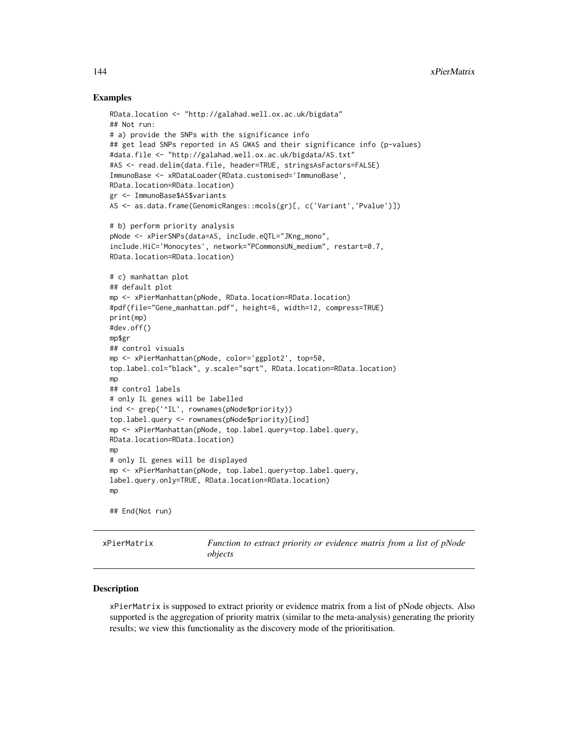## Examples

```
RData.location <- "http://galahad.well.ox.ac.uk/bigdata"
## Not run:
# a) provide the SNPs with the significance info
## get lead SNPs reported in AS GWAS and their significance info (p-values)
#data.file <- "http://galahad.well.ox.ac.uk/bigdata/AS.txt"
#AS <- read.delim(data.file, header=TRUE, stringsAsFactors=FALSE)
ImmunoBase <- xRDataLoader(RData.customised='ImmunoBase',
RData.location=RData.location)
gr <- ImmunoBase$AS$variants
AS <- as.data.frame(GenomicRanges::mcols(gr)[, c('Variant','Pvalue')])
# b) perform priority analysis
pNode <- xPierSNPs(data=AS, include.eQTL="JKng_mono",
include.HiC='Monocytes', network="PCommonsUN_medium", restart=0.7,
RData.location=RData.location)
# c) manhattan plot
## default plot
mp <- xPierManhattan(pNode, RData.location=RData.location)
#pdf(file="Gene_manhattan.pdf", height=6, width=12, compress=TRUE)
print(mp)
#dev.off()
mp$gr
## control visuals
mp <- xPierManhattan(pNode, color='ggplot2', top=50,
top.label.col="black", y.scale="sqrt", RData.location=RData.location)
mp
## control labels
# only IL genes will be labelled
ind <- grep('^IL', rownames(pNode$priority))
top.label.query <- rownames(pNode$priority)[ind]
mp <- xPierManhattan(pNode, top.label.query=top.label.query,
RData.location=RData.location)
mp
# only IL genes will be displayed
mp <- xPierManhattan(pNode, top.label.query=top.label.query,
label.query.only=TRUE, RData.location=RData.location)
mp
## End(Not run)
```
<span id="page-143-0"></span>xPierMatrix *Function to extract priority or evidence matrix from a list of pNode objects*

#### Description

xPierMatrix is supposed to extract priority or evidence matrix from a list of pNode objects. Also supported is the aggregation of priority matrix (similar to the meta-analysis) generating the priority results; we view this functionality as the discovery mode of the prioritisation.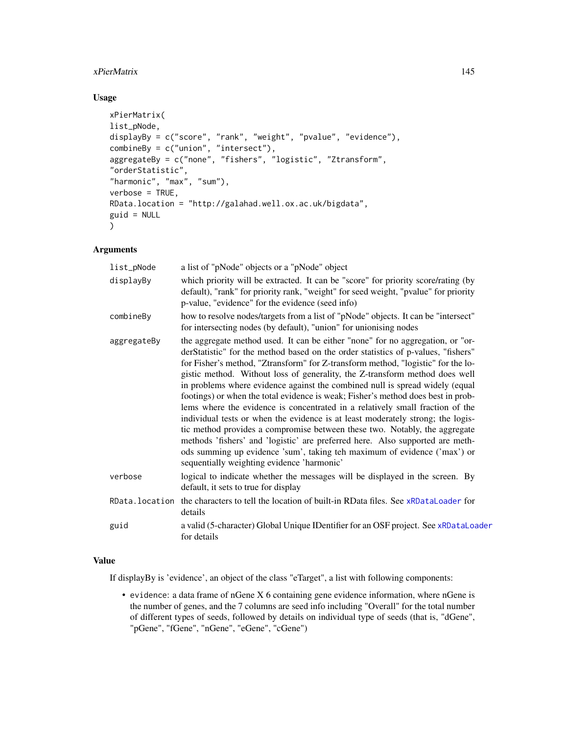## xPierMatrix 145

# Usage

```
xPierMatrix(
list_pNode,
displayBy = c("score", "rank", "weight", "pvalue", "evidence"),
combineBy = c("union", "intersect"),
aggregateBy = c("none", "fishers", "logistic", "Ztransform",
"orderStatistic",
"harmonic", "max", "sum"),
verbose = TRUE,
RData.location = "http://galahad.well.ox.ac.uk/bigdata",
guid = NULL)
```
## Arguments

| list_pNode     | a list of "pNode" objects or a "pNode" object                                                                                                                                                                                                                                                                                                                                                                                                                                                                                                                                                                                                                                                                                                                                                                                                                                                                                                                           |
|----------------|-------------------------------------------------------------------------------------------------------------------------------------------------------------------------------------------------------------------------------------------------------------------------------------------------------------------------------------------------------------------------------------------------------------------------------------------------------------------------------------------------------------------------------------------------------------------------------------------------------------------------------------------------------------------------------------------------------------------------------------------------------------------------------------------------------------------------------------------------------------------------------------------------------------------------------------------------------------------------|
| displayBy      | which priority will be extracted. It can be "score" for priority score/rating (by<br>default), "rank" for priority rank, "weight" for seed weight, "pvalue" for priority<br>p-value, "evidence" for the evidence (seed info)                                                                                                                                                                                                                                                                                                                                                                                                                                                                                                                                                                                                                                                                                                                                            |
| combineBy      | how to resolve nodes/targets from a list of "pNode" objects. It can be "intersect"<br>for intersecting nodes (by default), "union" for unionising nodes                                                                                                                                                                                                                                                                                                                                                                                                                                                                                                                                                                                                                                                                                                                                                                                                                 |
| aggregateBy    | the aggregate method used. It can be either "none" for no aggregation, or "or-<br>derStatistic" for the method based on the order statistics of p-values, "fishers"<br>for Fisher's method, "Ztransform" for Z-transform method, "logistic" for the lo-<br>gistic method. Without loss of generality, the Z-transform method does well<br>in problems where evidence against the combined null is spread widely (equal<br>footings) or when the total evidence is weak; Fisher's method does best in prob-<br>lems where the evidence is concentrated in a relatively small fraction of the<br>individual tests or when the evidence is at least moderately strong; the logis-<br>tic method provides a compromise between these two. Notably, the aggregate<br>methods 'fishers' and 'logistic' are preferred here. Also supported are meth-<br>ods summing up evidence 'sum', taking teh maximum of evidence ('max') or<br>sequentially weighting evidence 'harmonic' |
| verbose        | logical to indicate whether the messages will be displayed in the screen. By<br>default, it sets to true for display                                                                                                                                                                                                                                                                                                                                                                                                                                                                                                                                                                                                                                                                                                                                                                                                                                                    |
| RData.location | the characters to tell the location of built-in RData files. See xRDataLoader for<br>details                                                                                                                                                                                                                                                                                                                                                                                                                                                                                                                                                                                                                                                                                                                                                                                                                                                                            |
| guid           | a valid (5-character) Global Unique IDentifier for an OSF project. See xRDataLoader<br>for details                                                                                                                                                                                                                                                                                                                                                                                                                                                                                                                                                                                                                                                                                                                                                                                                                                                                      |
|                |                                                                                                                                                                                                                                                                                                                                                                                                                                                                                                                                                                                                                                                                                                                                                                                                                                                                                                                                                                         |

#### Value

If displayBy is 'evidence', an object of the class "eTarget", a list with following components:

• evidence: a data frame of nGene X 6 containing gene evidence information, where nGene is the number of genes, and the 7 columns are seed info including "Overall" for the total number of different types of seeds, followed by details on individual type of seeds (that is, "dGene", "pGene", "fGene", "nGene", "eGene", "cGene")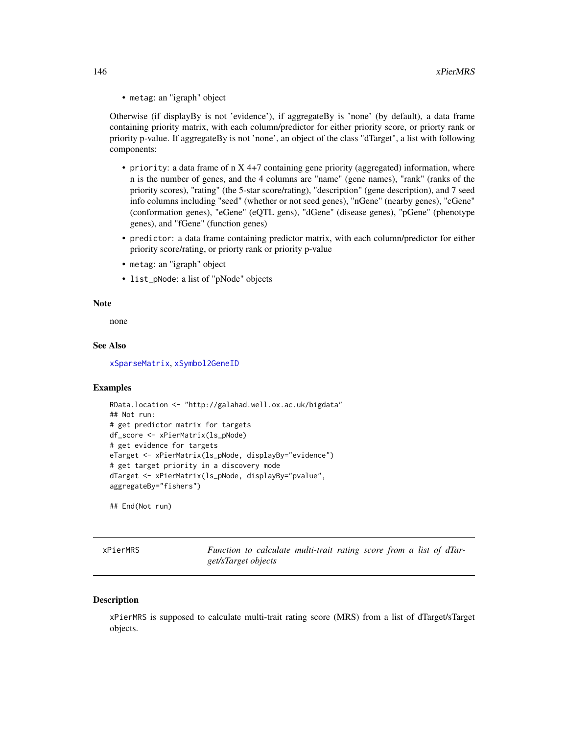• metag: an "igraph" object

Otherwise (if displayBy is not 'evidence'), if aggregateBy is 'none' (by default), a data frame containing priority matrix, with each column/predictor for either priority score, or priorty rank or priority p-value. If aggregateBy is not 'none', an object of the class "dTarget", a list with following components:

- priority: a data frame of n X 4+7 containing gene priority (aggregated) information, where n is the number of genes, and the 4 columns are "name" (gene names), "rank" (ranks of the priority scores), "rating" (the 5-star score/rating), "description" (gene description), and 7 seed info columns including "seed" (whether or not seed genes), "nGene" (nearby genes), "cGene" (conformation genes), "eGene" (eQTL gens), "dGene" (disease genes), "pGene" (phenotype genes), and "fGene" (function genes)
- predictor: a data frame containing predictor matrix, with each column/predictor for either priority score/rating, or priorty rank or priority p-value
- metag: an "igraph" object
- list\_pNode: a list of "pNode" objects

#### Note

none

## See Also

[xSparseMatrix](#page-197-0), [xSymbol2GeneID](#page-203-0)

#### Examples

```
RData.location <- "http://galahad.well.ox.ac.uk/bigdata"
## Not run:
# get predictor matrix for targets
df_score <- xPierMatrix(ls_pNode)
# get evidence for targets
eTarget <- xPierMatrix(ls_pNode, displayBy="evidence")
# get target priority in a discovery mode
dTarget <- xPierMatrix(ls_pNode, displayBy="pvalue",
aggregateBy="fishers")
```
## End(Not run)

xPierMRS *Function to calculate multi-trait rating score from a list of dTarget/sTarget objects*

#### **Description**

xPierMRS is supposed to calculate multi-trait rating score (MRS) from a list of dTarget/sTarget objects.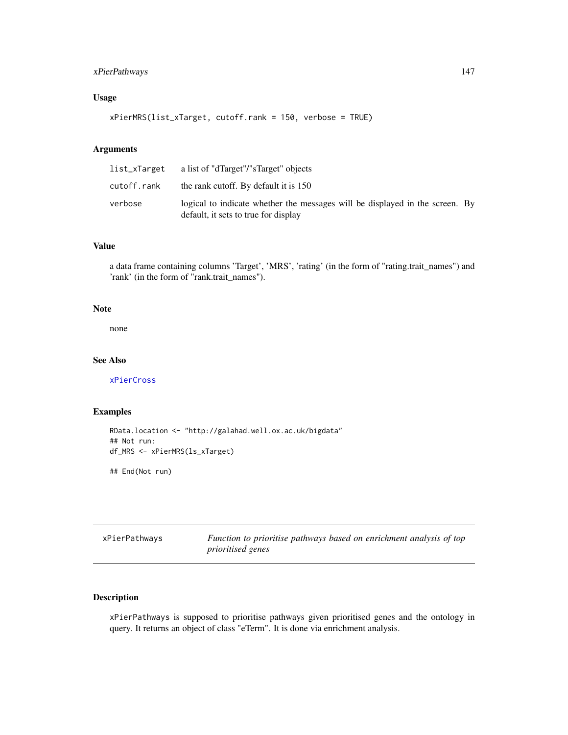## xPierPathways 147

# Usage

```
xPierMRS(list_xTarget, cutoff.rank = 150, verbose = TRUE)
```
## Arguments

| list_xTarget | a list of "dTarget"/"sTarget" objects                                                                                |  |
|--------------|----------------------------------------------------------------------------------------------------------------------|--|
| cutoff.rank  | the rank cutoff. By default it is 150                                                                                |  |
| verbose      | logical to indicate whether the messages will be displayed in the screen. By<br>default, it sets to true for display |  |

# Value

a data frame containing columns 'Target', 'MRS', 'rating' (in the form of "rating.trait\_names") and 'rank' (in the form of "rank.trait\_names").

#### Note

none

## See Also

[xPierCross](#page-126-0)

## Examples

```
RData.location <- "http://galahad.well.ox.ac.uk/bigdata"
## Not run:
df_MRS <- xPierMRS(ls_xTarget)
```
## End(Not run)

| xPierPathways | Function to prioritise pathways based on enrichment analysis of top |  |  |  |  |
|---------------|---------------------------------------------------------------------|--|--|--|--|
|               | <i>prioritised genes</i>                                            |  |  |  |  |

# Description

xPierPathways is supposed to prioritise pathways given prioritised genes and the ontology in query. It returns an object of class "eTerm". It is done via enrichment analysis.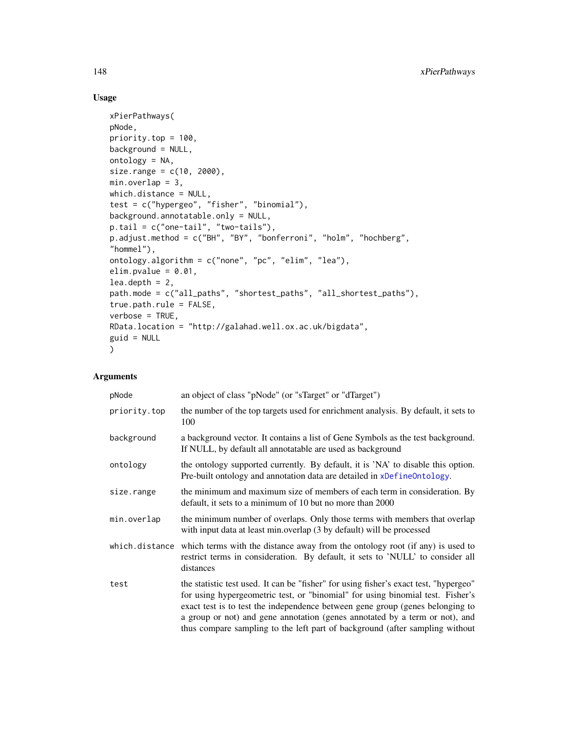## Usage

```
xPierPathways(
pNode,
priority.top = 100,
background = NULL,
ontology = NA,
size.random = c(10, 2000),min. overlap = 3,which.distance = NULL,
test = c("hypergeo", "fisher", "binomial"),
background.annotatable.only = NULL,
p.tail = c("one-tail", "two-tails"),
p.adjust.method = c("BH", "BY", "bonferroni", "holm", "hochberg",
"hommel"),
ontology.algorithm = c("none", "pc", "elim", "lea"),
elim.pvalue = 0.01,
lea.depth = 2,path.mode = c("all_paths", "shortest_paths", "all_shortest_paths"),
true.path.rule = FALSE,
verbose = TRUE,
RData.location = "http://galahad.well.ox.ac.uk/bigdata",
guid = NULL)
```
## Arguments

| pNode          | an object of class "pNode" (or "sTarget" or "dTarget")                                                                                                                                                                                                                                                                                                                                                                  |
|----------------|-------------------------------------------------------------------------------------------------------------------------------------------------------------------------------------------------------------------------------------------------------------------------------------------------------------------------------------------------------------------------------------------------------------------------|
| priority.top   | the number of the top targets used for enrichment analysis. By default, it sets to<br>100                                                                                                                                                                                                                                                                                                                               |
| background     | a background vector. It contains a list of Gene Symbols as the test background.<br>If NULL, by default all annotatable are used as background                                                                                                                                                                                                                                                                           |
| ontology       | the ontology supported currently. By default, it is 'NA' to disable this option.<br>Pre-built ontology and annotation data are detailed in xDefineOntology.                                                                                                                                                                                                                                                             |
| size.range     | the minimum and maximum size of members of each term in consideration. By<br>default, it sets to a minimum of 10 but no more than 2000                                                                                                                                                                                                                                                                                  |
| min.overlap    | the minimum number of overlaps. Only those terms with members that overlap<br>with input data at least min.overlap (3 by default) will be processed                                                                                                                                                                                                                                                                     |
| which.distance | which terms with the distance away from the ontology root (if any) is used to<br>restrict terms in consideration. By default, it sets to 'NULL' to consider all<br>distances                                                                                                                                                                                                                                            |
| test           | the statistic test used. It can be "fisher" for using fisher's exact test, "hypergeo"<br>for using hypergeometric test, or "binomial" for using binomial test. Fisher's<br>exact test is to test the independence between gene group (genes belonging to<br>a group or not) and gene annotation (genes annotated by a term or not), and<br>thus compare sampling to the left part of background (after sampling without |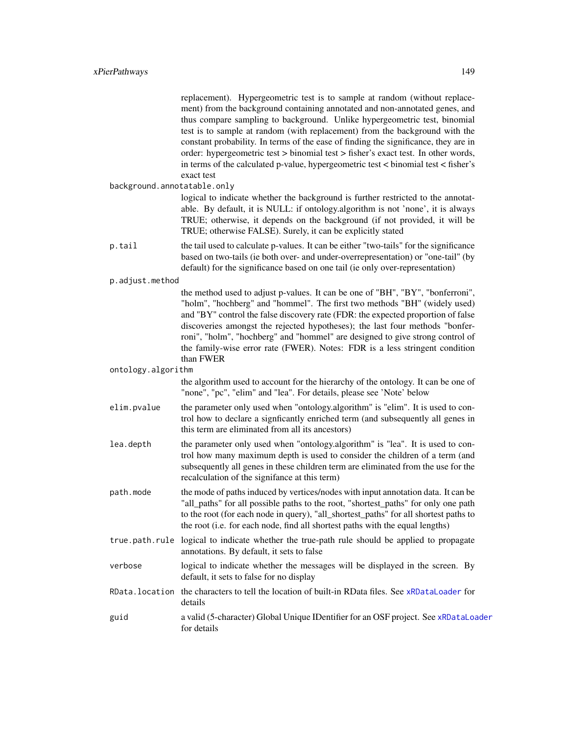replacement). Hypergeometric test is to sample at random (without replacement) from the background containing annotated and non-annotated genes, and thus compare sampling to background. Unlike hypergeometric test, binomial test is to sample at random (with replacement) from the background with the constant probability. In terms of the ease of finding the significance, they are in order: hypergeometric test > binomial test > fisher's exact test. In other words, in terms of the calculated p-value, hypergeometric test  $\lt$  binomial test  $\lt$  fisher's exact test

background.annotatable.only

logical to indicate whether the background is further restricted to the annotatable. By default, it is NULL: if ontology.algorithm is not 'none', it is always TRUE; otherwise, it depends on the background (if not provided, it will be TRUE; otherwise FALSE). Surely, it can be explicitly stated

- p.tail the tail used to calculate p-values. It can be either "two-tails" for the significance based on two-tails (ie both over- and under-overrepresentation) or "one-tail" (by default) for the significance based on one tail (ie only over-representation)
- p.adjust.method

the method used to adjust p-values. It can be one of "BH", "BY", "bonferroni", "holm", "hochberg" and "hommel". The first two methods "BH" (widely used) and "BY" control the false discovery rate (FDR: the expected proportion of false discoveries amongst the rejected hypotheses); the last four methods "bonferroni", "holm", "hochberg" and "hommel" are designed to give strong control of the family-wise error rate (FWER). Notes: FDR is a less stringent condition than FWER

#### ontology.algorithm

the algorithm used to account for the hierarchy of the ontology. It can be one of "none", "pc", "elim" and "lea". For details, please see 'Note' below

- elim.pvalue the parameter only used when "ontology.algorithm" is "elim". It is used to control how to declare a signficantly enriched term (and subsequently all genes in this term are eliminated from all its ancestors)
- lea.depth the parameter only used when "ontology.algorithm" is "lea". It is used to control how many maximum depth is used to consider the children of a term (and subsequently all genes in these children term are eliminated from the use for the recalculation of the signifance at this term)
- path.mode the mode of paths induced by vertices/nodes with input annotation data. It can be "all\_paths" for all possible paths to the root, "shortest\_paths" for only one path to the root (for each node in query), "all\_shortest\_paths" for all shortest paths to the root (i.e. for each node, find all shortest paths with the equal lengths)
- true.path.rule logical to indicate whether the true-path rule should be applied to propagate annotations. By default, it sets to false
- verbose logical to indicate whether the messages will be displayed in the screen. By default, it sets to false for no display
- RData.location the characters to tell the location of built-in RData files. See [xRDataLoader](#page-182-0) for details
- guid a valid (5-character) Global Unique IDentifier for an OSF project. See [xRDataLoader](#page-182-0) for details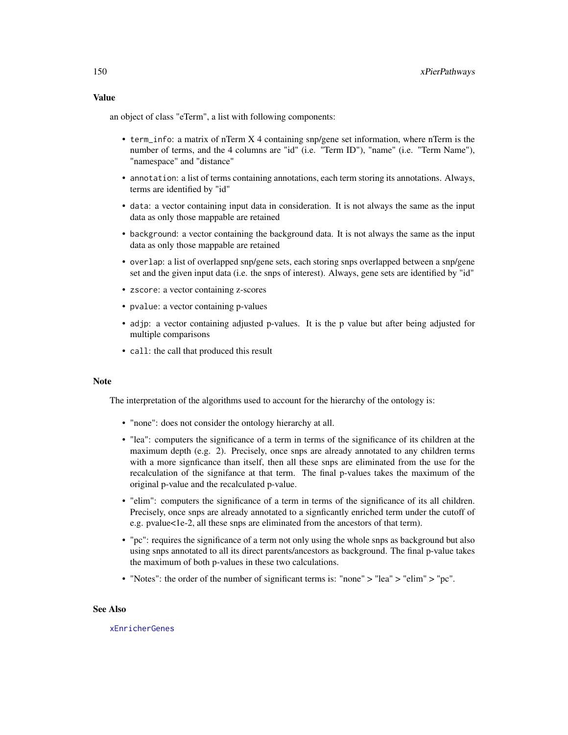an object of class "eTerm", a list with following components:

- term\_info: a matrix of nTerm X 4 containing snp/gene set information, where nTerm is the number of terms, and the 4 columns are "id" (i.e. "Term ID"), "name" (i.e. "Term Name"), "namespace" and "distance"
- annotation: a list of terms containing annotations, each term storing its annotations. Always, terms are identified by "id"
- data: a vector containing input data in consideration. It is not always the same as the input data as only those mappable are retained
- background: a vector containing the background data. It is not always the same as the input data as only those mappable are retained
- overlap: a list of overlapped snp/gene sets, each storing snps overlapped between a snp/gene set and the given input data (i.e. the snps of interest). Always, gene sets are identified by "id"
- zscore: a vector containing z-scores
- pvalue: a vector containing p-values
- adjp: a vector containing adjusted p-values. It is the p value but after being adjusted for multiple comparisons
- call: the call that produced this result

#### Note

The interpretation of the algorithms used to account for the hierarchy of the ontology is:

- "none": does not consider the ontology hierarchy at all.
- "lea": computers the significance of a term in terms of the significance of its children at the maximum depth (e.g. 2). Precisely, once snps are already annotated to any children terms with a more signficance than itself, then all these snps are eliminated from the use for the recalculation of the signifance at that term. The final p-values takes the maximum of the original p-value and the recalculated p-value.
- "elim": computers the significance of a term in terms of the significance of its all children. Precisely, once snps are already annotated to a signficantly enriched term under the cutoff of e.g. pvalue<1e-2, all these snps are eliminated from the ancestors of that term).
- "pc": requires the significance of a term not only using the whole snps as background but also using snps annotated to all its direct parents/ancestors as background. The final p-value takes the maximum of both p-values in these two calculations.
- "Notes": the order of the number of significant terms is: "none" > "lea" > "elim" > "pc".

#### See Also

## [xEnricherGenes](#page-53-0)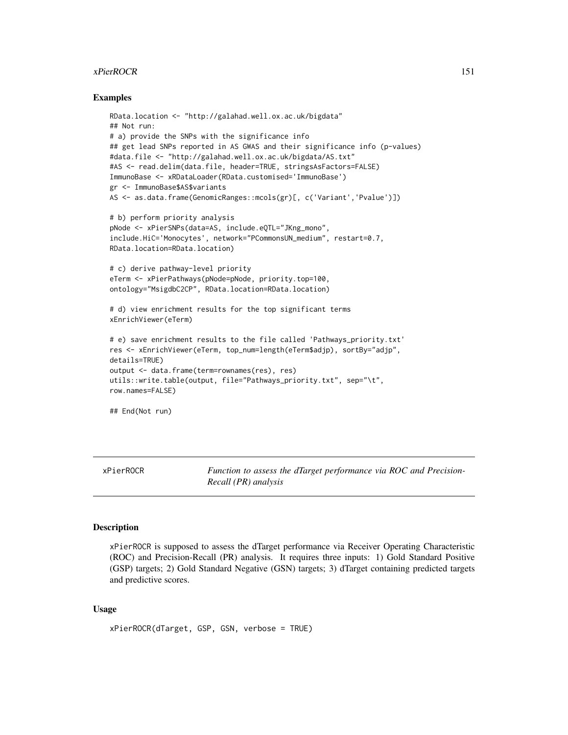## xPierROCR 151

## Examples

```
RData.location <- "http://galahad.well.ox.ac.uk/bigdata"
## Not run:
# a) provide the SNPs with the significance info
## get lead SNPs reported in AS GWAS and their significance info (p-values)
#data.file <- "http://galahad.well.ox.ac.uk/bigdata/AS.txt"
#AS <- read.delim(data.file, header=TRUE, stringsAsFactors=FALSE)
ImmunoBase <- xRDataLoader(RData.customised='ImmunoBase')
gr <- ImmunoBase$AS$variants
AS <- as.data.frame(GenomicRanges::mcols(gr)[, c('Variant','Pvalue')])
# b) perform priority analysis
pNode <- xPierSNPs(data=AS, include.eQTL="JKng_mono",
include.HiC='Monocytes', network="PCommonsUN_medium", restart=0.7,
RData.location=RData.location)
# c) derive pathway-level priority
eTerm <- xPierPathways(pNode=pNode, priority.top=100,
ontology="MsigdbC2CP", RData.location=RData.location)
# d) view enrichment results for the top significant terms
xEnrichViewer(eTerm)
# e) save enrichment results to the file called 'Pathways_priority.txt'
res <- xEnrichViewer(eTerm, top_num=length(eTerm$adjp), sortBy="adjp",
details=TRUE)
output <- data.frame(term=rownames(res), res)
utils::write.table(output, file="Pathways_priority.txt", sep="\t",
row.names=FALSE)
## End(Not run)
```
<span id="page-150-0"></span>xPierROCR *Function to assess the dTarget performance via ROC and Precision-Recall (PR) analysis*

#### Description

xPierROCR is supposed to assess the dTarget performance via Receiver Operating Characteristic (ROC) and Precision-Recall (PR) analysis. It requires three inputs: 1) Gold Standard Positive (GSP) targets; 2) Gold Standard Negative (GSN) targets; 3) dTarget containing predicted targets and predictive scores.

#### Usage

```
xPierROCR(dTarget, GSP, GSN, verbose = TRUE)
```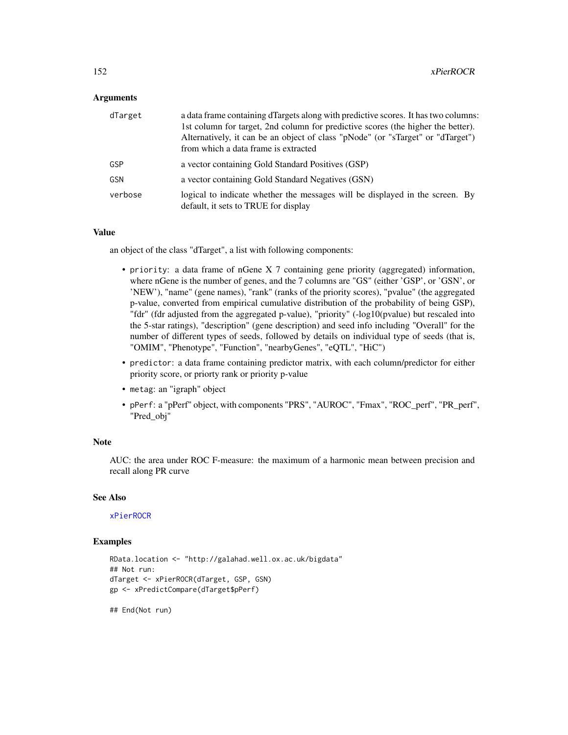### **Arguments**

| dTarget    | a data frame containing dTargets along with predictive scores. It has two columns:<br>1st column for target, 2nd column for predictive scores (the higher the better).<br>Alternatively, it can be an object of class "pNode" (or "sTarget" or "dTarget")<br>from which a data frame is extracted |
|------------|---------------------------------------------------------------------------------------------------------------------------------------------------------------------------------------------------------------------------------------------------------------------------------------------------|
| GSP        | a vector containing Gold Standard Positives (GSP)                                                                                                                                                                                                                                                 |
| <b>GSN</b> | a vector containing Gold Standard Negatives (GSN)                                                                                                                                                                                                                                                 |
| verbose    | logical to indicate whether the messages will be displayed in the screen. By<br>default, it sets to TRUE for display                                                                                                                                                                              |

#### Value

an object of the class "dTarget", a list with following components:

- priority: a data frame of nGene X 7 containing gene priority (aggregated) information, where nGene is the number of genes, and the 7 columns are "GS" (either 'GSP', or 'GSN', or 'NEW'), "name" (gene names), "rank" (ranks of the priority scores), "pvalue" (the aggregated p-value, converted from empirical cumulative distribution of the probability of being GSP), "fdr" (fdr adjusted from the aggregated p-value), "priority" (-log10(pvalue) but rescaled into the 5-star ratings), "description" (gene description) and seed info including "Overall" for the number of different types of seeds, followed by details on individual type of seeds (that is, "OMIM", "Phenotype", "Function", "nearbyGenes", "eQTL", "HiC")
- predictor: a data frame containing predictor matrix, with each column/predictor for either priority score, or priorty rank or priority p-value
- metag: an "igraph" object
- pPerf: a "pPerf" object, with components "PRS", "AUROC", "Fmax", "ROC\_perf", "PR\_perf", "Pred\_obj"

## Note

AUC: the area under ROC F-measure: the maximum of a harmonic mean between precision and recall along PR curve

#### See Also

# [xPierROCR](#page-150-0)

## Examples

```
RData.location <- "http://galahad.well.ox.ac.uk/bigdata"
## Not run:
dTarget <- xPierROCR(dTarget, GSP, GSN)
gp <- xPredictCompare(dTarget$pPerf)
```
## End(Not run)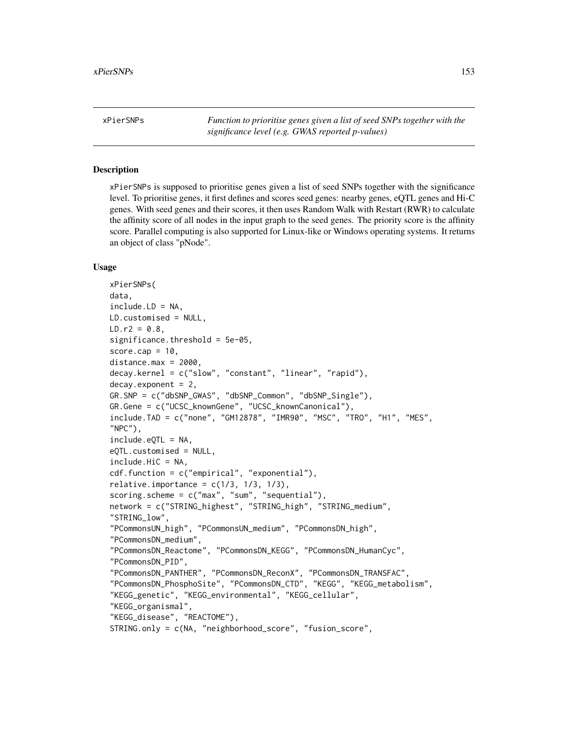<span id="page-152-0"></span>xPierSNPs *Function to prioritise genes given a list of seed SNPs together with the significance level (e.g. GWAS reported p-values)*

## **Description**

xPierSNPs is supposed to prioritise genes given a list of seed SNPs together with the significance level. To prioritise genes, it first defines and scores seed genes: nearby genes, eQTL genes and Hi-C genes. With seed genes and their scores, it then uses Random Walk with Restart (RWR) to calculate the affinity score of all nodes in the input graph to the seed genes. The priority score is the affinity score. Parallel computing is also supported for Linux-like or Windows operating systems. It returns an object of class "pNode".

## Usage

```
xPierSNPs(
data,
include.LD = NA,
LD.customised = NULL,
LD.r2 = 0.8,
significance.threshold = 5e-05,
score.cap = 10,
distance.max = 2000,decay.kernel = c("slow", "constant", "linear", "rapid"),
decay. exponent = 2,
GR.SNP = c("dbSNP_GWAS", "dbSNP_Common", "dbSNP_Single"),
GR.Gene = c("UCSC_knownGene", "UCSC_knownCanonical"),
include.TAD = c("none", "GM12878", "IMR90", "MSC", "TRO", "H1", "MES",
"NPC"),
include.eQTL = NA,
eQTL.customised = NULL,
include.HiC = NA,
cdf.function = c("empirical", "exponential"),
relative.importance = c(1/3, 1/3, 1/3),
scoring.scheme = c("max", "sum", "sequential"),
network = c("STRING_highest", "STRING_high", "STRING_medium",
"STRING_low",
"PCommonsUN_high", "PCommonsUN_medium", "PCommonsDN_high",
"PCommonsDN_medium",
"PCommonsDN_Reactome", "PCommonsDN_KEGG", "PCommonsDN_HumanCyc",
"PCommonsDN_PID",
"PCommonsDN_PANTHER", "PCommonsDN_ReconX", "PCommonsDN_TRANSFAC",
"PCommonsDN_PhosphoSite", "PCommonsDN_CTD", "KEGG", "KEGG_metabolism",
"KEGG_genetic", "KEGG_environmental", "KEGG_cellular",
"KEGG_organismal",
"KEGG_disease", "REACTOME"),
STRING.only = c(NA, "neighborhood_score", "fusion_score",
```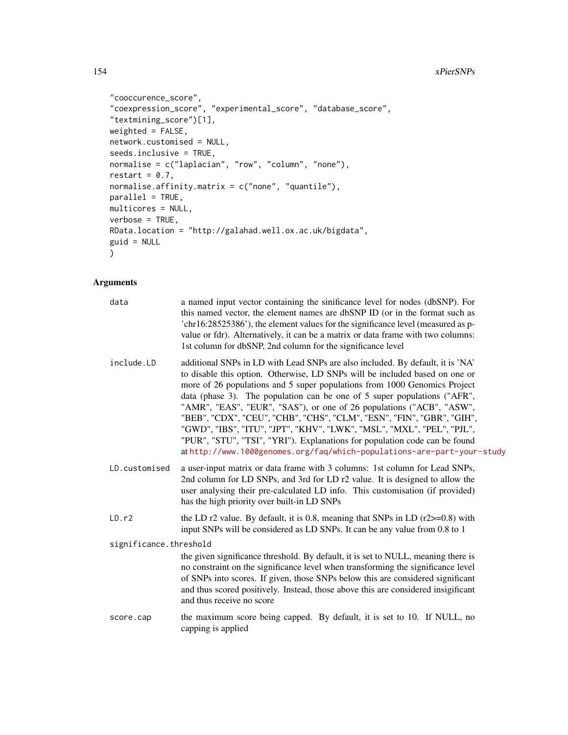```
"cooccurence_score",
"coexpression_score", "experimental_score", "database_score",
"textmining_score")[1],
weighted = FALSE,network.customised = NULL,
seeds.inclusive = TRUE,
normalise = c("laplacian", "row", "column", "none"),
restart = 0.7,
normalise.affinity.matrix = c("none", "quantile"),
parallel = TRUE,multicores = NULL,
verbose = TRUE,
RData.location = "http://galahad.well.ox.ac.uk/bigdata",
guid = NULL)
```
#### **Arguments**

| data | a named input vector containing the sinificance level for nodes (dbSNP). For                          |
|------|-------------------------------------------------------------------------------------------------------|
|      | this named vector, the element names are dbSNP ID (or in the format such as                           |
|      | $^{\circ}$ chr16:28525386 $^{\circ}$ ), the element values for the significance level (measured as p- |
|      | value or fdr). Alternatively, it can be a matrix or data frame with two columns:                      |
|      | 1st column for dbSNP, 2nd column for the significance level                                           |
|      |                                                                                                       |

- include.LD additional SNPs in LD with Lead SNPs are also included. By default, it is 'NA' to disable this option. Otherwise, LD SNPs will be included based on one or more of 26 populations and 5 super populations from 1000 Genomics Project data (phase 3). The population can be one of 5 super populations ("AFR", "AMR", "EAS", "EUR", "SAS"), or one of 26 populations ("ACB", "ASW", "BEB", "CDX", "CEU", "CHB", "CHS", "CLM", "ESN", "FIN", "GBR", "GIH", "GWD", "IBS", "ITU", "JPT", "KHV", "LWK", "MSL", "MXL", "PEL", "PJL", "PUR", "STU", "TSI", "YRI"). Explanations for population code can be found at <http://www.1000genomes.org/faq/which-populations-are-part-your-study>
- LD.customised a user-input matrix or data frame with 3 columns: 1st column for Lead SNPs, 2nd column for LD SNPs, and 3rd for LD r2 value. It is designed to allow the user analysing their pre-calculated LD info. This customisation (if provided) has the high priority over built-in LD SNPs
- LD.r2 the LD r2 value. By default, it is 0.8, meaning that SNPs in LD (r2 $>=$ 0.8) with input SNPs will be considered as LD SNPs. It can be any value from 0.8 to 1

significance.threshold

the given significance threshold. By default, it is set to NULL, meaning there is no constraint on the significance level when transforming the significance level of SNPs into scores. If given, those SNPs below this are considered significant and thus scored positively. Instead, those above this are considered insigificant and thus receive no score

score.cap the maximum score being capped. By default, it is set to 10. If NULL, no capping is applied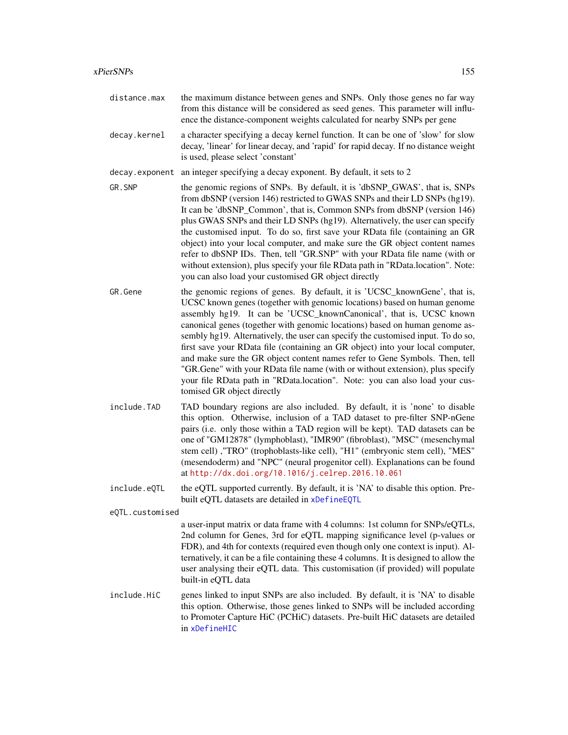- distance.max the maximum distance between genes and SNPs. Only those genes no far way from this distance will be considered as seed genes. This parameter will influence the distance-component weights calculated for nearby SNPs per gene
- decay.kernel a character specifying a decay kernel function. It can be one of 'slow' for slow decay, 'linear' for linear decay, and 'rapid' for rapid decay. If no distance weight is used, please select 'constant'

decay.exponent an integer specifying a decay exponent. By default, it sets to 2

- GR. SNP the genomic regions of SNPs. By default, it is 'dbSNP\_GWAS', that is, SNPs from dbSNP (version 146) restricted to GWAS SNPs and their LD SNPs (hg19). It can be 'dbSNP\_Common', that is, Common SNPs from dbSNP (version 146) plus GWAS SNPs and their LD SNPs (hg19). Alternatively, the user can specify the customised input. To do so, first save your RData file (containing an GR object) into your local computer, and make sure the GR object content names refer to dbSNP IDs. Then, tell "GR.SNP" with your RData file name (with or without extension), plus specify your file RData path in "RData.location". Note: you can also load your customised GR object directly
- GR. Gene the genomic regions of genes. By default, it is 'UCSC\_knownGene', that is, UCSC known genes (together with genomic locations) based on human genome assembly hg19. It can be 'UCSC\_knownCanonical', that is, UCSC known canonical genes (together with genomic locations) based on human genome assembly hg19. Alternatively, the user can specify the customised input. To do so, first save your RData file (containing an GR object) into your local computer, and make sure the GR object content names refer to Gene Symbols. Then, tell "GR.Gene" with your RData file name (with or without extension), plus specify your file RData path in "RData.location". Note: you can also load your customised GR object directly
- include.TAD TAD boundary regions are also included. By default, it is 'none' to disable this option. Otherwise, inclusion of a TAD dataset to pre-filter SNP-nGene pairs (i.e. only those within a TAD region will be kept). TAD datasets can be one of "GM12878" (lymphoblast), "IMR90" (fibroblast), "MSC" (mesenchymal stem cell) ,"TRO" (trophoblasts-like cell), "H1" (embryonic stem cell), "MES" (mesendoderm) and "NPC" (neural progenitor cell). Explanations can be found at <http://dx.doi.org/10.1016/j.celrep.2016.10.061>
- include.eQTL the eQTL supported currently. By default, it is 'NA' to disable this option. Prebuilt eQTL datasets are detailed in [xDefineEQTL](#page-32-0)

eQTL.customised

a user-input matrix or data frame with 4 columns: 1st column for SNPs/eQTLs, 2nd column for Genes, 3rd for eQTL mapping significance level (p-values or FDR), and 4th for contexts (required even though only one context is input). Alternatively, it can be a file containing these 4 columns. It is designed to allow the user analysing their eQTL data. This customisation (if provided) will populate built-in eQTL data

include.HiC genes linked to input SNPs are also included. By default, it is 'NA' to disable this option. Otherwise, those genes linked to SNPs will be included according to Promoter Capture HiC (PCHiC) datasets. Pre-built HiC datasets are detailed in [xDefineHIC](#page-40-0)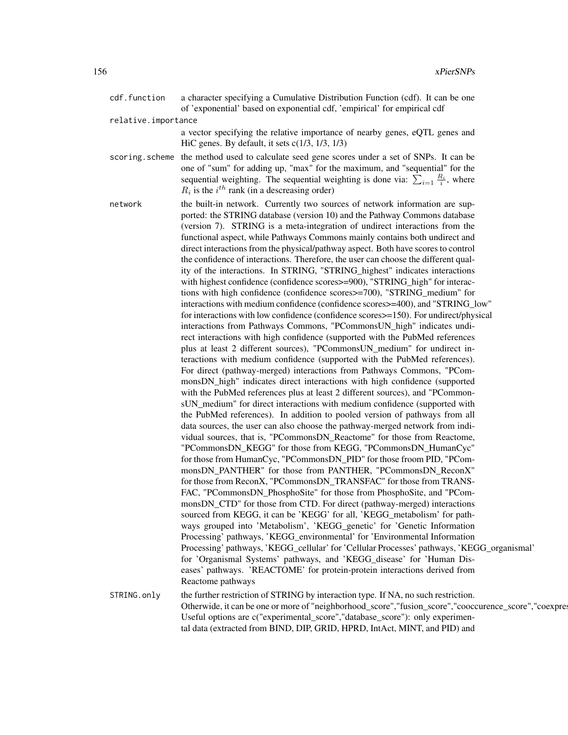|                     | cdf.function   | a character specifying a Cumulative Distribution Function (cdf). It can be one<br>of 'exponential' based on exponential cdf, 'empirical' for empirical cdf                                                                                                                                                                                                                                                                                                                                                                                                                                                                                                                                                                                                                                                                                                                                                                                                                                                                                                                                                                                                                                                                                                                                                                                                                                                                                                                                                                                                                                                                                                                                                                                                                                                                                                                                                                                                                                                                                                                                                                                                                                                                                                                                                                                                                                                                                                                                                                                                                                                                                                                                                                                             |  |
|---------------------|----------------|--------------------------------------------------------------------------------------------------------------------------------------------------------------------------------------------------------------------------------------------------------------------------------------------------------------------------------------------------------------------------------------------------------------------------------------------------------------------------------------------------------------------------------------------------------------------------------------------------------------------------------------------------------------------------------------------------------------------------------------------------------------------------------------------------------------------------------------------------------------------------------------------------------------------------------------------------------------------------------------------------------------------------------------------------------------------------------------------------------------------------------------------------------------------------------------------------------------------------------------------------------------------------------------------------------------------------------------------------------------------------------------------------------------------------------------------------------------------------------------------------------------------------------------------------------------------------------------------------------------------------------------------------------------------------------------------------------------------------------------------------------------------------------------------------------------------------------------------------------------------------------------------------------------------------------------------------------------------------------------------------------------------------------------------------------------------------------------------------------------------------------------------------------------------------------------------------------------------------------------------------------------------------------------------------------------------------------------------------------------------------------------------------------------------------------------------------------------------------------------------------------------------------------------------------------------------------------------------------------------------------------------------------------------------------------------------------------------------------------------------------------|--|
| relative.importance |                |                                                                                                                                                                                                                                                                                                                                                                                                                                                                                                                                                                                                                                                                                                                                                                                                                                                                                                                                                                                                                                                                                                                                                                                                                                                                                                                                                                                                                                                                                                                                                                                                                                                                                                                                                                                                                                                                                                                                                                                                                                                                                                                                                                                                                                                                                                                                                                                                                                                                                                                                                                                                                                                                                                                                                        |  |
|                     |                | a vector specifying the relative importance of nearby genes, eQTL genes and<br>HiC genes. By default, it sets $c(1/3, 1/3, 1/3)$                                                                                                                                                                                                                                                                                                                                                                                                                                                                                                                                                                                                                                                                                                                                                                                                                                                                                                                                                                                                                                                                                                                                                                                                                                                                                                                                                                                                                                                                                                                                                                                                                                                                                                                                                                                                                                                                                                                                                                                                                                                                                                                                                                                                                                                                                                                                                                                                                                                                                                                                                                                                                       |  |
|                     | scoring.scheme | the method used to calculate seed gene scores under a set of SNPs. It can be<br>one of "sum" for adding up, "max" for the maximum, and "sequential" for the<br>sequential weighting. The sequential weighting is done via: $\sum_{i=1} \frac{R_i}{i}$ , where<br>$R_i$ is the $i^{th}$ rank (in a descreasing order)                                                                                                                                                                                                                                                                                                                                                                                                                                                                                                                                                                                                                                                                                                                                                                                                                                                                                                                                                                                                                                                                                                                                                                                                                                                                                                                                                                                                                                                                                                                                                                                                                                                                                                                                                                                                                                                                                                                                                                                                                                                                                                                                                                                                                                                                                                                                                                                                                                   |  |
|                     | network        | the built-in network. Currently two sources of network information are sup-<br>ported: the STRING database (version 10) and the Pathway Commons database<br>(version 7). STRING is a meta-integration of undirect interactions from the<br>functional aspect, while Pathways Commons mainly contains both undirect and<br>direct interactions from the physical/pathway aspect. Both have scores to control<br>the confidence of interactions. Therefore, the user can choose the different qual-<br>ity of the interactions. In STRING, "STRING_highest" indicates interactions<br>with highest confidence (confidence scores>=900), "STRING_high" for interac-<br>tions with high confidence (confidence scores>=700), "STRING_medium" for<br>interactions with medium confidence (confidence scores>=400), and "STRING_low"<br>for interactions with low confidence (confidence scores>=150). For undirect/physical<br>interactions from Pathways Commons, "PCommonsUN_high" indicates undi-<br>rect interactions with high confidence (supported with the PubMed references<br>plus at least 2 different sources), "PCommonsUN_medium" for undirect in-<br>teractions with medium confidence (supported with the PubMed references).<br>For direct (pathway-merged) interactions from Pathways Commons, "PCom-<br>monsDN_high" indicates direct interactions with high confidence (supported<br>with the PubMed references plus at least 2 different sources), and "PCommon-<br>sUN_medium" for direct interactions with medium confidence (supported with<br>the PubMed references). In addition to pooled version of pathways from all<br>data sources, the user can also choose the pathway-merged network from indi-<br>vidual sources, that is, "PCommonsDN_Reactome" for those from Reactome,<br>"PCommonsDN_KEGG" for those from KEGG, "PCommonsDN_HumanCyc"<br>for those from HumanCyc, "PCommonsDN_PID" for those froom PID, "PCom-<br>monsDN_PANTHER" for those from PANTHER, "PCommonsDN_ReconX"<br>for those from ReconX, "PCommonsDN_TRANSFAC" for those from TRANS-<br>FAC, "PCommonsDN_PhosphoSite" for those from PhosphoSite, and "PCom-<br>monsDN_CTD" for those from CTD. For direct (pathway-merged) interactions<br>sourced from KEGG, it can be 'KEGG' for all, 'KEGG_metabolism' for path-<br>ways grouped into 'Metabolism', 'KEGG_genetic' for 'Genetic Information<br>Processing' pathways, 'KEGG_environmental' for 'Environmental Information<br>Processing' pathways, 'KEGG_cellular' for 'Cellular Processes' pathways, 'KEGG_organismal'<br>for 'Organismal Systems' pathways, and 'KEGG_disease' for 'Human Dis-<br>eases' pathways. 'REACTOME' for protein-protein interactions derived from<br>Reactome pathways |  |
|                     | STRING.only    | the further restriction of STRING by interaction type. If NA, no such restriction.<br>Otherwide, it can be one or more of "neighborhood_score", "fusion_score", "cooccurence_score", "coexpres<br>Useful options are c("experimental_score","database_score"): only experimen-<br>tal data (extracted from BIND, DIP, GRID, HPRD, IntAct, MINT, and PID) and                                                                                                                                                                                                                                                                                                                                                                                                                                                                                                                                                                                                                                                                                                                                                                                                                                                                                                                                                                                                                                                                                                                                                                                                                                                                                                                                                                                                                                                                                                                                                                                                                                                                                                                                                                                                                                                                                                                                                                                                                                                                                                                                                                                                                                                                                                                                                                                           |  |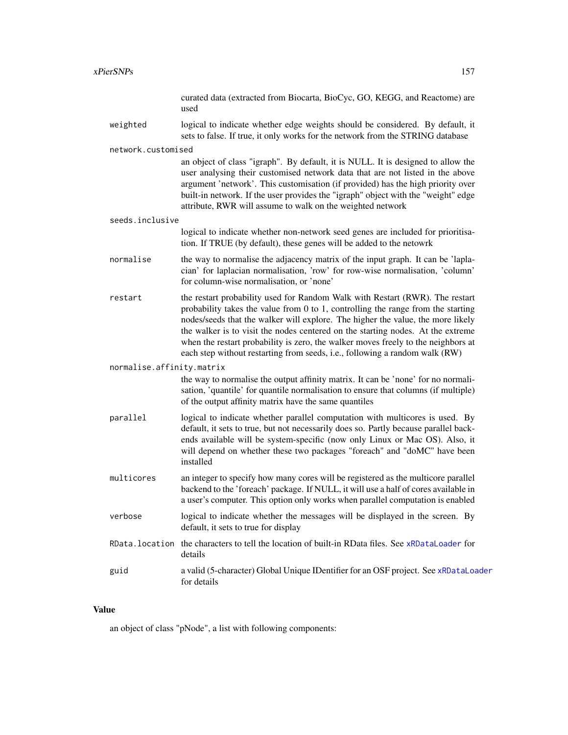# xPierSNPs 157

|                           | curated data (extracted from Biocarta, BioCyc, GO, KEGG, and Reactome) are<br>used                                                                                                                                                                                                                                                                                                                                                                                                                              |
|---------------------------|-----------------------------------------------------------------------------------------------------------------------------------------------------------------------------------------------------------------------------------------------------------------------------------------------------------------------------------------------------------------------------------------------------------------------------------------------------------------------------------------------------------------|
| weighted                  | logical to indicate whether edge weights should be considered. By default, it<br>sets to false. If true, it only works for the network from the STRING database                                                                                                                                                                                                                                                                                                                                                 |
| network.customised        |                                                                                                                                                                                                                                                                                                                                                                                                                                                                                                                 |
|                           | an object of class "igraph". By default, it is NULL. It is designed to allow the<br>user analysing their customised network data that are not listed in the above<br>argument 'network'. This customisation (if provided) has the high priority over<br>built-in network. If the user provides the "igraph" object with the "weight" edge<br>attribute, RWR will assume to walk on the weighted network                                                                                                         |
| seeds.inclusive           |                                                                                                                                                                                                                                                                                                                                                                                                                                                                                                                 |
|                           | logical to indicate whether non-network seed genes are included for prioritisa-<br>tion. If TRUE (by default), these genes will be added to the netowrk                                                                                                                                                                                                                                                                                                                                                         |
| normalise                 | the way to normalise the adjacency matrix of the input graph. It can be 'lapla-<br>cian' for laplacian normalisation, 'row' for row-wise normalisation, 'column'<br>for column-wise normalisation, or 'none'                                                                                                                                                                                                                                                                                                    |
| restart                   | the restart probability used for Random Walk with Restart (RWR). The restart<br>probability takes the value from $0$ to $1$ , controlling the range from the starting<br>nodes/seeds that the walker will explore. The higher the value, the more likely<br>the walker is to visit the nodes centered on the starting nodes. At the extreme<br>when the restart probability is zero, the walker moves freely to the neighbors at<br>each step without restarting from seeds, i.e., following a random walk (RW) |
| normalise.affinity.matrix |                                                                                                                                                                                                                                                                                                                                                                                                                                                                                                                 |
|                           | the way to normalise the output affinity matrix. It can be 'none' for no normali-<br>sation, 'quantile' for quantile normalisation to ensure that columns (if multiple)<br>of the output affinity matrix have the same quantiles                                                                                                                                                                                                                                                                                |
| parallel                  | logical to indicate whether parallel computation with multicores is used. By<br>default, it sets to true, but not necessarily does so. Partly because parallel back-<br>ends available will be system-specific (now only Linux or Mac OS). Also, it<br>will depend on whether these two packages "foreach" and "doMC" have been<br>installed                                                                                                                                                                    |
| multicores                | an integer to specify how many cores will be registered as the multicore parallel<br>backend to the 'foreach' package. If NULL, it will use a half of cores available in<br>a user's computer. This option only works when parallel computation is enabled                                                                                                                                                                                                                                                      |
| verbose                   | logical to indicate whether the messages will be displayed in the screen. By<br>default, it sets to true for display                                                                                                                                                                                                                                                                                                                                                                                            |
| RData.location            | the characters to tell the location of built-in RData files. See xRDataLoader for<br>details                                                                                                                                                                                                                                                                                                                                                                                                                    |
| guid                      | a valid (5-character) Global Unique IDentifier for an OSF project. See xRDataLoader<br>for details                                                                                                                                                                                                                                                                                                                                                                                                              |
|                           |                                                                                                                                                                                                                                                                                                                                                                                                                                                                                                                 |

# Value

an object of class "pNode", a list with following components: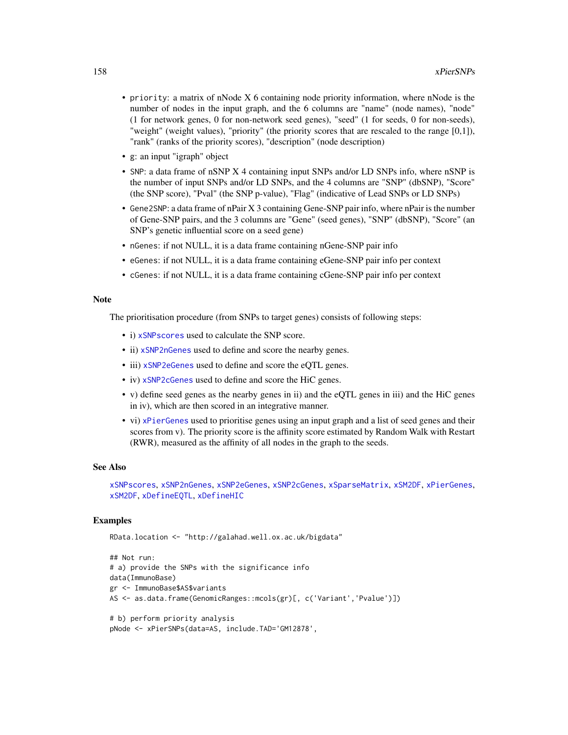- priority: a matrix of nNode X 6 containing node priority information, where nNode is the number of nodes in the input graph, and the 6 columns are "name" (node names), "node" (1 for network genes, 0 for non-network seed genes), "seed" (1 for seeds, 0 for non-seeds), "weight" (weight values), "priority" (the priority scores that are rescaled to the range [0,1]), "rank" (ranks of the priority scores), "description" (node description)
- g: an input "igraph" object
- SNP: a data frame of nSNP X 4 containing input SNPs and/or LD SNPs info, where nSNP is the number of input SNPs and/or LD SNPs, and the 4 columns are "SNP" (dbSNP), "Score" (the SNP score), "Pval" (the SNP p-value), "Flag" (indicative of Lead SNPs or LD SNPs)
- Gene2SNP: a data frame of nPair X 3 containing Gene-SNP pair info, where nPair is the number of Gene-SNP pairs, and the 3 columns are "Gene" (seed genes), "SNP" (dbSNP), "Score" (an SNP's genetic influential score on a seed gene)
- nGenes: if not NULL, it is a data frame containing nGene-SNP pair info
- eGenes: if not NULL, it is a data frame containing eGene-SNP pair info per context
- cGenes: if not NULL, it is a data frame containing cGene-SNP pair info per context

#### **Note**

The prioritisation procedure (from SNPs to target genes) consists of following steps:

- i) [xSNPscores](#page-195-0) used to calculate the SNP score.
- ii) [xSNP2nGenes](#page-191-0) used to define and score the nearby genes.
- iii) [xSNP2eGenes](#page-189-0) used to define and score the eQTL genes.
- iv) [xSNP2cGenes](#page-187-0) used to define and score the HiC genes.
- v) define seed genes as the nearby genes in ii) and the eQTL genes in iii) and the HiC genes in iv), which are then scored in an integrative manner.
- vi) [xPierGenes](#page-129-0) used to prioritise genes using an input graph and a list of seed genes and their scores from v). The priority score is the affinity score estimated by Random Walk with Restart (RWR), measured as the affinity of all nodes in the graph to the seeds.

#### See Also

[xSNPscores](#page-195-0), [xSNP2nGenes](#page-191-0), [xSNP2eGenes](#page-189-0), [xSNP2cGenes](#page-187-0), [xSparseMatrix](#page-197-0), [xSM2DF](#page-186-0), [xPierGenes](#page-129-0), [xSM2DF](#page-186-0), [xDefineEQTL](#page-32-0), [xDefineHIC](#page-40-0)

### Examples

```
RData.location <- "http://galahad.well.ox.ac.uk/bigdata"
```

```
## Not run:
# a) provide the SNPs with the significance info
data(ImmunoBase)
gr <- ImmunoBase$AS$variants
AS <- as.data.frame(GenomicRanges::mcols(gr)[, c('Variant','Pvalue')])
# b) perform priority analysis
```

```
pNode <- xPierSNPs(data=AS, include.TAD='GM12878',
```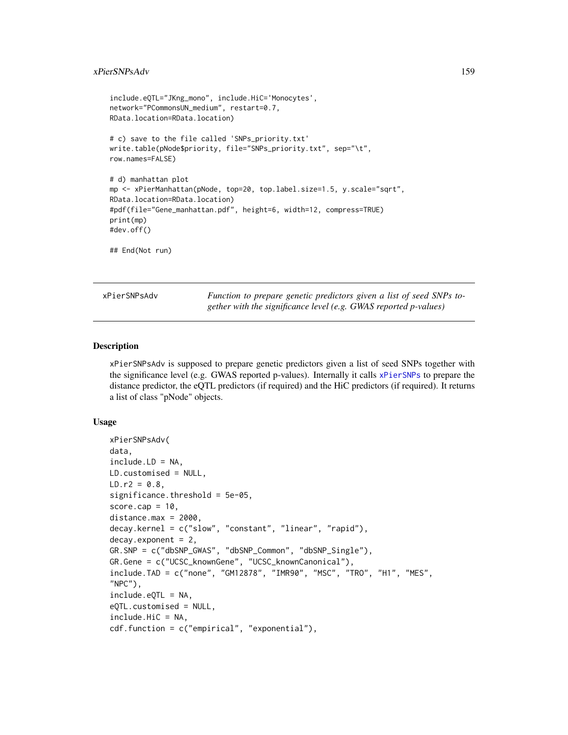## xPierSNPsAdv 159

```
include.eQTL="JKng_mono", include.HiC='Monocytes',
network="PCommonsUN_medium", restart=0.7,
RData.location=RData.location)
# c) save to the file called 'SNPs_priority.txt'
write.table(pNode$priority, file="SNPs_priority.txt", sep="\t",
row.names=FALSE)
# d) manhattan plot
mp <- xPierManhattan(pNode, top=20, top.label.size=1.5, y.scale="sqrt",
RData.location=RData.location)
#pdf(file="Gene_manhattan.pdf", height=6, width=12, compress=TRUE)
print(mp)
#dev.off()
## End(Not run)
```
xPierSNPsAdv *Function to prepare genetic predictors given a list of seed SNPs together with the significance level (e.g. GWAS reported p-values)*

## Description

xPierSNPsAdv is supposed to prepare genetic predictors given a list of seed SNPs together with the significance level (e.g. GWAS reported p-values). Internally it calls [xPierSNPs](#page-152-0) to prepare the distance predictor, the eQTL predictors (if required) and the HiC predictors (if required). It returns a list of class "pNode" objects.

#### Usage

```
xPierSNPsAdv(
data,
include.LD = NA,
LD.customised = NULL,
LD.r2 = 0.8,
significance.threshold = 5e-05,
score.cap = 10,
distance.max = 2000,decay.kernel = c("slow", "constant", "linear", "rapid"),
decay.exponent = 2,
GR.SNP = c("dbSNP_GWAS", "dbSNP_Common", "dbSNP_Single"),
GR.Gene = c("UCSC_knownGene", "UCSC_knownCanonical"),
include.TAD = c("none", "GM12878", "IMR90", "MSC", "TRO", "H1", "MES",
"NPC"),
include.eQTL = NA,
eQTL.customised = NULL,
include.HiC = NA,
cdf.function = c("empirical", "exponential"),
```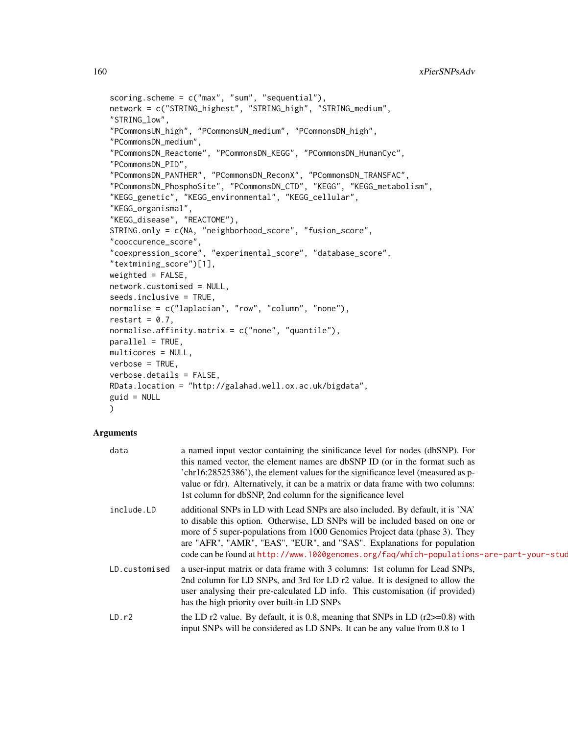```
scoring.scheme = c("max", "sum", "sequential"),
network = c("STRING_highest", "STRING_high", "STRING_medium",
"STRING_low",
"PCommonsUN_high", "PCommonsUN_medium", "PCommonsDN_high",
"PCommonsDN_medium",
"PCommonsDN_Reactome", "PCommonsDN_KEGG", "PCommonsDN_HumanCyc",
"PCommonsDN_PID",
"PCommonsDN_PANTHER", "PCommonsDN_ReconX", "PCommonsDN_TRANSFAC",
"PCommonsDN_PhosphoSite", "PCommonsDN_CTD", "KEGG", "KEGG_metabolism",
"KEGG_genetic", "KEGG_environmental", "KEGG_cellular",
"KEGG_organismal",
"KEGG_disease", "REACTOME"),
STRING.only = c(NA, "neighborhood_score", "fusion_score",
"cooccurence_score",
"coexpression_score", "experimental_score", "database_score",
"textmining_score")[1],
weighted = FALSE,network.customised = NULL,
seeds.inclusive = TRUE,
normalise = c("laplacian", "row", "column", "none"),
restart = 0.7,
normalise.affinity.matrix = c("none", "quantile"),
parallel = TRUE,
multicores = NULL,
verbose = TRUE,
verbose.details = FALSE,
RData.location = "http://galahad.well.ox.ac.uk/bigdata",
guid = NULL
\mathcal{L}
```
## Arguments

| data          | a named input vector containing the sinificance level for nodes (dbSNP). For<br>this named vector, the element names are dbSNP ID (or in the format such as<br>'chr16:28525386'), the element values for the significance level (measured as p-<br>value or fdr). Alternatively, it can be a matrix or data frame with two columns:<br>1st column for dbSNP, 2nd column for the significance level                 |
|---------------|--------------------------------------------------------------------------------------------------------------------------------------------------------------------------------------------------------------------------------------------------------------------------------------------------------------------------------------------------------------------------------------------------------------------|
| include.LD    | additional SNPs in LD with Lead SNPs are also included. By default, it is 'NA'<br>to disable this option. Otherwise, LD SNPs will be included based on one or<br>more of 5 super-populations from 1000 Genomics Project data (phase 3). They<br>are "AFR", "AMR", "EAS", "EUR", and "SAS". Explanations for population<br>code can be found at http://www.1000genomes.org/faq/which-populations-are-part-your-stud |
| LD.customised | a user-input matrix or data frame with 3 columns: 1st column for Lead SNPs,<br>2nd column for LD SNPs, and 3rd for LD r2 value. It is designed to allow the<br>user analysing their pre-calculated LD info. This customisation (if provided)<br>has the high priority over built-in LD SNPs                                                                                                                        |
| LD.r2         | the LD r2 value. By default, it is 0.8, meaning that SNPs in LD $(r2>=0.8)$ with<br>input SNPs will be considered as LD SNPs. It can be any value from 0.8 to 1                                                                                                                                                                                                                                                    |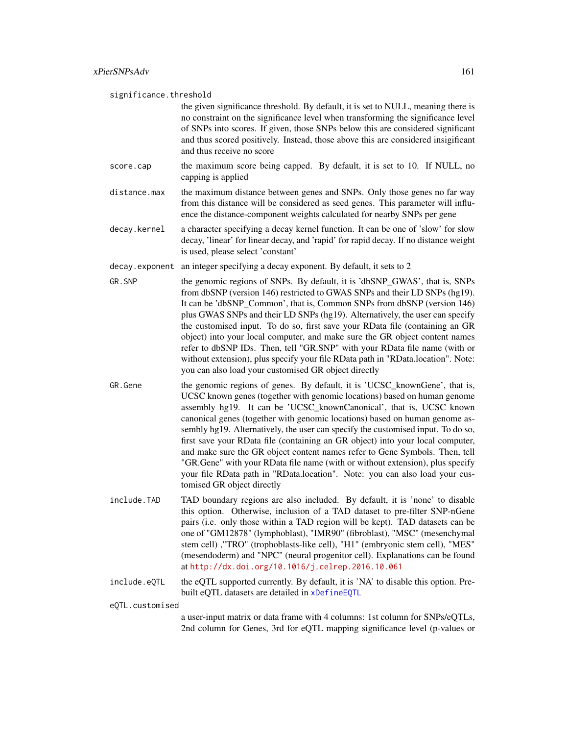significance.threshold

the given significance threshold. By default, it is set to NULL, meaning there is no constraint on the significance level when transforming the significance level of SNPs into scores. If given, those SNPs below this are considered significant and thus scored positively. Instead, those above this are considered insigificant and thus receive no score

- score.cap the maximum score being capped. By default, it is set to 10. If NULL, no capping is applied
- distance.max the maximum distance between genes and SNPs. Only those genes no far way from this distance will be considered as seed genes. This parameter will influence the distance-component weights calculated for nearby SNPs per gene
- decay.kernel a character specifying a decay kernel function. It can be one of 'slow' for slow decay, 'linear' for linear decay, and 'rapid' for rapid decay. If no distance weight is used, please select 'constant'
- decay.exponent an integer specifying a decay exponent. By default, it sets to 2
- GR. SNP the genomic regions of SNPs. By default, it is 'dbSNP\_GWAS', that is, SNPs from dbSNP (version 146) restricted to GWAS SNPs and their LD SNPs (hg19). It can be 'dbSNP\_Common', that is, Common SNPs from dbSNP (version 146) plus GWAS SNPs and their LD SNPs (hg19). Alternatively, the user can specify the customised input. To do so, first save your RData file (containing an GR object) into your local computer, and make sure the GR object content names refer to dbSNP IDs. Then, tell "GR.SNP" with your RData file name (with or without extension), plus specify your file RData path in "RData.location". Note: you can also load your customised GR object directly
- GR.Gene the genomic regions of genes. By default, it is 'UCSC\_knownGene', that is, UCSC known genes (together with genomic locations) based on human genome assembly hg19. It can be 'UCSC\_knownCanonical', that is, UCSC known canonical genes (together with genomic locations) based on human genome assembly hg19. Alternatively, the user can specify the customised input. To do so, first save your RData file (containing an GR object) into your local computer, and make sure the GR object content names refer to Gene Symbols. Then, tell "GR.Gene" with your RData file name (with or without extension), plus specify your file RData path in "RData.location". Note: you can also load your customised GR object directly
- include.TAD TAD boundary regions are also included. By default, it is 'none' to disable this option. Otherwise, inclusion of a TAD dataset to pre-filter SNP-nGene pairs (i.e. only those within a TAD region will be kept). TAD datasets can be one of "GM12878" (lymphoblast), "IMR90" (fibroblast), "MSC" (mesenchymal stem cell) ,"TRO" (trophoblasts-like cell), "H1" (embryonic stem cell), "MES" (mesendoderm) and "NPC" (neural progenitor cell). Explanations can be found at <http://dx.doi.org/10.1016/j.celrep.2016.10.061>
- include.eQTL the eQTL supported currently. By default, it is 'NA' to disable this option. Prebuilt eQTL datasets are detailed in [xDefineEQTL](#page-32-0)

eQTL.customised

a user-input matrix or data frame with 4 columns: 1st column for SNPs/eQTLs, 2nd column for Genes, 3rd for eQTL mapping significance level (p-values or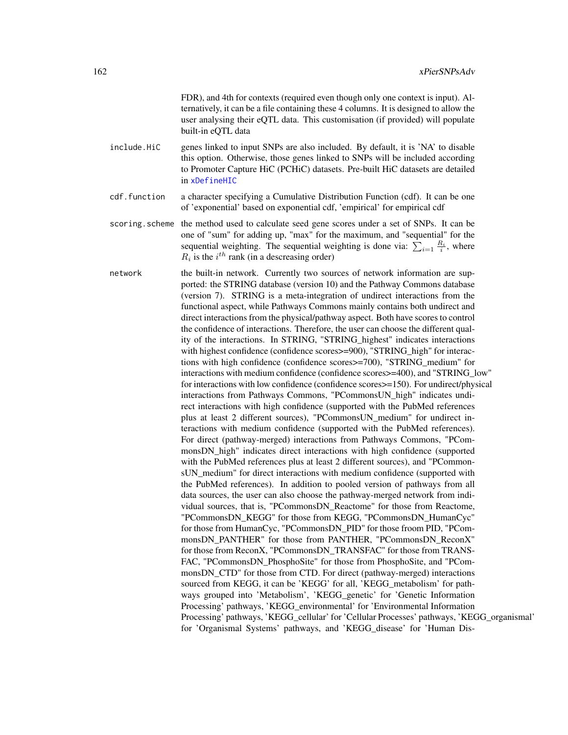FDR), and 4th for contexts (required even though only one context is input). Alternatively, it can be a file containing these 4 columns. It is designed to allow the user analysing their eQTL data. This customisation (if provided) will populate built-in eQTL data

- include.HiC genes linked to input SNPs are also included. By default, it is 'NA' to disable this option. Otherwise, those genes linked to SNPs will be included according to Promoter Capture HiC (PCHiC) datasets. Pre-built HiC datasets are detailed in [xDefineHIC](#page-40-0)
- cdf.function a character specifying a Cumulative Distribution Function (cdf). It can be one of 'exponential' based on exponential cdf, 'empirical' for empirical cdf
- scoring.scheme the method used to calculate seed gene scores under a set of SNPs. It can be one of "sum" for adding up, "max" for the maximum, and "sequential" for the sequential weighting. The sequential weighting is done via:  $\sum_{i=1} \frac{R_i}{i}$ , where  $R_i$  is the  $i^{th}$  rank (in a descreasing order)
- network the built-in network. Currently two sources of network information are supported: the STRING database (version 10) and the Pathway Commons database (version 7). STRING is a meta-integration of undirect interactions from the functional aspect, while Pathways Commons mainly contains both undirect and direct interactions from the physical/pathway aspect. Both have scores to control the confidence of interactions. Therefore, the user can choose the different quality of the interactions. In STRING, "STRING\_highest" indicates interactions with highest confidence (confidence scores>=900), "STRING\_high" for interactions with high confidence (confidence scores>=700), "STRING\_medium" for interactions with medium confidence (confidence scores>=400), and "STRING\_low" for interactions with low confidence (confidence scores>=150). For undirect/physical interactions from Pathways Commons, "PCommonsUN\_high" indicates undirect interactions with high confidence (supported with the PubMed references plus at least 2 different sources), "PCommonsUN\_medium" for undirect interactions with medium confidence (supported with the PubMed references). For direct (pathway-merged) interactions from Pathways Commons, "PCommonsDN high" indicates direct interactions with high confidence (supported with the PubMed references plus at least 2 different sources), and "PCommonsUN medium" for direct interactions with medium confidence (supported with the PubMed references). In addition to pooled version of pathways from all data sources, the user can also choose the pathway-merged network from individual sources, that is, "PCommonsDN\_Reactome" for those from Reactome, "PCommonsDN\_KEGG" for those from KEGG, "PCommonsDN\_HumanCyc" for those from HumanCyc, "PCommonsDN\_PID" for those froom PID, "PCommonsDN\_PANTHER" for those from PANTHER, "PCommonsDN\_ReconX" for those from ReconX, "PCommonsDN\_TRANSFAC" for those from TRANS-FAC, "PCommonsDN\_PhosphoSite" for those from PhosphoSite, and "PCommonsDN CTD" for those from CTD. For direct (pathway-merged) interactions sourced from KEGG, it can be 'KEGG' for all, 'KEGG\_metabolism' for pathways grouped into 'Metabolism', 'KEGG\_genetic' for 'Genetic Information Processing' pathways, 'KEGG\_environmental' for 'Environmental Information Processing' pathways, 'KEGG\_cellular' for 'Cellular Processes' pathways, 'KEGG\_organismal' for 'Organismal Systems' pathways, and 'KEGG\_disease' for 'Human Dis-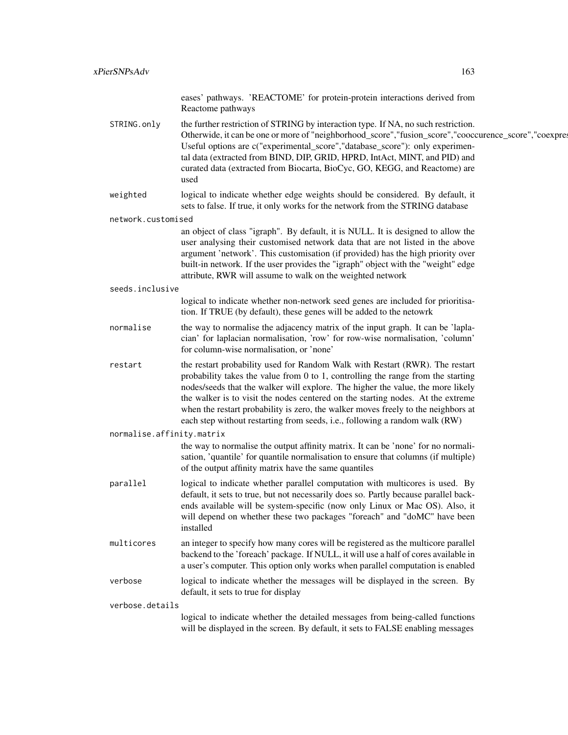eases' pathways. 'REACTOME' for protein-protein interactions derived from Reactome pathways

STRING.only the further restriction of STRING by interaction type. If NA, no such restriction. Otherwide, it can be one or more of "neighborhood\_score","fusion\_score","cooccurence\_score","coexpre Useful options are c("experimental\_score","database\_score"): only experimental data (extracted from BIND, DIP, GRID, HPRD, IntAct, MINT, and PID) and curated data (extracted from Biocarta, BioCyc, GO, KEGG, and Reactome) are used

weighted logical to indicate whether edge weights should be considered. By default, it sets to false. If true, it only works for the network from the STRING database

network.customised

an object of class "igraph". By default, it is NULL. It is designed to allow the user analysing their customised network data that are not listed in the above argument 'network'. This customisation (if provided) has the high priority over built-in network. If the user provides the "igraph" object with the "weight" edge attribute, RWR will assume to walk on the weighted network

seeds.inclusive

logical to indicate whether non-network seed genes are included for prioritisation. If TRUE (by default), these genes will be added to the netowrk

- normalise the way to normalise the adjacency matrix of the input graph. It can be 'laplacian' for laplacian normalisation, 'row' for row-wise normalisation, 'column' for column-wise normalisation, or 'none'
- restart the restart probability used for Random Walk with Restart (RWR). The restart probability takes the value from 0 to 1, controlling the range from the starting nodes/seeds that the walker will explore. The higher the value, the more likely the walker is to visit the nodes centered on the starting nodes. At the extreme when the restart probability is zero, the walker moves freely to the neighbors at each step without restarting from seeds, i.e., following a random walk (RW)
- normalise.affinity.matrix

the way to normalise the output affinity matrix. It can be 'none' for no normalisation, 'quantile' for quantile normalisation to ensure that columns (if multiple) of the output affinity matrix have the same quantiles

- parallel logical to indicate whether parallel computation with multicores is used. By default, it sets to true, but not necessarily does so. Partly because parallel backends available will be system-specific (now only Linux or Mac OS). Also, it will depend on whether these two packages "foreach" and "doMC" have been installed
- multicores an integer to specify how many cores will be registered as the multicore parallel backend to the 'foreach' package. If NULL, it will use a half of cores available in a user's computer. This option only works when parallel computation is enabled
- verbose logical to indicate whether the messages will be displayed in the screen. By default, it sets to true for display

verbose.details

logical to indicate whether the detailed messages from being-called functions will be displayed in the screen. By default, it sets to FALSE enabling messages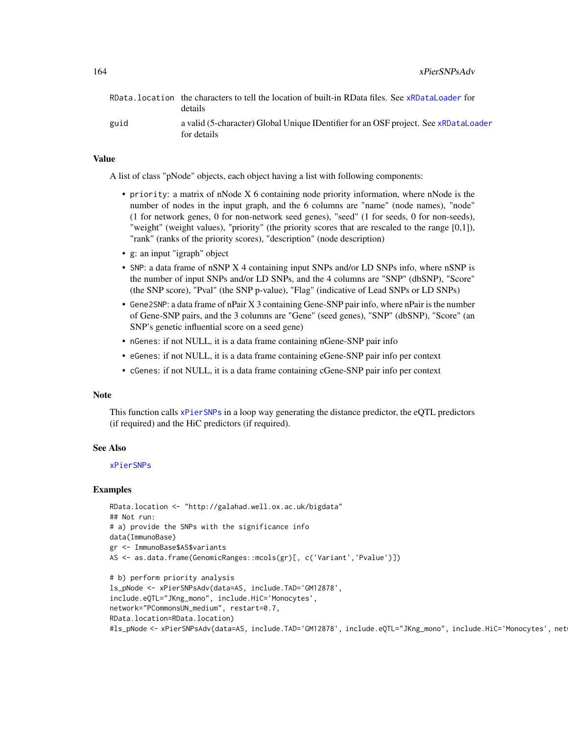164 xPierSNPsAdv

|      | RData. location the characters to tell the location of built-in RData files. See xRDataLoader for<br>details |
|------|--------------------------------------------------------------------------------------------------------------|
| guid | a valid (5-character) Global Unique IDentifier for an OSF project. See xRDataLoader<br>for details           |

## Value

A list of class "pNode" objects, each object having a list with following components:

- priority: a matrix of nNode X 6 containing node priority information, where nNode is the number of nodes in the input graph, and the 6 columns are "name" (node names), "node" (1 for network genes, 0 for non-network seed genes), "seed" (1 for seeds, 0 for non-seeds), "weight" (weight values), "priority" (the priority scores that are rescaled to the range [0,1]), "rank" (ranks of the priority scores), "description" (node description)
- g: an input "igraph" object
- SNP: a data frame of nSNP X 4 containing input SNPs and/or LD SNPs info, where nSNP is the number of input SNPs and/or LD SNPs, and the 4 columns are "SNP" (dbSNP), "Score" (the SNP score), "Pval" (the SNP p-value), "Flag" (indicative of Lead SNPs or LD SNPs)
- Gene2SNP: a data frame of nPair X 3 containing Gene-SNP pair info, where nPair is the number of Gene-SNP pairs, and the 3 columns are "Gene" (seed genes), "SNP" (dbSNP), "Score" (an SNP's genetic influential score on a seed gene)
- nGenes: if not NULL, it is a data frame containing nGene-SNP pair info
- eGenes: if not NULL, it is a data frame containing eGene-SNP pair info per context
- cGenes: if not NULL, it is a data frame containing cGene-SNP pair info per context

#### **Note**

This function calls [xPierSNPs](#page-152-0) in a loop way generating the distance predictor, the eQTL predictors (if required) and the HiC predictors (if required).

#### See Also

#### [xPierSNPs](#page-152-0)

#### Examples

```
RData.location <- "http://galahad.well.ox.ac.uk/bigdata"
## Not run:
# a) provide the SNPs with the significance info
data(ImmunoBase)
gr <- ImmunoBase$AS$variants
AS <- as.data.frame(GenomicRanges::mcols(gr)[, c('Variant','Pvalue')])
# b) perform priority analysis
ls_pNode <- xPierSNPsAdv(data=AS, include.TAD='GM12878',
include.eQTL="JKng_mono", include.HiC='Monocytes',
network="PCommonsUN_medium", restart=0.7,
RData.location=RData.location)
#ls_pNode <- xPierSNPsAdv(data=AS, include.TAD='GM12878', include.eQTL="JKng_mono", include.HiC='Monocytes', net
```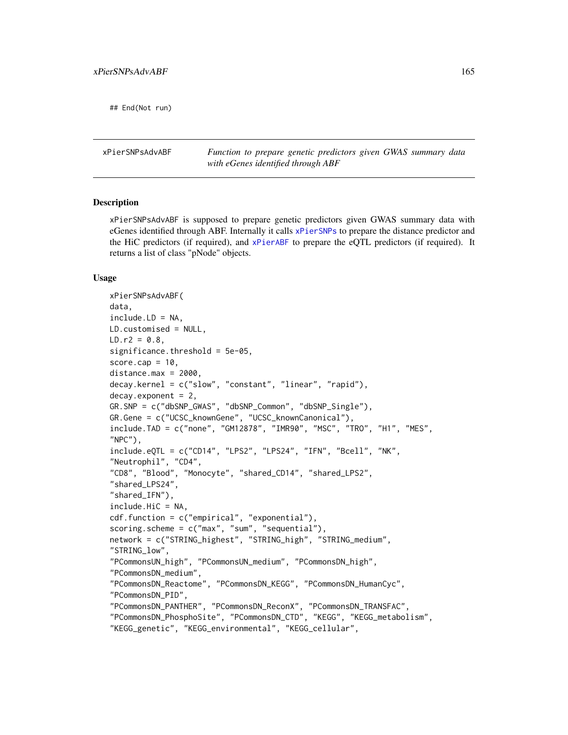## End(Not run)

xPierSNPsAdvABF *Function to prepare genetic predictors given GWAS summary data with eGenes identified through ABF*

## Description

xPierSNPsAdvABF is supposed to prepare genetic predictors given GWAS summary data with eGenes identified through ABF. Internally it calls [xPierSNPs](#page-152-0) to prepare the distance predictor and the HiC predictors (if required), and [xPierABF](#page-115-0) to prepare the eQTL predictors (if required). It returns a list of class "pNode" objects.

#### Usage

```
xPierSNPsAdvABF(
data,
include.LD = NA,
LD.customised = NULL,
LD.r2 = 0.8,
significance.threshold = 5e-05,
score.cap = 10,
distance.max = 2000,decay.kernel = c("slow", "constant", "linear", "rapid"),
decay. exponent = 2,
GR.SNP = c("dbSNP_GWAS", "dbSNP_Common", "dbSNP_Single"),
GR.Gene = c("UCSC_knownGene", "UCSC_knownCanonical"),
include.TAD = c("none", "GM12878", "IMR90", "MSC", "TRO", "H1", "MES",
"NPC"),
include.eQTL = c("CD14", "LPS2", "LPS24", "IFN", "Bcell", "NK",
"Neutrophil", "CD4",
"CD8", "Blood", "Monocyte", "shared_CD14", "shared_LPS2",
"shared_LPS24",
"shared_IFN"),
include.HiC = NA,
cdf.function = c("empirical", "exponential"),
scoring.scheme = c("max", "sum", "sequential"),
network = c("STRING_highest", "STRING_high", "STRING_medium",
"STRING_low",
"PCommonsUN_high", "PCommonsUN_medium", "PCommonsDN_high",
"PCommonsDN_medium",
"PCommonsDN_Reactome", "PCommonsDN_KEGG", "PCommonsDN_HumanCyc",
"PCommonsDN_PID",
"PCommonsDN_PANTHER", "PCommonsDN_ReconX", "PCommonsDN_TRANSFAC",
"PCommonsDN_PhosphoSite", "PCommonsDN_CTD", "KEGG", "KEGG_metabolism",
"KEGG_genetic", "KEGG_environmental", "KEGG_cellular",
```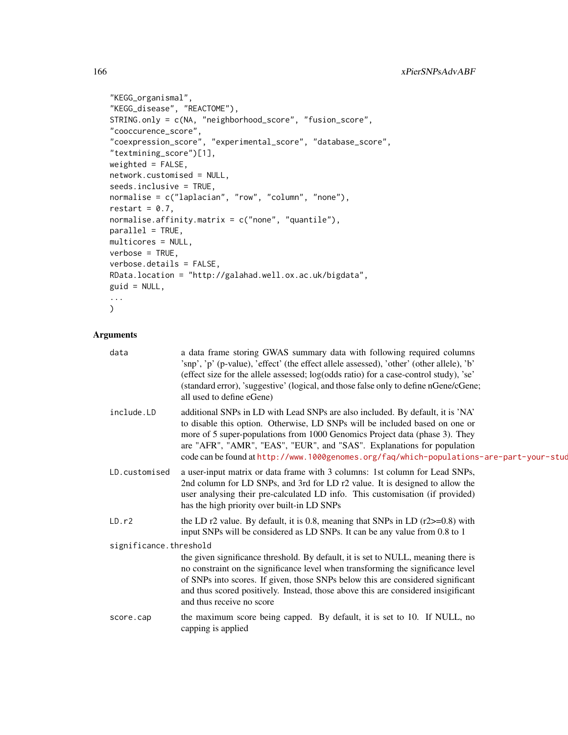```
"KEGG_organismal",
"KEGG_disease", "REACTOME"),
STRING.only = c(NA, "neighborhood_score", "fusion_score",
"cooccurence_score",
"coexpression_score", "experimental_score", "database_score",
"textmining_score")[1],
weighted = FALSE,network.customised = NULL,
seeds.inclusive = TRUE,
normalise = c("laplacian", "row", "column", "none"),
restart = 0.7,
normalise.affinity.matrix = c("none", "quantile"),
parallel = TRUE,
multicores = NULL,
verbose = TRUE,
verbose.details = FALSE,
RData.location = "http://galahad.well.ox.ac.uk/bigdata",
guid = NULL,...
\sum_{i=1}^{n}
```
# Arguments

| data                   | a data frame storing GWAS summary data with following required columns<br>'snp', 'p' (p-value), 'effect' (the effect allele assessed), 'other' (other allele), 'b'<br>(effect size for the allele assessed; log(odds ratio) for a case-control study), 'se'<br>(standard error), 'suggestive' (logical, and those false only to define nGene/cGene;<br>all used to define eGene)                                   |
|------------------------|--------------------------------------------------------------------------------------------------------------------------------------------------------------------------------------------------------------------------------------------------------------------------------------------------------------------------------------------------------------------------------------------------------------------|
| include.LD             | additional SNPs in LD with Lead SNPs are also included. By default, it is 'NA'<br>to disable this option. Otherwise, LD SNPs will be included based on one or<br>more of 5 super-populations from 1000 Genomics Project data (phase 3). They<br>are "AFR", "AMR", "EAS", "EUR", and "SAS". Explanations for population<br>code can be found at http://www.1000genomes.org/faq/which-populations-are-part-your-stud |
| LD.customised          | a user-input matrix or data frame with 3 columns: 1st column for Lead SNPs,<br>2nd column for LD SNPs, and 3rd for LD r2 value. It is designed to allow the<br>user analysing their pre-calculated LD info. This customisation (if provided)<br>has the high priority over built-in LD SNPs                                                                                                                        |
| LD.r2                  | the LD $r2$ value. By default, it is 0.8, meaning that SNPs in LD $(r2>=0.8)$ with<br>input SNPs will be considered as LD SNPs. It can be any value from 0.8 to 1                                                                                                                                                                                                                                                  |
| significance.threshold |                                                                                                                                                                                                                                                                                                                                                                                                                    |
|                        | the given significance threshold. By default, it is set to NULL, meaning there is<br>no constraint on the significance level when transforming the significance level<br>of SNPs into scores. If given, those SNPs below this are considered significant<br>and thus scored positively. Instead, those above this are considered insigificant<br>and thus receive no score                                         |
| score.cap              | the maximum score being capped. By default, it is set to 10. If NULL, no<br>capping is applied                                                                                                                                                                                                                                                                                                                     |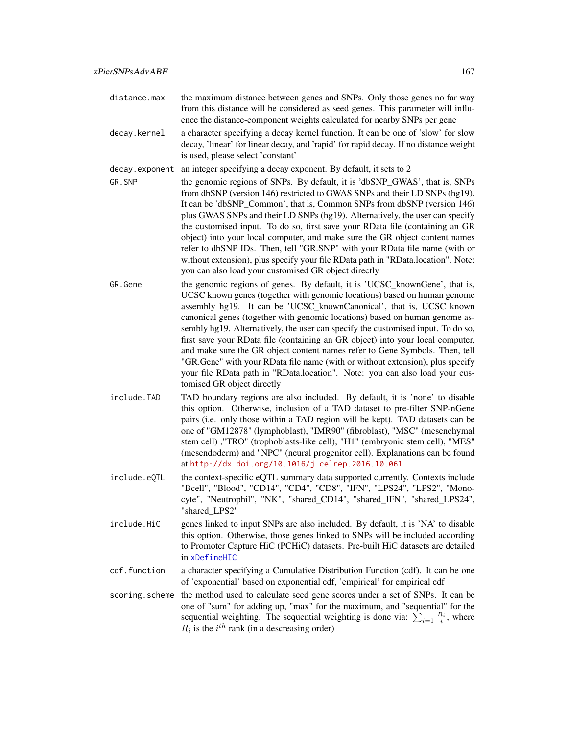distance.max the maximum distance between genes and SNPs. Only those genes no far way from this distance will be considered as seed genes. This parameter will influ-

ence the distance-component weights calculated for nearby SNPs per gene

decay.kernel a character specifying a decay kernel function. It can be one of 'slow' for slow decay, 'linear' for linear decay, and 'rapid' for rapid decay. If no distance weight is used, please select 'constant'

decay.exponent an integer specifying a decay exponent. By default, it sets to 2

- GR. SNP the genomic regions of SNPs. By default, it is 'dbSNP\_GWAS', that is, SNPs from dbSNP (version 146) restricted to GWAS SNPs and their LD SNPs (hg19). It can be 'dbSNP\_Common', that is, Common SNPs from dbSNP (version 146) plus GWAS SNPs and their LD SNPs (hg19). Alternatively, the user can specify the customised input. To do so, first save your RData file (containing an GR object) into your local computer, and make sure the GR object content names refer to dbSNP IDs. Then, tell "GR.SNP" with your RData file name (with or without extension), plus specify your file RData path in "RData.location". Note: you can also load your customised GR object directly
- GR.Gene the genomic regions of genes. By default, it is 'UCSC\_knownGene', that is, UCSC known genes (together with genomic locations) based on human genome assembly hg19. It can be 'UCSC\_knownCanonical', that is, UCSC known canonical genes (together with genomic locations) based on human genome assembly hg19. Alternatively, the user can specify the customised input. To do so, first save your RData file (containing an GR object) into your local computer, and make sure the GR object content names refer to Gene Symbols. Then, tell "GR.Gene" with your RData file name (with or without extension), plus specify your file RData path in "RData.location". Note: you can also load your customised GR object directly
- include.TAD TAD boundary regions are also included. By default, it is 'none' to disable this option. Otherwise, inclusion of a TAD dataset to pre-filter SNP-nGene pairs (i.e. only those within a TAD region will be kept). TAD datasets can be one of "GM12878" (lymphoblast), "IMR90" (fibroblast), "MSC" (mesenchymal stem cell) ,"TRO" (trophoblasts-like cell), "H1" (embryonic stem cell), "MES" (mesendoderm) and "NPC" (neural progenitor cell). Explanations can be found at <http://dx.doi.org/10.1016/j.celrep.2016.10.061>
- include.eQTL the context-specific eQTL summary data supported currently. Contexts include "Bcell", "Blood", "CD14", "CD4", "CD8", "IFN", "LPS24", "LPS2", "Monocyte", "Neutrophil", "NK", "shared\_CD14", "shared\_IFN", "shared\_LPS24", "shared\_LPS2"
- include.HiC genes linked to input SNPs are also included. By default, it is 'NA' to disable this option. Otherwise, those genes linked to SNPs will be included according to Promoter Capture HiC (PCHiC) datasets. Pre-built HiC datasets are detailed in [xDefineHIC](#page-40-0)
- cdf.function a character specifying a Cumulative Distribution Function (cdf). It can be one of 'exponential' based on exponential cdf, 'empirical' for empirical cdf
- scoring.scheme the method used to calculate seed gene scores under a set of SNPs. It can be one of "sum" for adding up, "max" for the maximum, and "sequential" for the sequential weighting. The sequential weighting is done via:  $\sum_{i=1} \frac{R_i}{i}$ , where  $R_i$  is the  $i^{th}$  rank (in a descreasing order)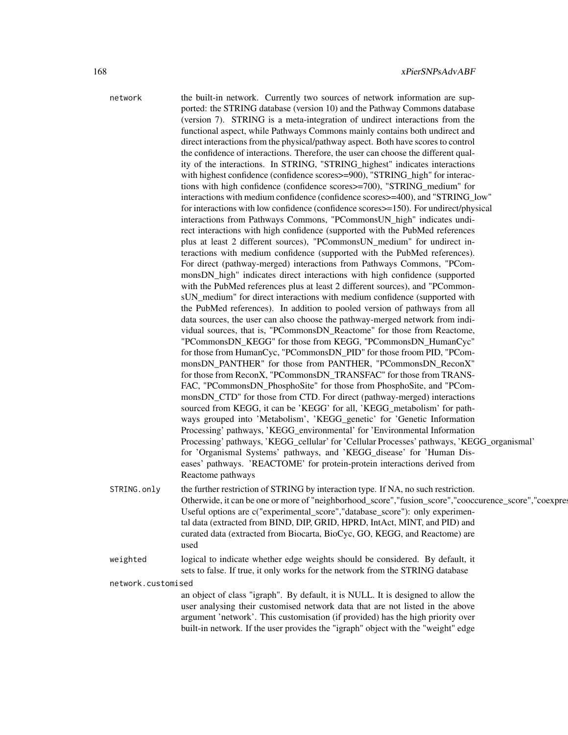network the built-in network. Currently two sources of network information are supported: the STRING database (version 10) and the Pathway Commons database (version 7). STRING is a meta-integration of undirect interactions from the functional aspect, while Pathways Commons mainly contains both undirect and direct interactions from the physical/pathway aspect. Both have scores to control the confidence of interactions. Therefore, the user can choose the different quality of the interactions. In STRING, "STRING\_highest" indicates interactions with highest confidence (confidence scores > = 900), "STRING high" for interactions with high confidence (confidence scores>=700), "STRING\_medium" for interactions with medium confidence (confidence scores>=400), and "STRING\_low" for interactions with low confidence (confidence scores>=150). For undirect/physical interactions from Pathways Commons, "PCommonsUN\_high" indicates undirect interactions with high confidence (supported with the PubMed references plus at least 2 different sources), "PCommonsUN\_medium" for undirect interactions with medium confidence (supported with the PubMed references). For direct (pathway-merged) interactions from Pathways Commons, "PCommonsDN\_high" indicates direct interactions with high confidence (supported with the PubMed references plus at least 2 different sources), and "PCommonsUN\_medium" for direct interactions with medium confidence (supported with the PubMed references). In addition to pooled version of pathways from all data sources, the user can also choose the pathway-merged network from individual sources, that is, "PCommonsDN\_Reactome" for those from Reactome, "PCommonsDN\_KEGG" for those from KEGG, "PCommonsDN\_HumanCyc" for those from HumanCyc, "PCommonsDN\_PID" for those froom PID, "PCommonsDN\_PANTHER" for those from PANTHER, "PCommonsDN\_ReconX" for those from ReconX, "PCommonsDN\_TRANSFAC" for those from TRANS-FAC, "PCommonsDN\_PhosphoSite" for those from PhosphoSite, and "PCommonsDN\_CTD" for those from CTD. For direct (pathway-merged) interactions sourced from KEGG, it can be 'KEGG' for all, 'KEGG\_metabolism' for pathways grouped into 'Metabolism', 'KEGG\_genetic' for 'Genetic Information Processing' pathways, 'KEGG\_environmental' for 'Environmental Information Processing' pathways, 'KEGG\_cellular' for 'Cellular Processes' pathways, 'KEGG\_organismal' for 'Organismal Systems' pathways, and 'KEGG\_disease' for 'Human Diseases' pathways. 'REACTOME' for protein-protein interactions derived from Reactome pathways STRING.only the further restriction of STRING by interaction type. If NA, no such restriction. Otherwide, it can be one or more of "neighborhood\_score","fusion\_score","cooccurence\_score","coexpre Useful options are c("experimental\_score","database\_score"): only experimental data (extracted from BIND, DIP, GRID, HPRD, IntAct, MINT, and PID) and curated data (extracted from Biocarta, BioCyc, GO, KEGG, and Reactome) are used weighted logical to indicate whether edge weights should be considered. By default, it

sets to false. If true, it only works for the network from the STRING database network.customised

> an object of class "igraph". By default, it is NULL. It is designed to allow the user analysing their customised network data that are not listed in the above argument 'network'. This customisation (if provided) has the high priority over built-in network. If the user provides the "igraph" object with the "weight" edge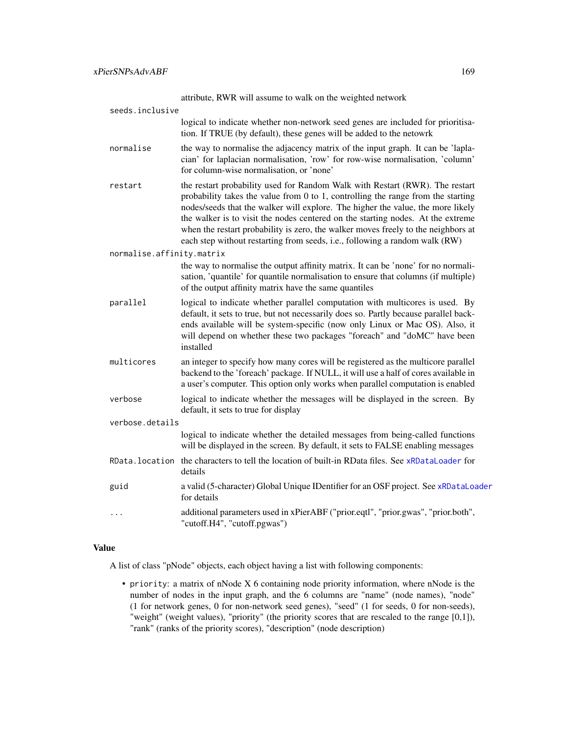attribute, RWR will assume to walk on the weighted network

| seeds.inclusive           |                                                                                                                                                                                                                                                                                                                                                                                                                                                                                                              |
|---------------------------|--------------------------------------------------------------------------------------------------------------------------------------------------------------------------------------------------------------------------------------------------------------------------------------------------------------------------------------------------------------------------------------------------------------------------------------------------------------------------------------------------------------|
|                           | logical to indicate whether non-network seed genes are included for prioritisa-<br>tion. If TRUE (by default), these genes will be added to the netowrk                                                                                                                                                                                                                                                                                                                                                      |
| normalise                 | the way to normalise the adjacency matrix of the input graph. It can be 'lapla-<br>cian' for laplacian normalisation, 'row' for row-wise normalisation, 'column'<br>for column-wise normalisation, or 'none'                                                                                                                                                                                                                                                                                                 |
| restart                   | the restart probability used for Random Walk with Restart (RWR). The restart<br>probability takes the value from $0$ to 1, controlling the range from the starting<br>nodes/seeds that the walker will explore. The higher the value, the more likely<br>the walker is to visit the nodes centered on the starting nodes. At the extreme<br>when the restart probability is zero, the walker moves freely to the neighbors at<br>each step without restarting from seeds, i.e., following a random walk (RW) |
| normalise.affinity.matrix |                                                                                                                                                                                                                                                                                                                                                                                                                                                                                                              |
|                           | the way to normalise the output affinity matrix. It can be 'none' for no normali-<br>sation, 'quantile' for quantile normalisation to ensure that columns (if multiple)<br>of the output affinity matrix have the same quantiles                                                                                                                                                                                                                                                                             |
| parallel                  | logical to indicate whether parallel computation with multicores is used. By<br>default, it sets to true, but not necessarily does so. Partly because parallel back-<br>ends available will be system-specific (now only Linux or Mac OS). Also, it<br>will depend on whether these two packages "foreach" and "doMC" have been<br>installed                                                                                                                                                                 |
| multicores                | an integer to specify how many cores will be registered as the multicore parallel<br>backend to the 'foreach' package. If NULL, it will use a half of cores available in<br>a user's computer. This option only works when parallel computation is enabled                                                                                                                                                                                                                                                   |
| verbose                   | logical to indicate whether the messages will be displayed in the screen. By<br>default, it sets to true for display                                                                                                                                                                                                                                                                                                                                                                                         |
| verbose.details           |                                                                                                                                                                                                                                                                                                                                                                                                                                                                                                              |
|                           | logical to indicate whether the detailed messages from being-called functions<br>will be displayed in the screen. By default, it sets to FALSE enabling messages                                                                                                                                                                                                                                                                                                                                             |
|                           | RData. location the characters to tell the location of built-in RData files. See xRDataLoader for<br>details                                                                                                                                                                                                                                                                                                                                                                                                 |
| guid                      | a valid (5-character) Global Unique IDentifier for an OSF project. See xRDataLoader<br>for details                                                                                                                                                                                                                                                                                                                                                                                                           |
| .                         | additional parameters used in xPierABF ("prior.eqtl", "prior.gwas", "prior.both",<br>"cutoff.H4", "cutoff.pgwas")                                                                                                                                                                                                                                                                                                                                                                                            |
|                           |                                                                                                                                                                                                                                                                                                                                                                                                                                                                                                              |

## Value

A list of class "pNode" objects, each object having a list with following components:

• priority: a matrix of nNode X 6 containing node priority information, where nNode is the number of nodes in the input graph, and the 6 columns are "name" (node names), "node" (1 for network genes, 0 for non-network seed genes), "seed" (1 for seeds, 0 for non-seeds), "weight" (weight values), "priority" (the priority scores that are rescaled to the range [0,1]), "rank" (ranks of the priority scores), "description" (node description)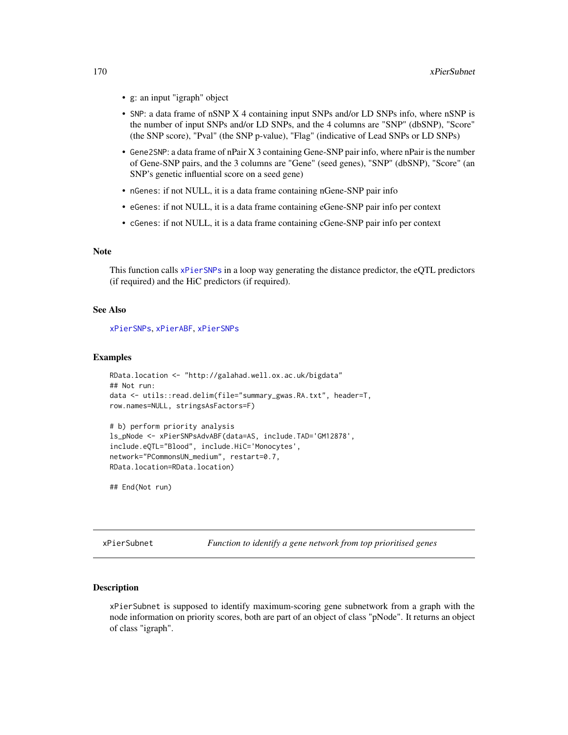- g: an input "igraph" object
- SNP: a data frame of nSNP X 4 containing input SNPs and/or LD SNPs info, where nSNP is the number of input SNPs and/or LD SNPs, and the 4 columns are "SNP" (dbSNP), "Score" (the SNP score), "Pval" (the SNP p-value), "Flag" (indicative of Lead SNPs or LD SNPs)
- Gene2SNP: a data frame of nPair X 3 containing Gene-SNP pair info, where nPair is the number of Gene-SNP pairs, and the 3 columns are "Gene" (seed genes), "SNP" (dbSNP), "Score" (an SNP's genetic influential score on a seed gene)
- nGenes: if not NULL, it is a data frame containing nGene-SNP pair info
- eGenes: if not NULL, it is a data frame containing eGene-SNP pair info per context
- cGenes: if not NULL, it is a data frame containing cGene-SNP pair info per context

### Note

This function calls [xPierSNPs](#page-152-0) in a loop way generating the distance predictor, the eQTL predictors (if required) and the HiC predictors (if required).

#### See Also

[xPierSNPs](#page-152-0), [xPierABF](#page-115-0), [xPierSNPs](#page-152-0)

#### Examples

```
RData.location <- "http://galahad.well.ox.ac.uk/bigdata"
## Not run:
data <- utils::read.delim(file="summary_gwas.RA.txt", header=T,
row.names=NULL, stringsAsFactors=F)
```

```
# b) perform priority analysis
ls_pNode <- xPierSNPsAdvABF(data=AS, include.TAD='GM12878',
include.eQTL="Blood", include.HiC='Monocytes',
network="PCommonsUN_medium", restart=0.7,
RData.location=RData.location)
```
## End(Not run)

xPierSubnet *Function to identify a gene network from top prioritised genes*

#### Description

xPierSubnet is supposed to identify maximum-scoring gene subnetwork from a graph with the node information on priority scores, both are part of an object of class "pNode". It returns an object of class "igraph".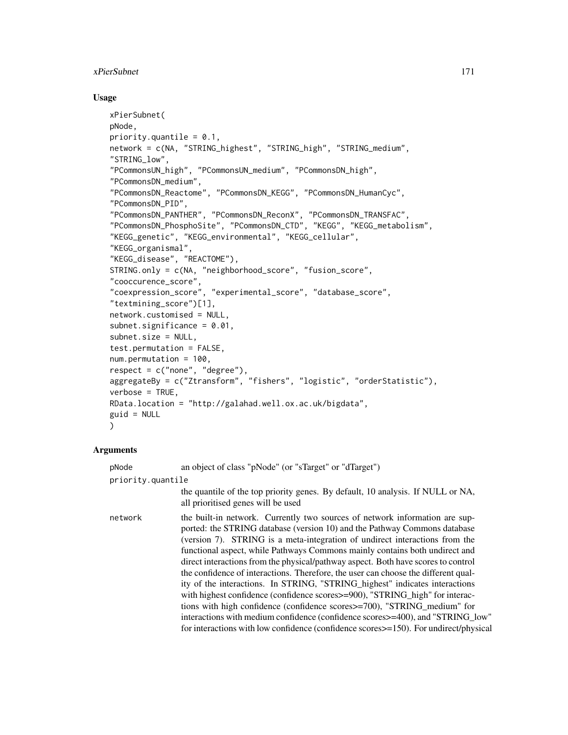## xPierSubnet 171

### Usage

```
xPierSubnet(
pNode,
priority.quantile = 0.1,
network = c(NA, "STRING_highest", "STRING_high", "STRING_medium",
"STRING_low",
"PCommonsUN_high", "PCommonsUN_medium", "PCommonsDN_high",
"PCommonsDN_medium",
"PCommonsDN_Reactome", "PCommonsDN_KEGG", "PCommonsDN_HumanCyc",
"PCommonsDN_PID",
"PCommonsDN_PANTHER", "PCommonsDN_ReconX", "PCommonsDN_TRANSFAC",
"PCommonsDN_PhosphoSite", "PCommonsDN_CTD", "KEGG", "KEGG_metabolism",
"KEGG_genetic", "KEGG_environmental", "KEGG_cellular",
"KEGG_organismal",
"KEGG_disease", "REACTOME"),
STRING.only = c(NA, "neighborhood_score", "fusion_score",
"cooccurence_score",
"coexpression_score", "experimental_score", "database_score",
"textmining_score")[1],
network.customised = NULL,
subnet.significance = 0.01,
subnet.size = NULL,
test.permutation = FALSE,
num.permutation = 100,respect = c("none", "degree"),aggregateBy = c("Ztransform", "fishers", "logistic", "orderStatistic"),
verbose = TRUE,
RData.location = "http://galahad.well.ox.ac.uk/bigdata",
guid = NULL)
```
## Arguments

pNode an object of class "pNode" (or "sTarget" or "dTarget") priority.quantile the quantile of the top priority genes. By default, 10 analysis. If NULL or NA, all prioritised genes will be used network the built-in network. Currently two sources of network information are supported: the STRING database (version 10) and the Pathway Commons database (version 7). STRING is a meta-integration of undirect interactions from the functional aspect, while Pathways Commons mainly contains both undirect and direct interactions from the physical/pathway aspect. Both have scores to control the confidence of interactions. Therefore, the user can choose the different quality of the interactions. In STRING, "STRING\_highest" indicates interactions with highest confidence (confidence scores  $\geq$ =900), "STRING high" for interactions with high confidence (confidence scores>=700), "STRING\_medium" for interactions with medium confidence (confidence scores>=400), and "STRING\_low" for interactions with low confidence (confidence scores>=150). For undirect/physical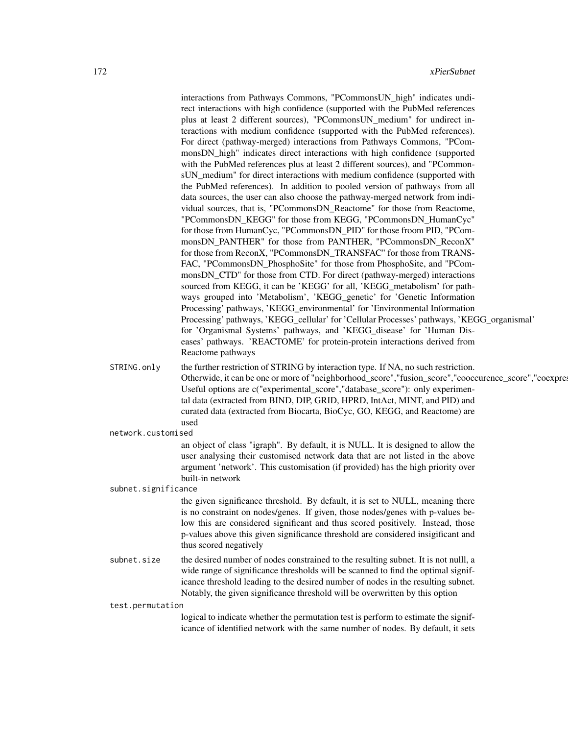interactions from Pathways Commons, "PCommonsUN\_high" indicates undirect interactions with high confidence (supported with the PubMed references plus at least 2 different sources), "PCommonsUN\_medium" for undirect interactions with medium confidence (supported with the PubMed references). For direct (pathway-merged) interactions from Pathways Commons, "PCommonsDN\_high" indicates direct interactions with high confidence (supported with the PubMed references plus at least 2 different sources), and "PCommonsUN medium" for direct interactions with medium confidence (supported with the PubMed references). In addition to pooled version of pathways from all data sources, the user can also choose the pathway-merged network from individual sources, that is, "PCommonsDN\_Reactome" for those from Reactome, "PCommonsDN\_KEGG" for those from KEGG, "PCommonsDN\_HumanCyc" for those from HumanCyc, "PCommonsDN\_PID" for those froom PID, "PCommonsDN\_PANTHER" for those from PANTHER, "PCommonsDN\_ReconX" for those from ReconX, "PCommonsDN\_TRANSFAC" for those from TRANS-FAC, "PCommonsDN\_PhosphoSite" for those from PhosphoSite, and "PCommonsDN\_CTD" for those from CTD. For direct (pathway-merged) interactions sourced from KEGG, it can be 'KEGG' for all, 'KEGG\_metabolism' for pathways grouped into 'Metabolism', 'KEGG\_genetic' for 'Genetic Information Processing' pathways, 'KEGG\_environmental' for 'Environmental Information Processing' pathways, 'KEGG\_cellular' for 'Cellular Processes' pathways, 'KEGG\_organismal' for 'Organismal Systems' pathways, and 'KEGG\_disease' for 'Human Diseases' pathways. 'REACTOME' for protein-protein interactions derived from Reactome pathways STRING.only the further restriction of STRING by interaction type. If NA, no such restriction. Otherwide, it can be one or more of "neighborhood\_score","fusion\_score","cooccurence\_score","coexpre Useful options are c("experimental\_score","database\_score"): only experimental data (extracted from BIND, DIP, GRID, HPRD, IntAct, MINT, and PID) and curated data (extracted from Biocarta, BioCyc, GO, KEGG, and Reactome) are used network.customised an object of class "igraph". By default, it is NULL. It is designed to allow the user analysing their customised network data that are not listed in the above argument 'network'. This customisation (if provided) has the high priority over built-in network subnet.significance the given significance threshold. By default, it is set to NULL, meaning there is no constraint on nodes/genes. If given, those nodes/genes with p-values below this are considered significant and thus scored positively. Instead, those p-values above this given significance threshold are considered insigificant and thus scored negatively subnet. size the desired number of nodes constrained to the resulting subnet. It is not nulll, a wide range of significance thresholds will be scanned to find the optimal significance threshold leading to the desired number of nodes in the resulting subnet. Notably, the given significance threshold will be overwritten by this option test.permutation logical to indicate whether the permutation test is perform to estimate the signif-

icance of identified network with the same number of nodes. By default, it sets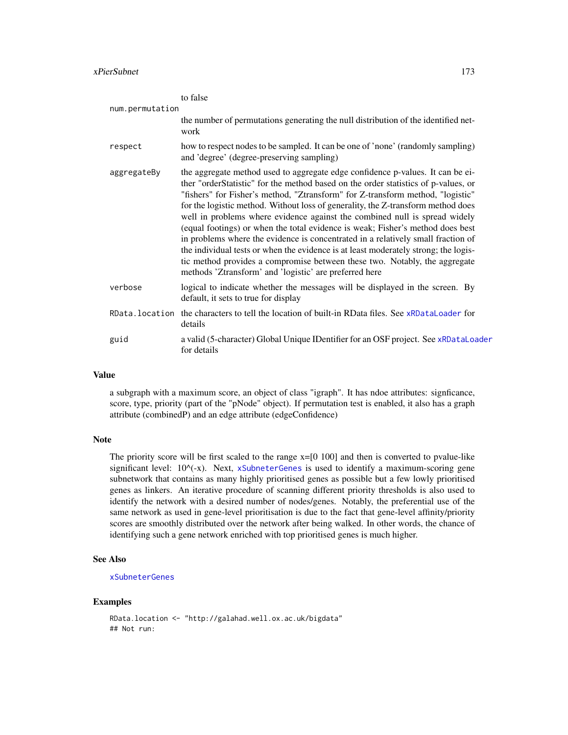|                 | to false                                                                                                                                                                                                                                                                                                                                                                                                                                                                                                                                                                                                                                                                                                                                                                                                                      |
|-----------------|-------------------------------------------------------------------------------------------------------------------------------------------------------------------------------------------------------------------------------------------------------------------------------------------------------------------------------------------------------------------------------------------------------------------------------------------------------------------------------------------------------------------------------------------------------------------------------------------------------------------------------------------------------------------------------------------------------------------------------------------------------------------------------------------------------------------------------|
| num.permutation | the number of permutations generating the null distribution of the identified net-<br>work                                                                                                                                                                                                                                                                                                                                                                                                                                                                                                                                                                                                                                                                                                                                    |
| respect         | how to respect nodes to be sampled. It can be one of 'none' (randomly sampling)<br>and 'degree' (degree-preserving sampling)                                                                                                                                                                                                                                                                                                                                                                                                                                                                                                                                                                                                                                                                                                  |
| aggregateBy     | the aggregate method used to aggregate edge confidence p-values. It can be ei-<br>ther "orderStatistic" for the method based on the order statistics of p-values, or<br>"fishers" for Fisher's method, "Ztransform" for Z-transform method, "logistic"<br>for the logistic method. Without loss of generality, the Z-transform method does<br>well in problems where evidence against the combined null is spread widely<br>(equal footings) or when the total evidence is weak; Fisher's method does best<br>in problems where the evidence is concentrated in a relatively small fraction of<br>the individual tests or when the evidence is at least moderately strong; the logis-<br>tic method provides a compromise between these two. Notably, the aggregate<br>methods 'Ztransform' and 'logistic' are preferred here |
| verbose         | logical to indicate whether the messages will be displayed in the screen. By<br>default, it sets to true for display                                                                                                                                                                                                                                                                                                                                                                                                                                                                                                                                                                                                                                                                                                          |
|                 | RData. location the characters to tell the location of built-in RData files. See xRDataLoader for<br>details                                                                                                                                                                                                                                                                                                                                                                                                                                                                                                                                                                                                                                                                                                                  |
| guid            | a valid (5-character) Global Unique IDentifier for an OSF project. See xRDataLoader<br>for details                                                                                                                                                                                                                                                                                                                                                                                                                                                                                                                                                                                                                                                                                                                            |

#### Value

a subgraph with a maximum score, an object of class "igraph". It has ndoe attributes: signficance, score, type, priority (part of the "pNode" object). If permutation test is enabled, it also has a graph attribute (combinedP) and an edge attribute (edgeConfidence)

## Note

The priority score will be first scaled to the range x=[0 100] and then is converted to pvalue-like significant level:  $10^{-}(x)$ . Next, [xSubneterGenes](#page-198-0) is used to identify a maximum-scoring gene subnetwork that contains as many highly prioritised genes as possible but a few lowly prioritised genes as linkers. An iterative procedure of scanning different priority thresholds is also used to identify the network with a desired number of nodes/genes. Notably, the preferential use of the same network as used in gene-level prioritisation is due to the fact that gene-level affinity/priority scores are smoothly distributed over the network after being walked. In other words, the chance of identifying such a gene network enriched with top prioritised genes is much higher.

#### See Also

### [xSubneterGenes](#page-198-0)

## Examples

```
RData.location <- "http://galahad.well.ox.ac.uk/bigdata"
## Not run:
```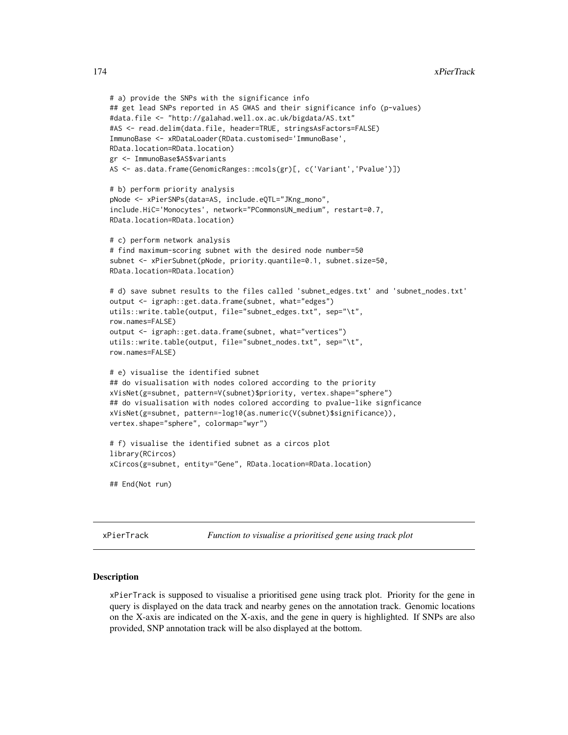```
# a) provide the SNPs with the significance info
## get lead SNPs reported in AS GWAS and their significance info (p-values)
#data.file <- "http://galahad.well.ox.ac.uk/bigdata/AS.txt"
#AS <- read.delim(data.file, header=TRUE, stringsAsFactors=FALSE)
ImmunoBase <- xRDataLoader(RData.customised='ImmunoBase',
RData.location=RData.location)
gr <- ImmunoBase$AS$variants
AS <- as.data.frame(GenomicRanges::mcols(gr)[, c('Variant','Pvalue')])
# b) perform priority analysis
pNode <- xPierSNPs(data=AS, include.eQTL="JKng_mono",
include.HiC='Monocytes', network="PCommonsUN_medium", restart=0.7,
RData.location=RData.location)
# c) perform network analysis
# find maximum-scoring subnet with the desired node number=50
subnet <- xPierSubnet(pNode, priority.quantile=0.1, subnet.size=50,
RData.location=RData.location)
# d) save subnet results to the files called 'subnet_edges.txt' and 'subnet_nodes.txt'
output <- igraph::get.data.frame(subnet, what="edges")
utils::write.table(output, file="subnet_edges.txt", sep="\t",
row.names=FALSE)
output <- igraph::get.data.frame(subnet, what="vertices")
utils::write.table(output, file="subnet_nodes.txt", sep="\t",
row.names=FALSE)
# e) visualise the identified subnet
## do visualisation with nodes colored according to the priority
xVisNet(g=subnet, pattern=V(subnet)$priority, vertex.shape="sphere")
## do visualisation with nodes colored according to pvalue-like signficance
xVisNet(g=subnet, pattern=-log10(as.numeric(V(subnet)$significance)),
vertex.shape="sphere", colormap="wyr")
# f) visualise the identified subnet as a circos plot
library(RCircos)
xCircos(g=subnet, entity="Gene", RData.location=RData.location)
## End(Not run)
```
xPierTrack *Function to visualise a prioritised gene using track plot*

## **Description**

xPierTrack is supposed to visualise a prioritised gene using track plot. Priority for the gene in query is displayed on the data track and nearby genes on the annotation track. Genomic locations on the X-axis are indicated on the X-axis, and the gene in query is highlighted. If SNPs are also provided, SNP annotation track will be also displayed at the bottom.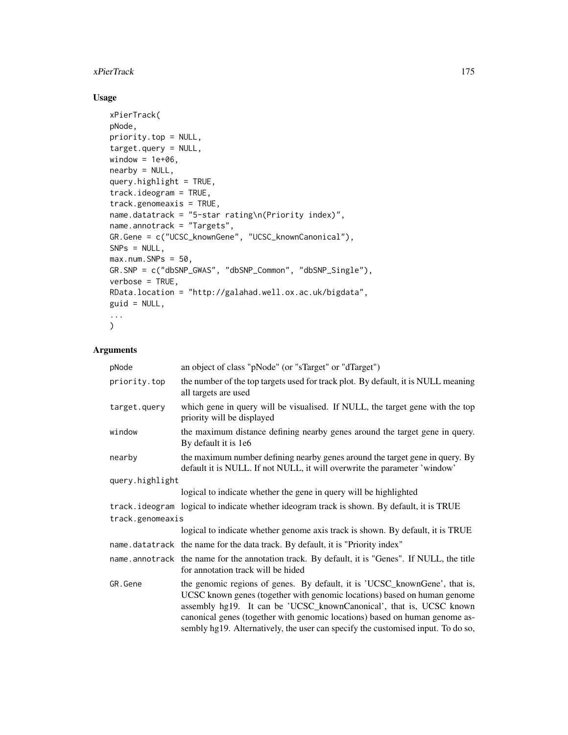## xPierTrack 175

# Usage

```
xPierTrack(
pNode,
priority.top = NULL,
target.query = NULL,
window = 1e+06,
nearby = NULL,
query.highlight = TRUE,
track.ideogram = TRUE,
track.genomeaxis = TRUE,
name.datatrack = "5-star rating\n(Priority index)",
name.annotrack = "Targets",
GR.Gene = c("UCSC_knownGene", "UCSC_knownCanonical"),
SNPs = NULL,max.num.SNPs = 50,
GR.SNP = c("dbSNP_GWAS", "dbSNP_Common", "dbSNP_Single"),
verbose = TRUE,
RData.location = "http://galahad.well.ox.ac.uk/bigdata",
guid = NULL,...
\sum_{i=1}^{n}
```
# Arguments

| pNode            | an object of class "pNode" (or "sTarget" or "dTarget")                                                                                                                                                                                                                                                                                                                                           |
|------------------|--------------------------------------------------------------------------------------------------------------------------------------------------------------------------------------------------------------------------------------------------------------------------------------------------------------------------------------------------------------------------------------------------|
| priority.top     | the number of the top targets used for track plot. By default, it is NULL meaning<br>all targets are used                                                                                                                                                                                                                                                                                        |
| target.query     | which gene in query will be visualised. If NULL, the target gene with the top<br>priority will be displayed                                                                                                                                                                                                                                                                                      |
| window           | the maximum distance defining nearby genes around the target gene in query.<br>By default it is 1e6                                                                                                                                                                                                                                                                                              |
| nearby           | the maximum number defining nearby genes around the target gene in query. By<br>default it is NULL. If not NULL, it will overwrite the parameter 'window'                                                                                                                                                                                                                                        |
| query.highlight  |                                                                                                                                                                                                                                                                                                                                                                                                  |
|                  | logical to indicate whether the gene in query will be highlighted                                                                                                                                                                                                                                                                                                                                |
|                  | track. ideogram logical to indicate whether ideogram track is shown. By default, it is TRUE                                                                                                                                                                                                                                                                                                      |
| track.genomeaxis |                                                                                                                                                                                                                                                                                                                                                                                                  |
|                  | logical to indicate whether genome axis track is shown. By default, it is TRUE                                                                                                                                                                                                                                                                                                                   |
|                  | name.datatrack the name for the data track. By default, it is "Priority index"                                                                                                                                                                                                                                                                                                                   |
|                  | name. annotrack the name for the annotation track. By default, it is "Genes". If NULL, the title<br>for annotation track will be hided                                                                                                                                                                                                                                                           |
| GR.Gene          | the genomic regions of genes. By default, it is 'UCSC_knownGene', that is,<br>UCSC known genes (together with genomic locations) based on human genome<br>assembly hg19. It can be 'UCSC_knownCanonical', that is, UCSC known<br>canonical genes (together with genomic locations) based on human genome as-<br>sembly hg19. Alternatively, the user can specify the customised input. To do so, |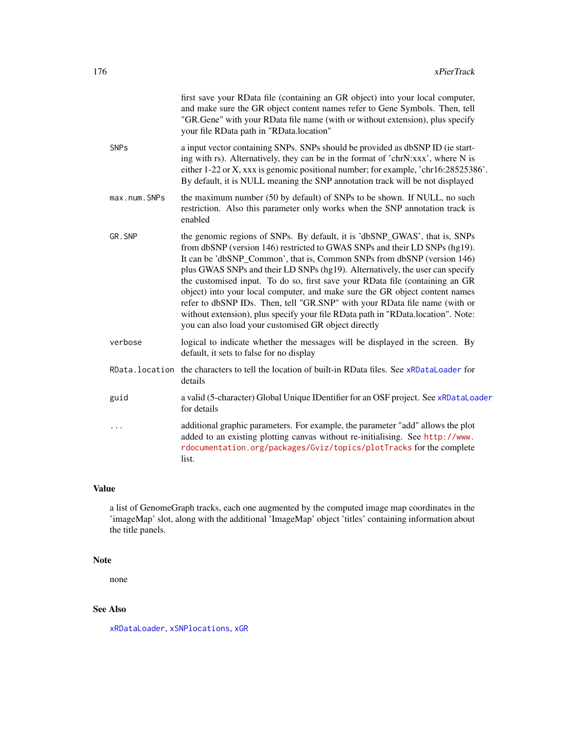|              | first save your RData file (containing an GR object) into your local computer,<br>and make sure the GR object content names refer to Gene Symbols. Then, tell<br>"GR.Gene" with your RData file name (with or without extension), plus specify<br>your file RData path in "RData.location"                                                                                                                                                                                                                                                                                                                                                                                                                   |
|--------------|--------------------------------------------------------------------------------------------------------------------------------------------------------------------------------------------------------------------------------------------------------------------------------------------------------------------------------------------------------------------------------------------------------------------------------------------------------------------------------------------------------------------------------------------------------------------------------------------------------------------------------------------------------------------------------------------------------------|
| <b>SNPs</b>  | a input vector containing SNPs. SNPs should be provided as dbSNP ID (ie start-<br>ing with rs). Alternatively, they can be in the format of 'chrN:xxx', where N is<br>either 1-22 or X, xxx is genomic positional number; for example, 'chr16:28525386'.<br>By default, it is NULL meaning the SNP annotation track will be not displayed                                                                                                                                                                                                                                                                                                                                                                    |
| max.num.SNPs | the maximum number (50 by default) of SNPs to be shown. If NULL, no such<br>restriction. Also this parameter only works when the SNP annotation track is<br>enabled                                                                                                                                                                                                                                                                                                                                                                                                                                                                                                                                          |
| GR.SNP       | the genomic regions of SNPs. By default, it is 'dbSNP_GWAS', that is, SNPs<br>from dbSNP (version 146) restricted to GWAS SNPs and their LD SNPs (hg19).<br>It can be 'dbSNP_Common', that is, Common SNPs from dbSNP (version 146)<br>plus GWAS SNPs and their LD SNPs (hg19). Alternatively, the user can specify<br>the customised input. To do so, first save your RData file (containing an GR<br>object) into your local computer, and make sure the GR object content names<br>refer to dbSNP IDs. Then, tell "GR.SNP" with your RData file name (with or<br>without extension), plus specify your file RData path in "RData.location". Note:<br>you can also load your customised GR object directly |
| verbose      | logical to indicate whether the messages will be displayed in the screen. By<br>default, it sets to false for no display                                                                                                                                                                                                                                                                                                                                                                                                                                                                                                                                                                                     |
|              | RData. location the characters to tell the location of built-in RData files. See xRDataLoader for<br>details                                                                                                                                                                                                                                                                                                                                                                                                                                                                                                                                                                                                 |
| guid         | a valid (5-character) Global Unique IDentifier for an OSF project. See xRDataLoader<br>for details                                                                                                                                                                                                                                                                                                                                                                                                                                                                                                                                                                                                           |
| .            | additional graphic parameters. For example, the parameter "add" allows the plot<br>added to an existing plotting canvas without re-initialising. See http://www.<br>rdocumentation.org/packages/Gviz/topics/plotTracks for the complete<br>list.                                                                                                                                                                                                                                                                                                                                                                                                                                                             |
|              |                                                                                                                                                                                                                                                                                                                                                                                                                                                                                                                                                                                                                                                                                                              |

# Value

a list of GenomeGraph tracks, each one augmented by the computed image map coordinates in the 'imageMap' slot, along with the additional 'ImageMap' object 'titles' containing information about the title panels.

## Note

none

# See Also

[xRDataLoader](#page-182-0), [xSNPlocations](#page-193-0), [xGR](#page-68-0)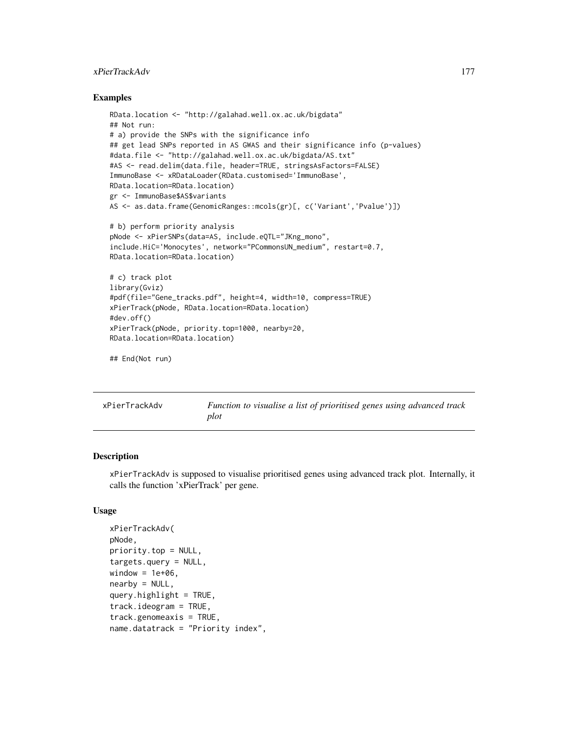# xPierTrackAdv 177

## Examples

```
RData.location <- "http://galahad.well.ox.ac.uk/bigdata"
## Not run:
# a) provide the SNPs with the significance info
## get lead SNPs reported in AS GWAS and their significance info (p-values)
#data.file <- "http://galahad.well.ox.ac.uk/bigdata/AS.txt"
#AS <- read.delim(data.file, header=TRUE, stringsAsFactors=FALSE)
ImmunoBase <- xRDataLoader(RData.customised='ImmunoBase',
RData.location=RData.location)
gr <- ImmunoBase$AS$variants
AS <- as.data.frame(GenomicRanges::mcols(gr)[, c('Variant','Pvalue')])
# b) perform priority analysis
pNode <- xPierSNPs(data=AS, include.eQTL="JKng_mono",
include.HiC='Monocytes', network="PCommonsUN_medium", restart=0.7,
RData.location=RData.location)
# c) track plot
library(Gviz)
#pdf(file="Gene_tracks.pdf", height=4, width=10, compress=TRUE)
xPierTrack(pNode, RData.location=RData.location)
#dev.off()
xPierTrack(pNode, priority.top=1000, nearby=20,
RData.location=RData.location)
## End(Not run)
```

| xPierTrackAdv | Function to visualise a list of prioritised genes using advanced track |
|---------------|------------------------------------------------------------------------|
|               | plot                                                                   |

# Description

xPierTrackAdv is supposed to visualise prioritised genes using advanced track plot. Internally, it calls the function 'xPierTrack' per gene.

### Usage

```
xPierTrackAdv(
pNode,
priority.top = NULL,
targets.query = NULL,
window = 1e+06.
nearby = NULL,
query.highth = TRUE,
track.ideogram = TRUE,
track.genomeaxis = TRUE,
name.datatrack = "Priority index",
```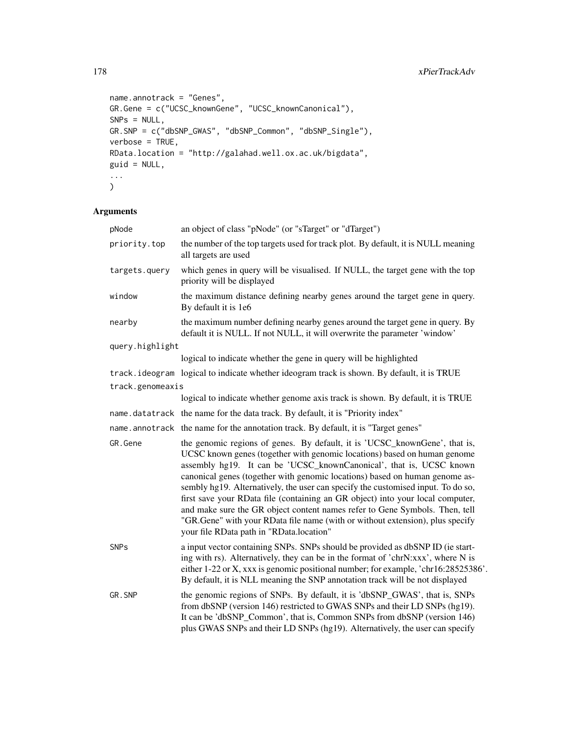```
name.annotrack = "Genes",
GR.Gene = c("UCSC_knownGene", "UCSC_knownCanonical"),
SNPs = NULL,GR.SNP = c("dbSNP_GWAS", "dbSNP_Common", "dbSNP_Single"),
verbose = TRUE,
RData.location = "http://galahad.well.ox.ac.uk/bigdata",
guid = NULL,...
)
```
# Arguments

| pNode            | an object of class "pNode" (or "sTarget" or "dTarget")                                                                                                                                                                                                                                                                                                                                                                                                                                                                                                                                                                                                                                         |  |
|------------------|------------------------------------------------------------------------------------------------------------------------------------------------------------------------------------------------------------------------------------------------------------------------------------------------------------------------------------------------------------------------------------------------------------------------------------------------------------------------------------------------------------------------------------------------------------------------------------------------------------------------------------------------------------------------------------------------|--|
| priority.top     | the number of the top targets used for track plot. By default, it is NULL meaning<br>all targets are used                                                                                                                                                                                                                                                                                                                                                                                                                                                                                                                                                                                      |  |
| targets.query    | which genes in query will be visualised. If NULL, the target gene with the top<br>priority will be displayed                                                                                                                                                                                                                                                                                                                                                                                                                                                                                                                                                                                   |  |
| window           | the maximum distance defining nearby genes around the target gene in query.<br>By default it is 1e6                                                                                                                                                                                                                                                                                                                                                                                                                                                                                                                                                                                            |  |
| nearby           | the maximum number defining nearby genes around the target gene in query. By<br>default it is NULL. If not NULL, it will overwrite the parameter 'window'                                                                                                                                                                                                                                                                                                                                                                                                                                                                                                                                      |  |
| query.highlight  |                                                                                                                                                                                                                                                                                                                                                                                                                                                                                                                                                                                                                                                                                                |  |
|                  | logical to indicate whether the gene in query will be highlighted                                                                                                                                                                                                                                                                                                                                                                                                                                                                                                                                                                                                                              |  |
|                  | track.ideogram logical to indicate whether ideogram track is shown. By default, it is TRUE                                                                                                                                                                                                                                                                                                                                                                                                                                                                                                                                                                                                     |  |
| track.genomeaxis |                                                                                                                                                                                                                                                                                                                                                                                                                                                                                                                                                                                                                                                                                                |  |
|                  | logical to indicate whether genome axis track is shown. By default, it is TRUE                                                                                                                                                                                                                                                                                                                                                                                                                                                                                                                                                                                                                 |  |
|                  | name.datatrack the name for the data track. By default, it is "Priority index"                                                                                                                                                                                                                                                                                                                                                                                                                                                                                                                                                                                                                 |  |
|                  | name.annotrack the name for the annotation track. By default, it is "Target genes"                                                                                                                                                                                                                                                                                                                                                                                                                                                                                                                                                                                                             |  |
| GR.Gene          | the genomic regions of genes. By default, it is 'UCSC_knownGene', that is,<br>UCSC known genes (together with genomic locations) based on human genome<br>assembly hg19. It can be 'UCSC_knownCanonical', that is, UCSC known<br>canonical genes (together with genomic locations) based on human genome as-<br>sembly hg19. Alternatively, the user can specify the customised input. To do so,<br>first save your RData file (containing an GR object) into your local computer,<br>and make sure the GR object content names refer to Gene Symbols. Then, tell<br>"GR.Gene" with your RData file name (with or without extension), plus specify<br>your file RData path in "RData.location" |  |
| <b>SNPs</b>      | a input vector containing SNPs. SNPs should be provided as dbSNP ID (ie start-<br>ing with rs). Alternatively, they can be in the format of 'chrN:xxx', where N is<br>either 1-22 or X, xxx is genomic positional number; for example, 'chr16:28525386'.<br>By default, it is NLL meaning the SNP annotation track will be not displayed                                                                                                                                                                                                                                                                                                                                                       |  |
| GR.SNP           | the genomic regions of SNPs. By default, it is 'dbSNP_GWAS', that is, SNPs<br>from dbSNP (version 146) restricted to GWAS SNPs and their LD SNPs (hg19).<br>It can be 'dbSNP_Common', that is, Common SNPs from dbSNP (version 146)<br>plus GWAS SNPs and their LD SNPs (hg19). Alternatively, the user can specify                                                                                                                                                                                                                                                                                                                                                                            |  |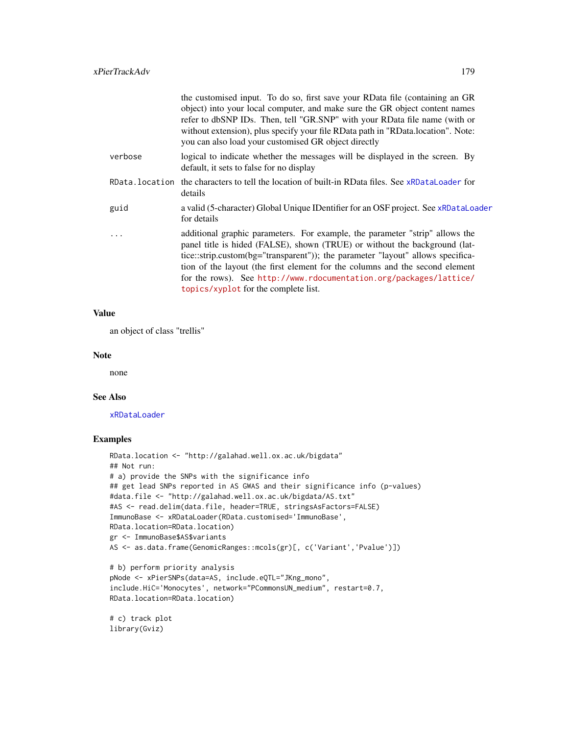| the customised input. To do so, first save your RData file (containing an GR<br>object) into your local computer, and make sure the GR object content names<br>refer to dbSNP IDs. Then, tell "GR.SNP" with your RData file name (with or<br>without extension), plus specify your file RData path in "RData.location". Note:<br>you can also load your customised GR object directly                                                       |
|---------------------------------------------------------------------------------------------------------------------------------------------------------------------------------------------------------------------------------------------------------------------------------------------------------------------------------------------------------------------------------------------------------------------------------------------|
| logical to indicate whether the messages will be displayed in the screen. By<br>default, it sets to false for no display                                                                                                                                                                                                                                                                                                                    |
| RData, location the characters to tell the location of built-in RData files. See xRDataLoader for<br>details                                                                                                                                                                                                                                                                                                                                |
| a valid (5-character) Global Unique IDentifier for an OSF project. See xRDataLoader<br>for details                                                                                                                                                                                                                                                                                                                                          |
| additional graphic parameters. For example, the parameter "strip" allows the<br>panel title is hided (FALSE), shown (TRUE) or without the background (lat-<br>tice::strip.custom(bg="transparent")); the parameter "layout" allows specifica-<br>tion of the layout (the first element for the columns and the second element<br>for the rows). See http://www.rdocumentation.org/packages/lattice/<br>topics/xyplot for the complete list. |
|                                                                                                                                                                                                                                                                                                                                                                                                                                             |

## Value

an object of class "trellis"

#### Note

none

## See Also

[xRDataLoader](#page-182-0)

# Examples

```
RData.location <- "http://galahad.well.ox.ac.uk/bigdata"
## Not run:
# a) provide the SNPs with the significance info
## get lead SNPs reported in AS GWAS and their significance info (p-values)
#data.file <- "http://galahad.well.ox.ac.uk/bigdata/AS.txt"
#AS <- read.delim(data.file, header=TRUE, stringsAsFactors=FALSE)
ImmunoBase <- xRDataLoader(RData.customised='ImmunoBase',
RData.location=RData.location)
gr <- ImmunoBase$AS$variants
AS <- as.data.frame(GenomicRanges::mcols(gr)[, c('Variant','Pvalue')])
# b) perform priority analysis
pNode <- xPierSNPs(data=AS, include.eQTL="JKng_mono",
include.HiC='Monocytes', network="PCommonsUN_medium", restart=0.7,
RData.location=RData.location)
# c) track plot
```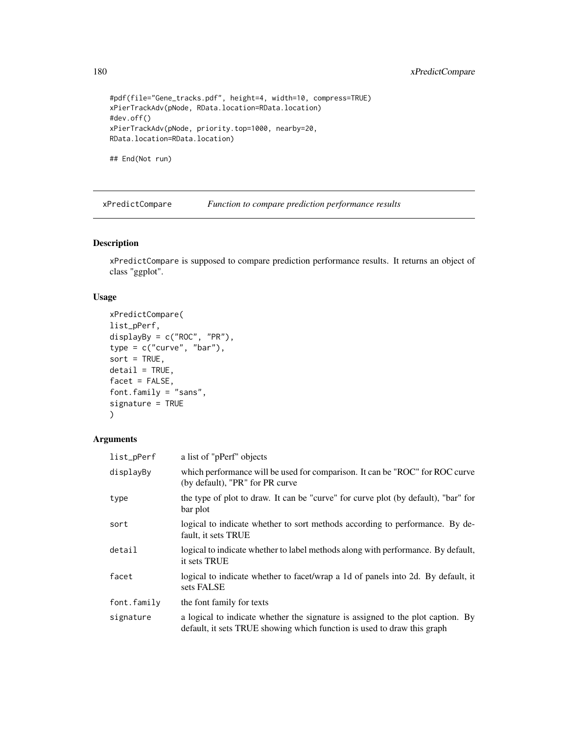```
#pdf(file="Gene_tracks.pdf", height=4, width=10, compress=TRUE)
xPierTrackAdv(pNode, RData.location=RData.location)
#dev.off()
xPierTrackAdv(pNode, priority.top=1000, nearby=20,
RData.location=RData.location)
```
## End(Not run)

xPredictCompare *Function to compare prediction performance results*

## Description

xPredictCompare is supposed to compare prediction performance results. It returns an object of class "ggplot".

## Usage

```
xPredictCompare(
list_pPerf,
displayBy = c("ROC", "PR"),
type = c("curve", "bar"),
sort = TRUE,delta1 = TRUE,facet = FALSE,
font.family = "sans",
signature = TRUE
\mathcal{L}
```
# Arguments

| list_pPerf  | a list of "pPerf" objects                                                                                                                                  |
|-------------|------------------------------------------------------------------------------------------------------------------------------------------------------------|
| displayBy   | which performance will be used for comparison. It can be "ROC" for ROC curve<br>(by default), "PR" for PR curve                                            |
| type        | the type of plot to draw. It can be "curve" for curve plot (by default), "bar" for<br>bar plot                                                             |
| sort        | logical to indicate whether to sort methods according to performance. By de-<br>fault, it sets TRUE                                                        |
| detail      | logical to indicate whether to label methods along with performance. By default,<br>it sets TRUE                                                           |
| facet       | logical to indicate whether to facet/wrap a 1d of panels into 2d. By default, it<br>sets FALSE                                                             |
| font.family | the font family for texts                                                                                                                                  |
| signature   | a logical to indicate whether the signature is assigned to the plot caption. By<br>default, it sets TRUE showing which function is used to draw this graph |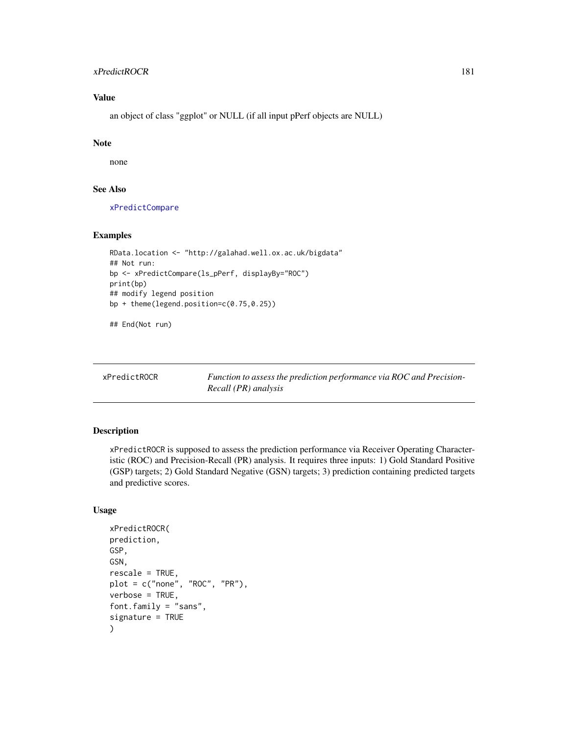#### <span id="page-180-1"></span>xPredictROCR 181

# Value

an object of class "ggplot" or NULL (if all input pPerf objects are NULL)

#### Note

none

#### See Also

[xPredictCompare](#page-179-0)

#### Examples

```
RData.location <- "http://galahad.well.ox.ac.uk/bigdata"
## Not run:
bp <- xPredictCompare(ls_pPerf, displayBy="ROC")
print(bp)
## modify legend position
bp + theme(legend.position=c(0.75,0.25))
## End(Not run)
```
<span id="page-180-0"></span>

xPredictROCR *Function to assess the prediction performance via ROC and Precision-Recall (PR) analysis*

#### Description

xPredictROCR is supposed to assess the prediction performance via Receiver Operating Characteristic (ROC) and Precision-Recall (PR) analysis. It requires three inputs: 1) Gold Standard Positive (GSP) targets; 2) Gold Standard Negative (GSN) targets; 3) prediction containing predicted targets and predictive scores.

#### Usage

```
xPredictROCR(
prediction,
GSP,
GSN,
rescale = TRUE,
plot = c("none", "ROC", "PR"),
verbose = TRUE,
font.family = "sans",
signature = TRUE
)
```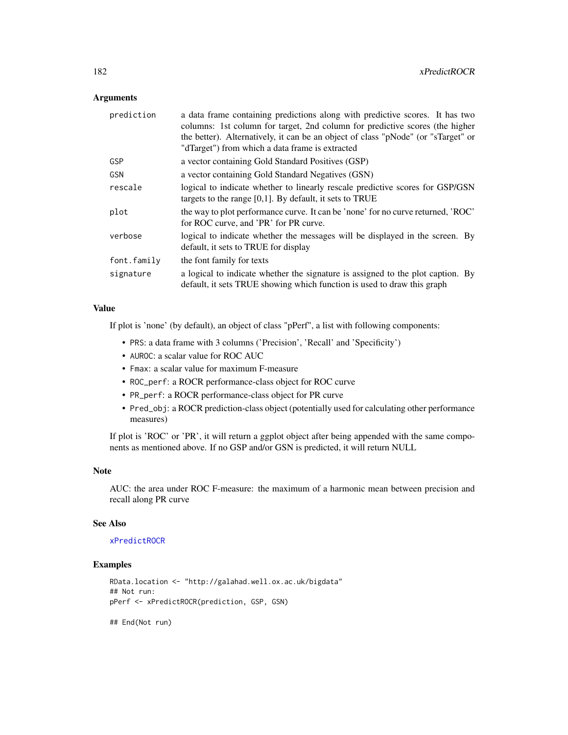<span id="page-181-0"></span>

| prediction  | a data frame containing predictions along with predictive scores. It has two<br>columns: 1st column for target, 2nd column for predictive scores (the higher<br>the better). Alternatively, it can be an object of class "pNode" (or "sTarget" or<br>"dTarget") from which a data frame is extracted |
|-------------|------------------------------------------------------------------------------------------------------------------------------------------------------------------------------------------------------------------------------------------------------------------------------------------------------|
| GSP         | a vector containing Gold Standard Positives (GSP)                                                                                                                                                                                                                                                    |
| GSN         | a vector containing Gold Standard Negatives (GSN)                                                                                                                                                                                                                                                    |
| rescale     | logical to indicate whether to linearly rescale predictive scores for GSP/GSN<br>targets to the range $[0,1]$ . By default, it sets to TRUE                                                                                                                                                          |
| plot        | the way to plot performance curve. It can be 'none' for no curve returned, 'ROC'<br>for ROC curve, and 'PR' for PR curve.                                                                                                                                                                            |
| verbose     | logical to indicate whether the messages will be displayed in the screen. By<br>default, it sets to TRUE for display                                                                                                                                                                                 |
| font.family | the font family for texts                                                                                                                                                                                                                                                                            |
| signature   | a logical to indicate whether the signature is assigned to the plot caption. By<br>default, it sets TRUE showing which function is used to draw this graph                                                                                                                                           |

#### Value

If plot is 'none' (by default), an object of class "pPerf", a list with following components:

- PRS: a data frame with 3 columns ('Precision', 'Recall' and 'Specificity')
- AUROC: a scalar value for ROC AUC
- Fmax: a scalar value for maximum F-measure
- ROC\_perf: a ROCR performance-class object for ROC curve
- PR\_perf: a ROCR performance-class object for PR curve
- Pred\_obj: a ROCR prediction-class object (potentially used for calculating other performance measures)

If plot is 'ROC' or 'PR', it will return a ggplot object after being appended with the same components as mentioned above. If no GSP and/or GSN is predicted, it will return NULL

#### Note

AUC: the area under ROC F-measure: the maximum of a harmonic mean between precision and recall along PR curve

#### See Also

#### [xPredictROCR](#page-180-0)

#### Examples

```
RData.location <- "http://galahad.well.ox.ac.uk/bigdata"
## Not run:
pPerf <- xPredictROCR(prediction, GSP, GSN)
```
## End(Not run)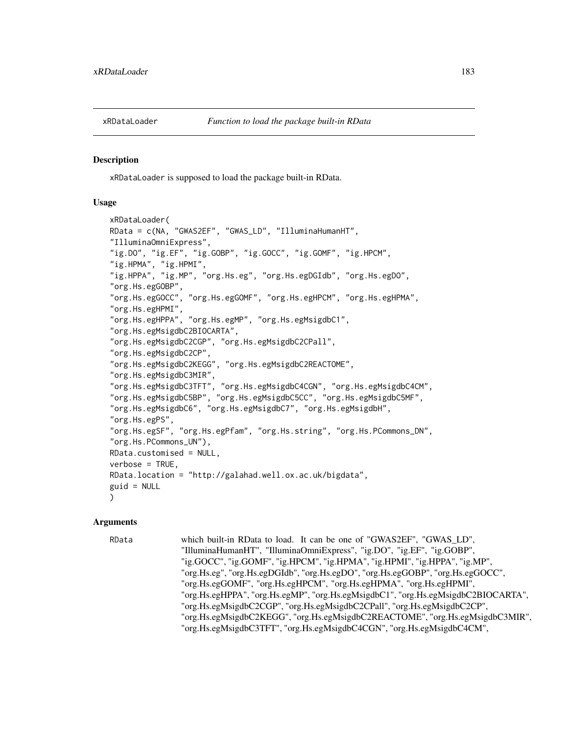<span id="page-182-1"></span><span id="page-182-0"></span>

#### Description

xRDataLoader is supposed to load the package built-in RData.

#### Usage

```
xRDataLoader(
RData = c(NA, "GWAS2EF", "GWAS_LD", "IlluminaHumanHT",
"IlluminaOmniExpress",
"ig.DO", "ig.EF", "ig.GOBP", "ig.GOCC", "ig.GOMF", "ig.HPCM",
"ig.HPMA", "ig.HPMI",
"ig.HPPA", "ig.MP", "org.Hs.eg", "org.Hs.egDGIdb", "org.Hs.egDO",
"org.Hs.egGOBP",
"org.Hs.egGOCC", "org.Hs.egGOMF", "org.Hs.egHPCM", "org.Hs.egHPMA",
"org.Hs.egHPMI",
"org.Hs.egHPPA", "org.Hs.egMP", "org.Hs.egMsigdbC1",
"org.Hs.egMsigdbC2BIOCARTA",
"org.Hs.egMsigdbC2CGP", "org.Hs.egMsigdbC2CPall",
"org.Hs.egMsigdbC2CP",
"org.Hs.egMsigdbC2KEGG", "org.Hs.egMsigdbC2REACTOME",
"org.Hs.egMsigdbC3MIR",
"org.Hs.egMsigdbC3TFT", "org.Hs.egMsigdbC4CGN", "org.Hs.egMsigdbC4CM",
"org.Hs.egMsigdbC5BP", "org.Hs.egMsigdbC5CC", "org.Hs.egMsigdbC5MF",
"org.Hs.egMsigdbC6", "org.Hs.egMsigdbC7", "org.Hs.egMsigdbH",
"org.Hs.egPS",
"org.Hs.egSF", "org.Hs.egPfam", "org.Hs.string", "org.Hs.PCommons_DN",
"org.Hs.PCommons_UN"),
RData.customised = NULL,
verbose = TRUE,
RData.location = "http://galahad.well.ox.ac.uk/bigdata",
guid = NULL)
```
#### Arguments

RData which built-in RData to load. It can be one of "GWAS2EF", "GWAS\_LD", "IlluminaHumanHT", "IlluminaOmniExpress", "ig.DO", "ig.EF", "ig.GOBP", "ig.GOCC", "ig.GOMF", "ig.HPCM", "ig.HPMA", "ig.HPMI", "ig.HPPA", "ig.MP", "org.Hs.eg", "org.Hs.egDGIdb", "org.Hs.egDO", "org.Hs.egGOBP", "org.Hs.egGOCC", "org.Hs.egGOMF", "org.Hs.egHPCM", "org.Hs.egHPMA", "org.Hs.egHPMI", "org.Hs.egHPPA", "org.Hs.egMP", "org.Hs.egMsigdbC1", "org.Hs.egMsigdbC2BIOCARTA", "org.Hs.egMsigdbC2CGP", "org.Hs.egMsigdbC2CPall", "org.Hs.egMsigdbC2CP", "org.Hs.egMsigdbC2KEGG", "org.Hs.egMsigdbC2REACTOME", "org.Hs.egMsigdbC3MIR", "org.Hs.egMsigdbC3TFT", "org.Hs.egMsigdbC4CGN", "org.Hs.egMsigdbC4CM",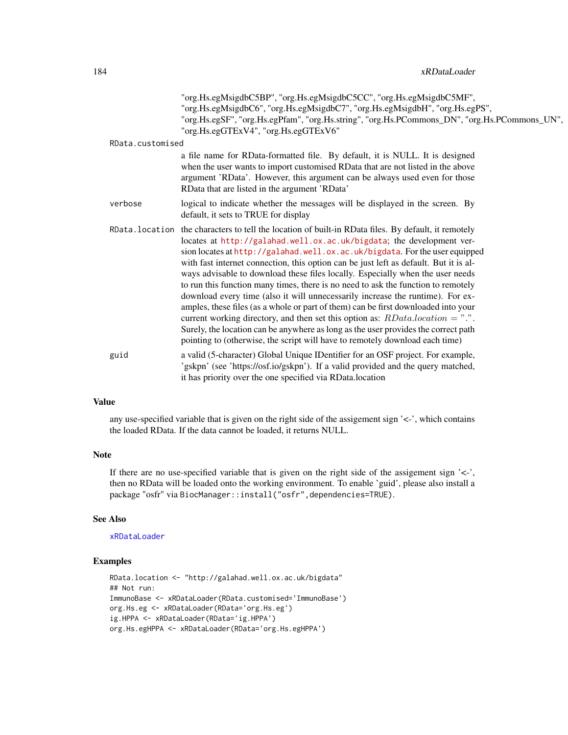<span id="page-183-0"></span>

|                  | "org.Hs.egMsigdbC5BP", "org.Hs.egMsigdbC5CC", "org.Hs.egMsigdbC5MF",<br>"org.Hs.egMsigdbC6", "org.Hs.egMsigdbC7", "org.Hs.egMsigdbH", "org.Hs.egPS",<br>"org.Hs.egSF", "org.Hs.egPfam", "org.Hs.string", "org.Hs.PCommons_DN", "org.Hs.PCommons_UN",<br>"org.Hs.egGTExV4", "org.Hs.egGTExV6"                                                                                                                                                                                                                                                                                                                                                                                                                                                                                                                                                                                                                                                                   |
|------------------|----------------------------------------------------------------------------------------------------------------------------------------------------------------------------------------------------------------------------------------------------------------------------------------------------------------------------------------------------------------------------------------------------------------------------------------------------------------------------------------------------------------------------------------------------------------------------------------------------------------------------------------------------------------------------------------------------------------------------------------------------------------------------------------------------------------------------------------------------------------------------------------------------------------------------------------------------------------|
| RData.customised |                                                                                                                                                                                                                                                                                                                                                                                                                                                                                                                                                                                                                                                                                                                                                                                                                                                                                                                                                                |
|                  | a file name for RData-formatted file. By default, it is NULL. It is designed<br>when the user wants to import customised RData that are not listed in the above<br>argument 'RData'. However, this argument can be always used even for those<br>RData that are listed in the argument 'RData'                                                                                                                                                                                                                                                                                                                                                                                                                                                                                                                                                                                                                                                                 |
| verbose          | logical to indicate whether the messages will be displayed in the screen. By<br>default, it sets to TRUE for display                                                                                                                                                                                                                                                                                                                                                                                                                                                                                                                                                                                                                                                                                                                                                                                                                                           |
|                  | RData. location the characters to tell the location of built-in RData files. By default, it remotely<br>locates at http://galahad.well.ox.ac.uk/bigdata; the development ver-<br>sion locates at http://galahad.well.ox.ac.uk/bigdata. For the user equipped<br>with fast internet connection, this option can be just left as default. But it is al-<br>ways advisable to download these files locally. Especially when the user needs<br>to run this function many times, there is no need to ask the function to remotely<br>download every time (also it will unnecessarily increase the runtime). For ex-<br>amples, these files (as a whole or part of them) can be first downloaded into your<br>current working directory, and then set this option as: $RData location = "."$ .<br>Surely, the location can be anywhere as long as the user provides the correct path<br>pointing to (otherwise, the script will have to remotely download each time) |
| guid             | a valid (5-character) Global Unique IDentifier for an OSF project. For example,<br>'gskpn' (see 'https://osf.io/gskpn'). If a valid provided and the query matched,<br>it has priority over the one specified via RData.location                                                                                                                                                                                                                                                                                                                                                                                                                                                                                                                                                                                                                                                                                                                               |
|                  |                                                                                                                                                                                                                                                                                                                                                                                                                                                                                                                                                                                                                                                                                                                                                                                                                                                                                                                                                                |

any use-specified variable that is given on the right side of the assigement sign '<-', which contains the loaded RData. If the data cannot be loaded, it returns NULL.

#### Note

If there are no use-specified variable that is given on the right side of the assigement sign '<-', then no RData will be loaded onto the working environment. To enable 'guid', please also install a package "osfr" via BiocManager::install("osfr",dependencies=TRUE).

#### See Also

#### [xRDataLoader](#page-182-0)

#### Examples

```
RData.location <- "http://galahad.well.ox.ac.uk/bigdata"
## Not run:
ImmunoBase <- xRDataLoader(RData.customised='ImmunoBase')
org.Hs.eg <- xRDataLoader(RData='org.Hs.eg')
ig.HPPA <- xRDataLoader(RData='ig.HPPA')
org.Hs.egHPPA <- xRDataLoader(RData='org.Hs.egHPPA')
```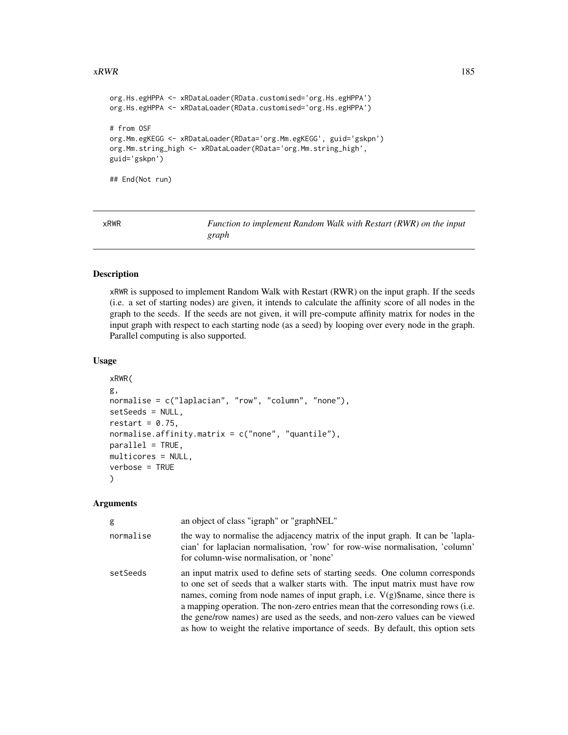#### <span id="page-184-0"></span> $xRWR$  and the set of the set of the set of the set of the set of the set of the set of the set of the set of the set of the set of the set of the set of the set of the set of the set of the set of the set of the set of th

```
org.Hs.egHPPA <- xRDataLoader(RData.customised='org.Hs.egHPPA')
org.Hs.egHPPA <- xRDataLoader(RData.customised='org.Hs.egHPPA')
# from OSF
org.Mm.egKEGG <- xRDataLoader(RData='org.Mm.egKEGG', guid='gskpn')
org.Mm.string_high <- xRDataLoader(RData='org.Mm.string_high',
guid='gskpn')
## End(Not run)
```
xRWR *Function to implement Random Walk with Restart (RWR) on the input graph*

#### Description

xRWR is supposed to implement Random Walk with Restart (RWR) on the input graph. If the seeds (i.e. a set of starting nodes) are given, it intends to calculate the affinity score of all nodes in the graph to the seeds. If the seeds are not given, it will pre-compute affinity matrix for nodes in the input graph with respect to each starting node (as a seed) by looping over every node in the graph. Parallel computing is also supported.

#### Usage

```
xRWR(
g,
normalise = c("laplacian", "row", "column", "none"),
setSeeds = NULL,
restart = 0.75,
normalise.affinity.matrix = c("none", "quantile"),
parallel = TRUE,
multicores = NULL,
verbose = TRUE
)
```

| g         | an object of class "igraph" or "graphNEL"                                                                                                                                                                                                                                                                                                                                                                                                                                                                |
|-----------|----------------------------------------------------------------------------------------------------------------------------------------------------------------------------------------------------------------------------------------------------------------------------------------------------------------------------------------------------------------------------------------------------------------------------------------------------------------------------------------------------------|
| normalise | the way to normalise the adjacency matrix of the input graph. It can be 'lapla-<br>cian' for laplacian normalisation, 'row' for row-wise normalisation, 'column'<br>for column-wise normalisation, or 'none'                                                                                                                                                                                                                                                                                             |
| setSeeds  | an input matrix used to define sets of starting seeds. One column corresponds<br>to one set of seeds that a walker starts with. The input matrix must have row<br>names, coming from node names of input graph, i.e. $V(g)$ \$name, since there is<br>a mapping operation. The non-zero entries mean that the corresonding rows (i.e.<br>the gene/row names) are used as the seeds, and non-zero values can be viewed<br>as how to weight the relative importance of seeds. By default, this option sets |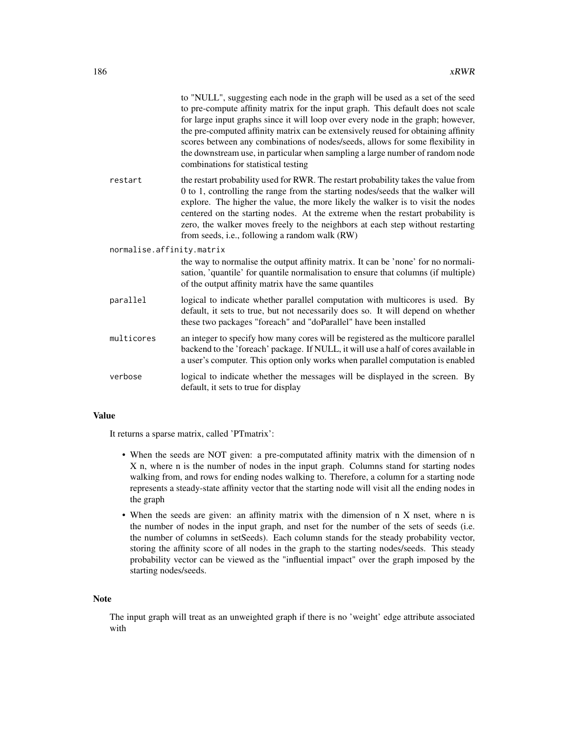|                           | to "NULL", suggesting each node in the graph will be used as a set of the seed<br>to pre-compute affinity matrix for the input graph. This default does not scale<br>for large input graphs since it will loop over every node in the graph; however,<br>the pre-computed affinity matrix can be extensively reused for obtaining affinity<br>scores between any combinations of nodes/seeds, allows for some flexibility in<br>the downstream use, in particular when sampling a large number of random node<br>combinations for statistical testing |
|---------------------------|-------------------------------------------------------------------------------------------------------------------------------------------------------------------------------------------------------------------------------------------------------------------------------------------------------------------------------------------------------------------------------------------------------------------------------------------------------------------------------------------------------------------------------------------------------|
| restart                   | the restart probability used for RWR. The restart probability takes the value from<br>0 to 1, controlling the range from the starting nodes/seeds that the walker will<br>explore. The higher the value, the more likely the walker is to visit the nodes<br>centered on the starting nodes. At the extreme when the restart probability is<br>zero, the walker moves freely to the neighbors at each step without restarting<br>from seeds, i.e., following a random walk (RW)                                                                       |
| normalise.affinity.matrix |                                                                                                                                                                                                                                                                                                                                                                                                                                                                                                                                                       |
|                           | the way to normalise the output affinity matrix. It can be 'none' for no normali-<br>sation, 'quantile' for quantile normalisation to ensure that columns (if multiple)<br>of the output affinity matrix have the same quantiles                                                                                                                                                                                                                                                                                                                      |
| parallel                  | logical to indicate whether parallel computation with multicores is used. By<br>default, it sets to true, but not necessarily does so. It will depend on whether<br>these two packages "foreach" and "doParallel" have been installed                                                                                                                                                                                                                                                                                                                 |
| multicores                | an integer to specify how many cores will be registered as the multicore parallel<br>backend to the 'foreach' package. If NULL, it will use a half of cores available in<br>a user's computer. This option only works when parallel computation is enabled                                                                                                                                                                                                                                                                                            |
| verbose                   | logical to indicate whether the messages will be displayed in the screen. By<br>default, it sets to true for display                                                                                                                                                                                                                                                                                                                                                                                                                                  |

It returns a sparse matrix, called 'PTmatrix':

- When the seeds are NOT given: a pre-computated affinity matrix with the dimension of n X n, where n is the number of nodes in the input graph. Columns stand for starting nodes walking from, and rows for ending nodes walking to. Therefore, a column for a starting node represents a steady-state affinity vector that the starting node will visit all the ending nodes in the graph
- When the seeds are given: an affinity matrix with the dimension of n X nset, where n is the number of nodes in the input graph, and nset for the number of the sets of seeds (i.e. the number of columns in setSeeds). Each column stands for the steady probability vector, storing the affinity score of all nodes in the graph to the starting nodes/seeds. This steady probability vector can be viewed as the "influential impact" over the graph imposed by the starting nodes/seeds.

#### Note

The input graph will treat as an unweighted graph if there is no 'weight' edge attribute associated with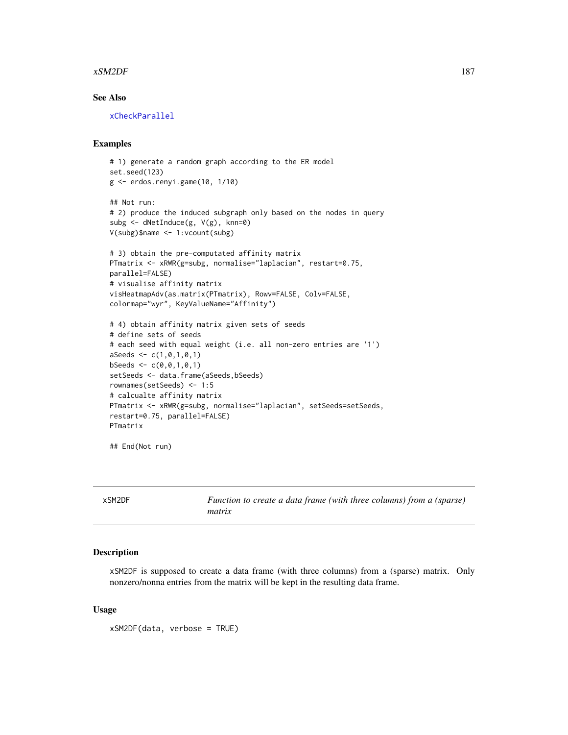#### <span id="page-186-1"></span>xSM2DF 187

#### See Also

[xCheckParallel](#page-17-0)

#### Examples

```
# 1) generate a random graph according to the ER model
set.seed(123)
g <- erdos.renyi.game(10, 1/10)
## Not run:
# 2) produce the induced subgraph only based on the nodes in query
subg <- dNetInduce(g, V(g), knn=0)
V(subg)$name <- 1:vcount(subg)
# 3) obtain the pre-computated affinity matrix
PTmatrix <- xRWR(g=subg, normalise="laplacian", restart=0.75,
parallel=FALSE)
# visualise affinity matrix
visHeatmapAdv(as.matrix(PTmatrix), Rowv=FALSE, Colv=FALSE,
colormap="wyr", KeyValueName="Affinity")
# 4) obtain affinity matrix given sets of seeds
# define sets of seeds
# each seed with equal weight (i.e. all non-zero entries are '1')
aSeeds \leftarrow c(1, 0, 1, 0, 1)bSeeds \leq c(0, 0, 1, 0, 1)setSeeds <- data.frame(aSeeds,bSeeds)
rownames(setSeeds) <- 1:5
# calcualte affinity matrix
PTmatrix <- xRWR(g=subg, normalise="laplacian", setSeeds=setSeeds,
restart=0.75, parallel=FALSE)
PTmatrix
```
## End(Not run)

<span id="page-186-0"></span>xSM2DF *Function to create a data frame (with three columns) from a (sparse) matrix*

#### **Description**

xSM2DF is supposed to create a data frame (with three columns) from a (sparse) matrix. Only nonzero/nonna entries from the matrix will be kept in the resulting data frame.

#### Usage

xSM2DF(data, verbose = TRUE)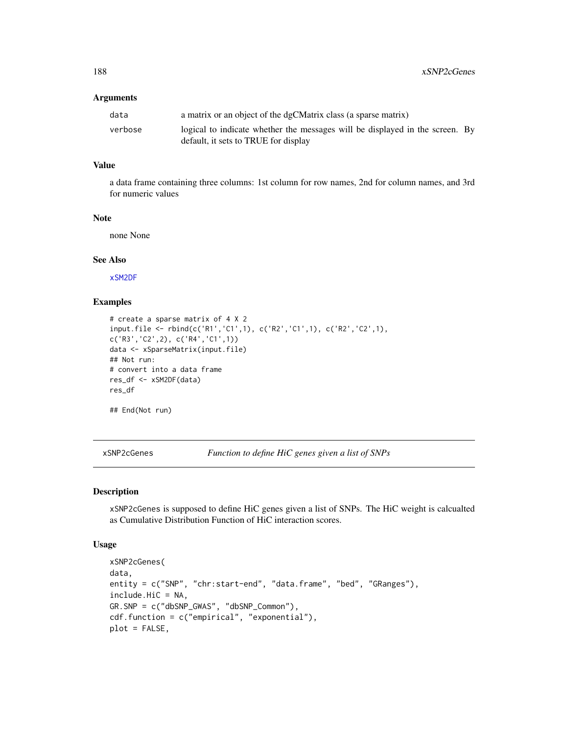| data    | a matrix or an object of the dgCMatrix class (a sparse matrix)                                                       |  |
|---------|----------------------------------------------------------------------------------------------------------------------|--|
| verbose | logical to indicate whether the messages will be displayed in the screen. By<br>default, it sets to TRUE for display |  |
|         |                                                                                                                      |  |

#### Value

a data frame containing three columns: 1st column for row names, 2nd for column names, and 3rd for numeric values

#### Note

none None

#### See Also

[xSM2DF](#page-186-0)

## Examples

```
# create a sparse matrix of 4 X 2
input.file <- rbind(c('R1','C1',1), c('R2','C1',1), c('R2','C2',1),
c('R3','C2',2), c('R4','C1',1))
data <- xSparseMatrix(input.file)
## Not run:
# convert into a data frame
res_df <- xSM2DF(data)
res_df
## End(Not run)
```
xSNP2cGenes *Function to define HiC genes given a list of SNPs*

#### Description

xSNP2cGenes is supposed to define HiC genes given a list of SNPs. The HiC weight is calcualted as Cumulative Distribution Function of HiC interaction scores.

#### Usage

```
xSNP2cGenes(
data,
entity = c("SNP", "chr:start-end", "data.frame", "bed", "GRanges"),
include.HiC = NA,
GR.SNP = c("dbSNP_GWAS", "dbSNP_Common"),
cdf.function = c("empirical", "exponential"),
plot = FALSE,
```
<span id="page-187-0"></span>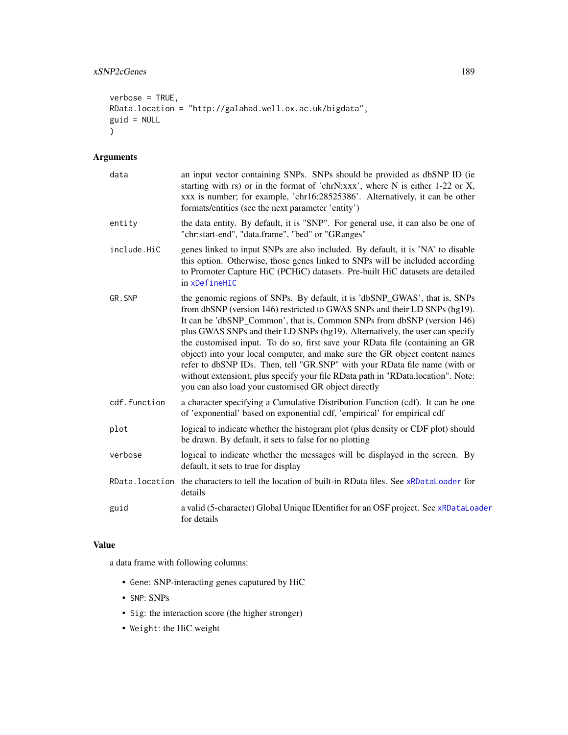```
verbose = TRUE,
RData.location = "http://galahad.well.ox.ac.uk/bigdata",
guid = NULL\mathcal{L}
```

| data         | an input vector containing SNPs. SNPs should be provided as dbSNP ID (ie<br>starting with rs) or in the format of 'chrN:xxx', where N is either 1-22 or X,<br>xxx is number; for example, 'chr16:28525386'. Alternatively, it can be other<br>formats/entities (see the next parameter 'entity')                                                                                                                                                                                                                                                                                                                                                                                                             |
|--------------|--------------------------------------------------------------------------------------------------------------------------------------------------------------------------------------------------------------------------------------------------------------------------------------------------------------------------------------------------------------------------------------------------------------------------------------------------------------------------------------------------------------------------------------------------------------------------------------------------------------------------------------------------------------------------------------------------------------|
| entity       | the data entity. By default, it is "SNP". For general use, it can also be one of<br>"chr:start-end", "data.frame", "bed" or "GRanges"                                                                                                                                                                                                                                                                                                                                                                                                                                                                                                                                                                        |
| include.HiC  | genes linked to input SNPs are also included. By default, it is 'NA' to disable<br>this option. Otherwise, those genes linked to SNPs will be included according<br>to Promoter Capture HiC (PCHiC) datasets. Pre-built HiC datasets are detailed<br>in xDefineHIC                                                                                                                                                                                                                                                                                                                                                                                                                                           |
| GR.SNP       | the genomic regions of SNPs. By default, it is 'dbSNP_GWAS', that is, SNPs<br>from dbSNP (version 146) restricted to GWAS SNPs and their LD SNPs (hg19).<br>It can be 'dbSNP_Common', that is, Common SNPs from dbSNP (version 146)<br>plus GWAS SNPs and their LD SNPs (hg19). Alternatively, the user can specify<br>the customised input. To do so, first save your RData file (containing an GR<br>object) into your local computer, and make sure the GR object content names<br>refer to dbSNP IDs. Then, tell "GR.SNP" with your RData file name (with or<br>without extension), plus specify your file RData path in "RData.location". Note:<br>you can also load your customised GR object directly |
| cdf.function | a character specifying a Cumulative Distribution Function (cdf). It can be one<br>of 'exponential' based on exponential cdf, 'empirical' for empirical cdf                                                                                                                                                                                                                                                                                                                                                                                                                                                                                                                                                   |
| plot         | logical to indicate whether the histogram plot (plus density or CDF plot) should<br>be drawn. By default, it sets to false for no plotting                                                                                                                                                                                                                                                                                                                                                                                                                                                                                                                                                                   |
| verbose      | logical to indicate whether the messages will be displayed in the screen. By<br>default, it sets to true for display                                                                                                                                                                                                                                                                                                                                                                                                                                                                                                                                                                                         |
|              | RData. location the characters to tell the location of built-in RData files. See xRDataLoader for<br>details                                                                                                                                                                                                                                                                                                                                                                                                                                                                                                                                                                                                 |
| guid         | a valid (5-character) Global Unique IDentifier for an OSF project. See xRDataLoader<br>for details                                                                                                                                                                                                                                                                                                                                                                                                                                                                                                                                                                                                           |

#### Value

a data frame with following columns:

- Gene: SNP-interacting genes caputured by HiC
- SNP: SNPs
- Sig: the interaction score (the higher stronger)
- Weight: the HiC weight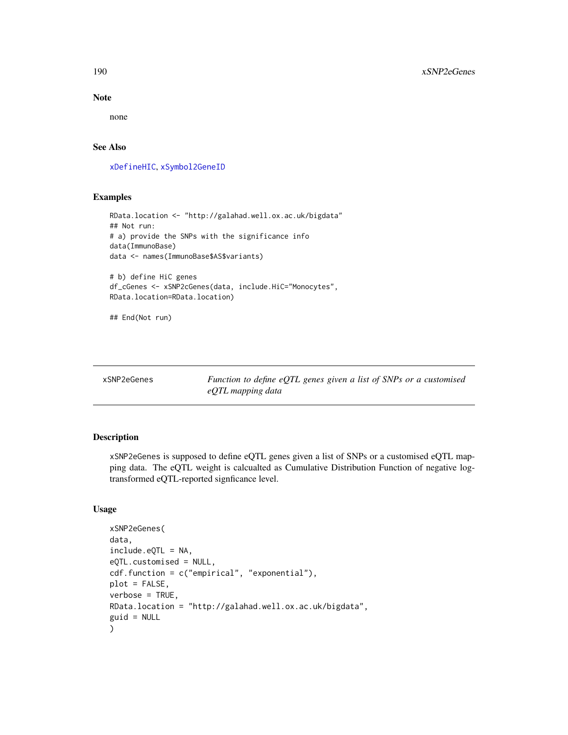Note

none

#### See Also

[xDefineHIC](#page-40-0), [xSymbol2GeneID](#page-203-0)

#### Examples

```
RData.location <- "http://galahad.well.ox.ac.uk/bigdata"
## Not run:
# a) provide the SNPs with the significance info
data(ImmunoBase)
data <- names(ImmunoBase$AS$variants)
# b) define HiC genes
df_cGenes <- xSNP2cGenes(data, include.HiC="Monocytes",
RData.location=RData.location)
```
## End(Not run)

| xSNP2eGenes |  |
|-------------|--|
|-------------|--|

Function to define eQTL genes given a list of SNPs or a customised *eQTL mapping data*

#### Description

xSNP2eGenes is supposed to define eQTL genes given a list of SNPs or a customised eQTL mapping data. The eQTL weight is calcualted as Cumulative Distribution Function of negative logtransformed eQTL-reported signficance level.

#### Usage

```
xSNP2eGenes(
data,
include.eQTL = NA,
eQTL.customised = NULL,
cdf.function = c("empirical", "exponential"),
plot = FALSE,
verbose = TRUE,
RData.location = "http://galahad.well.ox.ac.uk/bigdata",
guid = NULL)
```
<span id="page-189-0"></span>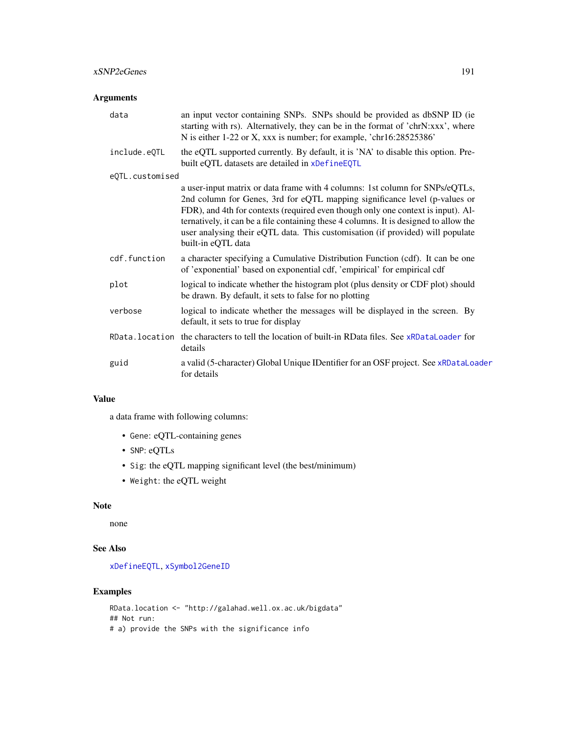<span id="page-190-0"></span>

| data            | an input vector containing SNPs. SNPs should be provided as dbSNP ID (ie<br>starting with rs). Alternatively, they can be in the format of 'chrN:xxx', where<br>N is either 1-22 or X, xxx is number; for example, 'chr16:28525386'                                                                                                                                                                                                             |
|-----------------|-------------------------------------------------------------------------------------------------------------------------------------------------------------------------------------------------------------------------------------------------------------------------------------------------------------------------------------------------------------------------------------------------------------------------------------------------|
| include.eQTL    | the eQTL supported currently. By default, it is 'NA' to disable this option. Pre-<br>built eQTL datasets are detailed in xDefineEQTL                                                                                                                                                                                                                                                                                                            |
| eQTL.customised |                                                                                                                                                                                                                                                                                                                                                                                                                                                 |
|                 | a user-input matrix or data frame with 4 columns: 1st column for SNPs/eQTLs,<br>2nd column for Genes, 3rd for eQTL mapping significance level (p-values or<br>FDR), and 4th for contexts (required even though only one context is input). Al-<br>ternatively, it can be a file containing these 4 columns. It is designed to allow the<br>user analysing their eQTL data. This customisation (if provided) will populate<br>built-in eQTL data |
| cdf.function    | a character specifying a Cumulative Distribution Function (cdf). It can be one<br>of 'exponential' based on exponential cdf, 'empirical' for empirical cdf                                                                                                                                                                                                                                                                                      |
| plot            | logical to indicate whether the histogram plot (plus density or CDF plot) should<br>be drawn. By default, it sets to false for no plotting                                                                                                                                                                                                                                                                                                      |
| verbose         | logical to indicate whether the messages will be displayed in the screen. By<br>default, it sets to true for display                                                                                                                                                                                                                                                                                                                            |
|                 | RData. location the characters to tell the location of built-in RData files. See xRDataLoader for<br>details                                                                                                                                                                                                                                                                                                                                    |
| guid            | a valid (5-character) Global Unique IDentifier for an OSF project. See xRDataLoader<br>for details                                                                                                                                                                                                                                                                                                                                              |

#### Value

a data frame with following columns:

- Gene: eQTL-containing genes
- SNP: eQTLs
- Sig: the eQTL mapping significant level (the best/minimum)
- Weight: the eQTL weight

## Note

none

#### See Also

[xDefineEQTL](#page-32-0), [xSymbol2GeneID](#page-203-0)

#### Examples

```
RData.location <- "http://galahad.well.ox.ac.uk/bigdata"
## Not run:
# a) provide the SNPs with the significance info
```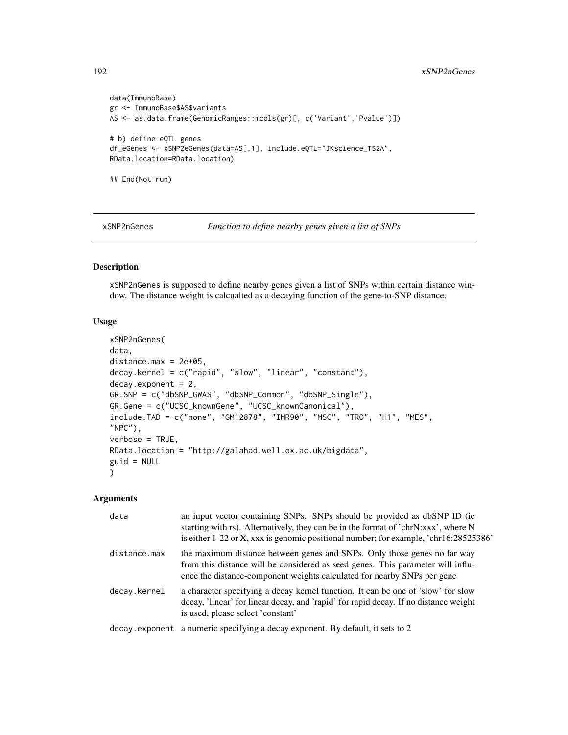```
data(ImmunoBase)
gr <- ImmunoBase$AS$variants
AS <- as.data.frame(GenomicRanges::mcols(gr)[, c('Variant','Pvalue')])
# b) define eQTL genes
df_eGenes <- xSNP2eGenes(data=AS[,1], include.eQTL="JKscience_TS2A",
RData.location=RData.location)
## End(Not run)
```
xSNP2nGenes *Function to define nearby genes given a list of SNPs*

#### Description

xSNP2nGenes is supposed to define nearby genes given a list of SNPs within certain distance window. The distance weight is calcualted as a decaying function of the gene-to-SNP distance.

#### Usage

```
xSNP2nGenes(
data,
distance.max = 2e+05,
decay.kernel = c("rapid", "slow", "linear", "constant"),
decay. exponent = 2,
GR.SNP = c("dbSNP_GWAS", "dbSNP_Common", "dbSNP_Single"),
GR.Gene = c("UCSC_knownGene", "UCSC_knownCanonical"),
include.TAD = c("none", "GM12878", "IMR90", "MSC", "TRO", "H1", "MES",
"NPC"),
verbose = TRUE,
RData.location = "http://galahad.well.ox.ac.uk/bigdata",
guid = NULL\mathcal{L}
```

| data         | an input vector containing SNPs. SNPs should be provided as dbSNP ID (ie)<br>starting with rs). Alternatively, they can be in the format of 'chrN:xxx', where N<br>is either 1-22 or X, xxx is genomic positional number; for example, 'chr16:28525386' |
|--------------|---------------------------------------------------------------------------------------------------------------------------------------------------------------------------------------------------------------------------------------------------------|
| distance.max | the maximum distance between genes and SNPs. Only those genes no far way<br>from this distance will be considered as seed genes. This parameter will influ-<br>ence the distance-component weights calculated for nearby SNPs per gene                  |
| decay.kernel | a character specifying a decay kernel function. It can be one of 'slow' for slow<br>decay, 'linear' for linear decay, and 'rapid' for rapid decay. If no distance weight<br>is used, please select 'constant'                                           |
|              | decay.exponent a numeric specifying a decay exponent. By default, it sets to 2                                                                                                                                                                          |

<span id="page-191-0"></span>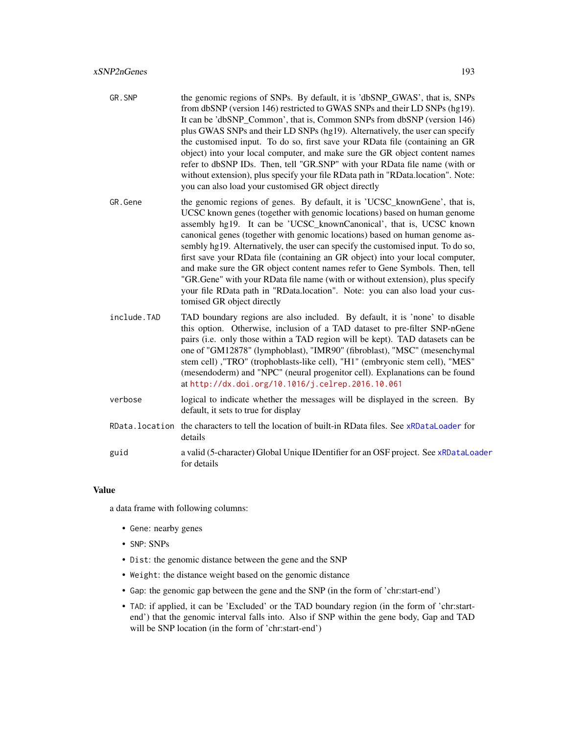- <span id="page-192-0"></span>GR. SNP the genomic regions of SNPs. By default, it is 'dbSNP\_GWAS', that is, SNPs from dbSNP (version 146) restricted to GWAS SNPs and their LD SNPs (hg19). It can be 'dbSNP\_Common', that is, Common SNPs from dbSNP (version 146) plus GWAS SNPs and their LD SNPs (hg19). Alternatively, the user can specify the customised input. To do so, first save your RData file (containing an GR object) into your local computer, and make sure the GR object content names refer to dbSNP IDs. Then, tell "GR.SNP" with your RData file name (with or without extension), plus specify your file RData path in "RData.location". Note: you can also load your customised GR object directly
- GR. Gene the genomic regions of genes. By default, it is 'UCSC\_knownGene', that is, UCSC known genes (together with genomic locations) based on human genome assembly hg19. It can be 'UCSC\_knownCanonical', that is, UCSC known canonical genes (together with genomic locations) based on human genome assembly hg19. Alternatively, the user can specify the customised input. To do so, first save your RData file (containing an GR object) into your local computer, and make sure the GR object content names refer to Gene Symbols. Then, tell "GR.Gene" with your RData file name (with or without extension), plus specify your file RData path in "RData.location". Note: you can also load your customised GR object directly
- include.TAD TAD boundary regions are also included. By default, it is 'none' to disable this option. Otherwise, inclusion of a TAD dataset to pre-filter SNP-nGene pairs (i.e. only those within a TAD region will be kept). TAD datasets can be one of "GM12878" (lymphoblast), "IMR90" (fibroblast), "MSC" (mesenchymal stem cell) ,"TRO" (trophoblasts-like cell), "H1" (embryonic stem cell), "MES" (mesendoderm) and "NPC" (neural progenitor cell). Explanations can be found at <http://dx.doi.org/10.1016/j.celrep.2016.10.061>
- verbose logical to indicate whether the messages will be displayed in the screen. By default, it sets to true for display
- RData.location the characters to tell the location of built-in RData files. See [xRDataLoader](#page-182-0) for details
- guid a valid (5-character) Global Unique IDentifier for an OSF project. See [xRDataLoader](#page-182-0) for details

a data frame with following columns:

- Gene: nearby genes
- SNP: SNPs
- Dist: the genomic distance between the gene and the SNP
- Weight: the distance weight based on the genomic distance
- Gap: the genomic gap between the gene and the SNP (in the form of 'chr:start-end')
- TAD: if applied, it can be 'Excluded' or the TAD boundary region (in the form of 'chr:startend') that the genomic interval falls into. Also if SNP within the gene body, Gap and TAD will be SNP location (in the form of 'chr:start-end')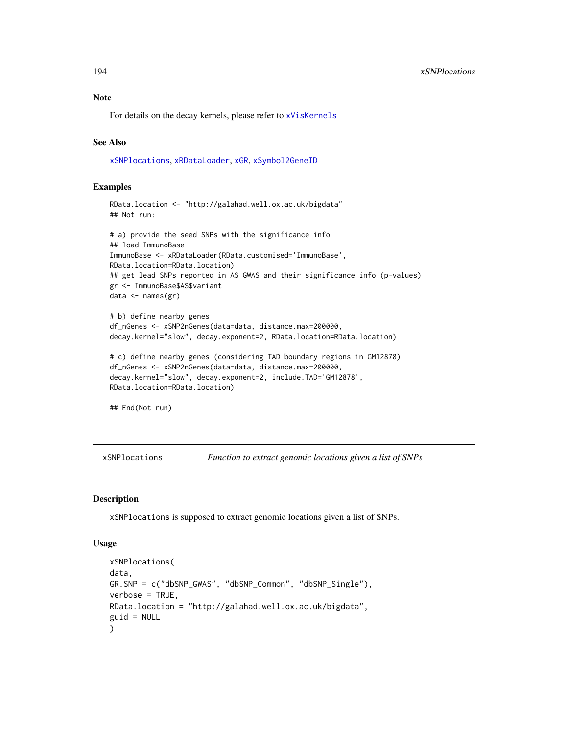# <span id="page-193-1"></span>Note

For details on the decay kernels, please refer to [xVisKernels](#page-209-0)

#### See Also

[xSNPlocations](#page-193-0), [xRDataLoader](#page-182-0), [xGR](#page-68-0), [xSymbol2GeneID](#page-203-0)

#### Examples

```
RData.location <- "http://galahad.well.ox.ac.uk/bigdata"
## Not run:
```

```
# a) provide the seed SNPs with the significance info
## load ImmunoBase
ImmunoBase <- xRDataLoader(RData.customised='ImmunoBase',
RData.location=RData.location)
## get lead SNPs reported in AS GWAS and their significance info (p-values)
gr <- ImmunoBase$AS$variant
data <- names(gr)
```

```
# b) define nearby genes
df_nGenes <- xSNP2nGenes(data=data, distance.max=200000,
decay.kernel="slow", decay.exponent=2, RData.location=RData.location)
```

```
# c) define nearby genes (considering TAD boundary regions in GM12878)
df_nGenes <- xSNP2nGenes(data=data, distance.max=200000,
decay.kernel="slow", decay.exponent=2, include.TAD='GM12878',
RData.location=RData.location)
```
## End(Not run)

<span id="page-193-0"></span>xSNPlocations *Function to extract genomic locations given a list of SNPs*

#### Description

xSNPlocations is supposed to extract genomic locations given a list of SNPs.

#### Usage

```
xSNPlocations(
data,
GR.SNP = c("dbSNP_GWAS", "dbSNP_Common", "dbSNP_Single"),
verbose = TRUE,
RData.location = "http://galahad.well.ox.ac.uk/bigdata",
guid = NULL)
```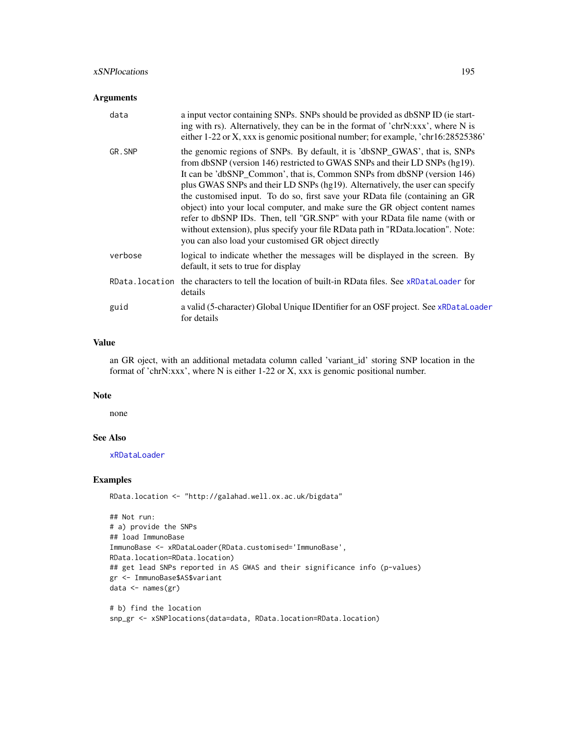<span id="page-194-0"></span>

| data    | a input vector containing SNPs. SNPs should be provided as dbSNP ID (ie start-<br>ing with rs). Alternatively, they can be in the format of 'chrN:xxx', where N is<br>either 1-22 or X, xxx is genomic positional number; for example, 'chr16:28525386'                                                                                                                                                                                                                                                                                                                                                                                                                                                      |
|---------|--------------------------------------------------------------------------------------------------------------------------------------------------------------------------------------------------------------------------------------------------------------------------------------------------------------------------------------------------------------------------------------------------------------------------------------------------------------------------------------------------------------------------------------------------------------------------------------------------------------------------------------------------------------------------------------------------------------|
| GR.SNP  | the genomic regions of SNPs. By default, it is 'dbSNP_GWAS', that is, SNPs<br>from dbSNP (version 146) restricted to GWAS SNPs and their LD SNPs (hg19).<br>It can be 'dbSNP_Common', that is, Common SNPs from dbSNP (version 146)<br>plus GWAS SNPs and their LD SNPs (hg19). Alternatively, the user can specify<br>the customised input. To do so, first save your RData file (containing an GR<br>object) into your local computer, and make sure the GR object content names<br>refer to dbSNP IDs. Then, tell "GR.SNP" with your RData file name (with or<br>without extension), plus specify your file RData path in "RData.location". Note:<br>you can also load your customised GR object directly |
| verbose | logical to indicate whether the messages will be displayed in the screen. By<br>default, it sets to true for display                                                                                                                                                                                                                                                                                                                                                                                                                                                                                                                                                                                         |
|         | RData, location the characters to tell the location of built-in RData files. See xRDataLoader for<br>details                                                                                                                                                                                                                                                                                                                                                                                                                                                                                                                                                                                                 |
| guid    | a valid (5-character) Global Unique IDentifier for an OSF project. See xRDataLoader<br>for details                                                                                                                                                                                                                                                                                                                                                                                                                                                                                                                                                                                                           |

#### Value

an GR oject, with an additional metadata column called 'variant\_id' storing SNP location in the format of 'chrN:xxx', where N is either 1-22 or X, xxx is genomic positional number.

#### Note

none

#### See Also

[xRDataLoader](#page-182-0)

#### Examples

RData.location <- "http://galahad.well.ox.ac.uk/bigdata"

```
## Not run:
# a) provide the SNPs
## load ImmunoBase
ImmunoBase <- xRDataLoader(RData.customised='ImmunoBase',
RData.location=RData.location)
## get lead SNPs reported in AS GWAS and their significance info (p-values)
gr <- ImmunoBase$AS$variant
data <- names(gr)
```

```
# b) find the location
snp_gr <- xSNPlocations(data=data, RData.location=RData.location)
```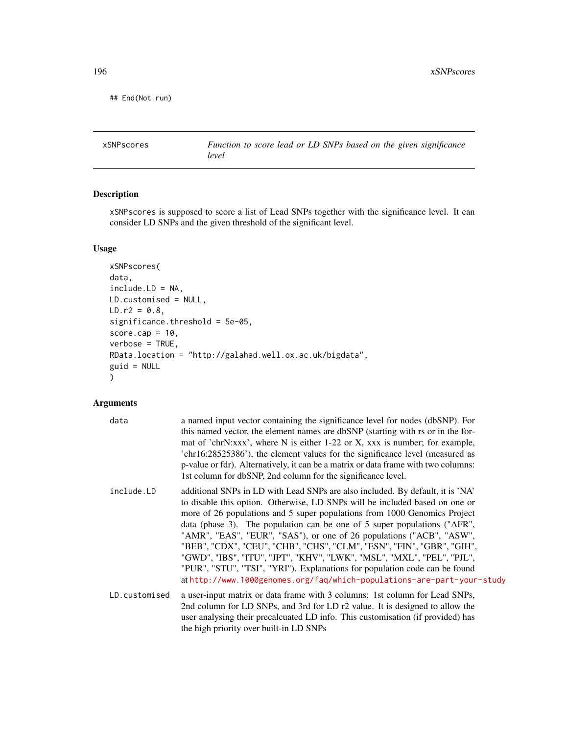```
## End(Not run)
```
xSNPscores *Function to score lead or LD SNPs based on the given significance level*

#### Description

xSNPscores is supposed to score a list of Lead SNPs together with the significance level. It can consider LD SNPs and the given threshold of the significant level.

#### Usage

```
xSNPscores(
data,
include.LD = NA,
LD.customised = NULL,
LD.r2 = 0.8,
significance.threshold = 5e-05,
score.cap = 10,
verbose = TRUE,
RData.location = "http://galahad.well.ox.ac.uk/bigdata",
guid = NULL
)
```

| data          | a named input vector containing the significance level for nodes (dbSNP). For<br>this named vector, the element names are dbSNP (starting with rs or in the for-<br>mat of 'chrN:xxx', where N is either 1-22 or X, xxx is number; for example,<br>'chr16:28525386'), the element values for the significance level (measured as<br>p-value or fdr). Alternatively, it can be a matrix or data frame with two columns:<br>1st column for dbSNP, 2nd column for the significance level.                                                                                                                                                                                                                   |
|---------------|----------------------------------------------------------------------------------------------------------------------------------------------------------------------------------------------------------------------------------------------------------------------------------------------------------------------------------------------------------------------------------------------------------------------------------------------------------------------------------------------------------------------------------------------------------------------------------------------------------------------------------------------------------------------------------------------------------|
| include.LD    | additional SNPs in LD with Lead SNPs are also included. By default, it is 'NA'<br>to disable this option. Otherwise, LD SNPs will be included based on one or<br>more of 26 populations and 5 super populations from 1000 Genomics Project<br>data (phase 3). The population can be one of 5 super populations ("AFR",<br>"AMR", "EAS", "EUR", "SAS"), or one of 26 populations ("ACB", "ASW",<br>"BEB", "CDX", "CEU", "CHB", "CHS", "CLM", "ESN", "FIN", "GBR", "GIH",<br>"GWD", "IBS", "ITU", "JPT", "KHV", "LWK", "MSL", "MXL", "PEL", "PJL",<br>"PUR", "STU", "TSI", "YRI"). Explanations for population code can be found<br>athttp://www.1000genomes.org/faq/which-populations-are-part-your-study |
| LD.customised | a user-input matrix or data frame with 3 columns: 1st column for Lead SNPs,<br>2nd column for LD SNPs, and 3rd for LD r2 value. It is designed to allow the<br>user analysing their precalcuated LD info. This customisation (if provided) has<br>the high priority over built-in LD SNPs                                                                                                                                                                                                                                                                                                                                                                                                                |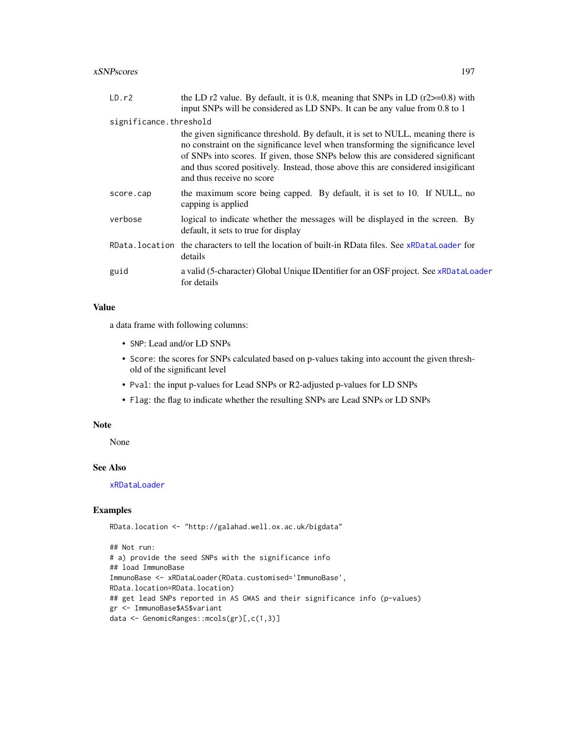<span id="page-196-0"></span>

| LD.r2                  | the LD r2 value. By default, it is 0.8, meaning that SNPs in LD $(r2 \ge 0.8)$ with<br>input SNPs will be considered as LD SNPs. It can be any value from 0.8 to 1                                                                                                                                                                                                         |
|------------------------|----------------------------------------------------------------------------------------------------------------------------------------------------------------------------------------------------------------------------------------------------------------------------------------------------------------------------------------------------------------------------|
| significance.threshold |                                                                                                                                                                                                                                                                                                                                                                            |
|                        | the given significance threshold. By default, it is set to NULL, meaning there is<br>no constraint on the significance level when transforming the significance level<br>of SNPs into scores. If given, those SNPs below this are considered significant<br>and thus scored positively. Instead, those above this are considered insigificant<br>and thus receive no score |
| score.cap              | the maximum score being capped. By default, it is set to 10. If NULL, no<br>capping is applied                                                                                                                                                                                                                                                                             |
| verbose                | logical to indicate whether the messages will be displayed in the screen. By<br>default, it sets to true for display                                                                                                                                                                                                                                                       |
|                        | RData. location the characters to tell the location of built-in RData files. See xRDataLoader for<br>details                                                                                                                                                                                                                                                               |
| guid                   | a valid (5-character) Global Unique IDentifier for an OSF project. See xRDataLoader<br>for details                                                                                                                                                                                                                                                                         |

a data frame with following columns:

- SNP: Lead and/or LD SNPs
- Score: the scores for SNPs calculated based on p-values taking into account the given threshold of the significant level
- Pval: the input p-values for Lead SNPs or R2-adjusted p-values for LD SNPs
- Flag: the flag to indicate whether the resulting SNPs are Lead SNPs or LD SNPs

#### Note

None

#### See Also

[xRDataLoader](#page-182-0)

#### Examples

RData.location <- "http://galahad.well.ox.ac.uk/bigdata"

```
## Not run:
# a) provide the seed SNPs with the significance info
## load ImmunoBase
ImmunoBase <- xRDataLoader(RData.customised='ImmunoBase',
RData.location=RData.location)
## get lead SNPs reported in AS GWAS and their significance info (p-values)
gr <- ImmunoBase$AS$variant
data <- GenomicRanges::mcols(gr)[,c(1,3)]
```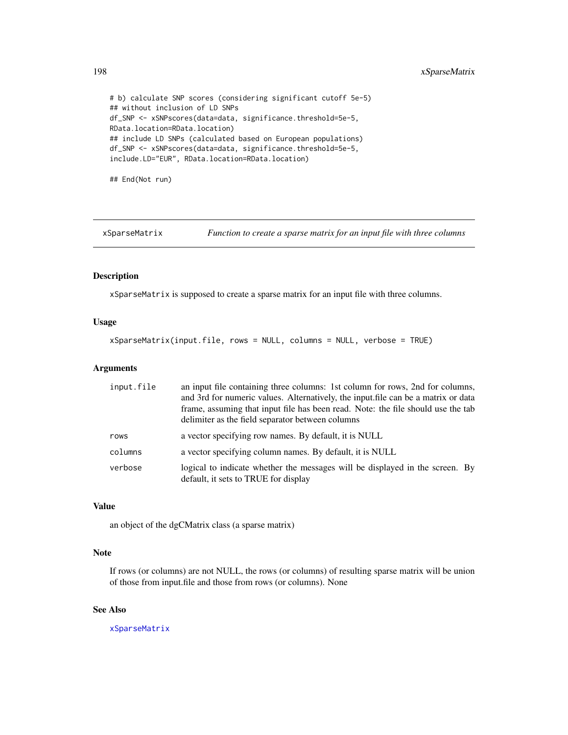# b) calculate SNP scores (considering significant cutoff 5e-5) ## without inclusion of LD SNPs df\_SNP <- xSNPscores(data=data, significance.threshold=5e-5, RData.location=RData.location) ## include LD SNPs (calculated based on European populations) df\_SNP <- xSNPscores(data=data, significance.threshold=5e-5, include.LD="EUR", RData.location=RData.location)

## End(Not run)

<span id="page-197-0"></span>xSparseMatrix *Function to create a sparse matrix for an input file with three columns*

#### Description

xSparseMatrix is supposed to create a sparse matrix for an input file with three columns.

#### Usage

xSparseMatrix(input.file, rows = NULL, columns = NULL, verbose = TRUE)

#### Arguments

| input.file | an input file containing three columns: 1st column for rows, 2nd for columns,<br>and 3rd for numeric values. Alternatively, the input file can be a matrix or data<br>frame, assuming that input file has been read. Note: the file should use the tab<br>delimiter as the field separator between columns |
|------------|------------------------------------------------------------------------------------------------------------------------------------------------------------------------------------------------------------------------------------------------------------------------------------------------------------|
| rows       | a vector specifying row names. By default, it is NULL                                                                                                                                                                                                                                                      |
| columns    | a vector specifying column names. By default, it is NULL                                                                                                                                                                                                                                                   |
| verbose    | logical to indicate whether the messages will be displayed in the screen. By<br>default, it sets to TRUE for display                                                                                                                                                                                       |

#### Value

an object of the dgCMatrix class (a sparse matrix)

#### Note

If rows (or columns) are not NULL, the rows (or columns) of resulting sparse matrix will be union of those from input.file and those from rows (or columns). None

#### See Also

[xSparseMatrix](#page-197-0)

<span id="page-197-1"></span>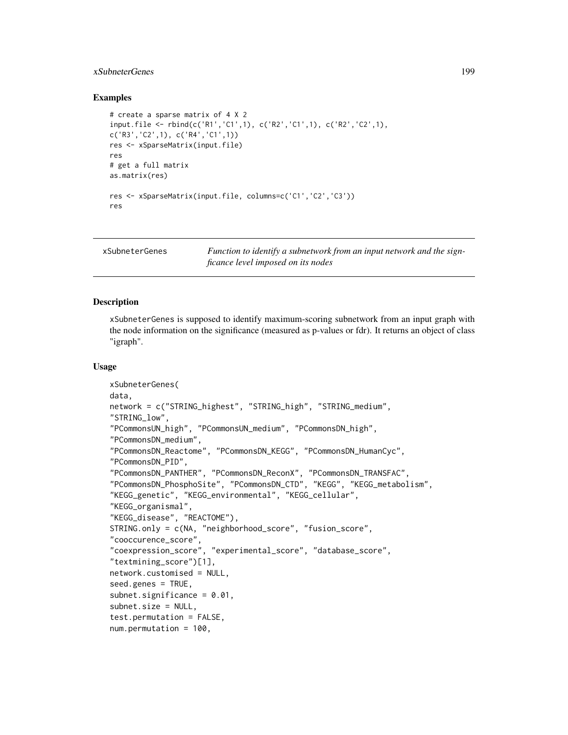#### <span id="page-198-0"></span>xSubneterGenes 199

#### Examples

```
# create a sparse matrix of 4 X 2
input.file <- rbind(c('R1','C1',1), c('R2','C1',1), c('R2','C2',1),
c('R3','C2',1), c('R4','C1',1))
res <- xSparseMatrix(input.file)
res
# get a full matrix
as.matrix(res)
res <- xSparseMatrix(input.file, columns=c('C1','C2','C3'))
res
```
xSubneterGenes *Function to identify a subnetwork from an input network and the signficance level imposed on its nodes*

#### **Description**

xSubneterGenes is supposed to identify maximum-scoring subnetwork from an input graph with the node information on the significance (measured as p-values or fdr). It returns an object of class "igraph".

#### Usage

```
xSubneterGenes(
data,
network = c("STRING_highest", "STRING_high", "STRING_medium",
"STRING_low",
"PCommonsUN_high", "PCommonsUN_medium", "PCommonsDN_high",
"PCommonsDN_medium",
"PCommonsDN_Reactome", "PCommonsDN_KEGG", "PCommonsDN_HumanCyc",
"PCommonsDN_PID",
"PCommonsDN_PANTHER", "PCommonsDN_ReconX", "PCommonsDN_TRANSFAC",
"PCommonsDN_PhosphoSite", "PCommonsDN_CTD", "KEGG", "KEGG_metabolism",
"KEGG_genetic", "KEGG_environmental", "KEGG_cellular",
"KEGG_organismal",
"KEGG_disease", "REACTOME"),
STRING.only = c(NA, "neighborhood_score", "fusion_score",
"cooccurence_score",
"coexpression_score", "experimental_score", "database_score",
"textmining_score")[1],
network.customised = NULL,
seed.genes = TRUE,
subnet.sizemificance = 0.01,
subnet.size = NULL,
test.permutation = FALSE,
num.permutation = 100,
```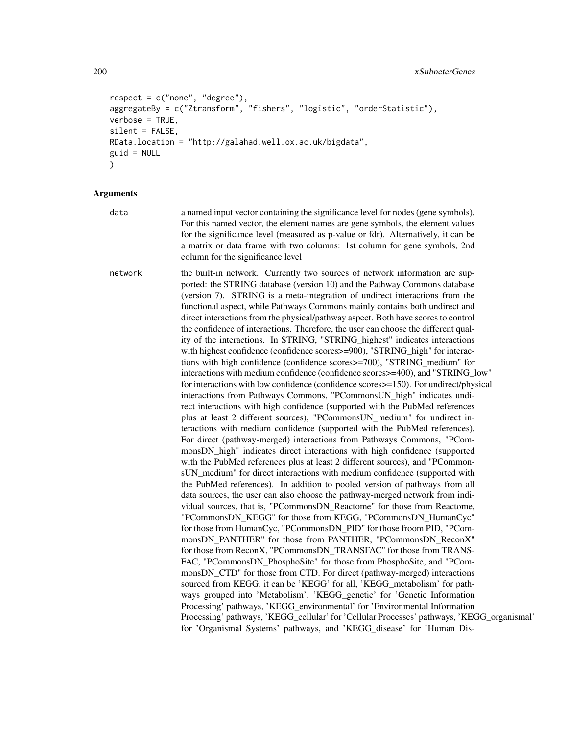```
respect = c("none", "degree"),
aggregateBy = c("Ztransform", "fishers", "logistic", "orderStatistic"),
verbose = TRUE,
silent = FALSE,
RData.location = "http://galahad.well.ox.ac.uk/bigdata",
guid = NULL
)
```
data a named input vector containing the significance level for nodes (gene symbols). For this named vector, the element names are gene symbols, the element values for the significance level (measured as p-value or fdr). Alternatively, it can be a matrix or data frame with two columns: 1st column for gene symbols, 2nd column for the significance level

network the built-in network. Currently two sources of network information are supported: the STRING database (version 10) and the Pathway Commons database (version 7). STRING is a meta-integration of undirect interactions from the functional aspect, while Pathways Commons mainly contains both undirect and direct interactions from the physical/pathway aspect. Both have scores to control the confidence of interactions. Therefore, the user can choose the different quality of the interactions. In STRING, "STRING\_highest" indicates interactions with highest confidence (confidence scores>=900), "STRING\_high" for interactions with high confidence (confidence scores>=700), "STRING\_medium" for interactions with medium confidence (confidence scores>=400), and "STRING\_low" for interactions with low confidence (confidence scores>=150). For undirect/physical interactions from Pathways Commons, "PCommonsUN\_high" indicates undirect interactions with high confidence (supported with the PubMed references plus at least 2 different sources), "PCommonsUN\_medium" for undirect interactions with medium confidence (supported with the PubMed references). For direct (pathway-merged) interactions from Pathways Commons, "PCommonsDN\_high" indicates direct interactions with high confidence (supported with the PubMed references plus at least 2 different sources), and "PCommonsUN medium" for direct interactions with medium confidence (supported with the PubMed references). In addition to pooled version of pathways from all data sources, the user can also choose the pathway-merged network from individual sources, that is, "PCommonsDN\_Reactome" for those from Reactome, "PCommonsDN\_KEGG" for those from KEGG, "PCommonsDN\_HumanCyc" for those from HumanCyc, "PCommonsDN\_PID" for those froom PID, "PCommonsDN\_PANTHER" for those from PANTHER, "PCommonsDN\_ReconX" for those from ReconX, "PCommonsDN\_TRANSFAC" for those from TRANS-FAC, "PCommonsDN\_PhosphoSite" for those from PhosphoSite, and "PCommonsDN CTD" for those from CTD. For direct (pathway-merged) interactions sourced from KEGG, it can be 'KEGG' for all, 'KEGG\_metabolism' for pathways grouped into 'Metabolism', 'KEGG\_genetic' for 'Genetic Information Processing' pathways, 'KEGG\_environmental' for 'Environmental Information Processing' pathways, 'KEGG\_cellular' for 'Cellular Processes' pathways, 'KEGG\_organismal' for 'Organismal Systems' pathways, and 'KEGG\_disease' for 'Human Dis-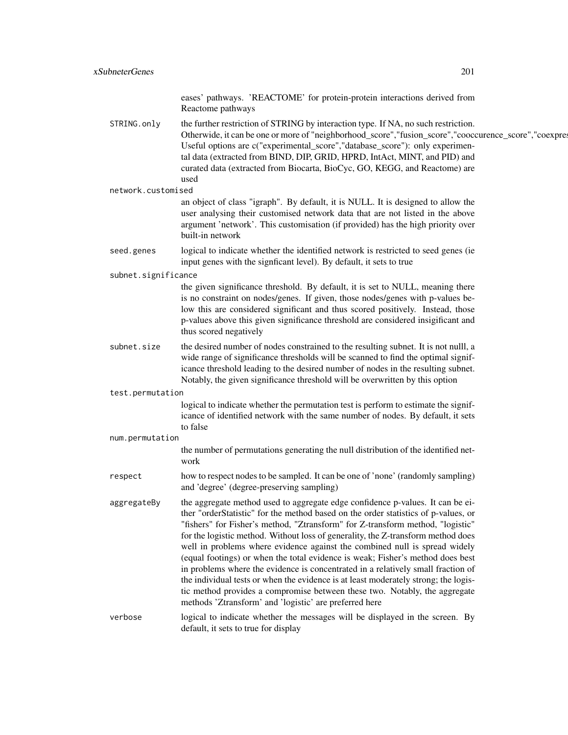eases' pathways. 'REACTOME' for protein-protein interactions derived from Reactome pathways

STRING.only the further restriction of STRING by interaction type. If NA, no such restriction. Otherwide, it can be one or more of "neighborhood\_score","fusion\_score","cooccurence\_score","coexpre Useful options are c("experimental\_score","database\_score"): only experimental data (extracted from BIND, DIP, GRID, HPRD, IntAct, MINT, and PID) and curated data (extracted from Biocarta, BioCyc, GO, KEGG, and Reactome) are used

network.customised

an object of class "igraph". By default, it is NULL. It is designed to allow the user analysing their customised network data that are not listed in the above argument 'network'. This customisation (if provided) has the high priority over built-in network

- seed.genes logical to indicate whether the identified network is restricted to seed genes (ie input genes with the signficant level). By default, it sets to true
- subnet.significance

the given significance threshold. By default, it is set to NULL, meaning there is no constraint on nodes/genes. If given, those nodes/genes with p-values below this are considered significant and thus scored positively. Instead, those p-values above this given significance threshold are considered insigificant and thus scored negatively

subnet. size the desired number of nodes constrained to the resulting subnet. It is not nulll, a wide range of significance thresholds will be scanned to find the optimal significance threshold leading to the desired number of nodes in the resulting subnet. Notably, the given significance threshold will be overwritten by this option

test.permutation

logical to indicate whether the permutation test is perform to estimate the significance of identified network with the same number of nodes. By default, it sets to false

num.permutation

the number of permutations generating the null distribution of the identified network

respect how to respect nodes to be sampled. It can be one of 'none' (randomly sampling) and 'degree' (degree-preserving sampling)

aggregateBy the aggregate method used to aggregate edge confidence p-values. It can be either "orderStatistic" for the method based on the order statistics of p-values, or "fishers" for Fisher's method, "Ztransform" for Z-transform method, "logistic" for the logistic method. Without loss of generality, the Z-transform method does well in problems where evidence against the combined null is spread widely (equal footings) or when the total evidence is weak; Fisher's method does best in problems where the evidence is concentrated in a relatively small fraction of the individual tests or when the evidence is at least moderately strong; the logistic method provides a compromise between these two. Notably, the aggregate methods 'Ztransform' and 'logistic' are preferred here

verbose logical to indicate whether the messages will be displayed in the screen. By default, it sets to true for display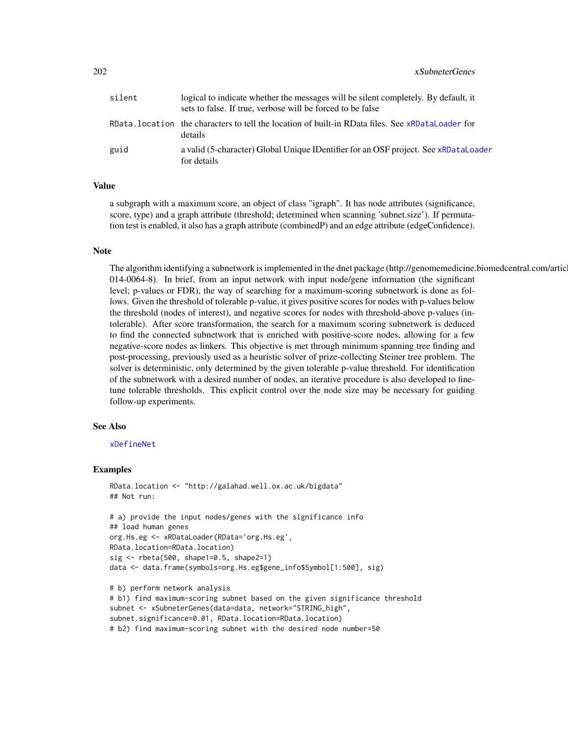<span id="page-201-0"></span>

| silent | logical to indicate whether the messages will be silent completely. By default, it<br>sets to false. If true, verbose will be forced to be false |
|--------|--------------------------------------------------------------------------------------------------------------------------------------------------|
|        | RData. location the characters to tell the location of built-in RData files. See xRDataLoader for<br>details                                     |
| guid   | a valid (5-character) Global Unique IDentifier for an OSF project. See xRDataLoader<br>for details                                               |

a subgraph with a maximum score, an object of class "igraph". It has node attributes (significance, score, type) and a graph attribute (threshold; determined when scanning 'subnet.size'). If permutation test is enabled, it also has a graph attribute (combinedP) and an edge attribute (edgeConfidence).

#### Note

The algorithm identifying a subnetwork is implemented in the dnet package (http://genomemedicine.biomedcentral.com/artic 014-0064-8). In brief, from an input network with input node/gene information (the significant level; p-values or FDR), the way of searching for a maximum-scoring subnetwork is done as follows. Given the threshold of tolerable p-value, it gives positive scores for nodes with p-values below the threshold (nodes of interest), and negative scores for nodes with threshold-above p-values (intolerable). After score transformation, the search for a maximum scoring subnetwork is deduced to find the connected subnetwork that is enriched with positive-score nodes, allowing for a few negative-score nodes as linkers. This objective is met through minimum spanning tree finding and post-processing, previously used as a heuristic solver of prize-collecting Steiner tree problem. The solver is deterministic, only determined by the given tolerable p-value threshold. For identification of the subnetwork with a desired number of nodes, an iterative procedure is also developed to finetune tolerable thresholds. This explicit control over the node size may be necessary for guiding follow-up experiments.

#### See Also

#### [xDefineNet](#page-43-0)

#### Examples

```
RData.location <- "http://galahad.well.ox.ac.uk/bigdata"
## Not run:
# a) provide the input nodes/genes with the significance info
## load human genes
org.Hs.eg <- xRDataLoader(RData='org.Hs.eg',
RData.location=RData.location)
sig \leftarrow \text{rbeta}(500, \text{shape1=0.5, shape2=1})data <- data.frame(symbols=org.Hs.eg$gene_info$Symbol[1:500], sig)
# b) perform network analysis
# b1) find maximum-scoring subnet based on the given significance threshold
subnet <- xSubneterGenes(data=data, network="STRING_high",
subnet.significance=0.01, RData.location=RData.location)
```
# b2) find maximum-scoring subnet with the desired node number=50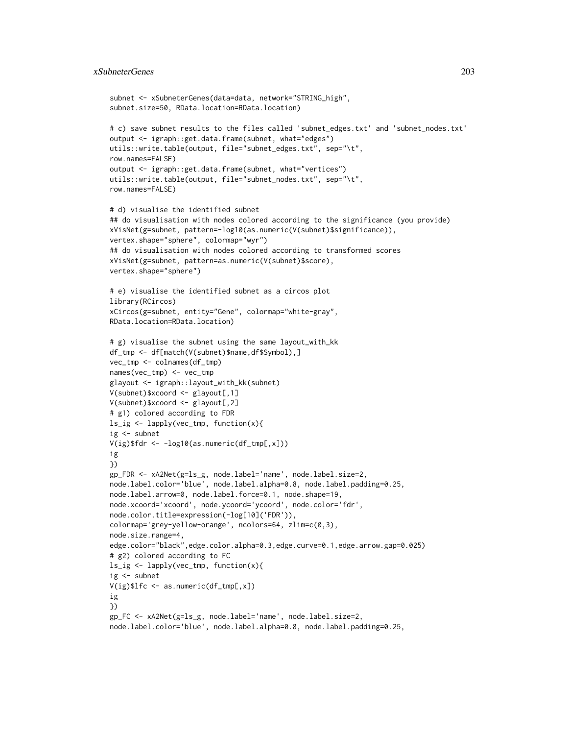#### xSubneterGenes 203

```
subnet <- xSubneterGenes(data=data, network="STRING_high",
subnet.size=50, RData.location=RData.location)
# c) save subnet results to the files called 'subnet_edges.txt' and 'subnet_nodes.txt'
output <- igraph::get.data.frame(subnet, what="edges")
utils::write.table(output, file="subnet_edges.txt", sep="\t",
row.names=FALSE)
output <- igraph::get.data.frame(subnet, what="vertices")
utils::write.table(output, file="subnet_nodes.txt", sep="\t",
row.names=FALSE)
# d) visualise the identified subnet
## do visualisation with nodes colored according to the significance (you provide)
xVisNet(g=subnet, pattern=-log10(as.numeric(V(subnet)$significance)),
vertex.shape="sphere", colormap="wyr")
## do visualisation with nodes colored according to transformed scores
xVisNet(g=subnet, pattern=as.numeric(V(subnet)$score),
vertex.shape="sphere")
# e) visualise the identified subnet as a circos plot
library(RCircos)
xCircos(g=subnet, entity="Gene", colormap="white-gray",
RData.location=RData.location)
# g) visualise the subnet using the same layout_with_kk
df_tmp <- df[match(V(subnet)$name,df$Symbol),]
vec_tmp <- colnames(df_tmp)
names(vec_tmp) <- vec_tmp
glayout <- igraph::layout_with_kk(subnet)
V(subnet)$xcoord <- glayout[,1]
V(subnet)$xcoord <- glayout[,2]
# g1) colored according to FDR
ls_ig <- lapply(vec_tmp, function(x){
ig \leftarrow subnet
V(ig)$fdr <- -log10(as.numeric(df_tmp[,x]))
ig
})
gp_FDR <- xA2Net(g=ls_g, node.label='name', node.label.size=2,
node.label.color='blue', node.label.alpha=0.8, node.label.padding=0.25,
node.label.arrow=0, node.label.force=0.1, node.shape=19,
node.xcoord='xcoord', node.ycoord='ycoord', node.color='fdr',
node.color.title=expression(-log[10]('FDR')),
colormap='grey-yellow-orange', ncolors=64, zlim=c(0,3),
node.size.range=4,
edge.color="black",edge.color.alpha=0.3,edge.curve=0.1,edge.arrow.gap=0.025)
# g2) colored according to FC
ls_ig <- lapply(vec_tmp, function(x){
ig \leftarrow subnet
V(ig)$lfc <- as.numeric(df_tmp[,x])
ig
})
gp_FC <- xA2Net(g=ls_g, node.label='name', node.label.size=2,
node.label.color='blue', node.label.alpha=0.8, node.label.padding=0.25,
```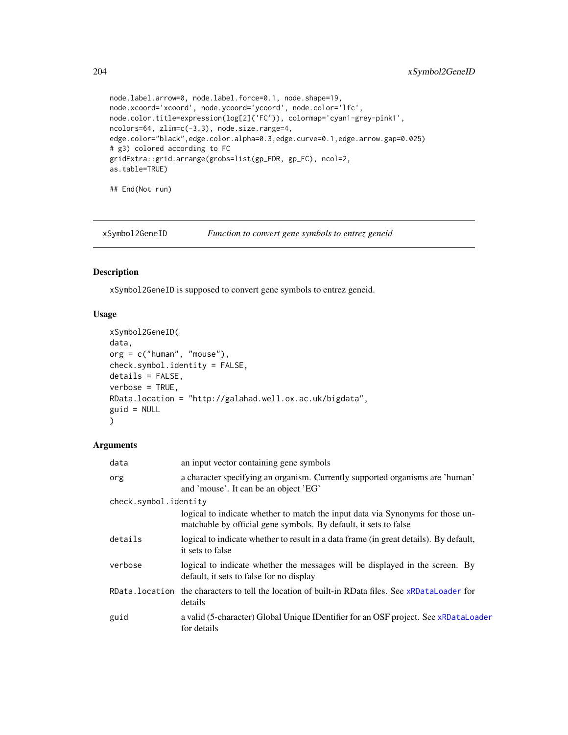```
node.label.arrow=0, node.label.force=0.1, node.shape=19,
node.xcoord='xcoord', node.ycoord='ycoord', node.color='lfc',
node.color.title=expression(log[2]('FC')), colormap='cyan1-grey-pink1',
ncolors=64, zlim=c(-3,3), node.size.range=4,
edge.color="black",edge.color.alpha=0.3,edge.curve=0.1,edge.arrow.gap=0.025)
# g3) colored according to FC
gridExtra::grid.arrange(grobs=list(gp_FDR, gp_FC), ncol=2,
as.table=TRUE)
## End(Not run)
```
<span id="page-203-0"></span>xSymbol2GeneID *Function to convert gene symbols to entrez geneid*

#### Description

xSymbol2GeneID is supposed to convert gene symbols to entrez geneid.

#### Usage

```
xSymbol2GeneID(
data,
org = c("human", "mouse"),
check.symbol.identity = FALSE,
details = FALSE,
verbose = TRUE,
RData.location = "http://galahad.well.ox.ac.uk/bigdata",
guid = NULL
)
```

| data                  | an input vector containing gene symbols                                                                                                            |  |
|-----------------------|----------------------------------------------------------------------------------------------------------------------------------------------------|--|
| org                   | a character specifying an organism. Currently supported organisms are 'human'<br>and 'mouse'. It can be an object 'EG'                             |  |
| check.symbol.identity |                                                                                                                                                    |  |
|                       | logical to indicate whether to match the input data via Synonyms for those un-<br>matchable by official gene symbols. By default, it sets to false |  |
| details               | logical to indicate whether to result in a data frame (in great details). By default,<br>it sets to false                                          |  |
| verbose               | logical to indicate whether the messages will be displayed in the screen. By<br>default, it sets to false for no display                           |  |
|                       | RData.location the characters to tell the location of built-in RData files. See xRDataLoader for<br>details                                        |  |
| guid                  | a valid (5-character) Global Unique IDentifier for an OSF project. See xRDataLoader<br>for details                                                 |  |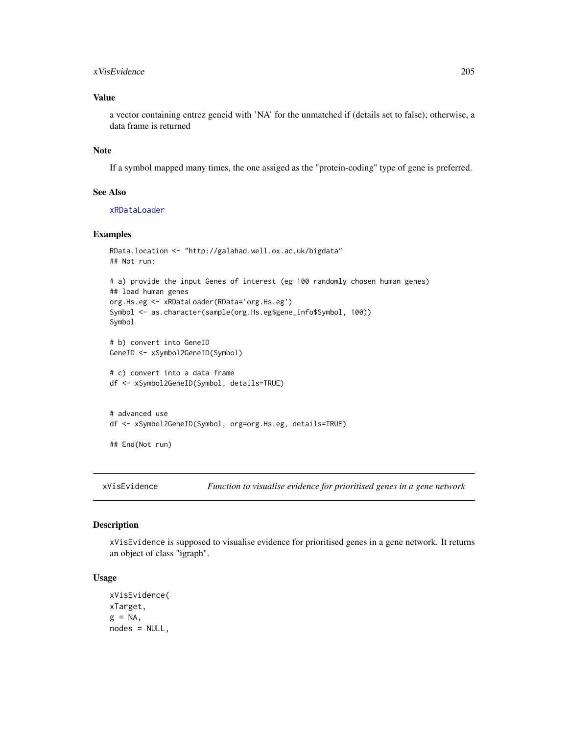#### <span id="page-204-1"></span>xVisEvidence 205

#### Value

a vector containing entrez geneid with 'NA' for the unmatched if (details set to false); otherwise, a data frame is returned

#### Note

If a symbol mapped many times, the one assiged as the "protein-coding" type of gene is preferred.

#### See Also

[xRDataLoader](#page-182-0)

#### Examples

```
RData.location <- "http://galahad.well.ox.ac.uk/bigdata"
## Not run:
# a) provide the input Genes of interest (eg 100 randomly chosen human genes)
## load human genes
org.Hs.eg <- xRDataLoader(RData='org.Hs.eg')
Symbol <- as.character(sample(org.Hs.eg$gene_info$Symbol, 100))
Symbol
# b) convert into GeneID
GeneID <- xSymbol2GeneID(Symbol)
# c) convert into a data frame
df <- xSymbol2GeneID(Symbol, details=TRUE)
# advanced use
```
df <- xSymbol2GeneID(Symbol, org=org.Hs.eg, details=TRUE)

## End(Not run)

<span id="page-204-0"></span>xVisEvidence *Function to visualise evidence for prioritised genes in a gene network*

#### Description

xVisEvidence is supposed to visualise evidence for prioritised genes in a gene network. It returns an object of class "igraph".

#### Usage

xVisEvidence( xTarget,  $g = NA$ , nodes = NULL,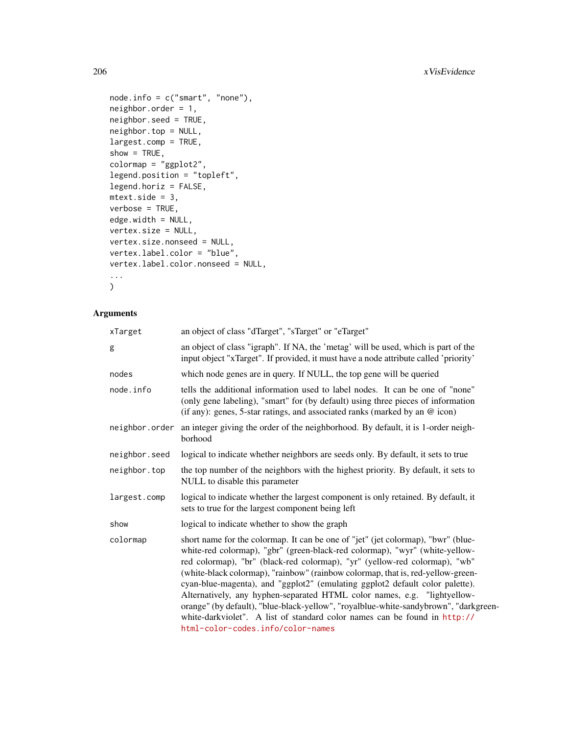```
node.info = c("smart", "none"),
neighbor.order = 1,
neighbor.seed = TRUE,
neighbor.top = NULL,
largest.comp = TRUE,
show = TRUE,colormap = "ggplot2",
legend.position = "topleft",
legend.horiz = FALSE,
mtext{text.size} = 3,
verbose = TRUE,
edge.width = NULL,
vertex.size = NULL,
vertex.size.nonseed = NULL,
vertex.label.color = "blue",
vertex.label.color.nonseed = NULL,
...
\mathcal{L}
```

| xTarget        | an object of class "dTarget", "sTarget" or "eTarget"                                                                                                                                                                                                                                                                                                                                                                                                                                                                                                                                                                                                                                                   |
|----------------|--------------------------------------------------------------------------------------------------------------------------------------------------------------------------------------------------------------------------------------------------------------------------------------------------------------------------------------------------------------------------------------------------------------------------------------------------------------------------------------------------------------------------------------------------------------------------------------------------------------------------------------------------------------------------------------------------------|
| g              | an object of class "igraph". If NA, the 'metag' will be used, which is part of the<br>input object "xTarget". If provided, it must have a node attribute called 'priority'                                                                                                                                                                                                                                                                                                                                                                                                                                                                                                                             |
| nodes          | which node genes are in query. If NULL, the top gene will be queried                                                                                                                                                                                                                                                                                                                                                                                                                                                                                                                                                                                                                                   |
| node.info      | tells the additional information used to label nodes. It can be one of "none"<br>(only gene labeling), "smart" for (by default) using three pieces of information<br>(if any): genes, 5-star ratings, and associated ranks (marked by an @ icon)                                                                                                                                                                                                                                                                                                                                                                                                                                                       |
| neighbor.order | an integer giving the order of the neighborhood. By default, it is 1-order neigh-<br>borhood                                                                                                                                                                                                                                                                                                                                                                                                                                                                                                                                                                                                           |
| neighbor.seed  | logical to indicate whether neighbors are seeds only. By default, it sets to true                                                                                                                                                                                                                                                                                                                                                                                                                                                                                                                                                                                                                      |
| neighbor.top   | the top number of the neighbors with the highest priority. By default, it sets to<br>NULL to disable this parameter                                                                                                                                                                                                                                                                                                                                                                                                                                                                                                                                                                                    |
| largest.comp   | logical to indicate whether the largest component is only retained. By default, it<br>sets to true for the largest component being left                                                                                                                                                                                                                                                                                                                                                                                                                                                                                                                                                                |
| show           | logical to indicate whether to show the graph                                                                                                                                                                                                                                                                                                                                                                                                                                                                                                                                                                                                                                                          |
| colormap       | short name for the colormap. It can be one of "jet" (jet colormap), "bwr" (blue-<br>white-red colormap), "gbr" (green-black-red colormap), "wyr" (white-yellow-<br>red colormap), "br" (black-red colormap), "yr" (yellow-red colormap), "wb"<br>(white-black colormap), "rainbow" (rainbow colormap, that is, red-yellow-green-<br>cyan-blue-magenta), and "ggplot2" (emulating ggplot2 default color palette).<br>Alternatively, any hyphen-separated HTML color names, e.g. "lightyellow-<br>orange" (by default), "blue-black-yellow", "royalblue-white-sandybrown", "darkgreen-<br>white-darkviolet". A list of standard color names can be found in http://<br>html-color-codes.info/color-names |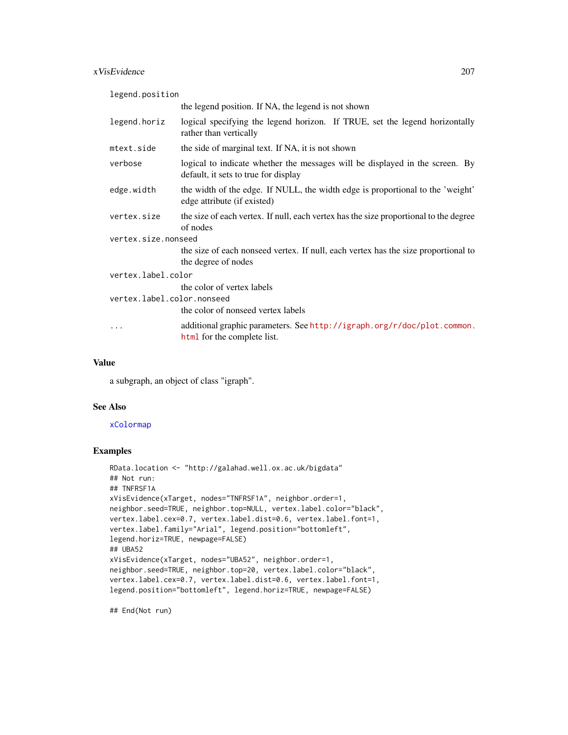#### <span id="page-206-0"></span>xVisEvidence 207

legend.position

|                            | the legend position. If NA, the legend is not shown                                                                  |  |
|----------------------------|----------------------------------------------------------------------------------------------------------------------|--|
| legend.horiz               | logical specifying the legend horizon. If TRUE, set the legend horizontally<br>rather than vertically                |  |
| mtext.side                 | the side of marginal text. If NA, it is not shown                                                                    |  |
| verbose                    | logical to indicate whether the messages will be displayed in the screen. By<br>default, it sets to true for display |  |
| edge.width                 | the width of the edge. If NULL, the width edge is proportional to the 'weight'<br>edge attribute (if existed)        |  |
| vertex.size                | the size of each vertex. If null, each vertex has the size proportional to the degree<br>of nodes                    |  |
| vertex.size.nonseed        |                                                                                                                      |  |
|                            | the size of each nonseed vertex. If null, each vertex has the size proportional to<br>the degree of nodes            |  |
| vertex.label.color         |                                                                                                                      |  |
|                            | the color of vertex labels                                                                                           |  |
| vertex.label.color.nonseed |                                                                                                                      |  |
|                            | the color of nonseed vertex labels                                                                                   |  |
| $\ddotsc$                  | additional graphic parameters. See http://igraph.org/r/doc/plot.common.<br>html for the complete list.               |  |

#### Value

a subgraph, an object of class "igraph".

#### See Also

#### [xColormap](#page-21-0)

#### Examples

```
RData.location <- "http://galahad.well.ox.ac.uk/bigdata"
## Not run:
## TNFRSF1A
xVisEvidence(xTarget, nodes="TNFRSF1A", neighbor.order=1,
neighbor.seed=TRUE, neighbor.top=NULL, vertex.label.color="black",
vertex.label.cex=0.7, vertex.label.dist=0.6, vertex.label.font=1,
vertex.label.family="Arial", legend.position="bottomleft",
legend.horiz=TRUE, newpage=FALSE)
## UBA52
xVisEvidence(xTarget, nodes="UBA52", neighbor.order=1,
neighbor.seed=TRUE, neighbor.top=20, vertex.label.color="black",
vertex.label.cex=0.7, vertex.label.dist=0.6, vertex.label.font=1,
legend.position="bottomleft", legend.horiz=TRUE, newpage=FALSE)
```
## End(Not run)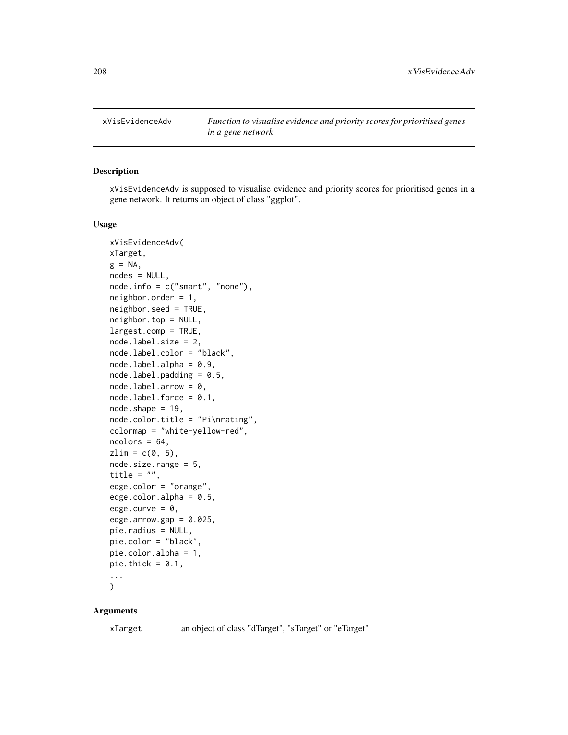<span id="page-207-0"></span>

#### Description

xVisEvidenceAdv is supposed to visualise evidence and priority scores for prioritised genes in a gene network. It returns an object of class "ggplot".

#### Usage

```
xVisEvidenceAdv(
xTarget,
g = NA,
nodes = NULL,
node.info = c("smart", "none"),neighbor.order = 1,
neighbor.seed = TRUE,
neighbor.top = NULL,
largest.comp = TRUE,
node.label.size = 2,
node.label.color = "black",
nodeu = 0.9,
nodeulabel.padding = 0.5,
nodeu = b.arrow = 0,
nodeu = 0.1,
node.shape = 19,
node.color.title = "Pi\nrating",
colormap = "white-yellow-red",
ncolors = 64,zlim = c(0, 5),
node.size.range = 5,
title = ",
edge.color = "orange",
edge.color.alpha = 0.5,
edge.curve = \theta,
edgearrow.gap = 0.025,pie.radius = NULL,
pie.color = "black",
pie.color.alpha = 1,
pie.thick = 0.1,
...
```
# $\mathcal{L}$

#### Arguments

xTarget an object of class "dTarget", "sTarget" or "eTarget"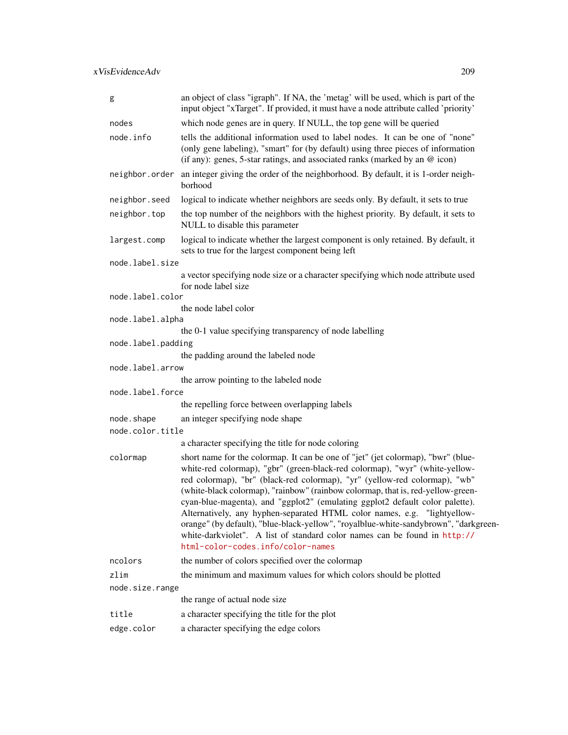| g                  | an object of class "igraph". If NA, the 'metag' will be used, which is part of the<br>input object "xTarget". If provided, it must have a node attribute called 'priority'                                                                                                                                                                                                                                                                                                                                                                                                                                                                                                                             |  |
|--------------------|--------------------------------------------------------------------------------------------------------------------------------------------------------------------------------------------------------------------------------------------------------------------------------------------------------------------------------------------------------------------------------------------------------------------------------------------------------------------------------------------------------------------------------------------------------------------------------------------------------------------------------------------------------------------------------------------------------|--|
| nodes              | which node genes are in query. If NULL, the top gene will be queried                                                                                                                                                                                                                                                                                                                                                                                                                                                                                                                                                                                                                                   |  |
| node.info          | tells the additional information used to label nodes. It can be one of "none"<br>(only gene labeling), "smart" for (by default) using three pieces of information<br>(if any): genes, 5-star ratings, and associated ranks (marked by an @ icon)                                                                                                                                                                                                                                                                                                                                                                                                                                                       |  |
| neighbor.order     | an integer giving the order of the neighborhood. By default, it is 1-order neigh-<br>borhood                                                                                                                                                                                                                                                                                                                                                                                                                                                                                                                                                                                                           |  |
| neighbor.seed      | logical to indicate whether neighbors are seeds only. By default, it sets to true                                                                                                                                                                                                                                                                                                                                                                                                                                                                                                                                                                                                                      |  |
| neighbor.top       | the top number of the neighbors with the highest priority. By default, it sets to<br>NULL to disable this parameter                                                                                                                                                                                                                                                                                                                                                                                                                                                                                                                                                                                    |  |
| largest.comp       | logical to indicate whether the largest component is only retained. By default, it<br>sets to true for the largest component being left                                                                                                                                                                                                                                                                                                                                                                                                                                                                                                                                                                |  |
| node.label.size    |                                                                                                                                                                                                                                                                                                                                                                                                                                                                                                                                                                                                                                                                                                        |  |
|                    | a vector specifying node size or a character specifying which node attribute used<br>for node label size                                                                                                                                                                                                                                                                                                                                                                                                                                                                                                                                                                                               |  |
| node.label.color   |                                                                                                                                                                                                                                                                                                                                                                                                                                                                                                                                                                                                                                                                                                        |  |
| node.label.alpha   | the node label color                                                                                                                                                                                                                                                                                                                                                                                                                                                                                                                                                                                                                                                                                   |  |
|                    | the 0-1 value specifying transparency of node labelling                                                                                                                                                                                                                                                                                                                                                                                                                                                                                                                                                                                                                                                |  |
| node.label.padding |                                                                                                                                                                                                                                                                                                                                                                                                                                                                                                                                                                                                                                                                                                        |  |
|                    | the padding around the labeled node                                                                                                                                                                                                                                                                                                                                                                                                                                                                                                                                                                                                                                                                    |  |
| node.label.arrow   |                                                                                                                                                                                                                                                                                                                                                                                                                                                                                                                                                                                                                                                                                                        |  |
|                    | the arrow pointing to the labeled node                                                                                                                                                                                                                                                                                                                                                                                                                                                                                                                                                                                                                                                                 |  |
| node.label.force   |                                                                                                                                                                                                                                                                                                                                                                                                                                                                                                                                                                                                                                                                                                        |  |
|                    | the repelling force between overlapping labels                                                                                                                                                                                                                                                                                                                                                                                                                                                                                                                                                                                                                                                         |  |
| node.shape         | an integer specifying node shape                                                                                                                                                                                                                                                                                                                                                                                                                                                                                                                                                                                                                                                                       |  |
| node.color.title   |                                                                                                                                                                                                                                                                                                                                                                                                                                                                                                                                                                                                                                                                                                        |  |
|                    | a character specifying the title for node coloring                                                                                                                                                                                                                                                                                                                                                                                                                                                                                                                                                                                                                                                     |  |
| colormap           | short name for the colormap. It can be one of "jet" (jet colormap), "bwr" (blue-<br>white-red colormap), "gbr" (green-black-red colormap), "wyr" (white-yellow-<br>red colormap), "br" (black-red colormap), "yr" (yellow-red colormap), "wb"<br>(white-black colormap), "rainbow" (rainbow colormap, that is, red-yellow-green-<br>cyan-blue-magenta), and "ggplot2" (emulating ggplot2 default color palette).<br>Alternatively, any hyphen-separated HTML color names, e.g. "lightyellow-<br>orange" (by default), "blue-black-yellow", "royalblue-white-sandybrown", "darkgreen-<br>white-darkviolet". A list of standard color names can be found in http://<br>html-color-codes.info/color-names |  |
| ncolors            | the number of colors specified over the colormap                                                                                                                                                                                                                                                                                                                                                                                                                                                                                                                                                                                                                                                       |  |
| zlim               | the minimum and maximum values for which colors should be plotted                                                                                                                                                                                                                                                                                                                                                                                                                                                                                                                                                                                                                                      |  |
| node.size.range    |                                                                                                                                                                                                                                                                                                                                                                                                                                                                                                                                                                                                                                                                                                        |  |
|                    | the range of actual node size                                                                                                                                                                                                                                                                                                                                                                                                                                                                                                                                                                                                                                                                          |  |
| title              | a character specifying the title for the plot                                                                                                                                                                                                                                                                                                                                                                                                                                                                                                                                                                                                                                                          |  |
| edge.color         | a character specifying the edge colors                                                                                                                                                                                                                                                                                                                                                                                                                                                                                                                                                                                                                                                                 |  |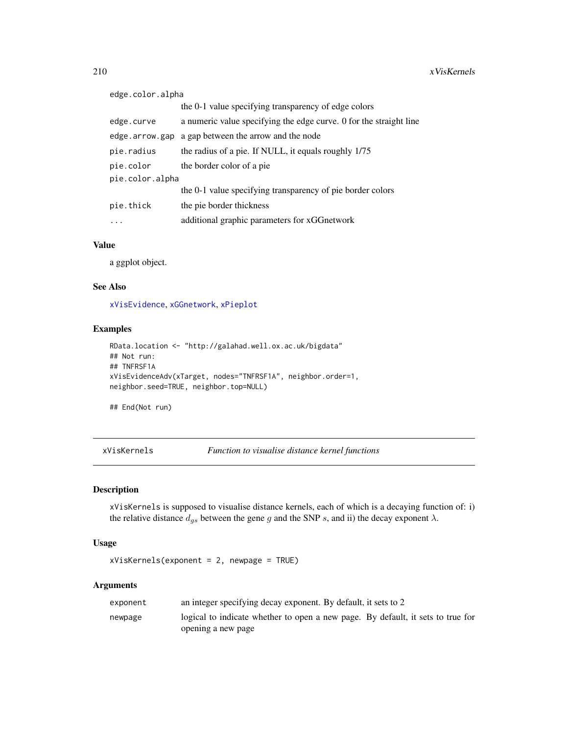<span id="page-209-1"></span>

| edge.color.alpha |                                                                    |  |
|------------------|--------------------------------------------------------------------|--|
|                  | the 0-1 value specifying transparency of edge colors               |  |
| edge.curve       | a numeric value specifying the edge curve. 0 for the straight line |  |
| edge.arrow.gap   | a gap between the arrow and the node                               |  |
| pie.radius       | the radius of a pie. If NULL, it equals roughly 1/75               |  |
| pie.color        | the border color of a pie                                          |  |
| pie.color.alpha  |                                                                    |  |
|                  | the 0-1 value specifying transparency of pie border colors         |  |
| pie.thick        | the pie border thickness                                           |  |
|                  | additional graphic parameters for xGGnetwork                       |  |

a ggplot object.

#### See Also

[xVisEvidence](#page-204-0), [xGGnetwork](#page-63-0), [xPieplot](#page-112-0)

#### Examples

```
RData.location <- "http://galahad.well.ox.ac.uk/bigdata"
## Not run:
## TNFRSF1A
xVisEvidenceAdv(xTarget, nodes="TNFRSF1A", neighbor.order=1,
neighbor.seed=TRUE, neighbor.top=NULL)
```
## End(Not run)

<span id="page-209-0"></span>xVisKernels *Function to visualise distance kernel functions*

#### Description

xVisKernels is supposed to visualise distance kernels, each of which is a decaying function of: i) the relative distance  $d_{gs}$  between the gene g and the SNP s, and ii) the decay exponent  $\lambda$ .

#### Usage

xVisKernels(exponent = 2, newpage = TRUE)

| exponent | an integer specifying decay exponent. By default, it sets to 2                  |
|----------|---------------------------------------------------------------------------------|
| newpage  | logical to indicate whether to open a new page. By default, it sets to true for |
|          | opening a new page                                                              |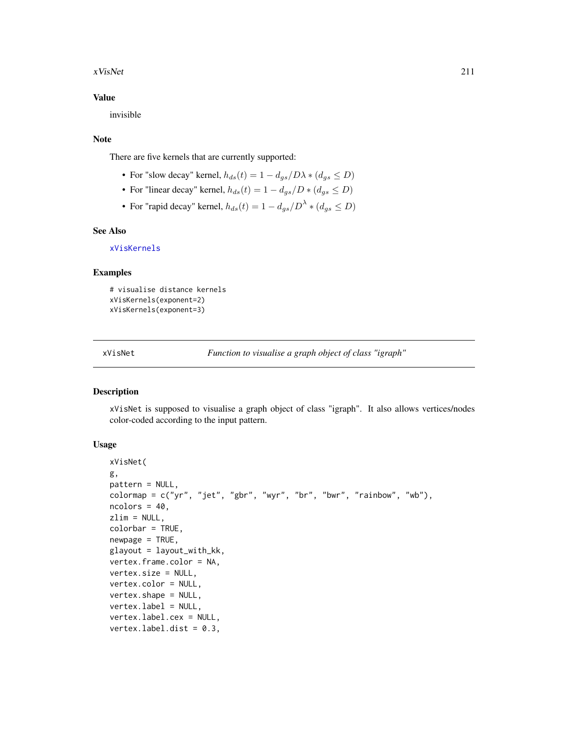#### <span id="page-210-1"></span>xVisNet 211

#### Value

invisible

#### Note

There are five kernels that are currently supported:

- For "slow decay" kernel,  $h_{ds}(t) = 1 d_{as}/D\lambda * (d_{as} \leq D)$
- For "linear decay" kernel,  $h_{ds}(t) = 1 d_{as}/D * (d_{as} \le D)$
- For "rapid decay" kernel,  $h_{ds}(t) = 1 d_{gs}/D^{\lambda} * (d_{gs} \leq D)$

#### See Also

[xVisKernels](#page-209-0)

#### Examples

```
# visualise distance kernels
xVisKernels(exponent=2)
xVisKernels(exponent=3)
```
<span id="page-210-0"></span>xVisNet *Function to visualise a graph object of class "igraph"*

#### Description

xVisNet is supposed to visualise a graph object of class "igraph". It also allows vertices/nodes color-coded according to the input pattern.

#### Usage

```
xVisNet(
g,
pattern = NULL,
colormap{black} = c("yr", "jet", "gbr", "wyr", "br", "bwr", "rainbow", "wb"),ncolors = 40,
zlim = NULL,
colorbar = TRUE,
newpage = TRUE,glayout = layout_with_kk,
vertex.frame.color = NA,
vertex.size = NULL,
vertex.color = NULL,
vertex.shape = NULL,
vertex.label = NULL,
vertex.label.cex = NULL,
vertex.label.dist = 0.3,
```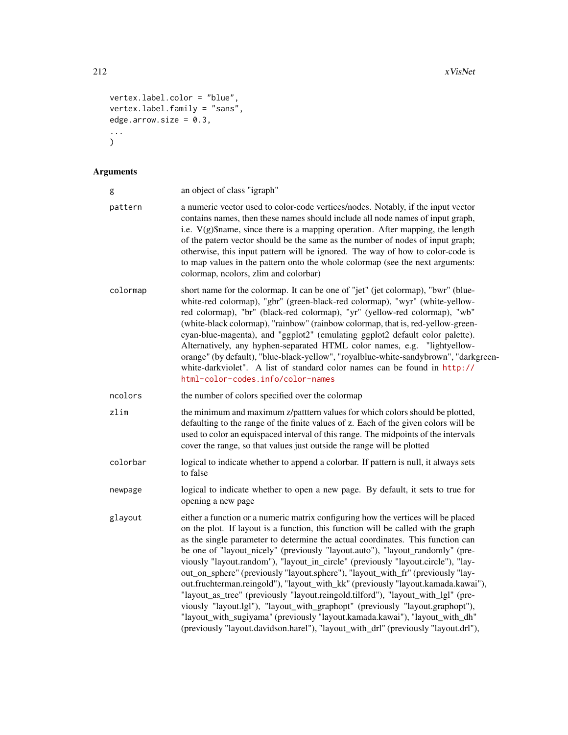```
vertex.label.color = "blue",
vertex.label.family = "sans",
edge.arrow.size = 0.3,
...
)
```

| g        | an object of class "igraph"                                                                                                                                                                                                                                                                                                                                                                                                                                                                                                                                                                                                                                                                                                                                                                                                                                                                                                                    |
|----------|------------------------------------------------------------------------------------------------------------------------------------------------------------------------------------------------------------------------------------------------------------------------------------------------------------------------------------------------------------------------------------------------------------------------------------------------------------------------------------------------------------------------------------------------------------------------------------------------------------------------------------------------------------------------------------------------------------------------------------------------------------------------------------------------------------------------------------------------------------------------------------------------------------------------------------------------|
| pattern  | a numeric vector used to color-code vertices/nodes. Notably, if the input vector<br>contains names, then these names should include all node names of input graph,<br>i.e. V(g)\$name, since there is a mapping operation. After mapping, the length<br>of the patern vector should be the same as the number of nodes of input graph;<br>otherwise, this input pattern will be ignored. The way of how to color-code is<br>to map values in the pattern onto the whole colormap (see the next arguments:<br>colormap, neolors, zlim and colorbar)                                                                                                                                                                                                                                                                                                                                                                                             |
| colormap | short name for the colormap. It can be one of "jet" (jet colormap), "bwr" (blue-<br>white-red colormap), "gbr" (green-black-red colormap), "wyr" (white-yellow-<br>red colormap), "br" (black-red colormap), "yr" (yellow-red colormap), "wb"<br>(white-black colormap), "rainbow" (rainbow colormap, that is, red-yellow-green-<br>cyan-blue-magenta), and "ggplot2" (emulating ggplot2 default color palette).<br>Alternatively, any hyphen-separated HTML color names, e.g. "lightyellow-<br>orange" (by default), "blue-black-yellow", "royalblue-white-sandybrown", "darkgreen-<br>white-darkviolet". A list of standard color names can be found in http://<br>html-color-codes.info/color-names                                                                                                                                                                                                                                         |
| ncolors  | the number of colors specified over the colormap                                                                                                                                                                                                                                                                                                                                                                                                                                                                                                                                                                                                                                                                                                                                                                                                                                                                                               |
| zlim     | the minimum and maximum z/patttern values for which colors should be plotted,<br>defaulting to the range of the finite values of z. Each of the given colors will be<br>used to color an equispaced interval of this range. The midpoints of the intervals<br>cover the range, so that values just outside the range will be plotted                                                                                                                                                                                                                                                                                                                                                                                                                                                                                                                                                                                                           |
| colorbar | logical to indicate whether to append a colorbar. If pattern is null, it always sets<br>to false                                                                                                                                                                                                                                                                                                                                                                                                                                                                                                                                                                                                                                                                                                                                                                                                                                               |
| newpage  | logical to indicate whether to open a new page. By default, it sets to true for<br>opening a new page                                                                                                                                                                                                                                                                                                                                                                                                                                                                                                                                                                                                                                                                                                                                                                                                                                          |
| glayout  | either a function or a numeric matrix configuring how the vertices will be placed<br>on the plot. If layout is a function, this function will be called with the graph<br>as the single parameter to determine the actual coordinates. This function can<br>be one of "layout_nicely" (previously "layout.auto"), "layout_randomly" (pre-<br>viously "layout.random"), "layout_in_circle" (previously "layout.circle"), "lay-<br>out_on_sphere" (previously "layout.sphere"), "layout_with_fr" (previously "lay-<br>out.fruchterman.reingold"), "layout_with_kk" (previously "layout.kamada.kawai"),<br>"layout_as_tree" (previously "layout.reingold.tilford"), "layout_with_lgl" (pre-<br>viously "layout.lgl"), "layout_with_graphopt" (previously "layout.graphopt"),<br>"layout_with_sugiyama" (previously "layout.kamada.kawai"), "layout_with_dh"<br>(previously "layout.davidson.harel"), "layout_with_drl" (previously "layout.drl"), |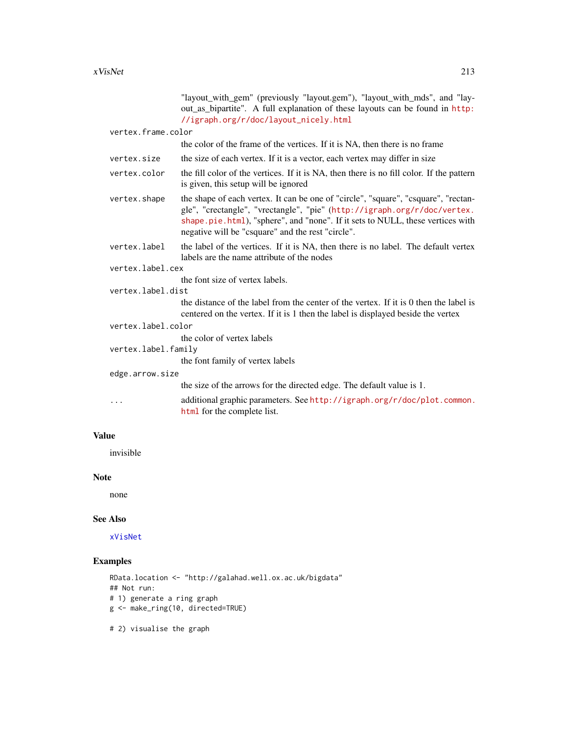<span id="page-212-0"></span>

|                     |                    | "layout_with_gem" (previously "layout.gem"), "layout_with_mds", and "lay-<br>out_as_bipartite". A full explanation of these layouts can be found in http:<br>//igraph.org/r/doc/layout_nicely.html                                                                                                    |  |
|---------------------|--------------------|-------------------------------------------------------------------------------------------------------------------------------------------------------------------------------------------------------------------------------------------------------------------------------------------------------|--|
|                     | vertex.frame.color |                                                                                                                                                                                                                                                                                                       |  |
|                     |                    | the color of the frame of the vertices. If it is NA, then there is no frame                                                                                                                                                                                                                           |  |
|                     | vertex.size        | the size of each vertex. If it is a vector, each vertex may differ in size                                                                                                                                                                                                                            |  |
|                     | vertex.color       | the fill color of the vertices. If it is NA, then there is no fill color. If the pattern<br>is given, this setup will be ignored                                                                                                                                                                      |  |
|                     | vertex.shape       | the shape of each vertex. It can be one of "circle", "square", "csquare", "rectan-<br>gle", "crectangle", "vrectangle", "pie" (http://igraph.org/r/doc/vertex.<br>shape.pie.html), "sphere", and "none". If it sets to NULL, these vertices with<br>negative will be "csquare" and the rest "circle". |  |
|                     | vertex.label       | the label of the vertices. If it is NA, then there is no label. The default vertex<br>labels are the name attribute of the nodes                                                                                                                                                                      |  |
|                     | vertex.label.cex   |                                                                                                                                                                                                                                                                                                       |  |
|                     |                    | the font size of vertex labels.                                                                                                                                                                                                                                                                       |  |
| vertex.label.dist   |                    |                                                                                                                                                                                                                                                                                                       |  |
|                     |                    | the distance of the label from the center of the vertex. If it is 0 then the label is<br>centered on the vertex. If it is 1 then the label is displayed beside the vertex                                                                                                                             |  |
|                     | vertex.label.color |                                                                                                                                                                                                                                                                                                       |  |
|                     |                    | the color of vertex labels                                                                                                                                                                                                                                                                            |  |
| vertex.label.family |                    |                                                                                                                                                                                                                                                                                                       |  |
|                     |                    | the font family of vertex labels                                                                                                                                                                                                                                                                      |  |
|                     | edge.arrow.size    |                                                                                                                                                                                                                                                                                                       |  |
|                     |                    | the size of the arrows for the directed edge. The default value is 1.                                                                                                                                                                                                                                 |  |
|                     | $\cdots$           | additional graphic parameters. See http://igraph.org/r/doc/plot.common.<br>html for the complete list.                                                                                                                                                                                                |  |
|                     |                    |                                                                                                                                                                                                                                                                                                       |  |

invisible

# Note

none

# See Also

[xVisNet](#page-210-0)

# Examples

```
RData.location <- "http://galahad.well.ox.ac.uk/bigdata"
## Not run:
# 1) generate a ring graph
g <- make_ring(10, directed=TRUE)
```
# 2) visualise the graph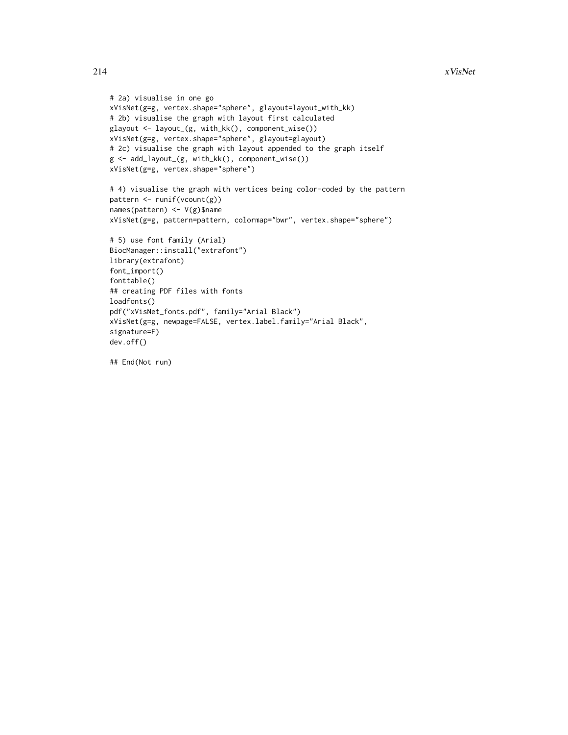```
# 2a) visualise in one go
xVisNet(g=g, vertex.shape="sphere", glayout=layout_with_kk)
# 2b) visualise the graph with layout first calculated
glayout <- layout_(g, with_kk(), component_wise())
xVisNet(g=g, vertex.shape="sphere", glayout=glayout)
# 2c) visualise the graph with layout appended to the graph itself
g <- add_layout_(g, with_kk(), component_wise())
xVisNet(g=g, vertex.shape="sphere")
# 4) visualise the graph with vertices being color-coded by the pattern
pattern <- runif(vcount(g))
names(pattern) <- V(g)$name
xVisNet(g=g, pattern=pattern, colormap="bwr", vertex.shape="sphere")
# 5) use font family (Arial)
BiocManager::install("extrafont")
library(extrafont)
font_import()
fonttable()
## creating PDF files with fonts
loadfonts()
pdf("xVisNet_fonts.pdf", family="Arial Black")
xVisNet(g=g, newpage=FALSE, vertex.label.family="Arial Black",
signature=F)
dev.off()
```
## End(Not run)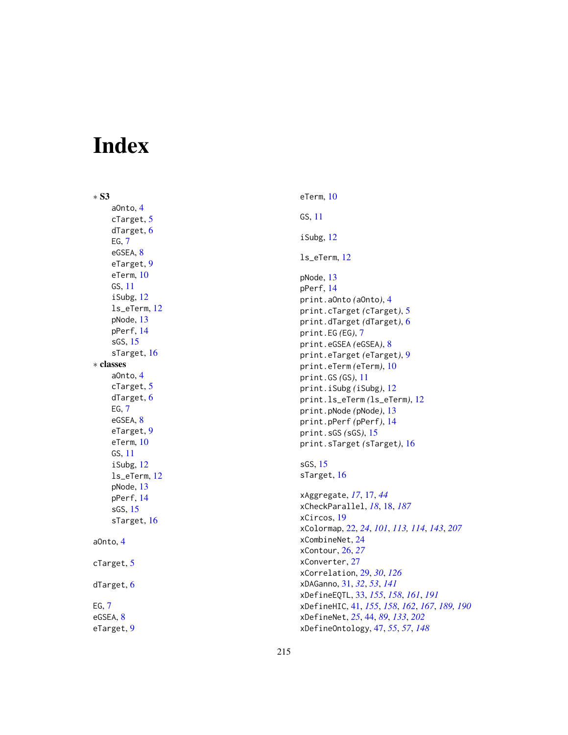# Index

∗ S3 aOnto , [4](#page-3-0) cTarget, [5](#page-4-0) dTarget, [6](#page-5-0)  $EG, 7$  $EG, 7$ eGSEA, [8](#page-7-0) eTarget, [9](#page-8-0) eTerm , [10](#page-9-0) GS , [11](#page-10-0) iSubg , [12](#page-11-0) ls\_eTerm , [12](#page-11-0) pNode , [13](#page-12-0) pPerf , [14](#page-13-0) sGS , [15](#page-14-0) sTarget, [16](#page-15-0) ∗ classes aOnto , [4](#page-3-0) cTarget, [5](#page-4-0) dTarget, [6](#page-5-0)  $EG, 7$  $EG, 7$ eGSEA, [8](#page-7-0) eTarget , [9](#page-8-0) eTerm , [10](#page-9-0) GS , [11](#page-10-0) iSubg , [12](#page-11-0) ls\_eTerm , [12](#page-11-0) pNode , [13](#page-12-0) pPerf , [14](#page-13-0) sGS , [15](#page-14-0) sTarget, [16](#page-15-0) aOnto , [4](#page-3-0) cTarget, [5](#page-4-0) dTarget, [6](#page-5-0)  $EG, 7$  $EG, 7$ eGSEA, [8](#page-7-0) eTarget , [9](#page-8-0)

eTerm , [10](#page-9-0) GS , [11](#page-10-0) iSubg , [12](#page-11-0) ls\_eTerm , [12](#page-11-0) pNode , [13](#page-12-0) pPerf , [14](#page-13-0) print.aOnto *(*aOnto *)* , [4](#page-3-0) print.cTarget *(*cTarget *)* , [5](#page-4-0) print.dTarget *(*dTarget *)* , [6](#page-5-0) print.EG *(*EG *)* , [7](#page-6-0) print.eGSEA *(*eGSEA *)* , [8](#page-7-0) print.eTarget *(*eTarget *)* , [9](#page-8-0) print.eTerm *(*eTerm *)* , [10](#page-9-0) print.GS *(*GS *)* , [11](#page-10-0) print.iSubg *(*iSubg *)* , [12](#page-11-0) print.ls\_eTerm *(*ls\_eTerm *)* , [12](#page-11-0) print.pNode *(*pNode *)* , [13](#page-12-0) print.pPerf *(*pPerf *)* , [14](#page-13-0) print.sGS *(*sGS *)* , [15](#page-14-0) print.sTarget *(*sTarget *)* , [16](#page-15-0) sGS , [15](#page-14-0) sTarget, [16](#page-15-0) xAggregate , *[17](#page-16-0)* , [17](#page-16-0) , *[44](#page-43-1)* xCheckParallel , *[18](#page-17-1)* , [18](#page-17-1) , *[187](#page-186-1)* xCircos , [19](#page-18-0) xColormap , [22](#page-21-1) , *[24](#page-23-0)* , *[101](#page-100-0)* , *[113](#page-112-1) , [114](#page-113-0)* , *[143](#page-142-0)* , *[207](#page-206-0)* xCombineNet , [24](#page-23-0) xContour , [26](#page-25-0) , *[27](#page-26-0)* xConverter , [27](#page-26-0) xCorrelation , [29](#page-28-0) , *[30](#page-29-0)* , *[126](#page-125-0)* xDAGanno , [31](#page-30-0) , *[32](#page-31-0)* , *[53](#page-52-0)* , *[141](#page-140-0)* xDefineEQTL , [33](#page-32-1) , *[155](#page-154-0)* , *[158](#page-157-0)* , *[161](#page-160-0)* , *[191](#page-190-0)* xDefineHIC , [41](#page-40-1) , *[155](#page-154-0)* , *[158](#page-157-0)* , *[162](#page-161-0)* , *[167](#page-166-0)* , *[189](#page-188-0) , [190](#page-189-0)* xDefineNet , *[25](#page-24-0)* , [44](#page-43-1) , *[89](#page-88-0)* , *[133](#page-132-0)* , *[202](#page-201-0)* xDefineOntology , [47](#page-46-0) , *[55](#page-54-0)* , *[57](#page-56-0)* , *[148](#page-147-0)*